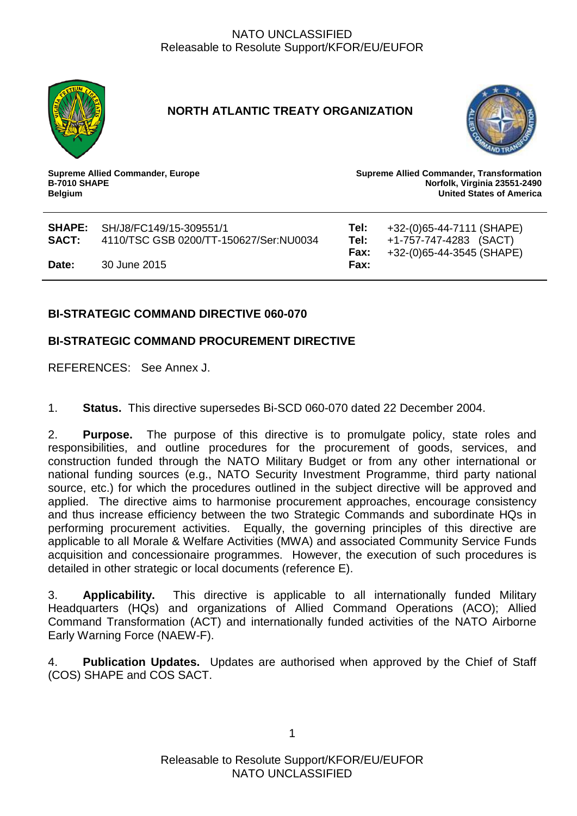

# **NORTH ATLANTIC TREATY ORGANIZATION**



**Supreme Allied Commander, Europe B-7010 SHAPE Belgium**

**Supreme Allied Commander, Transformation Norfolk, Virginia 23551-2490 United States of America**

| SACT: | <b>SHAPE:</b> SH/J8/FC149/15-309551/1<br>4110/TSC GSB 0200/TT-150627/Ser:NU0034 | Tel:<br>Tel:<br>Fax: | +32-(0)65-44-7111 (SHAPE)<br>+1-757-747-4283 (SACT)<br>+32-(0)65-44-3545 (SHAPE) |
|-------|---------------------------------------------------------------------------------|----------------------|----------------------------------------------------------------------------------|
| Date: | 30 June 2015                                                                    | Fax:                 |                                                                                  |

# **BI-STRATEGIC COMMAND DIRECTIVE 060-070**

# **BI-STRATEGIC COMMAND PROCUREMENT DIRECTIVE**

REFERENCES: See Annex J.

1. **Status.** This directive supersedes Bi-SCD 060-070 dated 22 December 2004.

2. **Purpose.** The purpose of this directive is to promulgate policy, state roles and responsibilities, and outline procedures for the procurement of goods, services, and construction funded through the NATO Military Budget or from any other international or national funding sources (e.g., NATO Security Investment Programme, third party national source, etc.) for which the procedures outlined in the subject directive will be approved and applied. The directive aims to harmonise procurement approaches, encourage consistency and thus increase efficiency between the two Strategic Commands and subordinate HQs in performing procurement activities. Equally, the governing principles of this directive are applicable to all Morale & Welfare Activities (MWA) and associated Community Service Funds acquisition and concessionaire programmes. However, the execution of such procedures is detailed in other strategic or local documents (reference E).

3. **Applicability.** This directive is applicable to all internationally funded Military Headquarters (HQs) and organizations of Allied Command Operations (ACO); Allied Command Transformation (ACT) and internationally funded activities of the NATO Airborne Early Warning Force (NAEW-F).

4. **Publication Updates.** Updates are authorised when approved by the Chief of Staff (COS) SHAPE and COS SACT.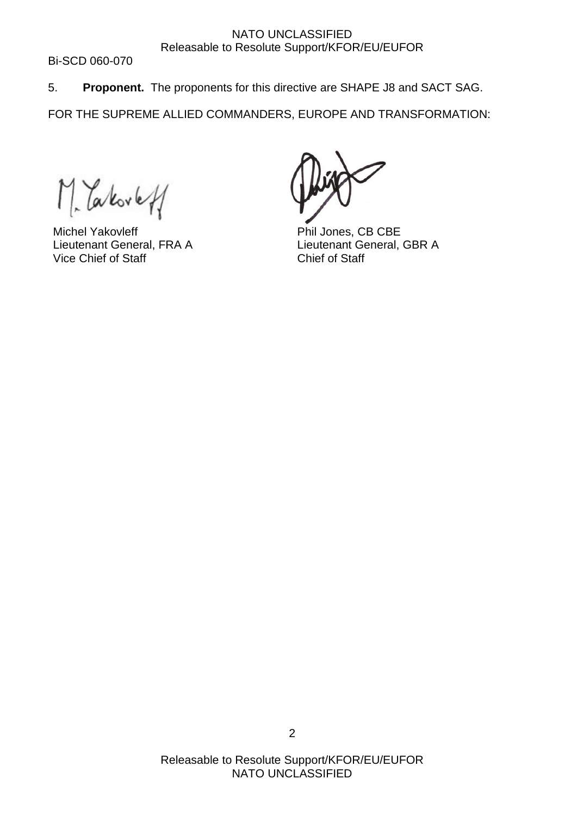Bi-SCD 060-070

5. **Proponent.** The proponents for this directive are SHAPE J8 and SACT SAG.

FOR THE SUPREME ALLIED COMMANDERS, EUROPE AND TRANSFORMATION:

*Takovet* 

 Michel Yakovleff Lieutenant General, FRA A Vice Chief of Staff

Phil Jones, CB CBE Lieutenant General, GBR A Chief of Staff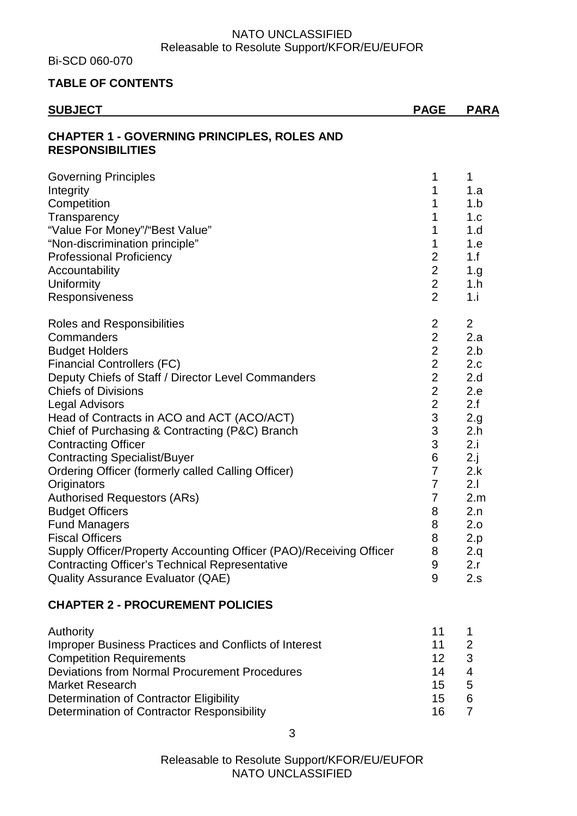Bi-SCD 060-070

#### **TABLE OF CONTENTS**

| <b>SUBJECT</b>                                                                                                                                                                                                                                                                                                                                                                                                                                                                                                                                                                                                                                                                                                                                                    | <b>PAGE</b>                                                                                                                                                                                                                | <b>PARA</b>                                                                                                                                         |
|-------------------------------------------------------------------------------------------------------------------------------------------------------------------------------------------------------------------------------------------------------------------------------------------------------------------------------------------------------------------------------------------------------------------------------------------------------------------------------------------------------------------------------------------------------------------------------------------------------------------------------------------------------------------------------------------------------------------------------------------------------------------|----------------------------------------------------------------------------------------------------------------------------------------------------------------------------------------------------------------------------|-----------------------------------------------------------------------------------------------------------------------------------------------------|
| <b>CHAPTER 1 - GOVERNING PRINCIPLES, ROLES AND</b><br><b>RESPONSIBILITIES</b>                                                                                                                                                                                                                                                                                                                                                                                                                                                                                                                                                                                                                                                                                     |                                                                                                                                                                                                                            |                                                                                                                                                     |
| <b>Governing Principles</b><br>Integrity<br>Competition<br>Transparency<br>"Value For Money"/"Best Value"<br>"Non-discrimination principle"<br><b>Professional Proficiency</b><br>Accountability<br>Uniformity<br>Responsiveness                                                                                                                                                                                                                                                                                                                                                                                                                                                                                                                                  | 1<br>1<br>1<br>1<br>1<br>1<br>$\overline{2}$<br>$\overline{2}$<br>$\overline{2}$<br>$\overline{2}$                                                                                                                         | 1<br>1.a<br>1.b<br>1.c<br>1.d<br>1.e<br>1.f<br>1.g<br>1.h<br>1.i                                                                                    |
| <b>Roles and Responsibilities</b><br>Commanders<br><b>Budget Holders</b><br><b>Financial Controllers (FC)</b><br>Deputy Chiefs of Staff / Director Level Commanders<br><b>Chiefs of Divisions</b><br><b>Legal Advisors</b><br>Head of Contracts in ACO and ACT (ACO/ACT)<br>Chief of Purchasing & Contracting (P&C) Branch<br><b>Contracting Officer</b><br><b>Contracting Specialist/Buyer</b><br>Ordering Officer (formerly called Calling Officer)<br>Originators<br><b>Authorised Requestors (ARs)</b><br><b>Budget Officers</b><br><b>Fund Managers</b><br><b>Fiscal Officers</b><br>Supply Officer/Property Accounting Officer (PAO)/Receiving Officer<br><b>Contracting Officer's Technical Representative</b><br><b>Quality Assurance Evaluator (QAE)</b> | $\overline{2}$<br>$\overline{2}$<br>$\overline{2}$<br>$\mathbf{2}$<br>$\overline{2}$<br>$\overline{2}$<br>$\overline{c}$<br>3<br>$\frac{3}{3}$<br>6<br>$\overline{7}$<br>$\overline{7}$<br>7<br>8<br>8<br>8<br>8<br>9<br>9 | $\overline{2}$<br>2.a<br>2.b<br>2.c<br>2.d<br>2.e<br>2.f<br>2.g<br>2.h<br>2.i<br>2.j<br>2.k<br>2.1<br>2.m<br>2.n<br>2.0<br>2.p<br>2.q<br>2.r<br>2.s |
| <b>CHAPTER 2 - PROCUREMENT POLICIES</b>                                                                                                                                                                                                                                                                                                                                                                                                                                                                                                                                                                                                                                                                                                                           |                                                                                                                                                                                                                            |                                                                                                                                                     |

#### Authority 11 1 Improper Business Practices and Conflicts of Interest 11 11 2 **Competition Requirements** 12 3 Deviations from Normal Procurement Procedures<br>
Market Research 15 5 Market Research 15 Determination of Contractor Eligibility<br>
Determination of Contractor Responsibility<br>
16 7 Determination of Contractor Responsibility **16** 76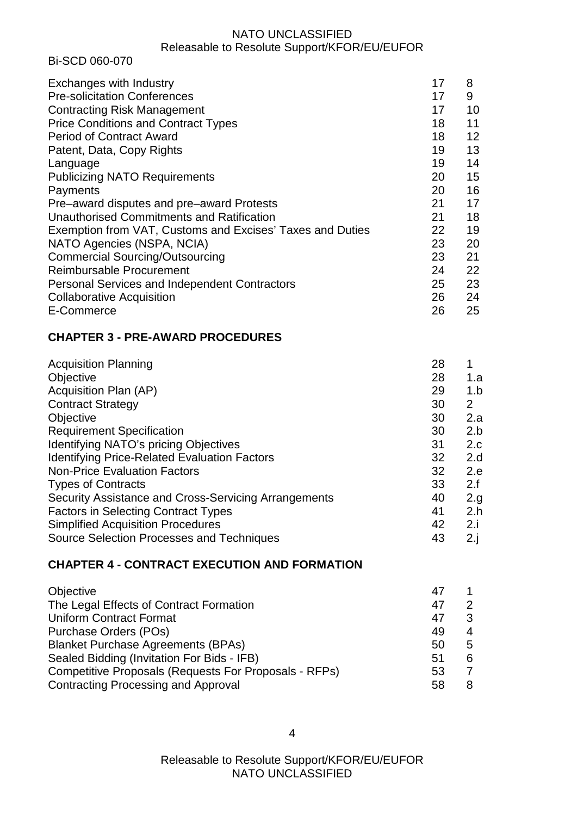Bi-SCD 060-070

| Exchanges with Industry                                   | 17 | 8  |
|-----------------------------------------------------------|----|----|
| <b>Pre-solicitation Conferences</b>                       | 17 | 9  |
| <b>Contracting Risk Management</b>                        | 17 | 10 |
| <b>Price Conditions and Contract Types</b>                | 18 | 11 |
| <b>Period of Contract Award</b>                           | 18 | 12 |
| Patent, Data, Copy Rights                                 | 19 | 13 |
| Language                                                  | 19 | 14 |
| <b>Publicizing NATO Requirements</b>                      | 20 | 15 |
| Payments                                                  | 20 | 16 |
| Pre-award disputes and pre-award Protests                 | 21 | 17 |
| Unauthorised Commitments and Ratification                 | 21 | 18 |
| Exemption from VAT, Customs and Excises' Taxes and Duties | 22 | 19 |
| NATO Agencies (NSPA, NCIA)                                | 23 | 20 |
| <b>Commercial Sourcing/Outsourcing</b>                    | 23 | 21 |
| Reimbursable Procurement                                  | 24 | 22 |
| Personal Services and Independent Contractors             | 25 | 23 |
| <b>Collaborative Acquisition</b>                          | 26 | 24 |
| E-Commerce                                                | 26 | 25 |

# **CHAPTER 3 - PRE-AWARD PROCEDURES**

| <b>Acquisition Planning</b>                          | 28 |             |
|------------------------------------------------------|----|-------------|
| Objective                                            | 28 | 1.a         |
| Acquisition Plan (AP)                                | 29 | 1.b         |
| <b>Contract Strategy</b>                             | 30 | 2           |
| Objective                                            | 30 | 2.a         |
| <b>Requirement Specification</b>                     | 30 | 2.b         |
| Identifying NATO's pricing Objectives                | 31 | 2.c         |
| <b>Identifying Price-Related Evaluation Factors</b>  | 32 | 2.d         |
| <b>Non-Price Evaluation Factors</b>                  | 32 | 2.e         |
| <b>Types of Contracts</b>                            | 33 | 2.f         |
| Security Assistance and Cross-Servicing Arrangements | 40 | 2.g.        |
| <b>Factors in Selecting Contract Types</b>           | 41 | 2.h         |
| <b>Simplified Acquisition Procedures</b>             | 42 | 2.i         |
| <b>Source Selection Processes and Techniques</b>     | 43 | $2 \cdot i$ |
|                                                      |    |             |

# **CHAPTER 4 - CONTRACT EXECUTION AND FORMATION**

| Objective                                                    | 47 |   |
|--------------------------------------------------------------|----|---|
| The Legal Effects of Contract Formation                      | 47 | 2 |
| <b>Uniform Contract Format</b>                               | 47 | 3 |
| Purchase Orders (POs)                                        | 49 | 4 |
| <b>Blanket Purchase Agreements (BPAs)</b>                    | 50 | 5 |
| Sealed Bidding (Invitation For Bids - IFB)                   | 51 | 6 |
| <b>Competitive Proposals (Requests For Proposals - RFPs)</b> | 53 |   |
| <b>Contracting Processing and Approval</b>                   | 58 | 8 |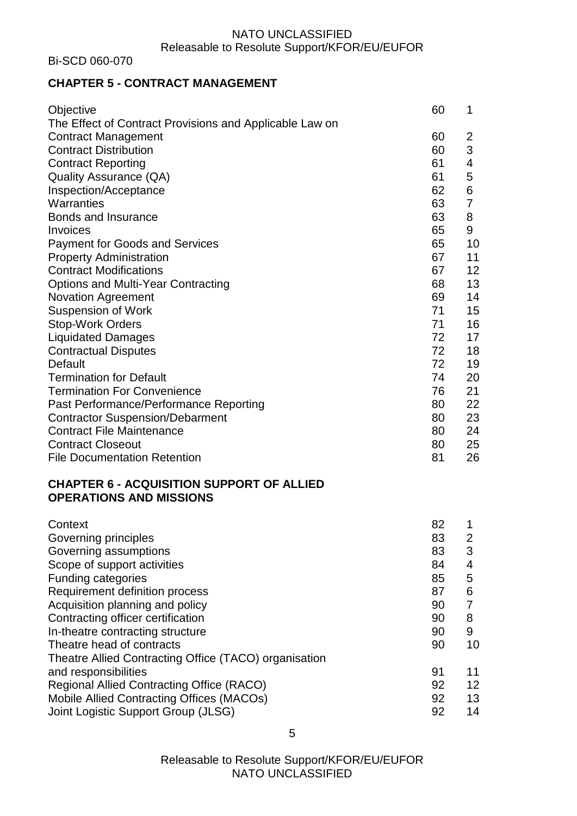Bi-SCD 060-070

# **CHAPTER 5 - CONTRACT MANAGEMENT**

| Objective                                               | 60 | 1  |
|---------------------------------------------------------|----|----|
| The Effect of Contract Provisions and Applicable Law on |    |    |
| <b>Contract Management</b>                              | 60 | 2  |
| <b>Contract Distribution</b>                            | 60 | 3  |
| <b>Contract Reporting</b>                               | 61 | 4  |
| <b>Quality Assurance (QA)</b>                           | 61 | 5  |
| Inspection/Acceptance                                   | 62 | 6  |
| Warranties                                              | 63 | 7  |
| Bonds and Insurance                                     | 63 | 8  |
| Invoices                                                | 65 | 9  |
| <b>Payment for Goods and Services</b>                   | 65 | 10 |
| <b>Property Administration</b>                          | 67 | 11 |
| <b>Contract Modifications</b>                           | 67 | 12 |
| <b>Options and Multi-Year Contracting</b>               | 68 | 13 |
| <b>Novation Agreement</b>                               | 69 | 14 |
| <b>Suspension of Work</b>                               | 71 | 15 |
| <b>Stop-Work Orders</b>                                 | 71 | 16 |
| <b>Liquidated Damages</b>                               | 72 | 17 |
| <b>Contractual Disputes</b>                             | 72 | 18 |
| Default                                                 | 72 | 19 |
| <b>Termination for Default</b>                          | 74 | 20 |
| <b>Termination For Convenience</b>                      | 76 | 21 |
| Past Performance/Performance Reporting                  | 80 | 22 |
| <b>Contractor Suspension/Debarment</b>                  | 80 | 23 |
| <b>Contract File Maintenance</b>                        | 80 | 24 |
| <b>Contract Closeout</b>                                | 80 | 25 |
| <b>File Documentation Retention</b>                     | 81 | 26 |

# **CHAPTER 6 - ACQUISITION SUPPORT OF ALLIED OPERATIONS AND MISSIONS**

| Context                                               | 82 |    |
|-------------------------------------------------------|----|----|
| Governing principles                                  | 83 | 2  |
| Governing assumptions                                 | 83 | 3  |
| Scope of support activities                           | 84 | 4  |
| <b>Funding categories</b>                             | 85 | 5  |
| Requirement definition process                        | 87 | 6  |
| Acquisition planning and policy                       | 90 |    |
| Contracting officer certification                     | 90 | 8  |
| In-theatre contracting structure                      | 90 | 9  |
| Theatre head of contracts                             | 90 | 10 |
| Theatre Allied Contracting Office (TACO) organisation |    |    |
| and responsibilities                                  | 91 | 11 |
| <b>Regional Allied Contracting Office (RACO)</b>      | 92 | 12 |
| Mobile Allied Contracting Offices (MACOs)             | 92 | 13 |
| Joint Logistic Support Group (JLSG)                   | 92 | 14 |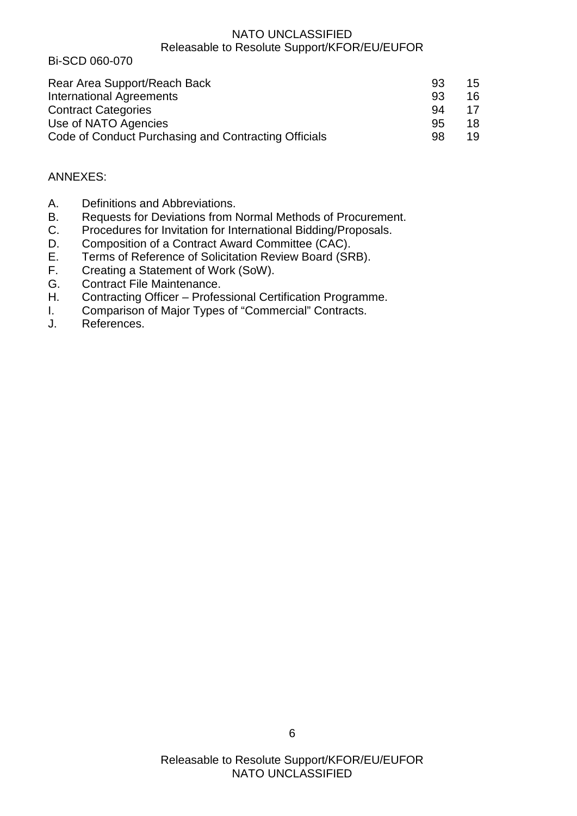Bi-SCD 060-070

| Rear Area Support/Reach Back                         | 93  | 15 |
|------------------------------------------------------|-----|----|
| <b>International Agreements</b>                      | .93 | 16 |
| <b>Contract Categories</b>                           | 94  | 17 |
| Use of NATO Agencies                                 | 95  | 18 |
| Code of Conduct Purchasing and Contracting Officials | 98  | 19 |

# ANNEXES:

- A. Definitions and Abbreviations.
- B. Requests for Deviations from Normal Methods of Procurement.
- C. Procedures for Invitation for International Bidding/Proposals.
- D. Composition of a Contract Award Committee (CAC).
- E. Terms of Reference of Solicitation Review Board (SRB).<br>F. Creating a Statement of Work (SoW).
- Creating a Statement of Work (SoW).
- G. Contract File Maintenance.
- H. Contracting Officer Professional Certification Programme.
- I. Comparison of Major Types of "Commercial" Contracts.
- J. References.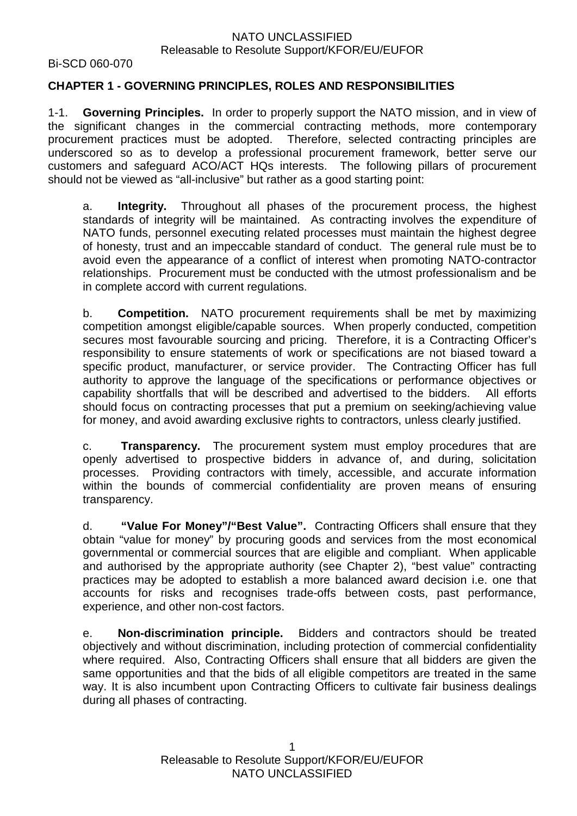Bi-SCD 060-070

#### **CHAPTER 1 - GOVERNING PRINCIPLES, ROLES AND RESPONSIBILITIES**

1-1. **Governing Principles.** In order to properly support the NATO mission, and in view of the significant changes in the commercial contracting methods, more contemporary procurement practices must be adopted. Therefore, selected contracting principles are underscored so as to develop a professional procurement framework, better serve our customers and safeguard ACO/ACT HQs interests. The following pillars of procurement should not be viewed as "all-inclusive" but rather as a good starting point:

a. **Integrity.** Throughout all phases of the procurement process, the highest standards of integrity will be maintained. As contracting involves the expenditure of NATO funds, personnel executing related processes must maintain the highest degree of honesty, trust and an impeccable standard of conduct. The general rule must be to avoid even the appearance of a conflict of interest when promoting NATO-contractor relationships. Procurement must be conducted with the utmost professionalism and be in complete accord with current regulations.

b. **Competition.** NATO procurement requirements shall be met by maximizing competition amongst eligible/capable sources. When properly conducted, competition secures most favourable sourcing and pricing. Therefore, it is a Contracting Officer's responsibility to ensure statements of work or specifications are not biased toward a specific product, manufacturer, or service provider. The Contracting Officer has full authority to approve the language of the specifications or performance objectives or capability shortfalls that will be described and advertised to the bidders. All efforts should focus on contracting processes that put a premium on seeking/achieving value for money, and avoid awarding exclusive rights to contractors, unless clearly justified.

c. **Transparency.** The procurement system must employ procedures that are openly advertised to prospective bidders in advance of, and during, solicitation processes. Providing contractors with timely, accessible, and accurate information within the bounds of commercial confidentiality are proven means of ensuring transparency.

d. **"Value For Money"/"Best Value".** Contracting Officers shall ensure that they obtain "value for money" by procuring goods and services from the most economical governmental or commercial sources that are eligible and compliant. When applicable and authorised by the appropriate authority (see Chapter 2), "best value" contracting practices may be adopted to establish a more balanced award decision i.e. one that accounts for risks and recognises trade-offs between costs, past performance, experience, and other non-cost factors.

e. **Non-discrimination principle.** Bidders and contractors should be treated objectively and without discrimination, including protection of commercial confidentiality where required. Also, Contracting Officers shall ensure that all bidders are given the same opportunities and that the bids of all eligible competitors are treated in the same way. It is also incumbent upon Contracting Officers to cultivate fair business dealings during all phases of contracting.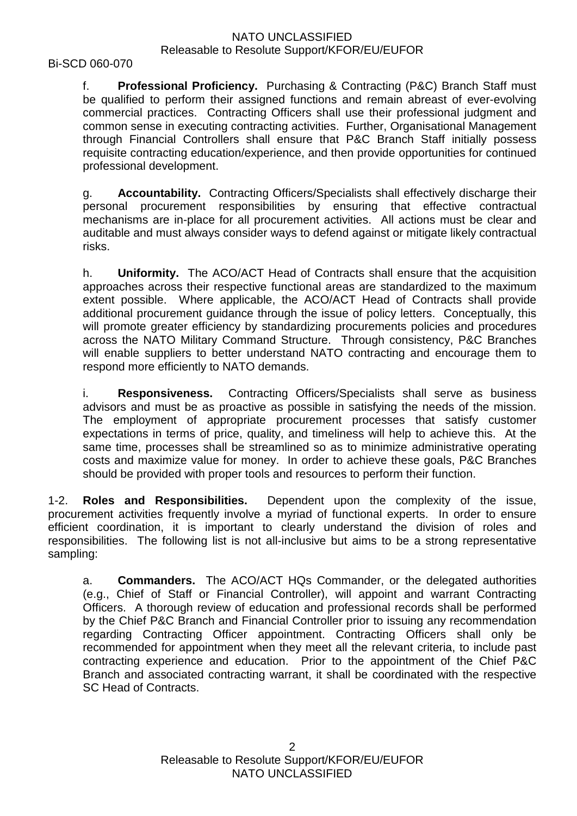Bi-SCD 060-070

f. **Professional Proficiency.** Purchasing & Contracting (P&C) Branch Staff must be qualified to perform their assigned functions and remain abreast of ever-evolving commercial practices. Contracting Officers shall use their professional judgment and common sense in executing contracting activities. Further, Organisational Management through Financial Controllers shall ensure that P&C Branch Staff initially possess requisite contracting education/experience, and then provide opportunities for continued professional development.

g. **Accountability.** Contracting Officers/Specialists shall effectively discharge their personal procurement responsibilities by ensuring that effective contractual mechanisms are in-place for all procurement activities. All actions must be clear and auditable and must always consider ways to defend against or mitigate likely contractual risks.

h. **Uniformity.** The ACO/ACT Head of Contracts shall ensure that the acquisition approaches across their respective functional areas are standardized to the maximum extent possible. Where applicable, the ACO/ACT Head of Contracts shall provide additional procurement guidance through the issue of policy letters. Conceptually, this will promote greater efficiency by standardizing procurements policies and procedures across the NATO Military Command Structure. Through consistency, P&C Branches will enable suppliers to better understand NATO contracting and encourage them to respond more efficiently to NATO demands.

i. **Responsiveness.** Contracting Officers/Specialists shall serve as business advisors and must be as proactive as possible in satisfying the needs of the mission. The employment of appropriate procurement processes that satisfy customer expectations in terms of price, quality, and timeliness will help to achieve this. At the same time, processes shall be streamlined so as to minimize administrative operating costs and maximize value for money. In order to achieve these goals, P&C Branches should be provided with proper tools and resources to perform their function.

1-2. **Roles and Responsibilities.** Dependent upon the complexity of the issue, procurement activities frequently involve a myriad of functional experts. In order to ensure efficient coordination, it is important to clearly understand the division of roles and responsibilities. The following list is not all-inclusive but aims to be a strong representative sampling:

a. **Commanders.** The ACO/ACT HQs Commander, or the delegated authorities (e.g., Chief of Staff or Financial Controller), will appoint and warrant Contracting Officers. A thorough review of education and professional records shall be performed by the Chief P&C Branch and Financial Controller prior to issuing any recommendation regarding Contracting Officer appointment. Contracting Officers shall only be recommended for appointment when they meet all the relevant criteria, to include past contracting experience and education. Prior to the appointment of the Chief P&C Branch and associated contracting warrant, it shall be coordinated with the respective SC Head of Contracts.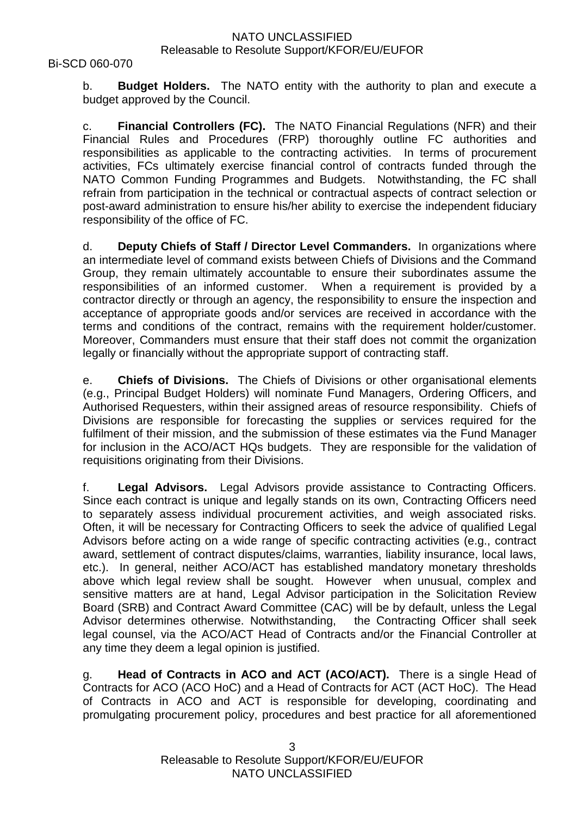b. **Budget Holders.** The NATO entity with the authority to plan and execute a budget approved by the Council.

c. **Financial Controllers (FC).** The NATO Financial Regulations (NFR) and their Financial Rules and Procedures (FRP) thoroughly outline FC authorities and responsibilities as applicable to the contracting activities. In terms of procurement activities, FCs ultimately exercise financial control of contracts funded through the NATO Common Funding Programmes and Budgets. Notwithstanding, the FC shall refrain from participation in the technical or contractual aspects of contract selection or post-award administration to ensure his/her ability to exercise the independent fiduciary responsibility of the office of FC.

d. **Deputy Chiefs of Staff / Director Level Commanders.** In organizations where an intermediate level of command exists between Chiefs of Divisions and the Command Group, they remain ultimately accountable to ensure their subordinates assume the responsibilities of an informed customer. When a requirement is provided by a contractor directly or through an agency, the responsibility to ensure the inspection and acceptance of appropriate goods and/or services are received in accordance with the terms and conditions of the contract, remains with the requirement holder/customer. Moreover, Commanders must ensure that their staff does not commit the organization legally or financially without the appropriate support of contracting staff.

e. **Chiefs of Divisions.** The Chiefs of Divisions or other organisational elements (e.g., Principal Budget Holders) will nominate Fund Managers, Ordering Officers, and Authorised Requesters, within their assigned areas of resource responsibility. Chiefs of Divisions are responsible for forecasting the supplies or services required for the fulfilment of their mission, and the submission of these estimates via the Fund Manager for inclusion in the ACO/ACT HQs budgets. They are responsible for the validation of requisitions originating from their Divisions.

f. **Legal Advisors.** Legal Advisors provide assistance to Contracting Officers. Since each contract is unique and legally stands on its own, Contracting Officers need to separately assess individual procurement activities, and weigh associated risks. Often, it will be necessary for Contracting Officers to seek the advice of qualified Legal Advisors before acting on a wide range of specific contracting activities (e.g., contract award, settlement of contract disputes/claims, warranties, liability insurance, local laws, etc.). In general, neither ACO/ACT has established mandatory monetary thresholds above which legal review shall be sought. However when unusual, complex and sensitive matters are at hand, Legal Advisor participation in the Solicitation Review Board (SRB) and Contract Award Committee (CAC) will be by default, unless the Legal Advisor determines otherwise. Notwithstanding, the Contracting Officer shall seek legal counsel, via the ACO/ACT Head of Contracts and/or the Financial Controller at any time they deem a legal opinion is justified.

g. **Head of Contracts in ACO and ACT (ACO/ACT).** There is a single Head of Contracts for ACO (ACO HoC) and a Head of Contracts for ACT (ACT HoC). The Head of Contracts in ACO and ACT is responsible for developing, coordinating and promulgating procurement policy, procedures and best practice for all aforementioned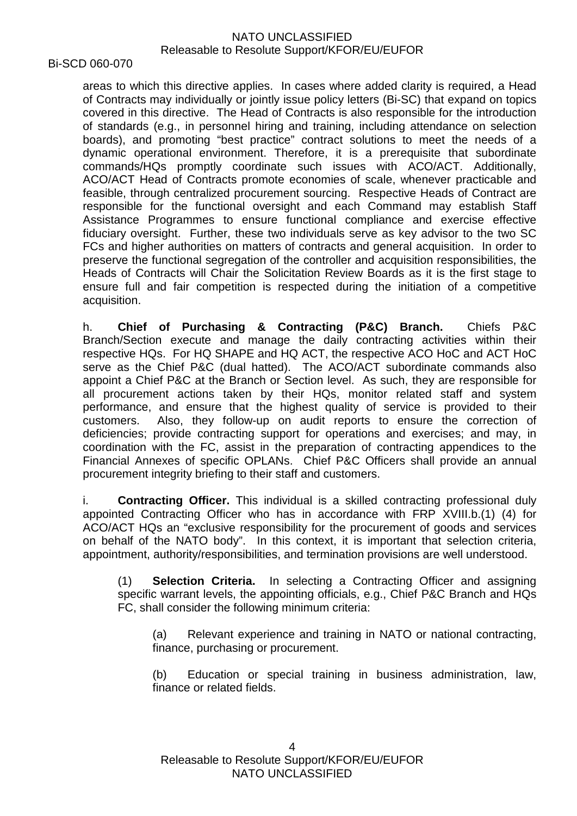Bi-SCD 060-070

areas to which this directive applies. In cases where added clarity is required, a Head of Contracts may individually or jointly issue policy letters (Bi-SC) that expand on topics covered in this directive. The Head of Contracts is also responsible for the introduction of standards (e.g., in personnel hiring and training, including attendance on selection boards), and promoting "best practice" contract solutions to meet the needs of a dynamic operational environment. Therefore, it is a prerequisite that subordinate commands/HQs promptly coordinate such issues with ACO/ACT. Additionally, ACO/ACT Head of Contracts promote economies of scale, whenever practicable and feasible, through centralized procurement sourcing. Respective Heads of Contract are responsible for the functional oversight and each Command may establish Staff Assistance Programmes to ensure functional compliance and exercise effective fiduciary oversight. Further, these two individuals serve as key advisor to the two SC FCs and higher authorities on matters of contracts and general acquisition. In order to preserve the functional segregation of the controller and acquisition responsibilities, the Heads of Contracts will Chair the Solicitation Review Boards as it is the first stage to ensure full and fair competition is respected during the initiation of a competitive acquisition.

h. **Chief of Purchasing & Contracting (P&C) Branch.** Chiefs P&C Branch/Section execute and manage the daily contracting activities within their respective HQs. For HQ SHAPE and HQ ACT, the respective ACO HoC and ACT HoC serve as the Chief P&C (dual hatted). The ACO/ACT subordinate commands also appoint a Chief P&C at the Branch or Section level. As such, they are responsible for all procurement actions taken by their HQs, monitor related staff and system performance, and ensure that the highest quality of service is provided to their customers. Also, they follow-up on audit reports to ensure the correction of deficiencies; provide contracting support for operations and exercises; and may, in coordination with the FC, assist in the preparation of contracting appendices to the Financial Annexes of specific OPLANs. Chief P&C Officers shall provide an annual procurement integrity briefing to their staff and customers.

i. **Contracting Officer.** This individual is a skilled contracting professional duly appointed Contracting Officer who has in accordance with FRP XVIII.b.(1) (4) for ACO/ACT HQs an "exclusive responsibility for the procurement of goods and services on behalf of the NATO body". In this context, it is important that selection criteria, appointment, authority/responsibilities, and termination provisions are well understood.

(1) **Selection Criteria.** In selecting a Contracting Officer and assigning specific warrant levels, the appointing officials, e.g., Chief P&C Branch and HQs FC, shall consider the following minimum criteria:

(a) Relevant experience and training in NATO or national contracting, finance, purchasing or procurement.

(b) Education or special training in business administration, law, finance or related fields.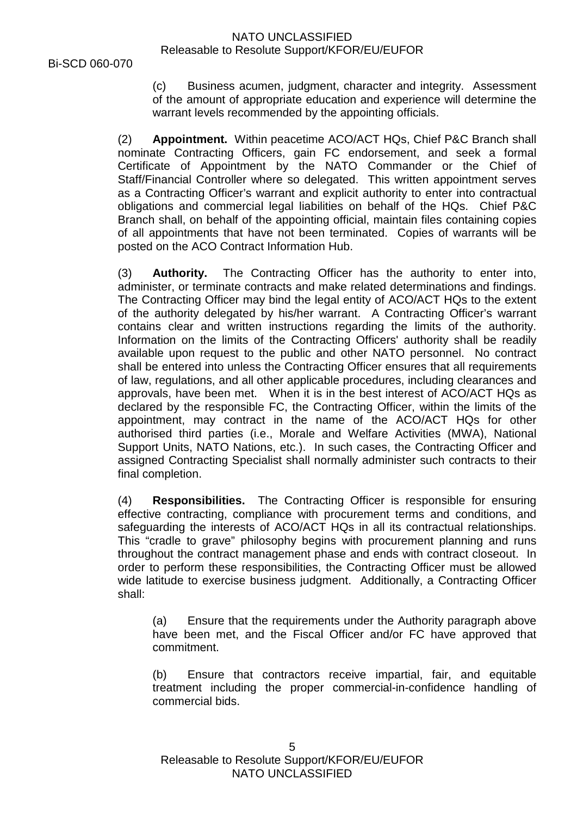Bi-SCD 060-070

(c) Business acumen, judgment, character and integrity. Assessment of the amount of appropriate education and experience will determine the warrant levels recommended by the appointing officials.

(2) **Appointment.** Within peacetime ACO/ACT HQs, Chief P&C Branch shall nominate Contracting Officers, gain FC endorsement, and seek a formal Certificate of Appointment by the NATO Commander or the Chief of Staff/Financial Controller where so delegated. This written appointment serves as a Contracting Officer's warrant and explicit authority to enter into contractual obligations and commercial legal liabilities on behalf of the HQs. Chief P&C Branch shall, on behalf of the appointing official, maintain files containing copies of all appointments that have not been terminated. Copies of warrants will be posted on the ACO Contract Information Hub.

(3) **Authority.** The Contracting Officer has the authority to enter into, administer, or terminate contracts and make related determinations and findings. The Contracting Officer may bind the legal entity of ACO/ACT HQs to the extent of the authority delegated by his/her warrant. A Contracting Officer's warrant contains clear and written instructions regarding the limits of the authority. Information on the limits of the Contracting Officers' authority shall be readily available upon request to the public and other NATO personnel. No contract shall be entered into unless the Contracting Officer ensures that all requirements of law, regulations, and all other applicable procedures, including clearances and approvals, have been met. When it is in the best interest of ACO/ACT HQs as declared by the responsible FC, the Contracting Officer, within the limits of the appointment, may contract in the name of the ACO/ACT HQs for other authorised third parties (i.e., Morale and Welfare Activities (MWA), National Support Units, NATO Nations, etc.). In such cases, the Contracting Officer and assigned Contracting Specialist shall normally administer such contracts to their final completion.

(4) **Responsibilities.** The Contracting Officer is responsible for ensuring effective contracting, compliance with procurement terms and conditions, and safeguarding the interests of ACO/ACT HQs in all its contractual relationships. This "cradle to grave" philosophy begins with procurement planning and runs throughout the contract management phase and ends with contract closeout. In order to perform these responsibilities, the Contracting Officer must be allowed wide latitude to exercise business judgment. Additionally, a Contracting Officer shall:

(a) Ensure that the requirements under the Authority paragraph above have been met, and the Fiscal Officer and/or FC have approved that commitment.

(b) Ensure that contractors receive impartial, fair, and equitable treatment including the proper commercial-in-confidence handling of commercial bids.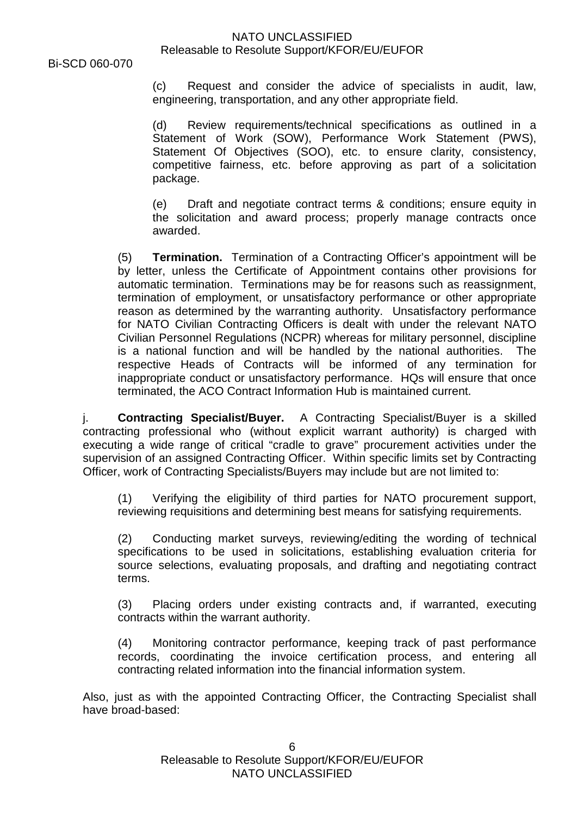Bi-SCD 060-070

(c) Request and consider the advice of specialists in audit, law, engineering, transportation, and any other appropriate field.

(d) Review requirements/technical specifications as outlined in a Statement of Work (SOW), Performance Work Statement (PWS), Statement Of Objectives (SOO), etc. to ensure clarity, consistency, competitive fairness, etc. before approving as part of a solicitation package.

(e) Draft and negotiate contract terms & conditions; ensure equity in the solicitation and award process; properly manage contracts once awarded.

(5) **Termination.** Termination of a Contracting Officer's appointment will be by letter, unless the Certificate of Appointment contains other provisions for automatic termination. Terminations may be for reasons such as reassignment, termination of employment, or unsatisfactory performance or other appropriate reason as determined by the warranting authority. Unsatisfactory performance for NATO Civilian Contracting Officers is dealt with under the relevant NATO Civilian Personnel Regulations (NCPR) whereas for military personnel, discipline is a national function and will be handled by the national authorities. The respective Heads of Contracts will be informed of any termination for inappropriate conduct or unsatisfactory performance. HQs will ensure that once terminated, the ACO Contract Information Hub is maintained current.

j. **Contracting Specialist/Buyer.** A Contracting Specialist/Buyer is a skilled contracting professional who (without explicit warrant authority) is charged with executing a wide range of critical "cradle to grave" procurement activities under the supervision of an assigned Contracting Officer. Within specific limits set by Contracting Officer, work of Contracting Specialists/Buyers may include but are not limited to:

(1) Verifying the eligibility of third parties for NATO procurement support, reviewing requisitions and determining best means for satisfying requirements.

(2) Conducting market surveys, reviewing/editing the wording of technical specifications to be used in solicitations, establishing evaluation criteria for source selections, evaluating proposals, and drafting and negotiating contract terms.

(3) Placing orders under existing contracts and, if warranted, executing contracts within the warrant authority.

(4) Monitoring contractor performance, keeping track of past performance records, coordinating the invoice certification process, and entering all contracting related information into the financial information system.

Also, just as with the appointed Contracting Officer, the Contracting Specialist shall have broad-based: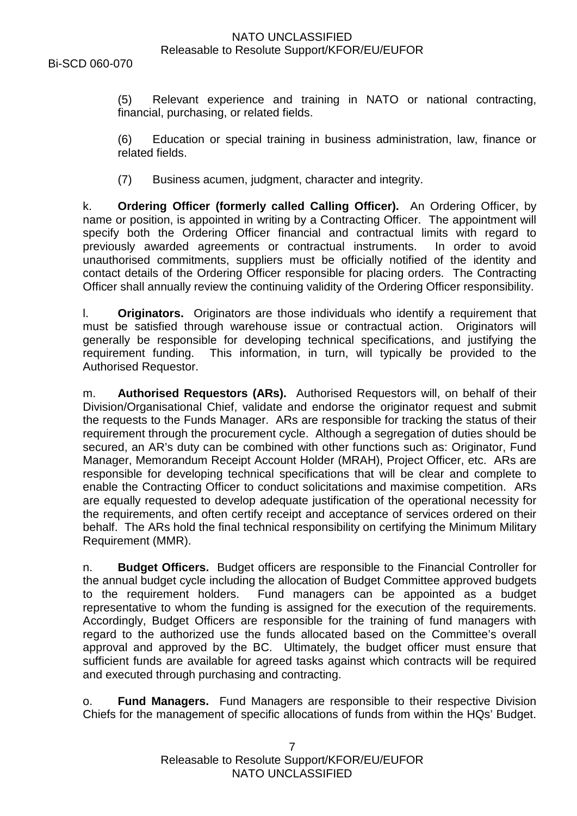(5) Relevant experience and training in NATO or national contracting, financial, purchasing, or related fields.

(6) Education or special training in business administration, law, finance or related fields.

(7) Business acumen, judgment, character and integrity.

k. **Ordering Officer (formerly called Calling Officer).** An Ordering Officer, by name or position, is appointed in writing by a Contracting Officer. The appointment will specify both the Ordering Officer financial and contractual limits with regard to previously awarded agreements or contractual instruments. In order to avoid unauthorised commitments, suppliers must be officially notified of the identity and contact details of the Ordering Officer responsible for placing orders. The Contracting Officer shall annually review the continuing validity of the Ordering Officer responsibility.

l. **Originators.** Originators are those individuals who identify a requirement that must be satisfied through warehouse issue or contractual action. Originators will generally be responsible for developing technical specifications, and justifying the requirement funding. This information, in turn, will typically be provided to the Authorised Requestor.

m. **Authorised Requestors (ARs).** Authorised Requestors will, on behalf of their Division/Organisational Chief, validate and endorse the originator request and submit the requests to the Funds Manager. ARs are responsible for tracking the status of their requirement through the procurement cycle. Although a segregation of duties should be secured, an AR's duty can be combined with other functions such as: Originator, Fund Manager, Memorandum Receipt Account Holder (MRAH), Project Officer, etc. ARs are responsible for developing technical specifications that will be clear and complete to enable the Contracting Officer to conduct solicitations and maximise competition. ARs are equally requested to develop adequate justification of the operational necessity for the requirements, and often certify receipt and acceptance of services ordered on their behalf. The ARs hold the final technical responsibility on certifying the Minimum Military Requirement (MMR).

n. **Budget Officers.** Budget officers are responsible to the Financial Controller for the annual budget cycle including the allocation of Budget Committee approved budgets to the requirement holders. Fund managers can be appointed as a budget representative to whom the funding is assigned for the execution of the requirements. Accordingly, Budget Officers are responsible for the training of fund managers with regard to the authorized use the funds allocated based on the Committee's overall approval and approved by the BC. Ultimately, the budget officer must ensure that sufficient funds are available for agreed tasks against which contracts will be required and executed through purchasing and contracting.

o. **Fund Managers.** Fund Managers are responsible to their respective Division Chiefs for the management of specific allocations of funds from within the HQs' Budget.

> 7 Releasable to Resolute Support/KFOR/EU/EUFOR NATO UNCLASSIFIED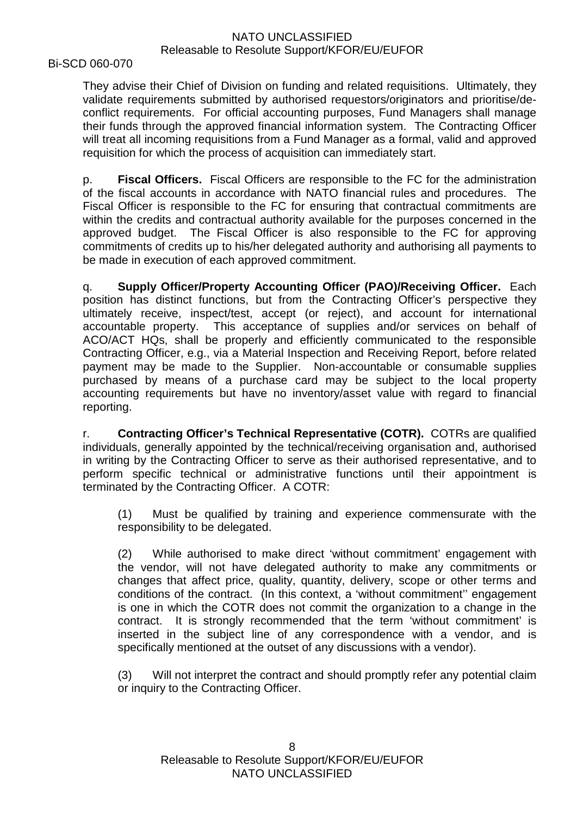Bi-SCD 060-070

They advise their Chief of Division on funding and related requisitions. Ultimately, they validate requirements submitted by authorised requestors/originators and prioritise/deconflict requirements. For official accounting purposes, Fund Managers shall manage their funds through the approved financial information system. The Contracting Officer will treat all incoming requisitions from a Fund Manager as a formal, valid and approved requisition for which the process of acquisition can immediately start.

p. **Fiscal Officers.** Fiscal Officers are responsible to the FC for the administration of the fiscal accounts in accordance with NATO financial rules and procedures. The Fiscal Officer is responsible to the FC for ensuring that contractual commitments are within the credits and contractual authority available for the purposes concerned in the approved budget. The Fiscal Officer is also responsible to the FC for approving commitments of credits up to his/her delegated authority and authorising all payments to be made in execution of each approved commitment.

q. **Supply Officer/Property Accounting Officer (PAO)/Receiving Officer.** Each position has distinct functions, but from the Contracting Officer's perspective they ultimately receive, inspect/test, accept (or reject), and account for international accountable property. This acceptance of supplies and/or services on behalf of ACO/ACT HQs, shall be properly and efficiently communicated to the responsible Contracting Officer, e.g., via a Material Inspection and Receiving Report, before related payment may be made to the Supplier. Non-accountable or consumable supplies purchased by means of a purchase card may be subject to the local property accounting requirements but have no inventory/asset value with regard to financial reporting.

r. **Contracting Officer's Technical Representative (COTR).** COTRs are qualified individuals, generally appointed by the technical/receiving organisation and, authorised in writing by the Contracting Officer to serve as their authorised representative, and to perform specific technical or administrative functions until their appointment is terminated by the Contracting Officer. A COTR:

(1) Must be qualified by training and experience commensurate with the responsibility to be delegated.

(2) While authorised to make direct 'without commitment' engagement with the vendor, will not have delegated authority to make any commitments or changes that affect price, quality, quantity, delivery, scope or other terms and conditions of the contract. (In this context, a 'without commitment'' engagement is one in which the COTR does not commit the organization to a change in the contract. It is strongly recommended that the term 'without commitment' is inserted in the subject line of any correspondence with a vendor, and is specifically mentioned at the outset of any discussions with a vendor).

(3) Will not interpret the contract and should promptly refer any potential claim or inquiry to the Contracting Officer.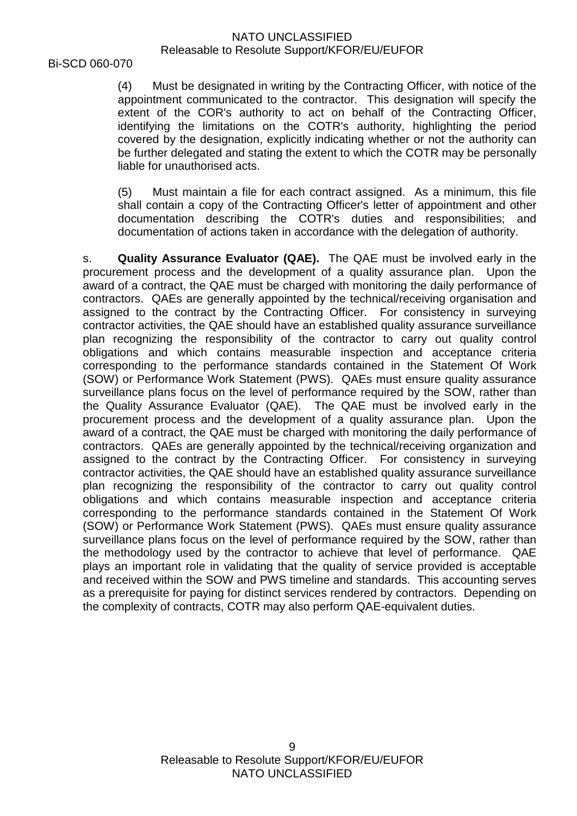Bi-SCD 060-070

(4) Must be designated in writing by the Contracting Officer, with notice of the appointment communicated to the contractor. This designation will specify the extent of the COR's authority to act on behalf of the Contracting Officer, identifying the limitations on the COTR's authority, highlighting the period covered by the designation, explicitly indicating whether or not the authority can be further delegated and stating the extent to which the COTR may be personally liable for unauthorised acts.

(5) Must maintain a file for each contract assigned. As a minimum, this file shall contain a copy of the Contracting Officer's letter of appointment and other documentation describing the COTR's duties and responsibilities; and documentation of actions taken in accordance with the delegation of authority.

s. **Quality Assurance Evaluator (QAE).** The QAE must be involved early in the procurement process and the development of a quality assurance plan. Upon the award of a contract, the QAE must be charged with monitoring the daily performance of contractors. QAEs are generally appointed by the technical/receiving organisation and assigned to the contract by the Contracting Officer. For consistency in surveying contractor activities, the QAE should have an established quality assurance surveillance plan recognizing the responsibility of the contractor to carry out quality control obligations and which contains measurable inspection and acceptance criteria corresponding to the performance standards contained in the Statement Of Work (SOW) or Performance Work Statement (PWS). QAEs must ensure quality assurance surveillance plans focus on the level of performance required by the SOW, rather than the Quality Assurance Evaluator (QAE). The QAE must be involved early in the procurement process and the development of a quality assurance plan. Upon the award of a contract, the QAE must be charged with monitoring the daily performance of contractors. QAEs are generally appointed by the technical/receiving organization and assigned to the contract by the Contracting Officer. For consistency in surveying contractor activities, the QAE should have an established quality assurance surveillance plan recognizing the responsibility of the contractor to carry out quality control obligations and which contains measurable inspection and acceptance criteria corresponding to the performance standards contained in the Statement Of Work (SOW) or Performance Work Statement (PWS). QAEs must ensure quality assurance surveillance plans focus on the level of performance required by the SOW, rather than the methodology used by the contractor to achieve that level of performance. QAE plays an important role in validating that the quality of service provided is acceptable and received within the SOW and PWS timeline and standards. This accounting serves as a prerequisite for paying for distinct services rendered by contractors. Depending on the complexity of contracts, COTR may also perform QAE-equivalent duties.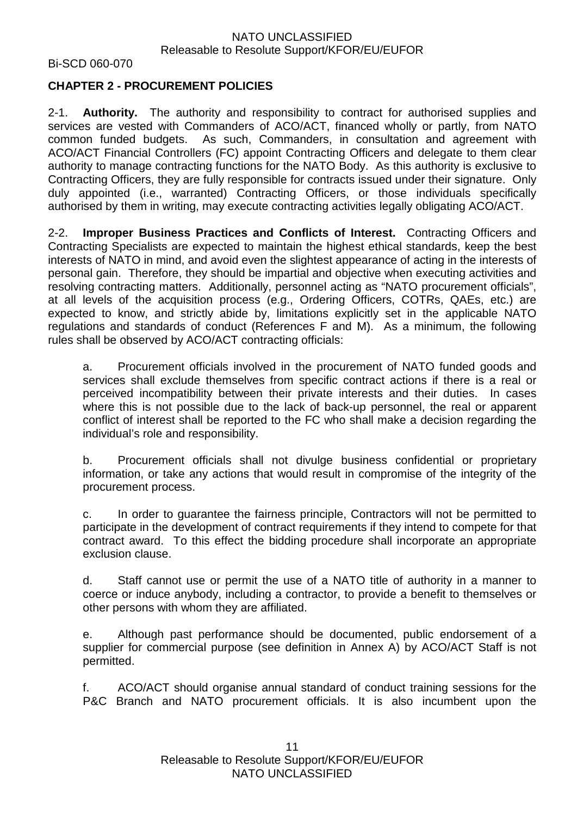Bi-SCD 060-070

# **CHAPTER 2 - PROCUREMENT POLICIES**

2-1. **Authority.** The authority and responsibility to contract for authorised supplies and services are vested with Commanders of ACO/ACT, financed wholly or partly, from NATO common funded budgets. As such, Commanders, in consultation and agreement with ACO/ACT Financial Controllers (FC) appoint Contracting Officers and delegate to them clear authority to manage contracting functions for the NATO Body. As this authority is exclusive to Contracting Officers, they are fully responsible for contracts issued under their signature. Only duly appointed (i.e., warranted) Contracting Officers, or those individuals specifically authorised by them in writing, may execute contracting activities legally obligating ACO/ACT.

2-2. **Improper Business Practices and Conflicts of Interest.** Contracting Officers and Contracting Specialists are expected to maintain the highest ethical standards, keep the best interests of NATO in mind, and avoid even the slightest appearance of acting in the interests of personal gain. Therefore, they should be impartial and objective when executing activities and resolving contracting matters. Additionally, personnel acting as "NATO procurement officials", at all levels of the acquisition process (e.g., Ordering Officers, COTRs, QAEs, etc.) are expected to know, and strictly abide by, limitations explicitly set in the applicable NATO regulations and standards of conduct (References F and M). As a minimum, the following rules shall be observed by ACO/ACT contracting officials:

a. Procurement officials involved in the procurement of NATO funded goods and services shall exclude themselves from specific contract actions if there is a real or perceived incompatibility between their private interests and their duties. In cases where this is not possible due to the lack of back-up personnel, the real or apparent conflict of interest shall be reported to the FC who shall make a decision regarding the individual's role and responsibility.

b. Procurement officials shall not divulge business confidential or proprietary information, or take any actions that would result in compromise of the integrity of the procurement process.

c. In order to guarantee the fairness principle, Contractors will not be permitted to participate in the development of contract requirements if they intend to compete for that contract award. To this effect the bidding procedure shall incorporate an appropriate exclusion clause.

d. Staff cannot use or permit the use of a NATO title of authority in a manner to coerce or induce anybody, including a contractor, to provide a benefit to themselves or other persons with whom they are affiliated.

e. Although past performance should be documented, public endorsement of a supplier for commercial purpose (see definition in Annex A) by ACO/ACT Staff is not permitted.

f. ACO/ACT should organise annual standard of conduct training sessions for the P&C Branch and NATO procurement officials. It is also incumbent upon the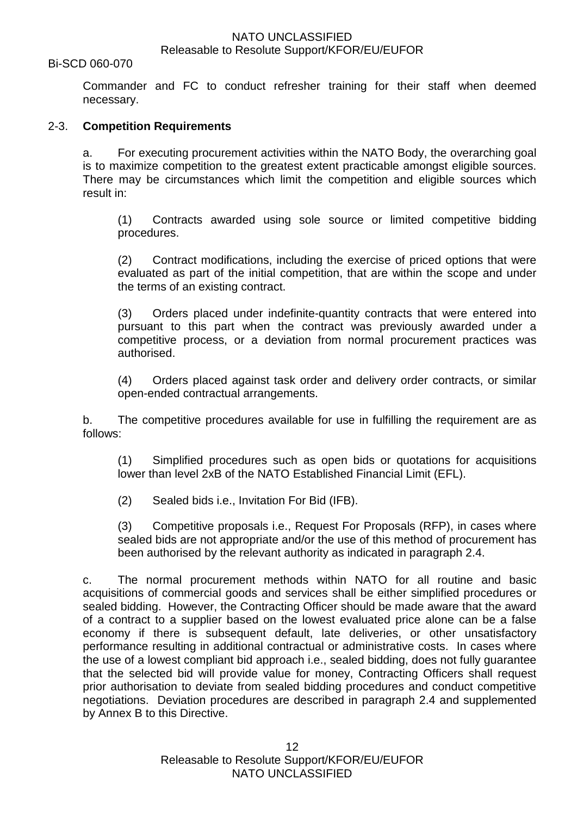#### Bi-SCD 060-070

Commander and FC to conduct refresher training for their staff when deemed necessary.

#### 2-3. **Competition Requirements**

a. For executing procurement activities within the NATO Body, the overarching goal is to maximize competition to the greatest extent practicable amongst eligible sources. There may be circumstances which limit the competition and eligible sources which result in:

(1) Contracts awarded using sole source or limited competitive bidding procedures.

(2) Contract modifications, including the exercise of priced options that were evaluated as part of the initial competition, that are within the scope and under the terms of an existing contract.

(3) Orders placed under indefinite-quantity contracts that were entered into pursuant to this part when the contract was previously awarded under a competitive process, or a deviation from normal procurement practices was authorised.

(4) Orders placed against task order and delivery order contracts, or similar open-ended contractual arrangements.

b. The competitive procedures available for use in fulfilling the requirement are as follows:

(1) Simplified procedures such as open bids or quotations for acquisitions lower than level 2xB of the NATO Established Financial Limit (EFL).

(2) Sealed bids i.e., Invitation For Bid (IFB).

(3) Competitive proposals i.e., Request For Proposals (RFP), in cases where sealed bids are not appropriate and/or the use of this method of procurement has been authorised by the relevant authority as indicated in paragraph 2.4.

c. The normal procurement methods within NATO for all routine and basic acquisitions of commercial goods and services shall be either simplified procedures or sealed bidding. However, the Contracting Officer should be made aware that the award of a contract to a supplier based on the lowest evaluated price alone can be a false economy if there is subsequent default, late deliveries, or other unsatisfactory performance resulting in additional contractual or administrative costs. In cases where the use of a lowest compliant bid approach i.e., sealed bidding, does not fully guarantee that the selected bid will provide value for money, Contracting Officers shall request prior authorisation to deviate from sealed bidding procedures and conduct competitive negotiations. Deviation procedures are described in paragraph 2.4 and supplemented by Annex B to this Directive.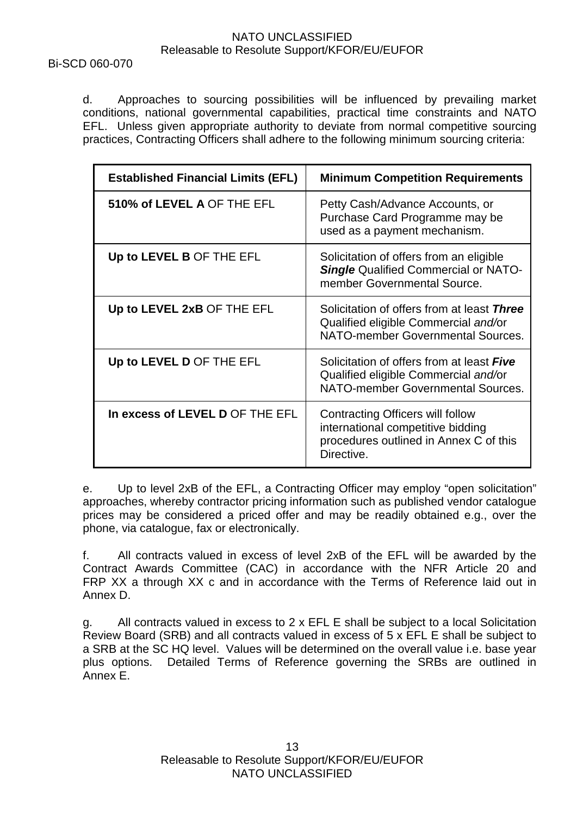Bi-SCD 060-070

d. Approaches to sourcing possibilities will be influenced by prevailing market conditions, national governmental capabilities, practical time constraints and NATO EFL. Unless given appropriate authority to deviate from normal competitive sourcing practices, Contracting Officers shall adhere to the following minimum sourcing criteria:

| <b>Established Financial Limits (EFL)</b> | <b>Minimum Competition Requirements</b>                                                                                       |
|-------------------------------------------|-------------------------------------------------------------------------------------------------------------------------------|
| 510% of LEVEL A OF THE EFL                | Petty Cash/Advance Accounts, or<br>Purchase Card Programme may be<br>used as a payment mechanism.                             |
| Up to LEVEL B OF THE EFL                  | Solicitation of offers from an eligible<br><b>Single Qualified Commercial or NATO-</b><br>member Governmental Source.         |
| Up to LEVEL 2xB OF THE EFL                | Solicitation of offers from at least Three<br>Qualified eligible Commercial and/or<br>NATO-member Governmental Sources.       |
| Up to LEVEL D OF THE EFL                  | Solicitation of offers from at least Five<br>Qualified eligible Commercial and/or<br>NATO-member Governmental Sources.        |
| In excess of LEVEL D OF THE EFL           | Contracting Officers will follow<br>international competitive bidding<br>procedures outlined in Annex C of this<br>Directive. |

e. Up to level 2xB of the EFL, a Contracting Officer may employ "open solicitation" approaches, whereby contractor pricing information such as published vendor catalogue prices may be considered a priced offer and may be readily obtained e.g., over the phone, via catalogue, fax or electronically.

f. All contracts valued in excess of level 2xB of the EFL will be awarded by the Contract Awards Committee (CAC) in accordance with the NFR Article 20 and FRP XX a through XX c and in accordance with the Terms of Reference laid out in Annex D.

g. All contracts valued in excess to 2 x EFL E shall be subject to a local Solicitation Review Board (SRB) and all contracts valued in excess of 5 x EFL E shall be subject to a SRB at the SC HQ level. Values will be determined on the overall value i.e. base year plus options. Detailed Terms of Reference governing the SRBs are outlined in Annex E.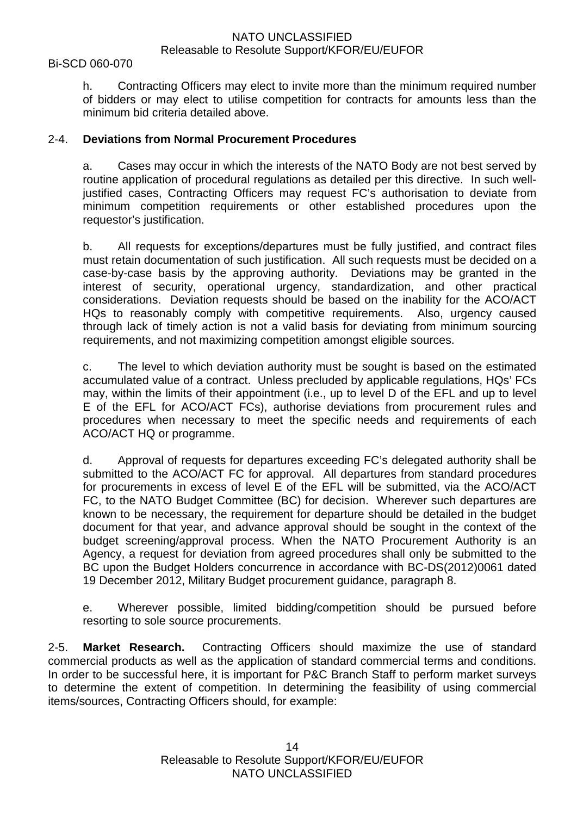#### Bi-SCD 060-070

h. Contracting Officers may elect to invite more than the minimum required number of bidders or may elect to utilise competition for contracts for amounts less than the minimum bid criteria detailed above.

## 2-4. **Deviations from Normal Procurement Procedures**

a. Cases may occur in which the interests of the NATO Body are not best served by routine application of procedural regulations as detailed per this directive. In such welljustified cases, Contracting Officers may request FC's authorisation to deviate from minimum competition requirements or other established procedures upon the requestor's justification.

b. All requests for exceptions/departures must be fully justified, and contract files must retain documentation of such justification. All such requests must be decided on a case-by-case basis by the approving authority. Deviations may be granted in the interest of security, operational urgency, standardization, and other practical considerations. Deviation requests should be based on the inability for the ACO/ACT HQs to reasonably comply with competitive requirements. Also, urgency caused through lack of timely action is not a valid basis for deviating from minimum sourcing requirements, and not maximizing competition amongst eligible sources.

c. The level to which deviation authority must be sought is based on the estimated accumulated value of a contract. Unless precluded by applicable regulations, HQs' FCs may, within the limits of their appointment (i.e., up to level D of the EFL and up to level E of the EFL for ACO/ACT FCs), authorise deviations from procurement rules and procedures when necessary to meet the specific needs and requirements of each ACO/ACT HQ or programme.

d. Approval of requests for departures exceeding FC's delegated authority shall be submitted to the ACO/ACT FC for approval. All departures from standard procedures for procurements in excess of level E of the EFL will be submitted, via the ACO/ACT FC, to the NATO Budget Committee (BC) for decision. Wherever such departures are known to be necessary, the requirement for departure should be detailed in the budget document for that year, and advance approval should be sought in the context of the budget screening/approval process. When the NATO Procurement Authority is an Agency, a request for deviation from agreed procedures shall only be submitted to the BC upon the Budget Holders concurrence in accordance with BC-DS(2012)0061 dated 19 December 2012, Military Budget procurement guidance, paragraph 8.

e. Wherever possible, limited bidding/competition should be pursued before resorting to sole source procurements.

2-5. **Market Research.** Contracting Officers should maximize the use of standard commercial products as well as the application of standard commercial terms and conditions. In order to be successful here, it is important for P&C Branch Staff to perform market surveys to determine the extent of competition. In determining the feasibility of using commercial items/sources, Contracting Officers should, for example: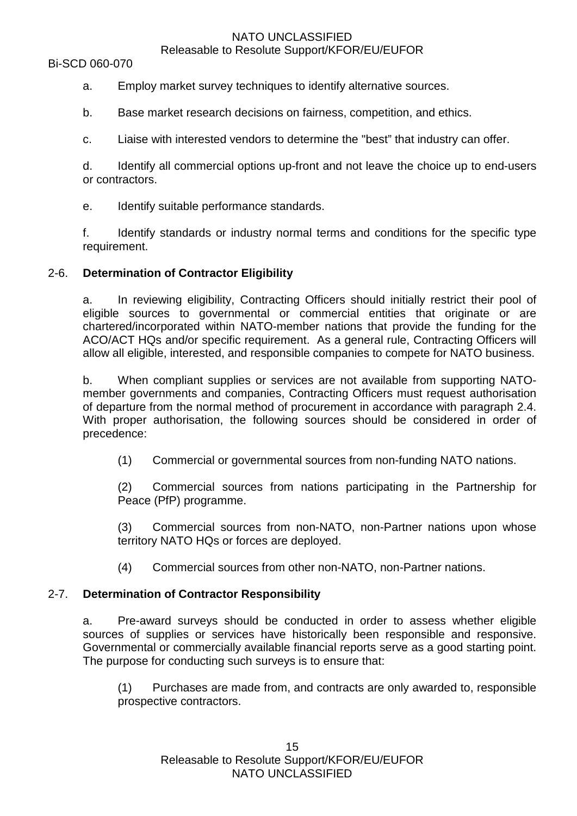# NATO UNCLASSIFIED

# Releasable to Resolute Support/KFOR/EU/EUFOR

- a. Employ market survey techniques to identify alternative sources.
- b. Base market research decisions on fairness, competition, and ethics.
- c. Liaise with interested vendors to determine the "best" that industry can offer.

d. Identify all commercial options up-front and not leave the choice up to end-users or contractors.

e. Identify suitable performance standards.

f. Identify standards or industry normal terms and conditions for the specific type requirement.

## 2-6. **Determination of Contractor Eligibility**

a. In reviewing eligibility, Contracting Officers should initially restrict their pool of eligible sources to governmental or commercial entities that originate or are chartered/incorporated within NATO-member nations that provide the funding for the ACO/ACT HQs and/or specific requirement. As a general rule, Contracting Officers will allow all eligible, interested, and responsible companies to compete for NATO business.

b. When compliant supplies or services are not available from supporting NATOmember governments and companies, Contracting Officers must request authorisation of departure from the normal method of procurement in accordance with paragraph 2.4. With proper authorisation, the following sources should be considered in order of precedence:

(1) Commercial or governmental sources from non-funding NATO nations.

(2) Commercial sources from nations participating in the Partnership for Peace (PfP) programme.

(3) Commercial sources from non-NATO, non-Partner nations upon whose territory NATO HQs or forces are deployed.

(4) Commercial sources from other non-NATO, non-Partner nations.

## 2-7. **Determination of Contractor Responsibility**

a. Pre-award surveys should be conducted in order to assess whether eligible sources of supplies or services have historically been responsible and responsive. Governmental or commercially available financial reports serve as a good starting point. The purpose for conducting such surveys is to ensure that:

(1) Purchases are made from, and contracts are only awarded to, responsible prospective contractors.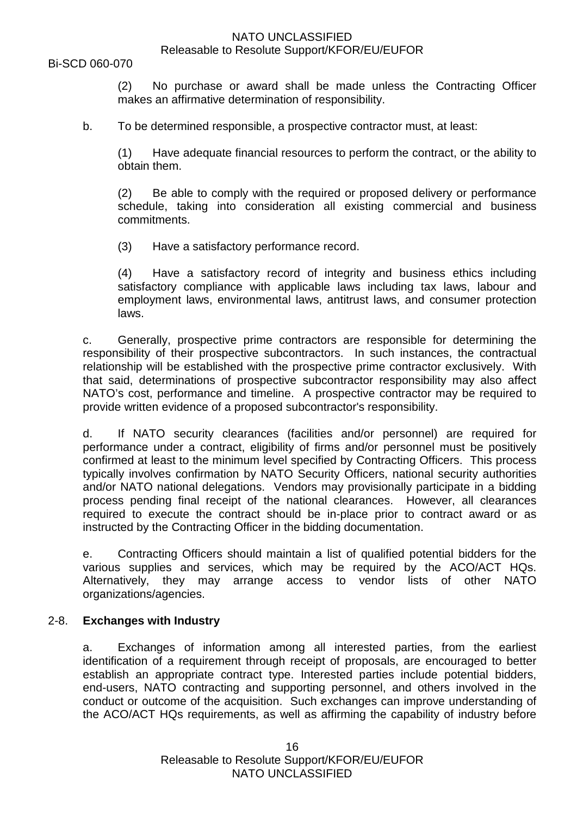(2) No purchase or award shall be made unless the Contracting Officer makes an affirmative determination of responsibility.

b. To be determined responsible, a prospective contractor must, at least:

(1) Have adequate financial resources to perform the contract, or the ability to obtain them.

(2) Be able to comply with the required or proposed delivery or performance schedule, taking into consideration all existing commercial and business commitments.

(3) Have a satisfactory performance record.

(4) Have a satisfactory record of integrity and business ethics including satisfactory compliance with applicable laws including tax laws, labour and employment laws, environmental laws, antitrust laws, and consumer protection laws.

c. Generally, prospective prime contractors are responsible for determining the responsibility of their prospective subcontractors. In such instances, the contractual relationship will be established with the prospective prime contractor exclusively. With that said, determinations of prospective subcontractor responsibility may also affect NATO's cost, performance and timeline. A prospective contractor may be required to provide written evidence of a proposed subcontractor's responsibility.

d. If NATO security clearances (facilities and/or personnel) are required for performance under a contract, eligibility of firms and/or personnel must be positively confirmed at least to the minimum level specified by Contracting Officers. This process typically involves confirmation by NATO Security Officers, national security authorities and/or NATO national delegations. Vendors may provisionally participate in a bidding process pending final receipt of the national clearances. However, all clearances required to execute the contract should be in-place prior to contract award or as instructed by the Contracting Officer in the bidding documentation.

e. Contracting Officers should maintain a list of qualified potential bidders for the various supplies and services, which may be required by the ACO/ACT HQs. Alternatively, they may arrange access to vendor lists of other NATO organizations/agencies.

## 2-8. **Exchanges with Industry**

a. Exchanges of information among all interested parties, from the earliest identification of a requirement through receipt of proposals, are encouraged to better establish an appropriate contract type. Interested parties include potential bidders, end-users, NATO contracting and supporting personnel, and others involved in the conduct or outcome of the acquisition. Such exchanges can improve understanding of the ACO/ACT HQs requirements, as well as affirming the capability of industry before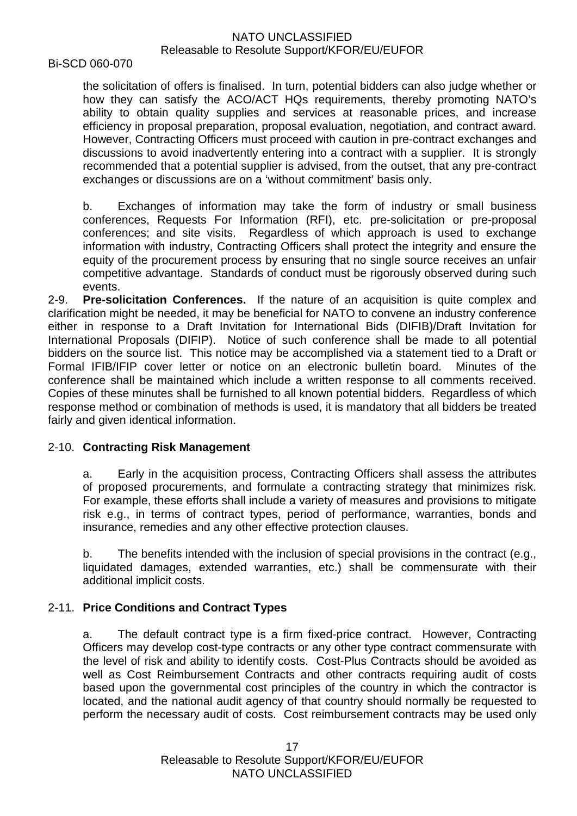#### Bi-SCD 060-070

the solicitation of offers is finalised. In turn, potential bidders can also judge whether or how they can satisfy the ACO/ACT HQs requirements, thereby promoting NATO's ability to obtain quality supplies and services at reasonable prices, and increase efficiency in proposal preparation, proposal evaluation, negotiation, and contract award. However, Contracting Officers must proceed with caution in pre-contract exchanges and discussions to avoid inadvertently entering into a contract with a supplier. It is strongly recommended that a potential supplier is advised, from the outset, that any pre-contract exchanges or discussions are on a 'without commitment' basis only.

b. Exchanges of information may take the form of industry or small business conferences, Requests For Information (RFI), etc. pre-solicitation or pre-proposal conferences; and site visits. Regardless of which approach is used to exchange information with industry, Contracting Officers shall protect the integrity and ensure the equity of the procurement process by ensuring that no single source receives an unfair competitive advantage. Standards of conduct must be rigorously observed during such events.

2-9. **Pre-solicitation Conferences.** If the nature of an acquisition is quite complex and clarification might be needed, it may be beneficial for NATO to convene an industry conference either in response to a Draft Invitation for International Bids (DIFIB)/Draft Invitation for International Proposals (DIFIP). Notice of such conference shall be made to all potential bidders on the source list. This notice may be accomplished via a statement tied to a Draft or Formal IFIB/IFIP cover letter or notice on an electronic bulletin board. Minutes of the conference shall be maintained which include a written response to all comments received. Copies of these minutes shall be furnished to all known potential bidders. Regardless of which response method or combination of methods is used, it is mandatory that all bidders be treated fairly and given identical information.

## 2-10. **Contracting Risk Management**

a. Early in the acquisition process, Contracting Officers shall assess the attributes of proposed procurements, and formulate a contracting strategy that minimizes risk. For example, these efforts shall include a variety of measures and provisions to mitigate risk e.g., in terms of contract types, period of performance, warranties, bonds and insurance, remedies and any other effective protection clauses.

b. The benefits intended with the inclusion of special provisions in the contract (e.g., liquidated damages, extended warranties, etc.) shall be commensurate with their additional implicit costs.

# 2-11. **Price Conditions and Contract Types**

a. The default contract type is a firm fixed-price contract. However, Contracting Officers may develop cost-type contracts or any other type contract commensurate with the level of risk and ability to identify costs. Cost-Plus Contracts should be avoided as well as Cost Reimbursement Contracts and other contracts requiring audit of costs based upon the governmental cost principles of the country in which the contractor is located, and the national audit agency of that country should normally be requested to perform the necessary audit of costs. Cost reimbursement contracts may be used only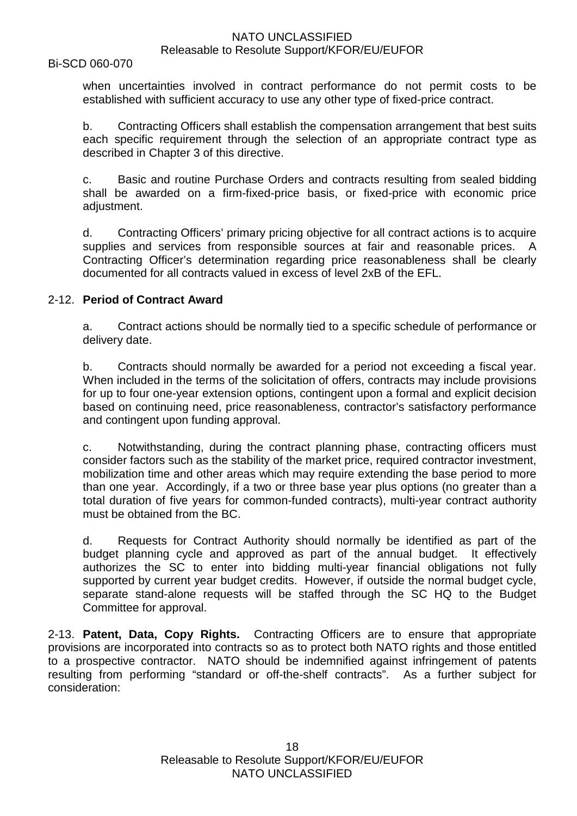#### Bi-SCD 060-070

when uncertainties involved in contract performance do not permit costs to be established with sufficient accuracy to use any other type of fixed-price contract.

b. Contracting Officers shall establish the compensation arrangement that best suits each specific requirement through the selection of an appropriate contract type as described in Chapter 3 of this directive.

c. Basic and routine Purchase Orders and contracts resulting from sealed bidding shall be awarded on a firm-fixed-price basis, or fixed-price with economic price adjustment.

d. Contracting Officers' primary pricing objective for all contract actions is to acquire supplies and services from responsible sources at fair and reasonable prices. A Contracting Officer's determination regarding price reasonableness shall be clearly documented for all contracts valued in excess of level 2xB of the EFL.

#### 2-12. **Period of Contract Award**

a. Contract actions should be normally tied to a specific schedule of performance or delivery date.

b. Contracts should normally be awarded for a period not exceeding a fiscal year. When included in the terms of the solicitation of offers, contracts may include provisions for up to four one-year extension options, contingent upon a formal and explicit decision based on continuing need, price reasonableness, contractor's satisfactory performance and contingent upon funding approval.

c. Notwithstanding, during the contract planning phase, contracting officers must consider factors such as the stability of the market price, required contractor investment, mobilization time and other areas which may require extending the base period to more than one year. Accordingly, if a two or three base year plus options (no greater than a total duration of five years for common-funded contracts), multi-year contract authority must be obtained from the BC.

d. Requests for Contract Authority should normally be identified as part of the budget planning cycle and approved as part of the annual budget. It effectively authorizes the SC to enter into bidding multi-year financial obligations not fully supported by current year budget credits. However, if outside the normal budget cycle, separate stand-alone requests will be staffed through the SC HQ to the Budget Committee for approval.

2-13. **Patent, Data, Copy Rights.** Contracting Officers are to ensure that appropriate provisions are incorporated into contracts so as to protect both NATO rights and those entitled to a prospective contractor. NATO should be indemnified against infringement of patents resulting from performing "standard or off-the-shelf contracts". As a further subject for consideration: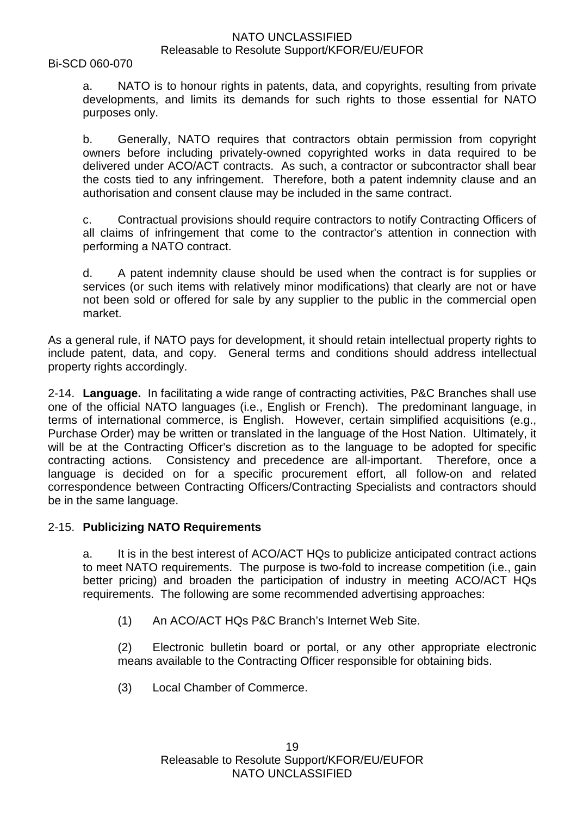Bi-SCD 060-070

a. NATO is to honour rights in patents, data, and copyrights, resulting from private developments, and limits its demands for such rights to those essential for NATO purposes only.

b. Generally, NATO requires that contractors obtain permission from copyright owners before including privately-owned copyrighted works in data required to be delivered under ACO/ACT contracts. As such, a contractor or subcontractor shall bear the costs tied to any infringement. Therefore, both a patent indemnity clause and an authorisation and consent clause may be included in the same contract.

c. Contractual provisions should require contractors to notify Contracting Officers of all claims of infringement that come to the contractor's attention in connection with performing a NATO contract.

d. A patent indemnity clause should be used when the contract is for supplies or services (or such items with relatively minor modifications) that clearly are not or have not been sold or offered for sale by any supplier to the public in the commercial open market.

As a general rule, if NATO pays for development, it should retain intellectual property rights to include patent, data, and copy. General terms and conditions should address intellectual property rights accordingly.

2-14. **Language.** In facilitating a wide range of contracting activities, P&C Branches shall use one of the official NATO languages (i.e., English or French). The predominant language, in terms of international commerce, is English. However, certain simplified acquisitions (e.g., Purchase Order) may be written or translated in the language of the Host Nation. Ultimately, it will be at the Contracting Officer's discretion as to the language to be adopted for specific contracting actions. Consistency and precedence are all-important. Therefore, once a language is decided on for a specific procurement effort, all follow-on and related correspondence between Contracting Officers/Contracting Specialists and contractors should be in the same language.

## 2-15. **Publicizing NATO Requirements**

a. It is in the best interest of ACO/ACT HQs to publicize anticipated contract actions to meet NATO requirements. The purpose is two-fold to increase competition (i.e., gain better pricing) and broaden the participation of industry in meeting ACO/ACT HQs requirements. The following are some recommended advertising approaches:

(1) An ACO/ACT HQs P&C Branch's Internet Web Site.

(2) Electronic bulletin board or portal, or any other appropriate electronic means available to the Contracting Officer responsible for obtaining bids.

(3) Local Chamber of Commerce.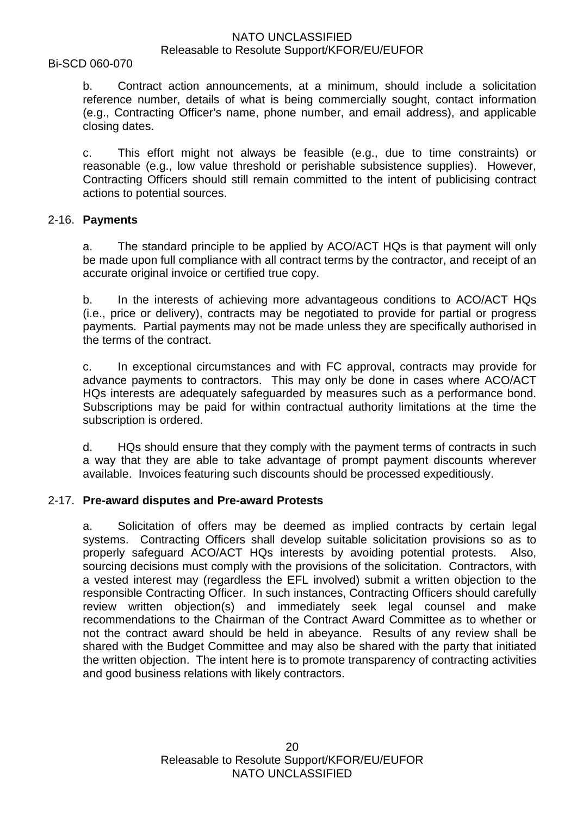#### Bi-SCD 060-070

b. Contract action announcements, at a minimum, should include a solicitation reference number, details of what is being commercially sought, contact information (e.g., Contracting Officer's name, phone number, and email address), and applicable closing dates.

c. This effort might not always be feasible (e.g., due to time constraints) or reasonable (e.g., low value threshold or perishable subsistence supplies). However, Contracting Officers should still remain committed to the intent of publicising contract actions to potential sources.

#### 2-16. **Payments**

a. The standard principle to be applied by ACO/ACT HQs is that payment will only be made upon full compliance with all contract terms by the contractor, and receipt of an accurate original invoice or certified true copy.

b. In the interests of achieving more advantageous conditions to ACO/ACT HQs (i.e., price or delivery), contracts may be negotiated to provide for partial or progress payments. Partial payments may not be made unless they are specifically authorised in the terms of the contract.

c. In exceptional circumstances and with FC approval, contracts may provide for advance payments to contractors. This may only be done in cases where ACO/ACT HQs interests are adequately safeguarded by measures such as a performance bond. Subscriptions may be paid for within contractual authority limitations at the time the subscription is ordered.

d. HQs should ensure that they comply with the payment terms of contracts in such a way that they are able to take advantage of prompt payment discounts wherever available. Invoices featuring such discounts should be processed expeditiously.

## 2-17. **Pre-award disputes and Pre-award Protests**

a. Solicitation of offers may be deemed as implied contracts by certain legal systems. Contracting Officers shall develop suitable solicitation provisions so as to properly safeguard ACO/ACT HQs interests by avoiding potential protests. Also, sourcing decisions must comply with the provisions of the solicitation. Contractors, with a vested interest may (regardless the EFL involved) submit a written objection to the responsible Contracting Officer. In such instances, Contracting Officers should carefully review written objection(s) and immediately seek legal counsel and make recommendations to the Chairman of the Contract Award Committee as to whether or not the contract award should be held in abeyance. Results of any review shall be shared with the Budget Committee and may also be shared with the party that initiated the written objection. The intent here is to promote transparency of contracting activities and good business relations with likely contractors.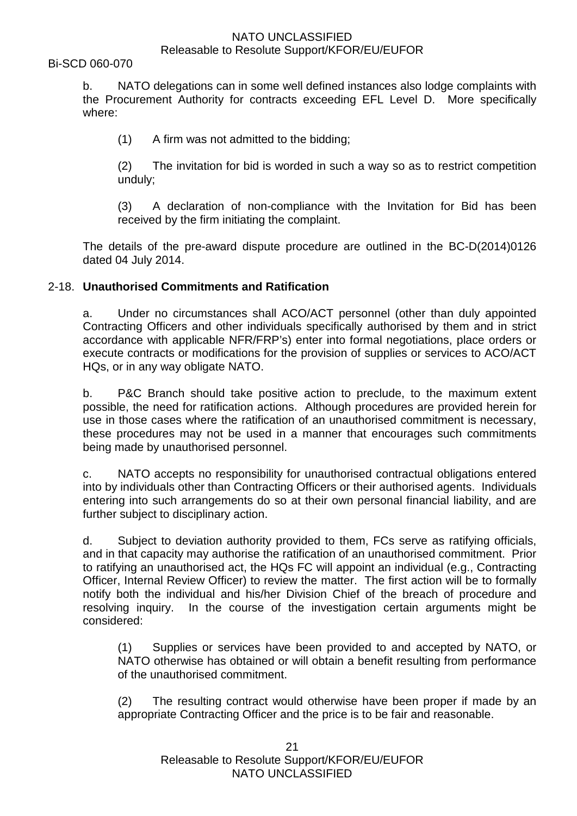Bi-SCD 060-070

b. NATO delegations can in some well defined instances also lodge complaints with the Procurement Authority for contracts exceeding EFL Level D. More specifically where:

(1) A firm was not admitted to the bidding;

(2) The invitation for bid is worded in such a way so as to restrict competition unduly;

(3) A declaration of non-compliance with the Invitation for Bid has been received by the firm initiating the complaint.

The details of the pre-award dispute procedure are outlined in the BC-D(2014)0126 dated 04 July 2014.

# 2-18. **Unauthorised Commitments and Ratification**

a. Under no circumstances shall ACO/ACT personnel (other than duly appointed Contracting Officers and other individuals specifically authorised by them and in strict accordance with applicable NFR/FRP's) enter into formal negotiations, place orders or execute contracts or modifications for the provision of supplies or services to ACO/ACT HQs, or in any way obligate NATO.

b. P&C Branch should take positive action to preclude, to the maximum extent possible, the need for ratification actions. Although procedures are provided herein for use in those cases where the ratification of an unauthorised commitment is necessary, these procedures may not be used in a manner that encourages such commitments being made by unauthorised personnel.

c. NATO accepts no responsibility for unauthorised contractual obligations entered into by individuals other than Contracting Officers or their authorised agents. Individuals entering into such arrangements do so at their own personal financial liability, and are further subject to disciplinary action.

d. Subject to deviation authority provided to them, FCs serve as ratifying officials, and in that capacity may authorise the ratification of an unauthorised commitment. Prior to ratifying an unauthorised act, the HQs FC will appoint an individual (e.g., Contracting Officer, Internal Review Officer) to review the matter. The first action will be to formally notify both the individual and his/her Division Chief of the breach of procedure and resolving inquiry. In the course of the investigation certain arguments might be considered:

(1) Supplies or services have been provided to and accepted by NATO, or NATO otherwise has obtained or will obtain a benefit resulting from performance of the unauthorised commitment.

(2) The resulting contract would otherwise have been proper if made by an appropriate Contracting Officer and the price is to be fair and reasonable.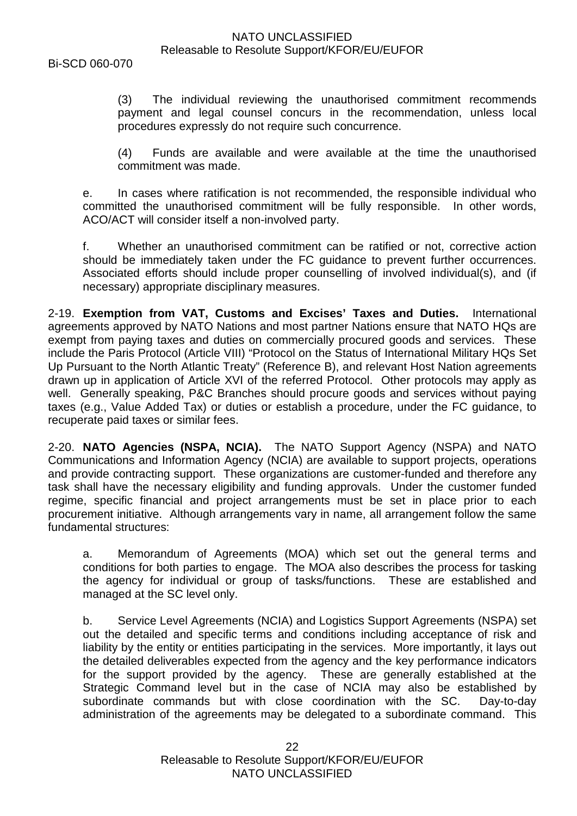Bi-SCD 060-070

(3) The individual reviewing the unauthorised commitment recommends payment and legal counsel concurs in the recommendation, unless local procedures expressly do not require such concurrence.

(4) Funds are available and were available at the time the unauthorised commitment was made.

e. In cases where ratification is not recommended, the responsible individual who committed the unauthorised commitment will be fully responsible. In other words, ACO/ACT will consider itself a non-involved party.

f. Whether an unauthorised commitment can be ratified or not, corrective action should be immediately taken under the FC guidance to prevent further occurrences. Associated efforts should include proper counselling of involved individual(s), and (if necessary) appropriate disciplinary measures.

2-19. **Exemption from VAT, Customs and Excises' Taxes and Duties.** International agreements approved by NATO Nations and most partner Nations ensure that NATO HQs are exempt from paying taxes and duties on commercially procured goods and services. These include the Paris Protocol (Article VIII) "Protocol on the Status of International Military HQs Set Up Pursuant to the North Atlantic Treaty" (Reference B), and relevant Host Nation agreements drawn up in application of Article XVI of the referred Protocol. Other protocols may apply as well. Generally speaking, P&C Branches should procure goods and services without paying taxes (e.g., Value Added Tax) or duties or establish a procedure, under the FC guidance, to recuperate paid taxes or similar fees.

2-20. **NATO Agencies (NSPA, NCIA).** The NATO Support Agency (NSPA) and NATO Communications and Information Agency (NCIA) are available to support projects, operations and provide contracting support. These organizations are customer-funded and therefore any task shall have the necessary eligibility and funding approvals. Under the customer funded regime, specific financial and project arrangements must be set in place prior to each procurement initiative. Although arrangements vary in name, all arrangement follow the same fundamental structures:

a. Memorandum of Agreements (MOA) which set out the general terms and conditions for both parties to engage. The MOA also describes the process for tasking the agency for individual or group of tasks/functions. These are established and managed at the SC level only.

b. Service Level Agreements (NCIA) and Logistics Support Agreements (NSPA) set out the detailed and specific terms and conditions including acceptance of risk and liability by the entity or entities participating in the services. More importantly, it lays out the detailed deliverables expected from the agency and the key performance indicators for the support provided by the agency. These are generally established at the Strategic Command level but in the case of NCIA may also be established by subordinate commands but with close coordination with the SC. Day-to-day administration of the agreements may be delegated to a subordinate command. This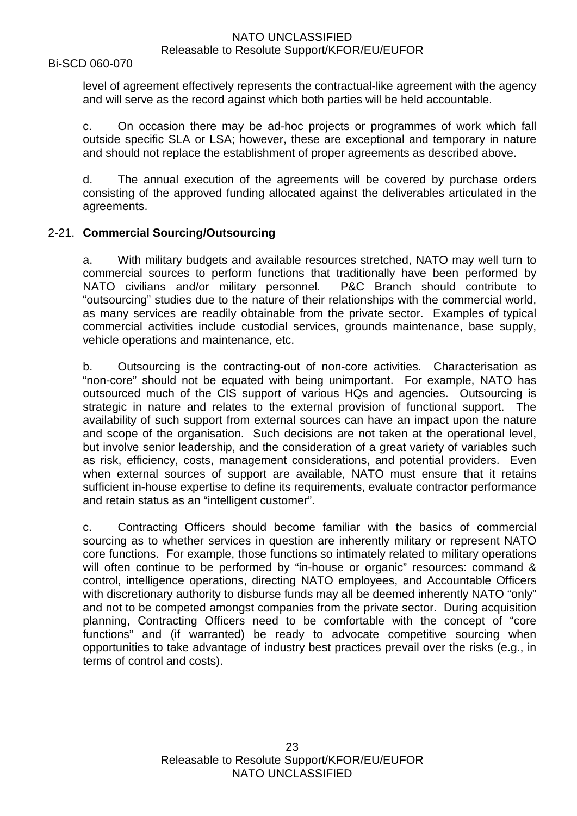level of agreement effectively represents the contractual-like agreement with the agency and will serve as the record against which both parties will be held accountable.

c. On occasion there may be ad-hoc projects or programmes of work which fall outside specific SLA or LSA; however, these are exceptional and temporary in nature and should not replace the establishment of proper agreements as described above.

d. The annual execution of the agreements will be covered by purchase orders consisting of the approved funding allocated against the deliverables articulated in the agreements.

## 2-21. **Commercial Sourcing/Outsourcing**

a. With military budgets and available resources stretched, NATO may well turn to commercial sources to perform functions that traditionally have been performed by NATO civilians and/or military personnel. P&C Branch should contribute to "outsourcing" studies due to the nature of their relationships with the commercial world, as many services are readily obtainable from the private sector. Examples of typical commercial activities include custodial services, grounds maintenance, base supply, vehicle operations and maintenance, etc.

b. Outsourcing is the contracting-out of non-core activities. Characterisation as "non-core" should not be equated with being unimportant. For example, NATO has outsourced much of the CIS support of various HQs and agencies. Outsourcing is strategic in nature and relates to the external provision of functional support. The availability of such support from external sources can have an impact upon the nature and scope of the organisation. Such decisions are not taken at the operational level, but involve senior leadership, and the consideration of a great variety of variables such as risk, efficiency, costs, management considerations, and potential providers. Even when external sources of support are available, NATO must ensure that it retains sufficient in-house expertise to define its requirements, evaluate contractor performance and retain status as an "intelligent customer".

c. Contracting Officers should become familiar with the basics of commercial sourcing as to whether services in question are inherently military or represent NATO core functions. For example, those functions so intimately related to military operations will often continue to be performed by "in-house or organic" resources: command & control, intelligence operations, directing NATO employees, and Accountable Officers with discretionary authority to disburse funds may all be deemed inherently NATO "only" and not to be competed amongst companies from the private sector. During acquisition planning, Contracting Officers need to be comfortable with the concept of "core functions" and (if warranted) be ready to advocate competitive sourcing when opportunities to take advantage of industry best practices prevail over the risks (e.g., in terms of control and costs).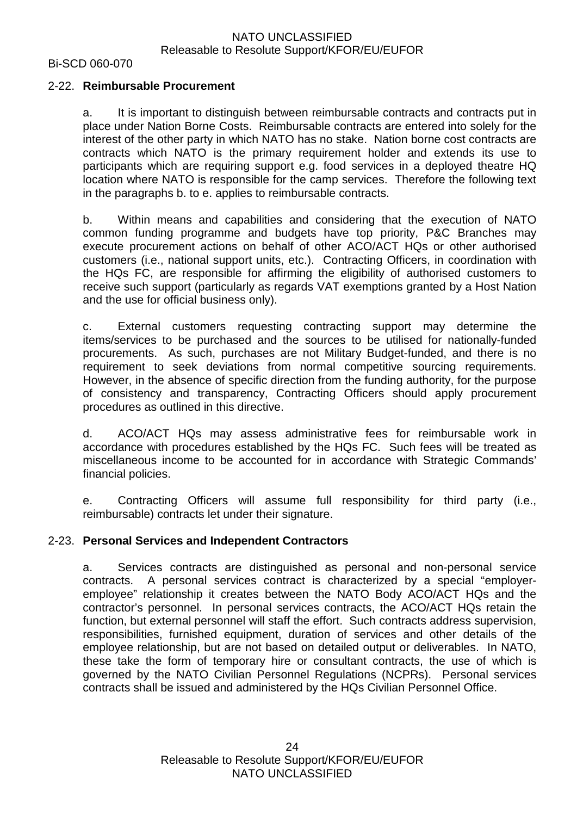Bi-SCD 060-070

#### 2-22. **Reimbursable Procurement**

a. It is important to distinguish between reimbursable contracts and contracts put in place under Nation Borne Costs. Reimbursable contracts are entered into solely for the interest of the other party in which NATO has no stake. Nation borne cost contracts are contracts which NATO is the primary requirement holder and extends its use to participants which are requiring support e.g. food services in a deployed theatre HQ location where NATO is responsible for the camp services. Therefore the following text in the paragraphs b. to e. applies to reimbursable contracts.

b. Within means and capabilities and considering that the execution of NATO common funding programme and budgets have top priority, P&C Branches may execute procurement actions on behalf of other ACO/ACT HQs or other authorised customers (i.e., national support units, etc.). Contracting Officers, in coordination with the HQs FC, are responsible for affirming the eligibility of authorised customers to receive such support (particularly as regards VAT exemptions granted by a Host Nation and the use for official business only).

c. External customers requesting contracting support may determine the items/services to be purchased and the sources to be utilised for nationally-funded procurements. As such, purchases are not Military Budget-funded, and there is no requirement to seek deviations from normal competitive sourcing requirements. However, in the absence of specific direction from the funding authority, for the purpose of consistency and transparency, Contracting Officers should apply procurement procedures as outlined in this directive.

d. ACO/ACT HQs may assess administrative fees for reimbursable work in accordance with procedures established by the HQs FC. Such fees will be treated as miscellaneous income to be accounted for in accordance with Strategic Commands' financial policies.

e. Contracting Officers will assume full responsibility for third party (i.e., reimbursable) contracts let under their signature.

## 2-23. **Personal Services and Independent Contractors**

a. Services contracts are distinguished as personal and non-personal service contracts. A personal services contract is characterized by a special "employeremployee" relationship it creates between the NATO Body ACO/ACT HQs and the contractor's personnel. In personal services contracts, the ACO/ACT HQs retain the function, but external personnel will staff the effort. Such contracts address supervision, responsibilities, furnished equipment, duration of services and other details of the employee relationship, but are not based on detailed output or deliverables. In NATO, these take the form of temporary hire or consultant contracts, the use of which is governed by the NATO Civilian Personnel Regulations (NCPRs). Personal services contracts shall be issued and administered by the HQs Civilian Personnel Office.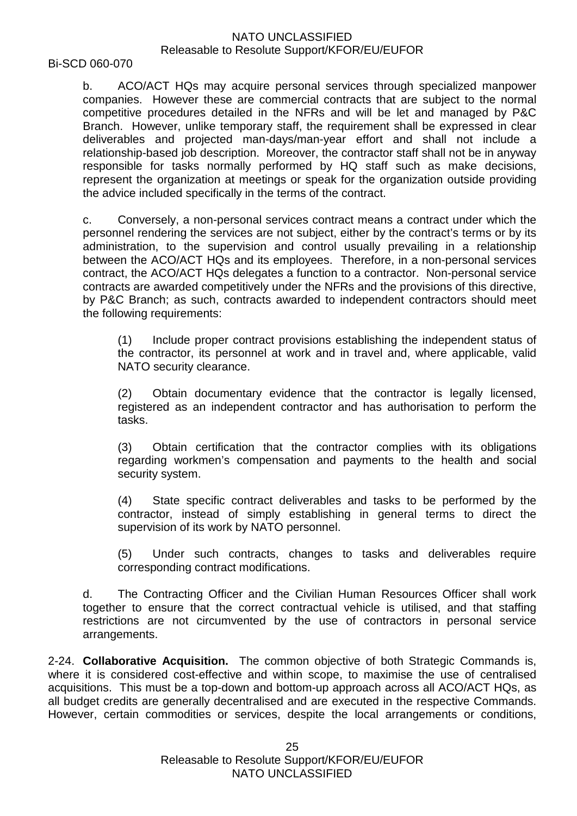Bi-SCD 060-070

b. ACO/ACT HQs may acquire personal services through specialized manpower companies. However these are commercial contracts that are subject to the normal competitive procedures detailed in the NFRs and will be let and managed by P&C Branch. However, unlike temporary staff, the requirement shall be expressed in clear deliverables and projected man-days/man-year effort and shall not include a relationship-based job description. Moreover, the contractor staff shall not be in anyway responsible for tasks normally performed by HQ staff such as make decisions, represent the organization at meetings or speak for the organization outside providing the advice included specifically in the terms of the contract.

c. Conversely, a non-personal services contract means a contract under which the personnel rendering the services are not subject, either by the contract's terms or by its administration, to the supervision and control usually prevailing in a relationship between the ACO/ACT HQs and its employees. Therefore, in a non-personal services contract, the ACO/ACT HQs delegates a function to a contractor. Non-personal service contracts are awarded competitively under the NFRs and the provisions of this directive, by P&C Branch; as such, contracts awarded to independent contractors should meet the following requirements:

(1) Include proper contract provisions establishing the independent status of the contractor, its personnel at work and in travel and, where applicable, valid NATO security clearance.

(2) Obtain documentary evidence that the contractor is legally licensed, registered as an independent contractor and has authorisation to perform the tasks.

(3) Obtain certification that the contractor complies with its obligations regarding workmen's compensation and payments to the health and social security system.

(4) State specific contract deliverables and tasks to be performed by the contractor, instead of simply establishing in general terms to direct the supervision of its work by NATO personnel.

(5) Under such contracts, changes to tasks and deliverables require corresponding contract modifications.

d. The Contracting Officer and the Civilian Human Resources Officer shall work together to ensure that the correct contractual vehicle is utilised, and that staffing restrictions are not circumvented by the use of contractors in personal service arrangements.

2-24. **Collaborative Acquisition.** The common objective of both Strategic Commands is, where it is considered cost-effective and within scope, to maximise the use of centralised acquisitions. This must be a top-down and bottom-up approach across all ACO/ACT HQs, as all budget credits are generally decentralised and are executed in the respective Commands. However, certain commodities or services, despite the local arrangements or conditions,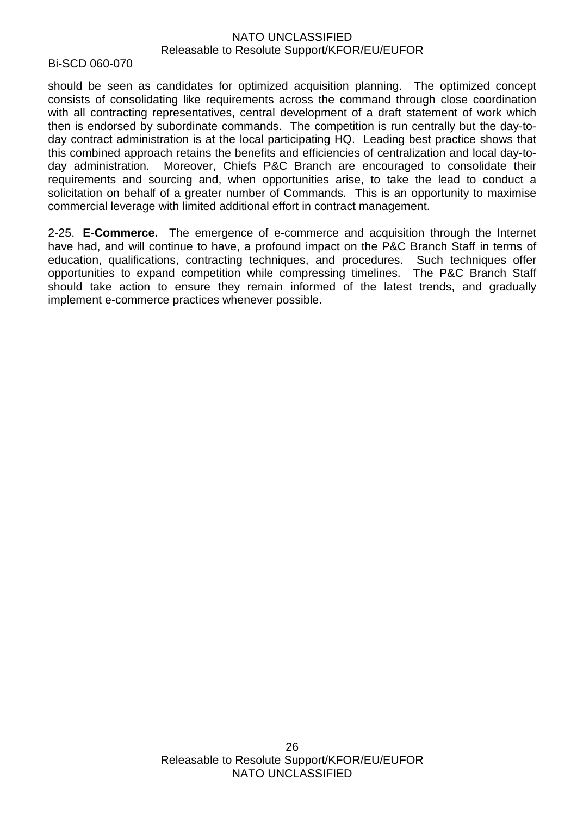Bi-SCD 060-070

should be seen as candidates for optimized acquisition planning. The optimized concept consists of consolidating like requirements across the command through close coordination with all contracting representatives, central development of a draft statement of work which then is endorsed by subordinate commands. The competition is run centrally but the day-today contract administration is at the local participating HQ. Leading best practice shows that this combined approach retains the benefits and efficiencies of centralization and local day-today administration. Moreover, Chiefs P&C Branch are encouraged to consolidate their requirements and sourcing and, when opportunities arise, to take the lead to conduct a solicitation on behalf of a greater number of Commands. This is an opportunity to maximise commercial leverage with limited additional effort in contract management.

2-25. **E-Commerce.** The emergence of e-commerce and acquisition through the Internet have had, and will continue to have, a profound impact on the P&C Branch Staff in terms of education, qualifications, contracting techniques, and procedures. Such techniques offer opportunities to expand competition while compressing timelines. The P&C Branch Staff should take action to ensure they remain informed of the latest trends, and gradually implement e-commerce practices whenever possible.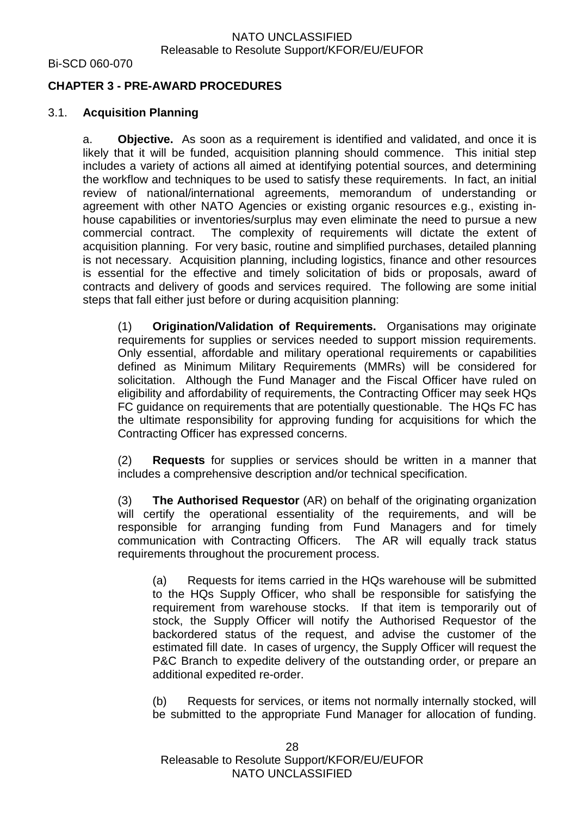Bi-SCD 060-070

# **CHAPTER 3 - PRE-AWARD PROCEDURES**

#### 3.1. **Acquisition Planning**

a. **Objective.** As soon as a requirement is identified and validated, and once it is likely that it will be funded, acquisition planning should commence. This initial step includes a variety of actions all aimed at identifying potential sources, and determining the workflow and techniques to be used to satisfy these requirements. In fact, an initial review of national/international agreements, memorandum of understanding or agreement with other NATO Agencies or existing organic resources e.g., existing inhouse capabilities or inventories/surplus may even eliminate the need to pursue a new commercial contract. The complexity of requirements will dictate the extent of acquisition planning. For very basic, routine and simplified purchases, detailed planning is not necessary. Acquisition planning, including logistics, finance and other resources is essential for the effective and timely solicitation of bids or proposals, award of contracts and delivery of goods and services required. The following are some initial steps that fall either just before or during acquisition planning:

(1) **Origination/Validation of Requirements.** Organisations may originate requirements for supplies or services needed to support mission requirements. Only essential, affordable and military operational requirements or capabilities defined as Minimum Military Requirements (MMRs) will be considered for solicitation. Although the Fund Manager and the Fiscal Officer have ruled on eligibility and affordability of requirements, the Contracting Officer may seek HQs FC guidance on requirements that are potentially questionable. The HQs FC has the ultimate responsibility for approving funding for acquisitions for which the Contracting Officer has expressed concerns.

(2) **Requests** for supplies or services should be written in a manner that includes a comprehensive description and/or technical specification.

(3) **The Authorised Requestor** (AR) on behalf of the originating organization will certify the operational essentiality of the requirements, and will be responsible for arranging funding from Fund Managers and for timely communication with Contracting Officers. The AR will equally track status requirements throughout the procurement process.

(a) Requests for items carried in the HQs warehouse will be submitted to the HQs Supply Officer, who shall be responsible for satisfying the requirement from warehouse stocks. If that item is temporarily out of stock, the Supply Officer will notify the Authorised Requestor of the backordered status of the request, and advise the customer of the estimated fill date. In cases of urgency, the Supply Officer will request the P&C Branch to expedite delivery of the outstanding order, or prepare an additional expedited re-order.

(b) Requests for services, or items not normally internally stocked, will be submitted to the appropriate Fund Manager for allocation of funding.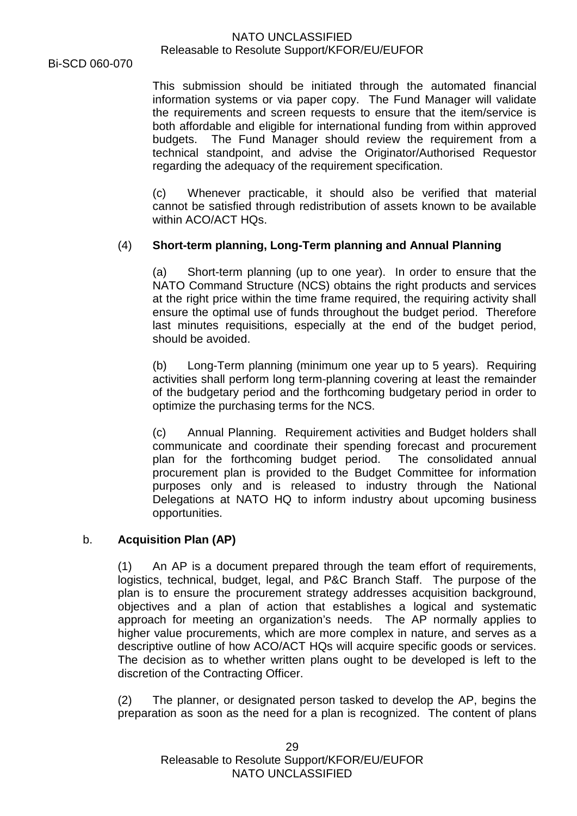Bi-SCD 060-070

This submission should be initiated through the automated financial information systems or via paper copy. The Fund Manager will validate the requirements and screen requests to ensure that the item/service is both affordable and eligible for international funding from within approved budgets. The Fund Manager should review the requirement from a technical standpoint, and advise the Originator/Authorised Requestor regarding the adequacy of the requirement specification.

(c) Whenever practicable, it should also be verified that material cannot be satisfied through redistribution of assets known to be available within ACO/ACT HQs.

# (4) **Short-term planning, Long-Term planning and Annual Planning**

(a) Short-term planning (up to one year). In order to ensure that the NATO Command Structure (NCS) obtains the right products and services at the right price within the time frame required, the requiring activity shall ensure the optimal use of funds throughout the budget period. Therefore last minutes requisitions, especially at the end of the budget period, should be avoided.

(b) Long-Term planning (minimum one year up to 5 years). Requiring activities shall perform long term-planning covering at least the remainder of the budgetary period and the forthcoming budgetary period in order to optimize the purchasing terms for the NCS.

(c) Annual Planning. Requirement activities and Budget holders shall communicate and coordinate their spending forecast and procurement plan for the forthcoming budget period. The consolidated annual procurement plan is provided to the Budget Committee for information purposes only and is released to industry through the National Delegations at NATO HQ to inform industry about upcoming business opportunities.

## b. **Acquisition Plan (AP)**

(1) An AP is a document prepared through the team effort of requirements, logistics, technical, budget, legal, and P&C Branch Staff. The purpose of the plan is to ensure the procurement strategy addresses acquisition background, objectives and a plan of action that establishes a logical and systematic approach for meeting an organization's needs. The AP normally applies to higher value procurements, which are more complex in nature, and serves as a descriptive outline of how ACO/ACT HQs will acquire specific goods or services. The decision as to whether written plans ought to be developed is left to the discretion of the Contracting Officer.

(2) The planner, or designated person tasked to develop the AP, begins the preparation as soon as the need for a plan is recognized. The content of plans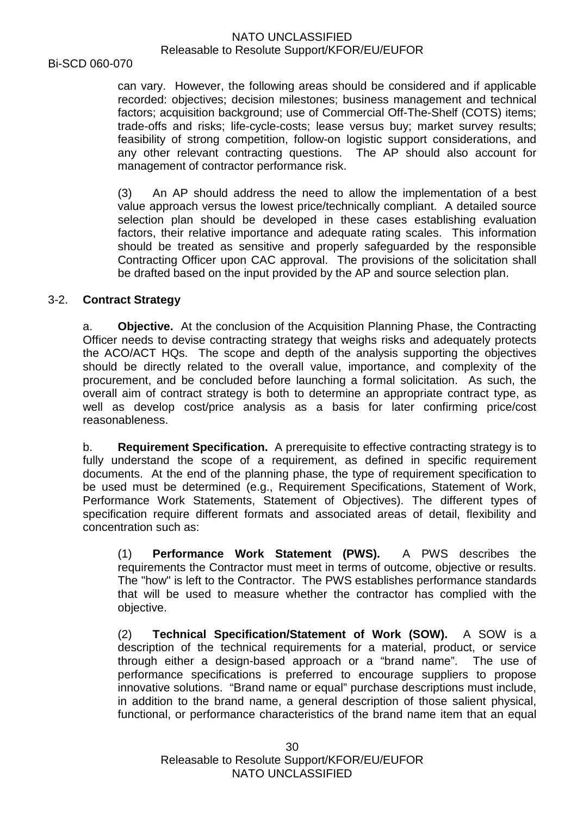Bi-SCD 060-070

can vary. However, the following areas should be considered and if applicable recorded: objectives; decision milestones; business management and technical factors; acquisition background; use of Commercial Off-The-Shelf (COTS) items; trade-offs and risks; life-cycle-costs; lease versus buy; market survey results; feasibility of strong competition, follow-on logistic support considerations, and any other relevant contracting questions. The AP should also account for management of contractor performance risk.

(3) An AP should address the need to allow the implementation of a best value approach versus the lowest price/technically compliant. A detailed source selection plan should be developed in these cases establishing evaluation factors, their relative importance and adequate rating scales. This information should be treated as sensitive and properly safeguarded by the responsible Contracting Officer upon CAC approval. The provisions of the solicitation shall be drafted based on the input provided by the AP and source selection plan.

## 3-2. **Contract Strategy**

a. **Objective.** At the conclusion of the Acquisition Planning Phase, the Contracting Officer needs to devise contracting strategy that weighs risks and adequately protects the ACO/ACT HQs. The scope and depth of the analysis supporting the objectives should be directly related to the overall value, importance, and complexity of the procurement, and be concluded before launching a formal solicitation. As such, the overall aim of contract strategy is both to determine an appropriate contract type, as well as develop cost/price analysis as a basis for later confirming price/cost reasonableness.

b. **Requirement Specification.** A prerequisite to effective contracting strategy is to fully understand the scope of a requirement, as defined in specific requirement documents. At the end of the planning phase, the type of requirement specification to be used must be determined (e.g., Requirement Specifications, Statement of Work, Performance Work Statements, Statement of Objectives). The different types of specification require different formats and associated areas of detail, flexibility and concentration such as:

(1) **Performance Work Statement (PWS).** A PWS describes the requirements the Contractor must meet in terms of outcome, objective or results. The "how" is left to the Contractor. The PWS establishes performance standards that will be used to measure whether the contractor has complied with the objective.

(2) **Technical Specification/Statement of Work (SOW).** A SOW is a description of the technical requirements for a material, product, or service through either a design-based approach or a "brand name". The use of performance specifications is preferred to encourage suppliers to propose innovative solutions. "Brand name or equal" purchase descriptions must include, in addition to the brand name, a general description of those salient physical, functional, or performance characteristics of the brand name item that an equal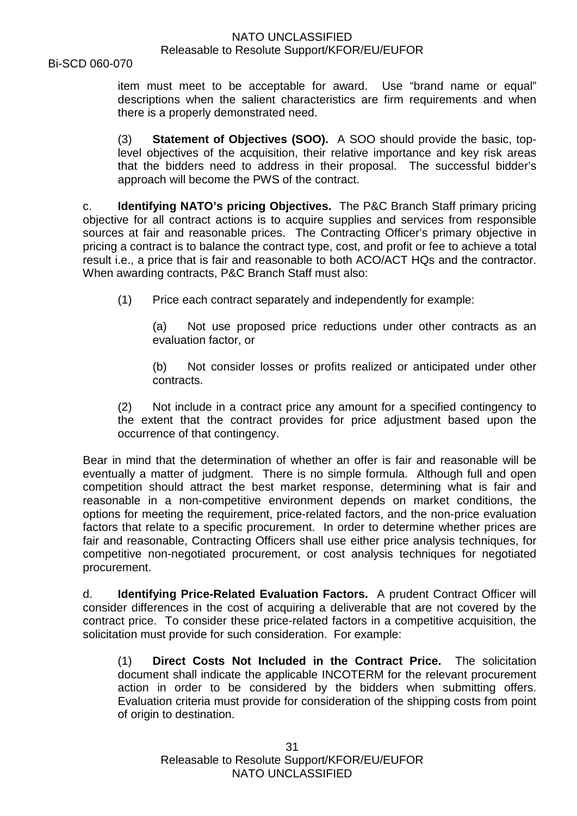Bi-SCD 060-070

item must meet to be acceptable for award. Use "brand name or equal" descriptions when the salient characteristics are firm requirements and when there is a properly demonstrated need.

(3) **Statement of Objectives (SOO).** A SOO should provide the basic, toplevel objectives of the acquisition, their relative importance and key risk areas that the bidders need to address in their proposal. The successful bidder's approach will become the PWS of the contract.

c. **Identifying NATO's pricing Objectives.** The P&C Branch Staff primary pricing objective for all contract actions is to acquire supplies and services from responsible sources at fair and reasonable prices. The Contracting Officer's primary objective in pricing a contract is to balance the contract type, cost, and profit or fee to achieve a total result i.e., a price that is fair and reasonable to both ACO/ACT HQs and the contractor. When awarding contracts, P&C Branch Staff must also:

(1) Price each contract separately and independently for example:

(a) Not use proposed price reductions under other contracts as an evaluation factor, or

(b) Not consider losses or profits realized or anticipated under other contracts.

(2) Not include in a contract price any amount for a specified contingency to the extent that the contract provides for price adjustment based upon the occurrence of that contingency.

Bear in mind that the determination of whether an offer is fair and reasonable will be eventually a matter of judgment. There is no simple formula. Although full and open competition should attract the best market response, determining what is fair and reasonable in a non-competitive environment depends on market conditions, the options for meeting the requirement, price-related factors, and the non-price evaluation factors that relate to a specific procurement. In order to determine whether prices are fair and reasonable, Contracting Officers shall use either price analysis techniques, for competitive non-negotiated procurement, or cost analysis techniques for negotiated procurement.

d. **Identifying Price-Related Evaluation Factors.** A prudent Contract Officer will consider differences in the cost of acquiring a deliverable that are not covered by the contract price. To consider these price-related factors in a competitive acquisition, the solicitation must provide for such consideration. For example:

(1) **Direct Costs Not Included in the Contract Price.** The solicitation document shall indicate the applicable INCOTERM for the relevant procurement action in order to be considered by the bidders when submitting offers. Evaluation criteria must provide for consideration of the shipping costs from point of origin to destination.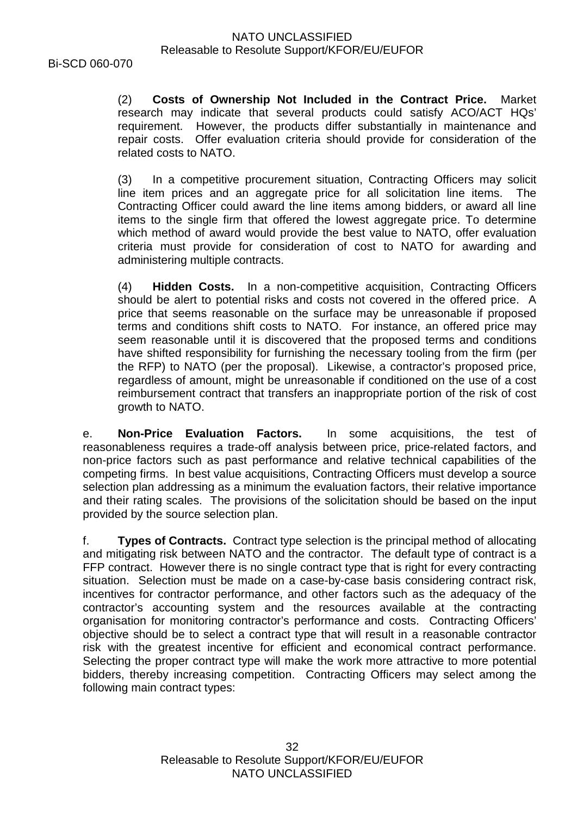Bi-SCD 060-070

(2) **Costs of Ownership Not Included in the Contract Price.** Market research may indicate that several products could satisfy ACO/ACT HQs' requirement. However, the products differ substantially in maintenance and repair costs. Offer evaluation criteria should provide for consideration of the related costs to NATO.

(3) In a competitive procurement situation, Contracting Officers may solicit line item prices and an aggregate price for all solicitation line items. The Contracting Officer could award the line items among bidders, or award all line items to the single firm that offered the lowest aggregate price. To determine which method of award would provide the best value to NATO, offer evaluation criteria must provide for consideration of cost to NATO for awarding and administering multiple contracts.

(4) **Hidden Costs.** In a non-competitive acquisition, Contracting Officers should be alert to potential risks and costs not covered in the offered price. A price that seems reasonable on the surface may be unreasonable if proposed terms and conditions shift costs to NATO. For instance, an offered price may seem reasonable until it is discovered that the proposed terms and conditions have shifted responsibility for furnishing the necessary tooling from the firm (per the RFP) to NATO (per the proposal). Likewise, a contractor's proposed price, regardless of amount, might be unreasonable if conditioned on the use of a cost reimbursement contract that transfers an inappropriate portion of the risk of cost growth to NATO.

e. **Non-Price Evaluation Factors.** In some acquisitions, the test of reasonableness requires a trade-off analysis between price, price-related factors, and non-price factors such as past performance and relative technical capabilities of the competing firms. In best value acquisitions, Contracting Officers must develop a source selection plan addressing as a minimum the evaluation factors, their relative importance and their rating scales. The provisions of the solicitation should be based on the input provided by the source selection plan.

f. **Types of Contracts.** Contract type selection is the principal method of allocating and mitigating risk between NATO and the contractor. The default type of contract is a FFP contract. However there is no single contract type that is right for every contracting situation. Selection must be made on a case-by-case basis considering contract risk, incentives for contractor performance, and other factors such as the adequacy of the contractor's accounting system and the resources available at the contracting organisation for monitoring contractor's performance and costs. Contracting Officers' objective should be to select a contract type that will result in a reasonable contractor risk with the greatest incentive for efficient and economical contract performance. Selecting the proper contract type will make the work more attractive to more potential bidders, thereby increasing competition. Contracting Officers may select among the following main contract types: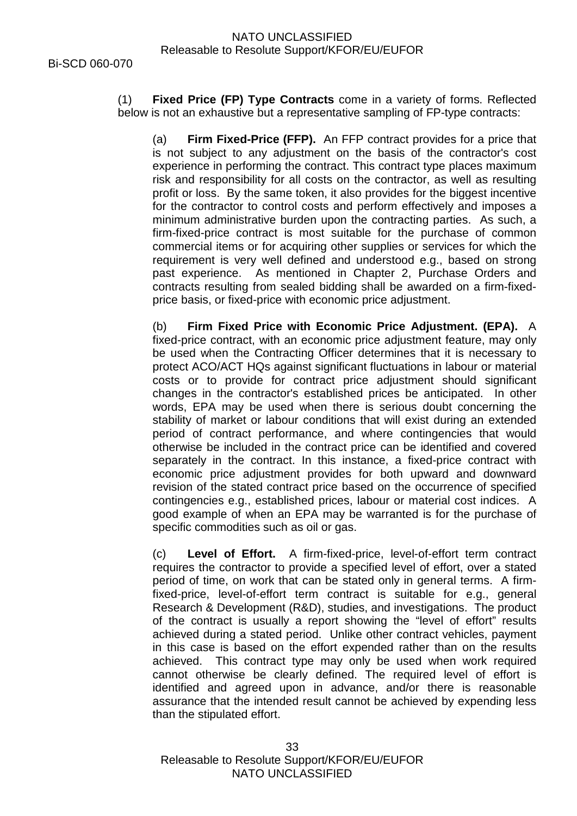(1) **Fixed Price (FP) Type Contracts** come in a variety of forms. Reflected below is not an exhaustive but a representative sampling of FP-type contracts:

(a) **Firm Fixed-Price (FFP).** An FFP contract provides for a price that is not subject to any adjustment on the basis of the contractor's cost experience in performing the contract. This contract type places maximum risk and responsibility for all costs on the contractor, as well as resulting profit or loss. By the same token, it also provides for the biggest incentive for the contractor to control costs and perform effectively and imposes a minimum administrative burden upon the contracting parties. As such, a firm-fixed-price contract is most suitable for the purchase of common commercial items or for acquiring other supplies or services for which the requirement is very well defined and understood e.g., based on strong past experience. As mentioned in Chapter 2, Purchase Orders and contracts resulting from sealed bidding shall be awarded on a firm-fixedprice basis, or fixed-price with economic price adjustment.

(b) **Firm Fixed Price with Economic Price Adjustment. (EPA).** A fixed-price contract, with an economic price adjustment feature, may only be used when the Contracting Officer determines that it is necessary to protect ACO/ACT HQs against significant fluctuations in labour or material costs or to provide for contract price adjustment should significant changes in the contractor's established prices be anticipated. In other words, EPA may be used when there is serious doubt concerning the stability of market or labour conditions that will exist during an extended period of contract performance, and where contingencies that would otherwise be included in the contract price can be identified and covered separately in the contract. In this instance, a fixed-price contract with economic price adjustment provides for both upward and downward revision of the stated contract price based on the occurrence of specified contingencies e.g., established prices, labour or material cost indices. A good example of when an EPA may be warranted is for the purchase of specific commodities such as oil or gas.

(c) **Level of Effort.** A firm-fixed-price, level-of-effort term contract requires the contractor to provide a specified level of effort, over a stated period of time, on work that can be stated only in general terms. A firmfixed-price, level-of-effort term contract is suitable for e.g., general Research & Development (R&D), studies, and investigations. The product of the contract is usually a report showing the "level of effort" results achieved during a stated period. Unlike other contract vehicles, payment in this case is based on the effort expended rather than on the results achieved. This contract type may only be used when work required cannot otherwise be clearly defined. The required level of effort is identified and agreed upon in advance, and/or there is reasonable assurance that the intended result cannot be achieved by expending less than the stipulated effort.

Releasable to Resolute Support/KFOR/EU/EUFOR NATO UNCLASSIFIED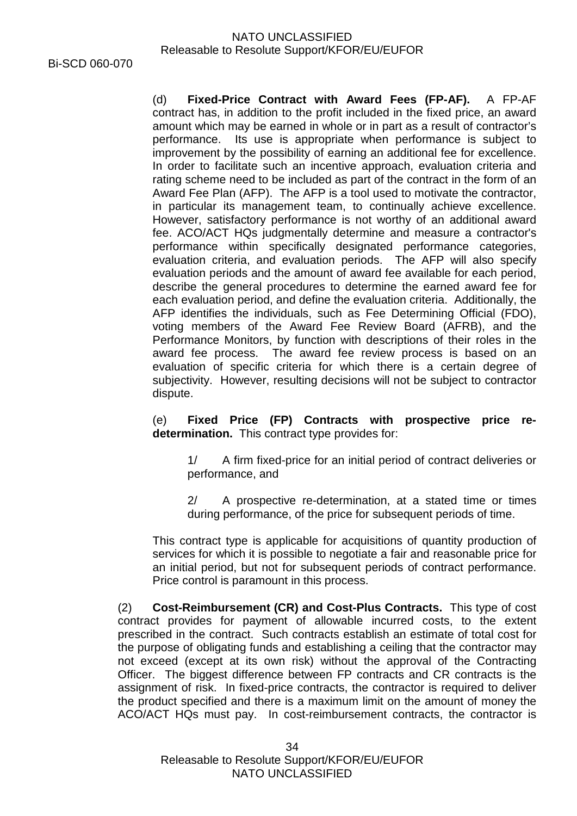(d) **Fixed-Price Contract with Award Fees (FP-AF).** A FP-AF contract has, in addition to the profit included in the fixed price, an award amount which may be earned in whole or in part as a result of contractor's performance. Its use is appropriate when performance is subject to improvement by the possibility of earning an additional fee for excellence. In order to facilitate such an incentive approach, evaluation criteria and rating scheme need to be included as part of the contract in the form of an Award Fee Plan (AFP). The AFP is a tool used to motivate the contractor, in particular its management team, to continually achieve excellence. However, satisfactory performance is not worthy of an additional award fee. ACO/ACT HQs judgmentally determine and measure a contractor's performance within specifically designated performance categories, evaluation criteria, and evaluation periods. The AFP will also specify evaluation periods and the amount of award fee available for each period, describe the general procedures to determine the earned award fee for each evaluation period, and define the evaluation criteria. Additionally, the AFP identifies the individuals, such as Fee Determining Official (FDO), voting members of the Award Fee Review Board (AFRB), and the Performance Monitors, by function with descriptions of their roles in the award fee process. The award fee review process is based on an evaluation of specific criteria for which there is a certain degree of subjectivity. However, resulting decisions will not be subject to contractor dispute.

(e) **Fixed Price (FP) Contracts with prospective price redetermination.** This contract type provides for:

1/ A firm fixed-price for an initial period of contract deliveries or performance, and

2/ A prospective re-determination, at a stated time or times during performance, of the price for subsequent periods of time.

This contract type is applicable for acquisitions of quantity production of services for which it is possible to negotiate a fair and reasonable price for an initial period, but not for subsequent periods of contract performance. Price control is paramount in this process.

(2) **Cost-Reimbursement (CR) and Cost-Plus Contracts.** This type of cost contract provides for payment of allowable incurred costs, to the extent prescribed in the contract. Such contracts establish an estimate of total cost for the purpose of obligating funds and establishing a ceiling that the contractor may not exceed (except at its own risk) without the approval of the Contracting Officer. The biggest difference between FP contracts and CR contracts is the assignment of risk. In fixed-price contracts, the contractor is required to deliver the product specified and there is a maximum limit on the amount of money the ACO/ACT HQs must pay. In cost-reimbursement contracts, the contractor is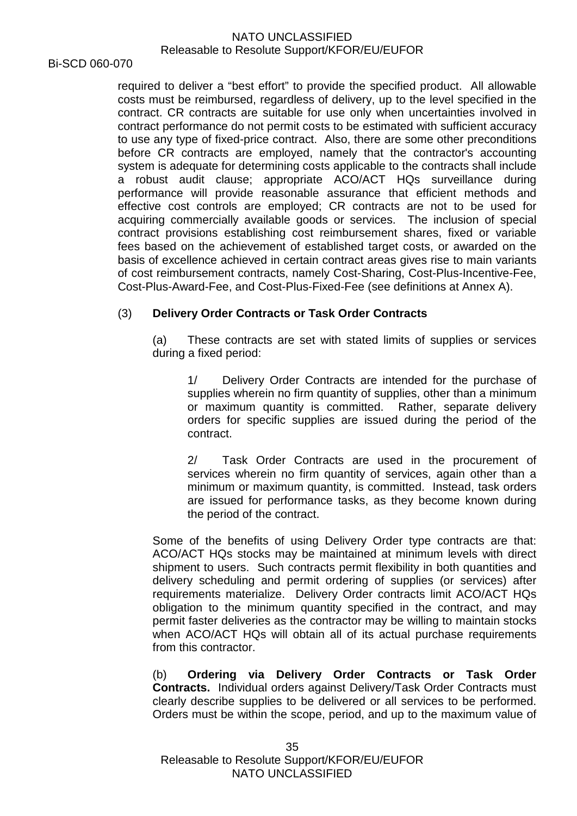Bi-SCD 060-070

required to deliver a "best effort" to provide the specified product. All allowable costs must be reimbursed, regardless of delivery, up to the level specified in the contract. CR contracts are suitable for use only when uncertainties involved in contract performance do not permit costs to be estimated with sufficient accuracy to use any type of fixed-price contract. Also, there are some other preconditions before CR contracts are employed, namely that the contractor's accounting system is adequate for determining costs applicable to the contracts shall include a robust audit clause; appropriate ACO/ACT HQs surveillance during performance will provide reasonable assurance that efficient methods and effective cost controls are employed; CR contracts are not to be used for acquiring commercially available goods or services. The inclusion of special contract provisions establishing cost reimbursement shares, fixed or variable fees based on the achievement of established target costs, or awarded on the basis of excellence achieved in certain contract areas gives rise to main variants of cost reimbursement contracts, namely Cost-Sharing, Cost-Plus-Incentive-Fee, Cost-Plus-Award-Fee, and Cost-Plus-Fixed-Fee (see definitions at Annex A).

# (3) **Delivery Order Contracts or Task Order Contracts**

(a) These contracts are set with stated limits of supplies or services during a fixed period:

1/ Delivery Order Contracts are intended for the purchase of supplies wherein no firm quantity of supplies, other than a minimum or maximum quantity is committed. Rather, separate delivery orders for specific supplies are issued during the period of the contract.

2/ Task Order Contracts are used in the procurement of services wherein no firm quantity of services, again other than a minimum or maximum quantity, is committed. Instead, task orders are issued for performance tasks, as they become known during the period of the contract.

Some of the benefits of using Delivery Order type contracts are that: ACO/ACT HQs stocks may be maintained at minimum levels with direct shipment to users. Such contracts permit flexibility in both quantities and delivery scheduling and permit ordering of supplies (or services) after requirements materialize. Delivery Order contracts limit ACO/ACT HQs obligation to the minimum quantity specified in the contract, and may permit faster deliveries as the contractor may be willing to maintain stocks when ACO/ACT HQs will obtain all of its actual purchase requirements from this contractor.

(b) **Ordering via Delivery Order Contracts or Task Order Contracts.** Individual orders against Delivery/Task Order Contracts must clearly describe supplies to be delivered or all services to be performed. Orders must be within the scope, period, and up to the maximum value of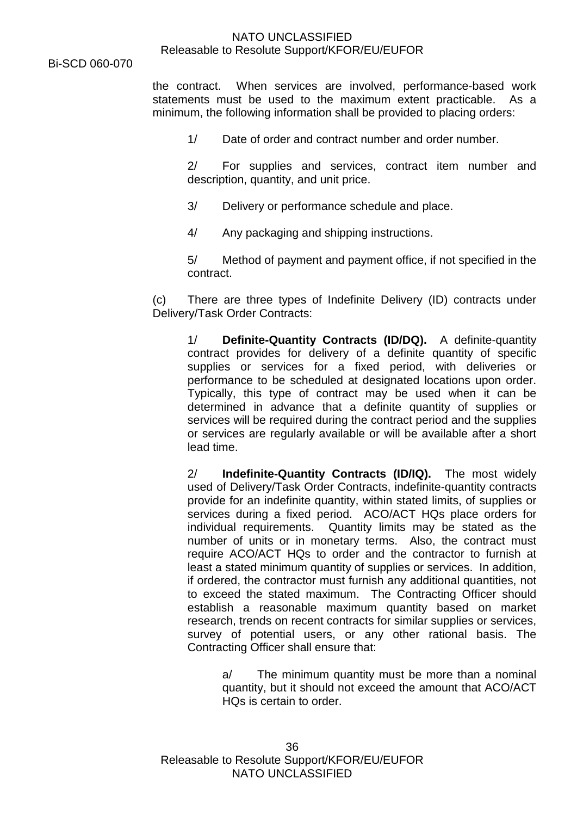Bi-SCD 060-070

the contract. When services are involved, performance-based work statements must be used to the maximum extent practicable. As a minimum, the following information shall be provided to placing orders:

1/ Date of order and contract number and order number.

2/ For supplies and services, contract item number and description, quantity, and unit price.

- 3/ Delivery or performance schedule and place.
- 4/ Any packaging and shipping instructions.

5/ Method of payment and payment office, if not specified in the contract.

(c) There are three types of Indefinite Delivery (ID) contracts under Delivery/Task Order Contracts:

1/ **Definite-Quantity Contracts (ID/DQ).** A definite-quantity contract provides for delivery of a definite quantity of specific supplies or services for a fixed period, with deliveries or performance to be scheduled at designated locations upon order. Typically, this type of contract may be used when it can be determined in advance that a definite quantity of supplies or services will be required during the contract period and the supplies or services are regularly available or will be available after a short lead time.

2/ **Indefinite-Quantity Contracts (ID/IQ).** The most widely used of Delivery/Task Order Contracts, indefinite-quantity contracts provide for an indefinite quantity, within stated limits, of supplies or services during a fixed period. ACO/ACT HQs place orders for individual requirements. Quantity limits may be stated as the number of units or in monetary terms. Also, the contract must require ACO/ACT HQs to order and the contractor to furnish at least a stated minimum quantity of supplies or services. In addition, if ordered, the contractor must furnish any additional quantities, not to exceed the stated maximum. The Contracting Officer should establish a reasonable maximum quantity based on market research, trends on recent contracts for similar supplies or services, survey of potential users, or any other rational basis. The Contracting Officer shall ensure that:

a/ The minimum quantity must be more than a nominal quantity, but it should not exceed the amount that ACO/ACT HQs is certain to order.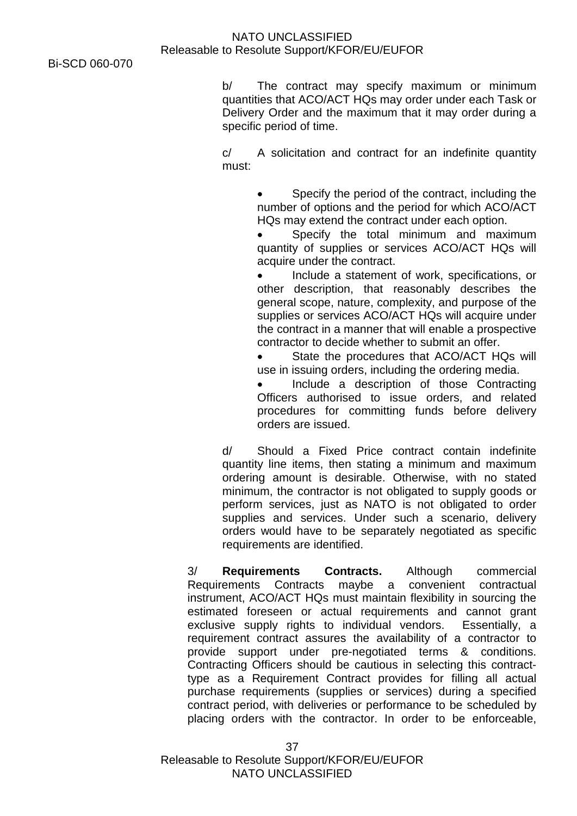b/ The contract may specify maximum or minimum quantities that ACO/ACT HQs may order under each Task or Delivery Order and the maximum that it may order during a specific period of time.

c/ A solicitation and contract for an indefinite quantity must:

> Specify the period of the contract, including the number of options and the period for which ACO/ACT HQs may extend the contract under each option.

> Specify the total minimum and maximum quantity of supplies or services ACO/ACT HQs will acquire under the contract.

> • Include a statement of work, specifications, or other description, that reasonably describes the general scope, nature, complexity, and purpose of the supplies or services ACO/ACT HQs will acquire under the contract in a manner that will enable a prospective contractor to decide whether to submit an offer.

> State the procedures that ACO/ACT HOs will use in issuing orders, including the ordering media.

> • Include a description of those Contracting Officers authorised to issue orders, and related procedures for committing funds before delivery orders are issued.

d/ Should a Fixed Price contract contain indefinite quantity line items, then stating a minimum and maximum ordering amount is desirable. Otherwise, with no stated minimum, the contractor is not obligated to supply goods or perform services, just as NATO is not obligated to order supplies and services. Under such a scenario, delivery orders would have to be separately negotiated as specific requirements are identified.

3/ **Requirements Contracts.** Although commercial Requirements Contracts maybe a convenient contractual instrument, ACO/ACT HQs must maintain flexibility in sourcing the estimated foreseen or actual requirements and cannot grant exclusive supply rights to individual vendors. Essentially, a requirement contract assures the availability of a contractor to provide support under pre-negotiated terms & conditions. Contracting Officers should be cautious in selecting this contracttype as a Requirement Contract provides for filling all actual purchase requirements (supplies or services) during a specified contract period, with deliveries or performance to be scheduled by placing orders with the contractor. In order to be enforceable,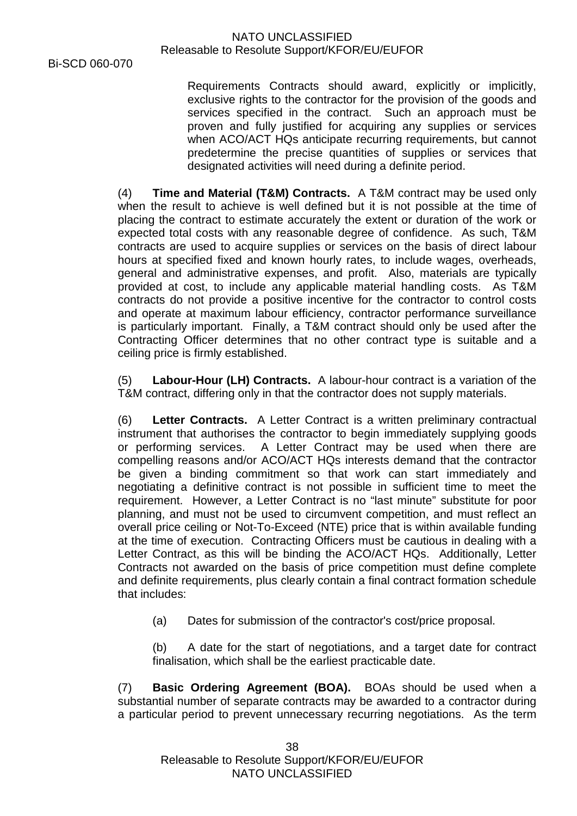Requirements Contracts should award, explicitly or implicitly, exclusive rights to the contractor for the provision of the goods and services specified in the contract. Such an approach must be proven and fully justified for acquiring any supplies or services when ACO/ACT HQs anticipate recurring requirements, but cannot predetermine the precise quantities of supplies or services that designated activities will need during a definite period.

(4) **Time and Material (T&M) Contracts.** A T&M contract may be used only when the result to achieve is well defined but it is not possible at the time of placing the contract to estimate accurately the extent or duration of the work or expected total costs with any reasonable degree of confidence. As such, T&M contracts are used to acquire supplies or services on the basis of direct labour hours at specified fixed and known hourly rates, to include wages, overheads, general and administrative expenses, and profit. Also, materials are typically provided at cost, to include any applicable material handling costs. As T&M contracts do not provide a positive incentive for the contractor to control costs and operate at maximum labour efficiency, contractor performance surveillance is particularly important. Finally, a T&M contract should only be used after the Contracting Officer determines that no other contract type is suitable and a ceiling price is firmly established.

(5) **Labour-Hour (LH) Contracts.** A labour-hour contract is a variation of the T&M contract, differing only in that the contractor does not supply materials.

(6) **Letter Contracts.** A Letter Contract is a written preliminary contractual instrument that authorises the contractor to begin immediately supplying goods or performing services. A Letter Contract may be used when there are compelling reasons and/or ACO/ACT HQs interests demand that the contractor be given a binding commitment so that work can start immediately and negotiating a definitive contract is not possible in sufficient time to meet the requirement. However, a Letter Contract is no "last minute" substitute for poor planning, and must not be used to circumvent competition, and must reflect an overall price ceiling or Not-To-Exceed (NTE) price that is within available funding at the time of execution. Contracting Officers must be cautious in dealing with a Letter Contract, as this will be binding the ACO/ACT HQs. Additionally, Letter Contracts not awarded on the basis of price competition must define complete and definite requirements, plus clearly contain a final contract formation schedule that includes:

(a) Dates for submission of the contractor's cost/price proposal.

(b) A date for the start of negotiations, and a target date for contract finalisation, which shall be the earliest practicable date.

(7) **Basic Ordering Agreement (BOA).** BOAs should be used when a substantial number of separate contracts may be awarded to a contractor during a particular period to prevent unnecessary recurring negotiations. As the term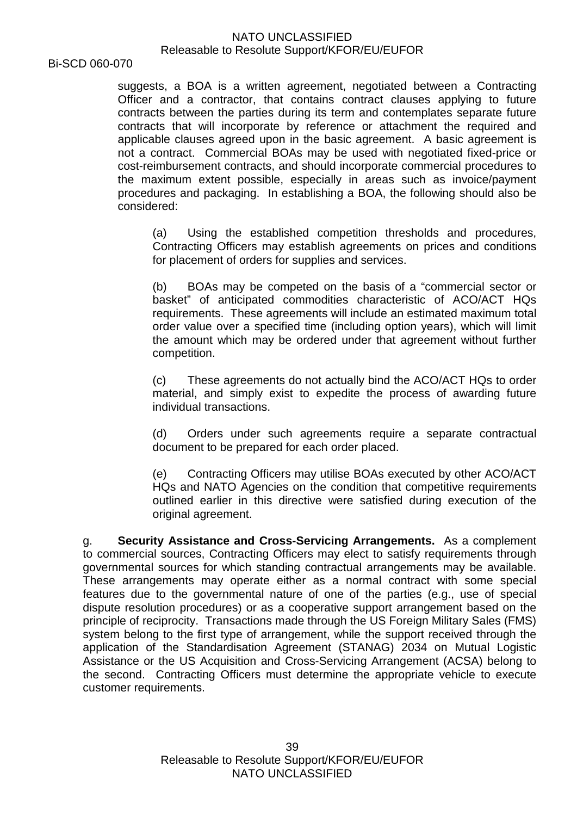Bi-SCD 060-070

suggests, a BOA is a written agreement, negotiated between a Contracting Officer and a contractor, that contains contract clauses applying to future contracts between the parties during its term and contemplates separate future contracts that will incorporate by reference or attachment the required and applicable clauses agreed upon in the basic agreement. A basic agreement is not a contract. Commercial BOAs may be used with negotiated fixed-price or cost-reimbursement contracts, and should incorporate commercial procedures to the maximum extent possible, especially in areas such as invoice/payment procedures and packaging. In establishing a BOA, the following should also be considered:

(a) Using the established competition thresholds and procedures, Contracting Officers may establish agreements on prices and conditions for placement of orders for supplies and services.

(b) BOAs may be competed on the basis of a "commercial sector or basket" of anticipated commodities characteristic of ACO/ACT HQs requirements. These agreements will include an estimated maximum total order value over a specified time (including option years), which will limit the amount which may be ordered under that agreement without further competition.

(c) These agreements do not actually bind the ACO/ACT HQs to order material, and simply exist to expedite the process of awarding future individual transactions.

(d) Orders under such agreements require a separate contractual document to be prepared for each order placed.

(e) Contracting Officers may utilise BOAs executed by other ACO/ACT HQs and NATO Agencies on the condition that competitive requirements outlined earlier in this directive were satisfied during execution of the original agreement.

g. **Security Assistance and Cross-Servicing Arrangements.** As a complement to commercial sources, Contracting Officers may elect to satisfy requirements through governmental sources for which standing contractual arrangements may be available. These arrangements may operate either as a normal contract with some special features due to the governmental nature of one of the parties (e.g., use of special dispute resolution procedures) or as a cooperative support arrangement based on the principle of reciprocity. Transactions made through the US Foreign Military Sales (FMS) system belong to the first type of arrangement, while the support received through the application of the Standardisation Agreement (STANAG) 2034 on Mutual Logistic Assistance or the US Acquisition and Cross-Servicing Arrangement (ACSA) belong to the second. Contracting Officers must determine the appropriate vehicle to execute customer requirements.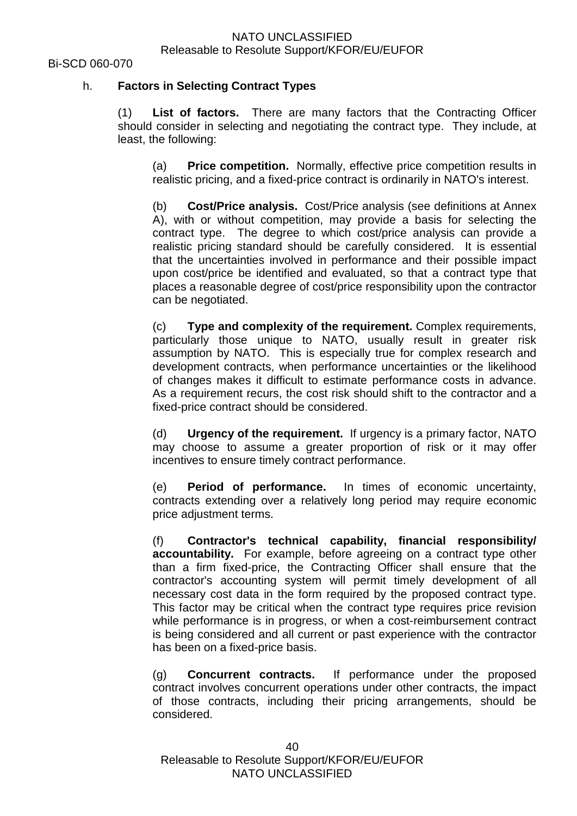# h. **Factors in Selecting Contract Types**

(1) **List of factors.** There are many factors that the Contracting Officer should consider in selecting and negotiating the contract type. They include, at least, the following:

(a) **Price competition.** Normally, effective price competition results in realistic pricing, and a fixed-price contract is ordinarily in NATO's interest.

(b) **Cost/Price analysis.** Cost/Price analysis (see definitions at Annex A), with or without competition, may provide a basis for selecting the contract type. The degree to which cost/price analysis can provide a realistic pricing standard should be carefully considered. It is essential that the uncertainties involved in performance and their possible impact upon cost/price be identified and evaluated, so that a contract type that places a reasonable degree of cost/price responsibility upon the contractor can be negotiated.

(c) **Type and complexity of the requirement.** Complex requirements, particularly those unique to NATO, usually result in greater risk assumption by NATO. This is especially true for complex research and development contracts, when performance uncertainties or the likelihood of changes makes it difficult to estimate performance costs in advance. As a requirement recurs, the cost risk should shift to the contractor and a fixed-price contract should be considered.

(d) **Urgency of the requirement.** If urgency is a primary factor, NATO may choose to assume a greater proportion of risk or it may offer incentives to ensure timely contract performance.

(e) **Period of performance.** In times of economic uncertainty, contracts extending over a relatively long period may require economic price adjustment terms.

(f) **Contractor's technical capability, financial responsibility/ accountability.** For example, before agreeing on a contract type other than a firm fixed-price, the Contracting Officer shall ensure that the contractor's accounting system will permit timely development of all necessary cost data in the form required by the proposed contract type. This factor may be critical when the contract type requires price revision while performance is in progress, or when a cost-reimbursement contract is being considered and all current or past experience with the contractor has been on a fixed-price basis.

(g) **Concurrent contracts.** If performance under the proposed contract involves concurrent operations under other contracts, the impact of those contracts, including their pricing arrangements, should be considered.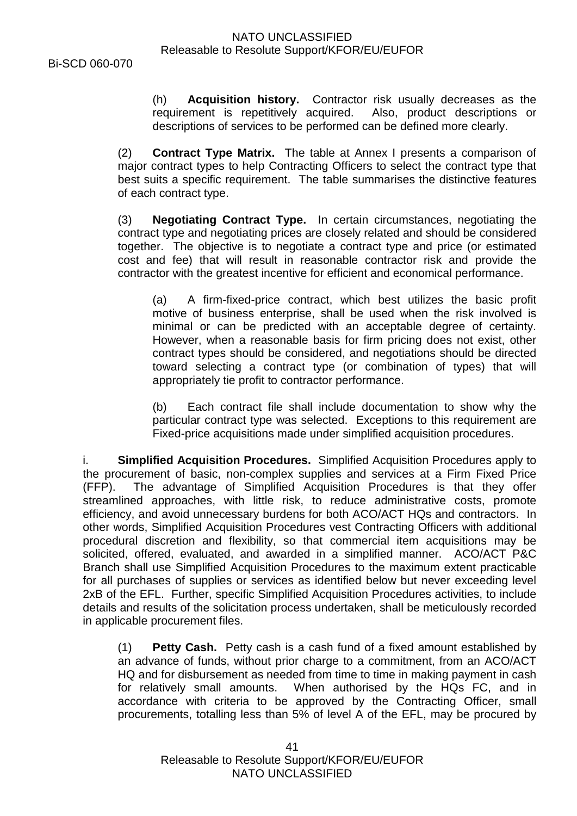(h) **Acquisition history.** Contractor risk usually decreases as the requirement is repetitively acquired. Also, product descriptions or descriptions of services to be performed can be defined more clearly.

(2) **Contract Type Matrix.** The table at Annex I presents a comparison of major contract types to help Contracting Officers to select the contract type that best suits a specific requirement. The table summarises the distinctive features of each contract type.

(3) **Negotiating Contract Type.** In certain circumstances, negotiating the contract type and negotiating prices are closely related and should be considered together. The objective is to negotiate a contract type and price (or estimated cost and fee) that will result in reasonable contractor risk and provide the contractor with the greatest incentive for efficient and economical performance.

(a) A firm-fixed-price contract, which best utilizes the basic profit motive of business enterprise, shall be used when the risk involved is minimal or can be predicted with an acceptable degree of certainty. However, when a reasonable basis for firm pricing does not exist, other contract types should be considered, and negotiations should be directed toward selecting a contract type (or combination of types) that will appropriately tie profit to contractor performance.

(b) Each contract file shall include documentation to show why the particular contract type was selected. Exceptions to this requirement are Fixed-price acquisitions made under simplified acquisition procedures.

i. **Simplified Acquisition Procedures.** Simplified Acquisition Procedures apply to the procurement of basic, non-complex supplies and services at a Firm Fixed Price (FFP). The advantage of Simplified Acquisition Procedures is that they offer streamlined approaches, with little risk, to reduce administrative costs, promote efficiency, and avoid unnecessary burdens for both ACO/ACT HQs and contractors. In other words, Simplified Acquisition Procedures vest Contracting Officers with additional procedural discretion and flexibility, so that commercial item acquisitions may be solicited, offered, evaluated, and awarded in a simplified manner. ACO/ACT P&C Branch shall use Simplified Acquisition Procedures to the maximum extent practicable for all purchases of supplies or services as identified below but never exceeding level 2xB of the EFL. Further, specific Simplified Acquisition Procedures activities, to include details and results of the solicitation process undertaken, shall be meticulously recorded in applicable procurement files.

(1) **Petty Cash.** Petty cash is a cash fund of a fixed amount established by an advance of funds, without prior charge to a commitment, from an ACO/ACT HQ and for disbursement as needed from time to time in making payment in cash for relatively small amounts. When authorised by the HQs FC, and in accordance with criteria to be approved by the Contracting Officer, small procurements, totalling less than 5% of level A of the EFL, may be procured by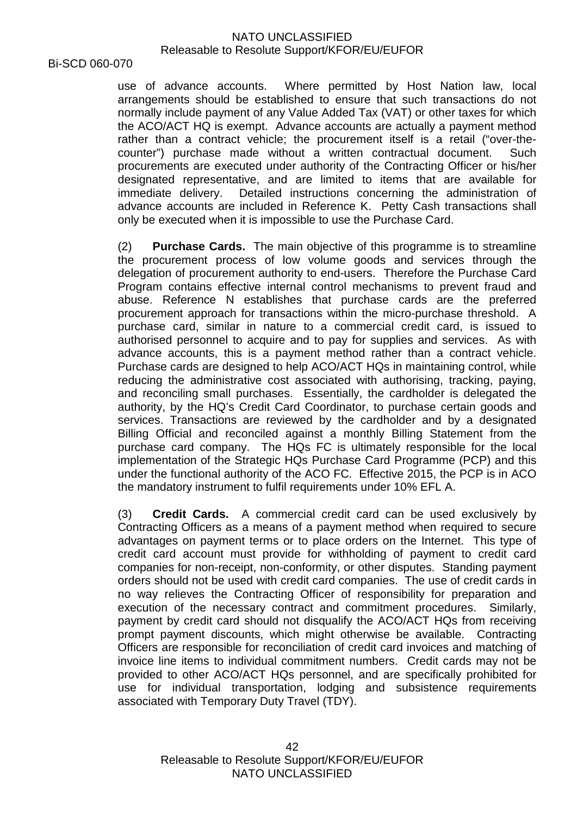Bi-SCD 060-070

use of advance accounts. Where permitted by Host Nation law, local arrangements should be established to ensure that such transactions do not normally include payment of any Value Added Tax (VAT) or other taxes for which the ACO/ACT HQ is exempt. Advance accounts are actually a payment method rather than a contract vehicle; the procurement itself is a retail ("over-thecounter") purchase made without a written contractual document. Such procurements are executed under authority of the Contracting Officer or his/her designated representative, and are limited to items that are available for immediate delivery. Detailed instructions concerning the administration of advance accounts are included in Reference K. Petty Cash transactions shall only be executed when it is impossible to use the Purchase Card.

(2) **Purchase Cards.** The main objective of this programme is to streamline the procurement process of low volume goods and services through the delegation of procurement authority to end-users. Therefore the Purchase Card Program contains effective internal control mechanisms to prevent fraud and abuse. Reference N establishes that purchase cards are the preferred procurement approach for transactions within the micro-purchase threshold. A purchase card, similar in nature to a commercial credit card, is issued to authorised personnel to acquire and to pay for supplies and services. As with advance accounts, this is a payment method rather than a contract vehicle. Purchase cards are designed to help ACO/ACT HQs in maintaining control, while reducing the administrative cost associated with authorising, tracking, paying, and reconciling small purchases. Essentially, the cardholder is delegated the authority, by the HQ's Credit Card Coordinator, to purchase certain goods and services. Transactions are reviewed by the cardholder and by a designated Billing Official and reconciled against a monthly Billing Statement from the purchase card company. The HQs FC is ultimately responsible for the local implementation of the Strategic HQs Purchase Card Programme (PCP) and this under the functional authority of the ACO FC. Effective 2015, the PCP is in ACO the mandatory instrument to fulfil requirements under 10% EFL A.

(3) **Credit Cards.** A commercial credit card can be used exclusively by Contracting Officers as a means of a payment method when required to secure advantages on payment terms or to place orders on the Internet. This type of credit card account must provide for withholding of payment to credit card companies for non-receipt, non-conformity, or other disputes. Standing payment orders should not be used with credit card companies. The use of credit cards in no way relieves the Contracting Officer of responsibility for preparation and execution of the necessary contract and commitment procedures. Similarly, payment by credit card should not disqualify the ACO/ACT HQs from receiving prompt payment discounts, which might otherwise be available. Contracting Officers are responsible for reconciliation of credit card invoices and matching of invoice line items to individual commitment numbers. Credit cards may not be provided to other ACO/ACT HQs personnel, and are specifically prohibited for use for individual transportation, lodging and subsistence requirements associated with Temporary Duty Travel (TDY).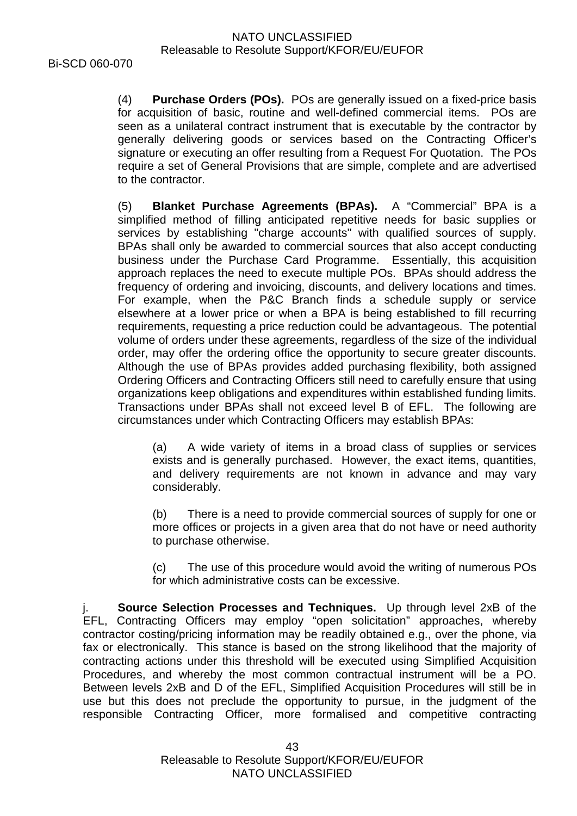(4) **Purchase Orders (POs).** POs are generally issued on a fixed-price basis for acquisition of basic, routine and well-defined commercial items. POs are seen as a unilateral contract instrument that is executable by the contractor by generally delivering goods or services based on the Contracting Officer's signature or executing an offer resulting from a Request For Quotation. The POs require a set of General Provisions that are simple, complete and are advertised to the contractor.

(5) **Blanket Purchase Agreements (BPAs).** A "Commercial" BPA is a simplified method of filling anticipated repetitive needs for basic supplies or services by establishing "charge accounts'' with qualified sources of supply. BPAs shall only be awarded to commercial sources that also accept conducting business under the Purchase Card Programme. Essentially, this acquisition approach replaces the need to execute multiple POs. BPAs should address the frequency of ordering and invoicing, discounts, and delivery locations and times. For example, when the P&C Branch finds a schedule supply or service elsewhere at a lower price or when a BPA is being established to fill recurring requirements, requesting a price reduction could be advantageous. The potential volume of orders under these agreements, regardless of the size of the individual order, may offer the ordering office the opportunity to secure greater discounts. Although the use of BPAs provides added purchasing flexibility, both assigned Ordering Officers and Contracting Officers still need to carefully ensure that using organizations keep obligations and expenditures within established funding limits. Transactions under BPAs shall not exceed level B of EFL. The following are circumstances under which Contracting Officers may establish BPAs:

(a) A wide variety of items in a broad class of supplies or services exists and is generally purchased. However, the exact items, quantities, and delivery requirements are not known in advance and may vary considerably.

(b) There is a need to provide commercial sources of supply for one or more offices or projects in a given area that do not have or need authority to purchase otherwise.

(c) The use of this procedure would avoid the writing of numerous POs for which administrative costs can be excessive.

**Source Selection Processes and Techniques.** Up through level 2xB of the EFL, Contracting Officers may employ "open solicitation" approaches, whereby contractor costing/pricing information may be readily obtained e.g., over the phone, via fax or electronically. This stance is based on the strong likelihood that the majority of contracting actions under this threshold will be executed using Simplified Acquisition Procedures, and whereby the most common contractual instrument will be a PO. Between levels 2xB and D of the EFL, Simplified Acquisition Procedures will still be in use but this does not preclude the opportunity to pursue, in the judgment of the responsible Contracting Officer, more formalised and competitive contracting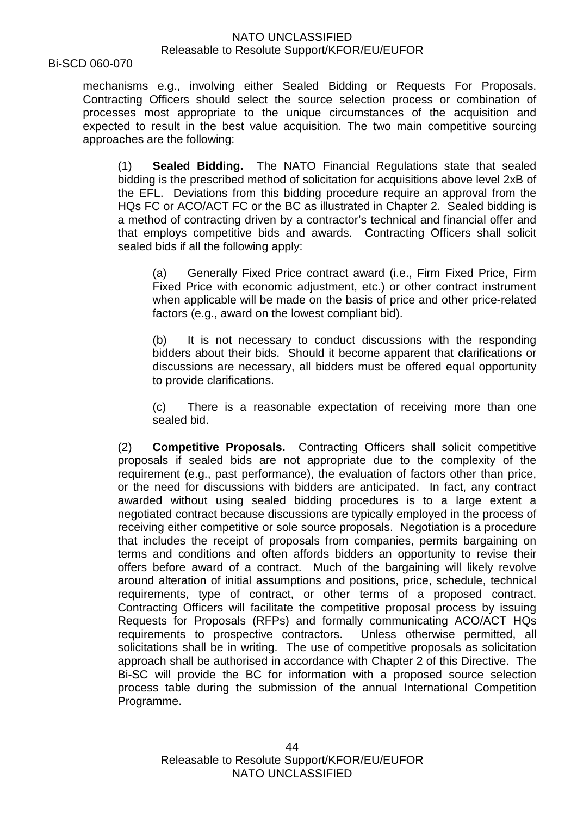Bi-SCD 060-070

mechanisms e.g., involving either Sealed Bidding or Requests For Proposals. Contracting Officers should select the source selection process or combination of processes most appropriate to the unique circumstances of the acquisition and expected to result in the best value acquisition. The two main competitive sourcing approaches are the following:

(1) **Sealed Bidding.** The NATO Financial Regulations state that sealed bidding is the prescribed method of solicitation for acquisitions above level 2xB of the EFL. Deviations from this bidding procedure require an approval from the HQs FC or ACO/ACT FC or the BC as illustrated in Chapter 2. Sealed bidding is a method of contracting driven by a contractor's technical and financial offer and that employs competitive bids and awards. Contracting Officers shall solicit sealed bids if all the following apply:

(a) Generally Fixed Price contract award (i.e., Firm Fixed Price, Firm Fixed Price with economic adjustment, etc.) or other contract instrument when applicable will be made on the basis of price and other price-related factors (e.g., award on the lowest compliant bid).

(b) It is not necessary to conduct discussions with the responding bidders about their bids. Should it become apparent that clarifications or discussions are necessary, all bidders must be offered equal opportunity to provide clarifications.

(c) There is a reasonable expectation of receiving more than one sealed bid.

(2) **Competitive Proposals.** Contracting Officers shall solicit competitive proposals if sealed bids are not appropriate due to the complexity of the requirement (e.g., past performance), the evaluation of factors other than price, or the need for discussions with bidders are anticipated. In fact, any contract awarded without using sealed bidding procedures is to a large extent a negotiated contract because discussions are typically employed in the process of receiving either competitive or sole source proposals. Negotiation is a procedure that includes the receipt of proposals from companies, permits bargaining on terms and conditions and often affords bidders an opportunity to revise their offers before award of a contract. Much of the bargaining will likely revolve around alteration of initial assumptions and positions, price, schedule, technical requirements, type of contract, or other terms of a proposed contract. Contracting Officers will facilitate the competitive proposal process by issuing Requests for Proposals (RFPs) and formally communicating ACO/ACT HQs requirements to prospective contractors. Unless otherwise permitted, all solicitations shall be in writing. The use of competitive proposals as solicitation approach shall be authorised in accordance with Chapter 2 of this Directive. The Bi-SC will provide the BC for information with a proposed source selection process table during the submission of the annual International Competition Programme.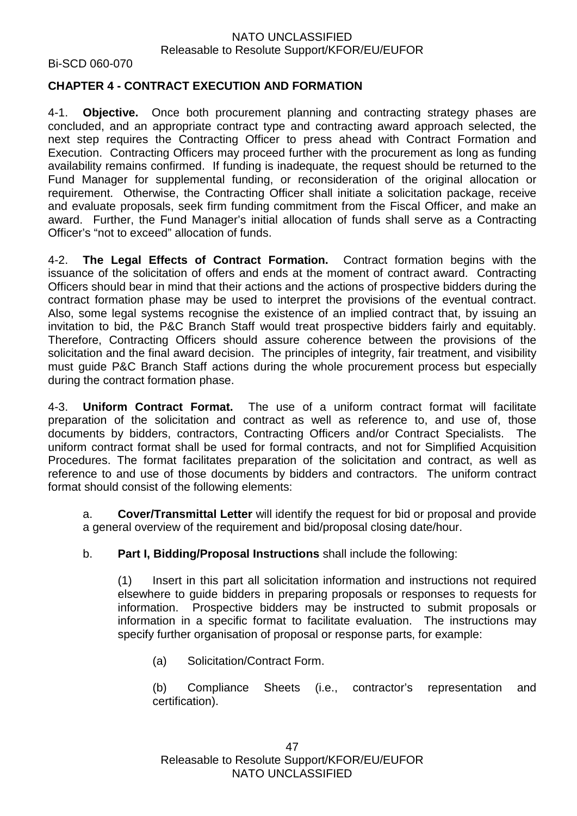Bi-SCD 060-070

# **CHAPTER 4 - CONTRACT EXECUTION AND FORMATION**

4-1. **Objective.** Once both procurement planning and contracting strategy phases are concluded, and an appropriate contract type and contracting award approach selected, the next step requires the Contracting Officer to press ahead with Contract Formation and Execution. Contracting Officers may proceed further with the procurement as long as funding availability remains confirmed. If funding is inadequate, the request should be returned to the Fund Manager for supplemental funding, or reconsideration of the original allocation or requirement. Otherwise, the Contracting Officer shall initiate a solicitation package, receive and evaluate proposals, seek firm funding commitment from the Fiscal Officer, and make an award. Further, the Fund Manager's initial allocation of funds shall serve as a Contracting Officer's "not to exceed" allocation of funds.

4-2. **The Legal Effects of Contract Formation.** Contract formation begins with the issuance of the solicitation of offers and ends at the moment of contract award. Contracting Officers should bear in mind that their actions and the actions of prospective bidders during the contract formation phase may be used to interpret the provisions of the eventual contract. Also, some legal systems recognise the existence of an implied contract that, by issuing an invitation to bid, the P&C Branch Staff would treat prospective bidders fairly and equitably. Therefore, Contracting Officers should assure coherence between the provisions of the solicitation and the final award decision. The principles of integrity, fair treatment, and visibility must guide P&C Branch Staff actions during the whole procurement process but especially during the contract formation phase.

4-3. **Uniform Contract Format.** The use of a uniform contract format will facilitate preparation of the solicitation and contract as well as reference to, and use of, those documents by bidders, contractors, Contracting Officers and/or Contract Specialists. The uniform contract format shall be used for formal contracts, and not for Simplified Acquisition Procedures. The format facilitates preparation of the solicitation and contract, as well as reference to and use of those documents by bidders and contractors. The uniform contract format should consist of the following elements:

a. **Cover/Transmittal Letter** will identify the request for bid or proposal and provide a general overview of the requirement and bid/proposal closing date/hour.

b. **Part I, Bidding/Proposal Instructions** shall include the following:

(1) Insert in this part all solicitation information and instructions not required elsewhere to guide bidders in preparing proposals or responses to requests for information. Prospective bidders may be instructed to submit proposals or information in a specific format to facilitate evaluation. The instructions may specify further organisation of proposal or response parts, for example:

(a) Solicitation/Contract Form.

(b) Compliance Sheets (i.e., contractor's representation and certification).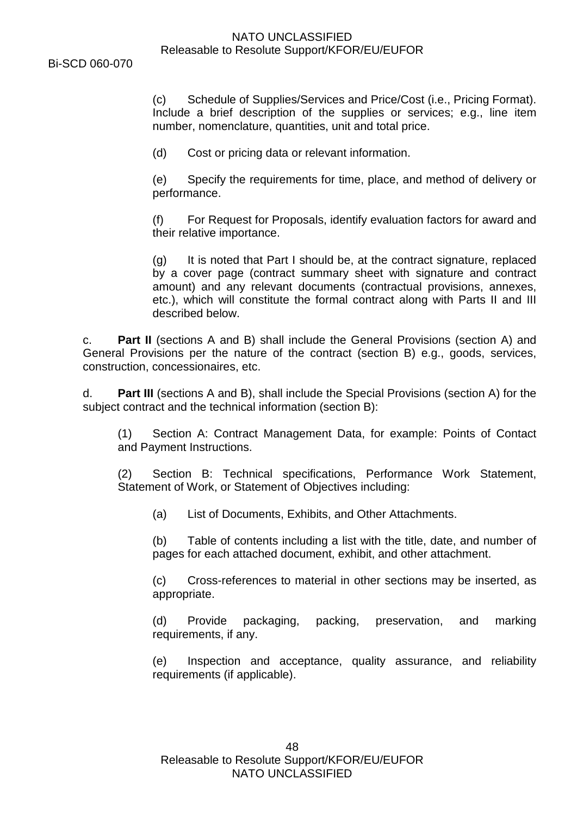(c) Schedule of Supplies/Services and Price/Cost (i.e., Pricing Format). Include a brief description of the supplies or services; e.g., line item number, nomenclature, quantities, unit and total price.

(d) Cost or pricing data or relevant information.

(e) Specify the requirements for time, place, and method of delivery or performance.

(f) For Request for Proposals, identify evaluation factors for award and their relative importance.

(g) It is noted that Part I should be, at the contract signature, replaced by a cover page (contract summary sheet with signature and contract amount) and any relevant documents (contractual provisions, annexes, etc.), which will constitute the formal contract along with Parts II and III described below.

c. **Part II** (sections A and B) shall include the General Provisions (section A) and General Provisions per the nature of the contract (section B) e.g., goods, services, construction, concessionaires, etc.

d. **Part III** (sections A and B), shall include the Special Provisions (section A) for the subject contract and the technical information (section B):

(1) Section A: Contract Management Data, for example: Points of Contact and Payment Instructions.

(2) Section B: Technical specifications, Performance Work Statement, Statement of Work, or Statement of Objectives including:

(a) List of Documents, Exhibits, and Other Attachments.

(b) Table of contents including a list with the title, date, and number of pages for each attached document, exhibit, and other attachment.

(c) Cross-references to material in other sections may be inserted, as appropriate.

(d) Provide packaging, packing, preservation, and marking requirements, if any.

(e) Inspection and acceptance, quality assurance, and reliability requirements (if applicable).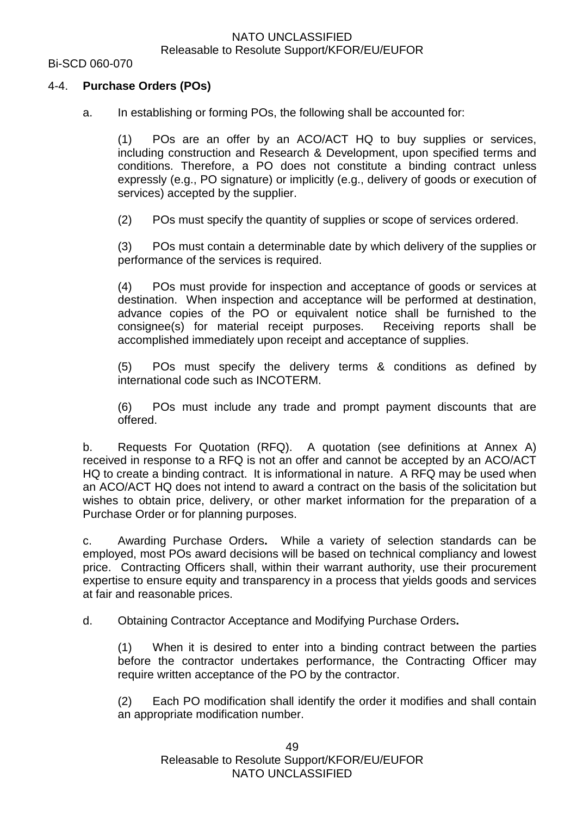#### Bi-SCD 060-070

#### 4-4. **Purchase Orders (POs)**

a. In establishing or forming POs, the following shall be accounted for:

(1) POs are an offer by an ACO/ACT HQ to buy supplies or services, including construction and Research & Development, upon specified terms and conditions. Therefore, a PO does not constitute a binding contract unless expressly (e.g., PO signature) or implicitly (e.g., delivery of goods or execution of services) accepted by the supplier.

(2) POs must specify the quantity of supplies or scope of services ordered.

(3) POs must contain a determinable date by which delivery of the supplies or performance of the services is required.

(4) POs must provide for inspection and acceptance of goods or services at destination. When inspection and acceptance will be performed at destination, advance copies of the PO or equivalent notice shall be furnished to the consignee(s) for material receipt purposes. Receiving reports shall be accomplished immediately upon receipt and acceptance of supplies.

(5) POs must specify the delivery terms & conditions as defined by international code such as INCOTERM.

(6) POs must include any trade and prompt payment discounts that are offered.

b. Requests For Quotation (RFQ). A quotation (see definitions at Annex A) received in response to a RFQ is not an offer and cannot be accepted by an ACO/ACT HQ to create a binding contract. It is informational in nature. A RFQ may be used when an ACO/ACT HQ does not intend to award a contract on the basis of the solicitation but wishes to obtain price, delivery, or other market information for the preparation of a Purchase Order or for planning purposes.

c. Awarding Purchase Orders**.** While a variety of selection standards can be employed, most POs award decisions will be based on technical compliancy and lowest price. Contracting Officers shall, within their warrant authority, use their procurement expertise to ensure equity and transparency in a process that yields goods and services at fair and reasonable prices.

d. Obtaining Contractor Acceptance and Modifying Purchase Orders**.**

(1) When it is desired to enter into a binding contract between the parties before the contractor undertakes performance, the Contracting Officer may require written acceptance of the PO by the contractor.

(2) Each PO modification shall identify the order it modifies and shall contain an appropriate modification number.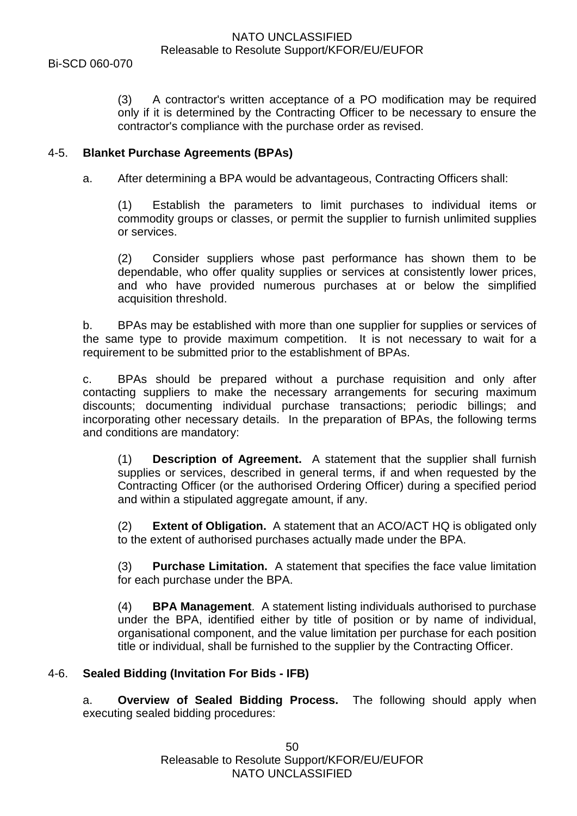(3) A contractor's written acceptance of a PO modification may be required only if it is determined by the Contracting Officer to be necessary to ensure the contractor's compliance with the purchase order as revised.

# 4-5. **Blanket Purchase Agreements (BPAs)**

a. After determining a BPA would be advantageous, Contracting Officers shall:

(1) Establish the parameters to limit purchases to individual items or commodity groups or classes, or permit the supplier to furnish unlimited supplies or services.

(2) Consider suppliers whose past performance has shown them to be dependable, who offer quality supplies or services at consistently lower prices, and who have provided numerous purchases at or below the simplified acquisition threshold.

b. BPAs may be established with more than one supplier for supplies or services of the same type to provide maximum competition. It is not necessary to wait for a requirement to be submitted prior to the establishment of BPAs.

c. BPAs should be prepared without a purchase requisition and only after contacting suppliers to make the necessary arrangements for securing maximum discounts; documenting individual purchase transactions; periodic billings; and incorporating other necessary details. In the preparation of BPAs, the following terms and conditions are mandatory:

(1) **Description of Agreement.** A statement that the supplier shall furnish supplies or services, described in general terms, if and when requested by the Contracting Officer (or the authorised Ordering Officer) during a specified period and within a stipulated aggregate amount, if any.

(2) **Extent of Obligation.** A statement that an ACO/ACT HQ is obligated only to the extent of authorised purchases actually made under the BPA.

(3) **Purchase Limitation.** A statement that specifies the face value limitation for each purchase under the BPA.

(4) **BPA Management**. A statement listing individuals authorised to purchase under the BPA, identified either by title of position or by name of individual, organisational component, and the value limitation per purchase for each position title or individual, shall be furnished to the supplier by the Contracting Officer.

# 4-6. **Sealed Bidding (Invitation For Bids - IFB)**

a. **Overview of Sealed Bidding Process.** The following should apply when executing sealed bidding procedures: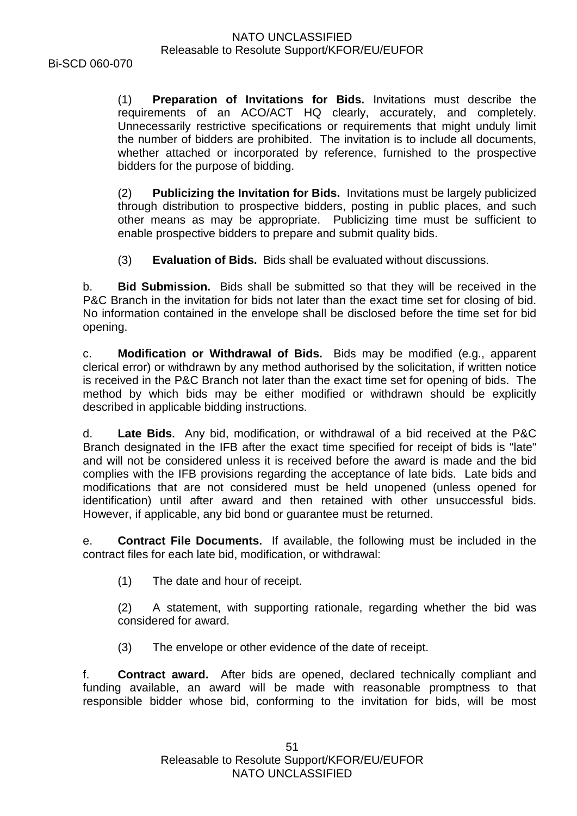(1) **Preparation of Invitations for Bids.** Invitations must describe the requirements of an ACO/ACT HQ clearly, accurately, and completely. Unnecessarily restrictive specifications or requirements that might unduly limit the number of bidders are prohibited. The invitation is to include all documents, whether attached or incorporated by reference, furnished to the prospective bidders for the purpose of bidding.

(2) **Publicizing the Invitation for Bids.** Invitations must be largely publicized through distribution to prospective bidders, posting in public places, and such other means as may be appropriate. Publicizing time must be sufficient to enable prospective bidders to prepare and submit quality bids.

(3) **Evaluation of Bids.** Bids shall be evaluated without discussions.

b. **Bid Submission.** Bids shall be submitted so that they will be received in the P&C Branch in the invitation for bids not later than the exact time set for closing of bid. No information contained in the envelope shall be disclosed before the time set for bid opening.

c. **Modification or Withdrawal of Bids.** Bids may be modified (e.g., apparent clerical error) or withdrawn by any method authorised by the solicitation, if written notice is received in the P&C Branch not later than the exact time set for opening of bids. The method by which bids may be either modified or withdrawn should be explicitly described in applicable bidding instructions.

d. **Late Bids.** Any bid, modification, or withdrawal of a bid received at the P&C Branch designated in the IFB after the exact time specified for receipt of bids is "late" and will not be considered unless it is received before the award is made and the bid complies with the IFB provisions regarding the acceptance of late bids. Late bids and modifications that are not considered must be held unopened (unless opened for identification) until after award and then retained with other unsuccessful bids. However, if applicable, any bid bond or guarantee must be returned.

e. **Contract File Documents.** If available, the following must be included in the contract files for each late bid, modification, or withdrawal:

(1) The date and hour of receipt.

(2) A statement, with supporting rationale, regarding whether the bid was considered for award.

(3) The envelope or other evidence of the date of receipt.

f. **Contract award.** After bids are opened, declared technically compliant and funding available, an award will be made with reasonable promptness to that responsible bidder whose bid, conforming to the invitation for bids, will be most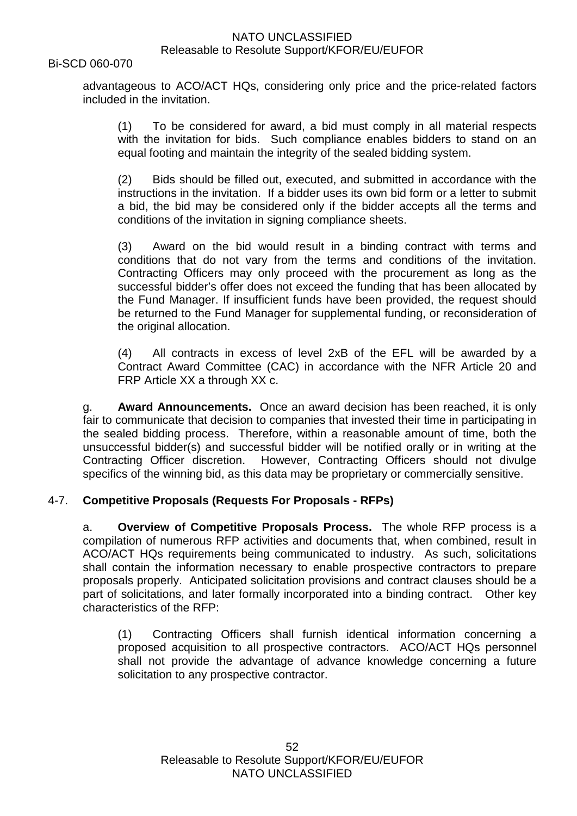#### Bi-SCD 060-070

advantageous to ACO/ACT HQs, considering only price and the price-related factors included in the invitation.

(1) To be considered for award, a bid must comply in all material respects with the invitation for bids. Such compliance enables bidders to stand on an equal footing and maintain the integrity of the sealed bidding system.

(2) Bids should be filled out, executed, and submitted in accordance with the instructions in the invitation. If a bidder uses its own bid form or a letter to submit a bid, the bid may be considered only if the bidder accepts all the terms and conditions of the invitation in signing compliance sheets.

(3) Award on the bid would result in a binding contract with terms and conditions that do not vary from the terms and conditions of the invitation. Contracting Officers may only proceed with the procurement as long as the successful bidder's offer does not exceed the funding that has been allocated by the Fund Manager. If insufficient funds have been provided, the request should be returned to the Fund Manager for supplemental funding, or reconsideration of the original allocation.

(4) All contracts in excess of level 2xB of the EFL will be awarded by a Contract Award Committee (CAC) in accordance with the NFR Article 20 and FRP Article XX a through XX c.

g. **Award Announcements.** Once an award decision has been reached, it is only fair to communicate that decision to companies that invested their time in participating in the sealed bidding process. Therefore, within a reasonable amount of time, both the unsuccessful bidder(s) and successful bidder will be notified orally or in writing at the Contracting Officer discretion. However, Contracting Officers should not divulge specifics of the winning bid, as this data may be proprietary or commercially sensitive.

#### 4-7. **Competitive Proposals (Requests For Proposals - RFPs)**

a. **Overview of Competitive Proposals Process.** The whole RFP process is a compilation of numerous RFP activities and documents that, when combined, result in ACO/ACT HQs requirements being communicated to industry. As such, solicitations shall contain the information necessary to enable prospective contractors to prepare proposals properly. Anticipated solicitation provisions and contract clauses should be a part of solicitations, and later formally incorporated into a binding contract. Other key characteristics of the RFP:

(1) Contracting Officers shall furnish identical information concerning a proposed acquisition to all prospective contractors. ACO/ACT HQs personnel shall not provide the advantage of advance knowledge concerning a future solicitation to any prospective contractor.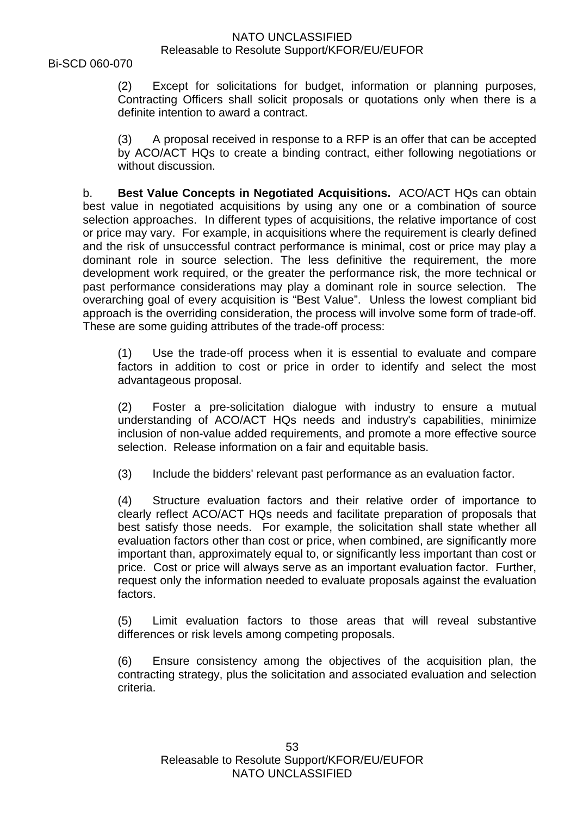(2) Except for solicitations for budget, information or planning purposes, Contracting Officers shall solicit proposals or quotations only when there is a definite intention to award a contract.

(3) A proposal received in response to a RFP is an offer that can be accepted by ACO/ACT HQs to create a binding contract, either following negotiations or without discussion.

b. **Best Value Concepts in Negotiated Acquisitions.** ACO/ACT HQs can obtain best value in negotiated acquisitions by using any one or a combination of source selection approaches. In different types of acquisitions, the relative importance of cost or price may vary. For example, in acquisitions where the requirement is clearly defined and the risk of unsuccessful contract performance is minimal, cost or price may play a dominant role in source selection. The less definitive the requirement, the more development work required, or the greater the performance risk, the more technical or past performance considerations may play a dominant role in source selection. The overarching goal of every acquisition is "Best Value". Unless the lowest compliant bid approach is the overriding consideration, the process will involve some form of trade-off. These are some guiding attributes of the trade-off process:

(1) Use the trade-off process when it is essential to evaluate and compare factors in addition to cost or price in order to identify and select the most advantageous proposal.

(2) Foster a pre-solicitation dialogue with industry to ensure a mutual understanding of ACO/ACT HQs needs and industry's capabilities, minimize inclusion of non-value added requirements, and promote a more effective source selection. Release information on a fair and equitable basis.

(3) Include the bidders' relevant past performance as an evaluation factor.

(4) Structure evaluation factors and their relative order of importance to clearly reflect ACO/ACT HQs needs and facilitate preparation of proposals that best satisfy those needs. For example, the solicitation shall state whether all evaluation factors other than cost or price, when combined, are significantly more important than, approximately equal to, or significantly less important than cost or price. Cost or price will always serve as an important evaluation factor. Further, request only the information needed to evaluate proposals against the evaluation factors.

(5) Limit evaluation factors to those areas that will reveal substantive differences or risk levels among competing proposals.

(6) Ensure consistency among the objectives of the acquisition plan, the contracting strategy, plus the solicitation and associated evaluation and selection criteria.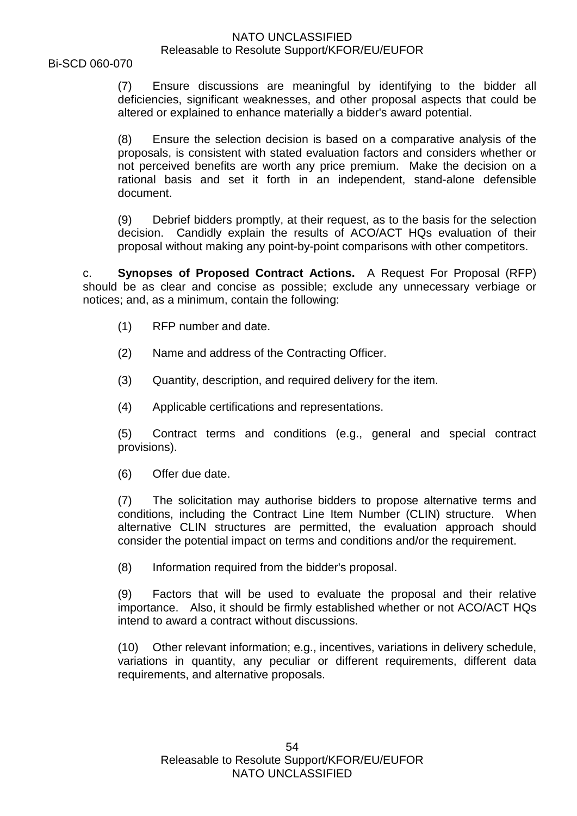(7) Ensure discussions are meaningful by identifying to the bidder all deficiencies, significant weaknesses, and other proposal aspects that could be altered or explained to enhance materially a bidder's award potential.

(8) Ensure the selection decision is based on a comparative analysis of the proposals, is consistent with stated evaluation factors and considers whether or not perceived benefits are worth any price premium. Make the decision on a rational basis and set it forth in an independent, stand-alone defensible document.

(9) Debrief bidders promptly, at their request, as to the basis for the selection decision. Candidly explain the results of ACO/ACT HQs evaluation of their proposal without making any point-by-point comparisons with other competitors.

c. **Synopses of Proposed Contract Actions.** A Request For Proposal (RFP) should be as clear and concise as possible; exclude any unnecessary verbiage or notices; and, as a minimum, contain the following:

- (1) RFP number and date.
- (2) Name and address of the Contracting Officer.
- (3) Quantity, description, and required delivery for the item.
- (4) Applicable certifications and representations.

(5) Contract terms and conditions (e.g., general and special contract provisions).

(6) Offer due date.

(7) The solicitation may authorise bidders to propose alternative terms and conditions, including the Contract Line Item Number (CLIN) structure. When alternative CLIN structures are permitted, the evaluation approach should consider the potential impact on terms and conditions and/or the requirement.

(8) Information required from the bidder's proposal.

(9) Factors that will be used to evaluate the proposal and their relative importance. Also, it should be firmly established whether or not ACO/ACT HQs intend to award a contract without discussions.

(10) Other relevant information; e.g., incentives, variations in delivery schedule, variations in quantity, any peculiar or different requirements, different data requirements, and alternative proposals.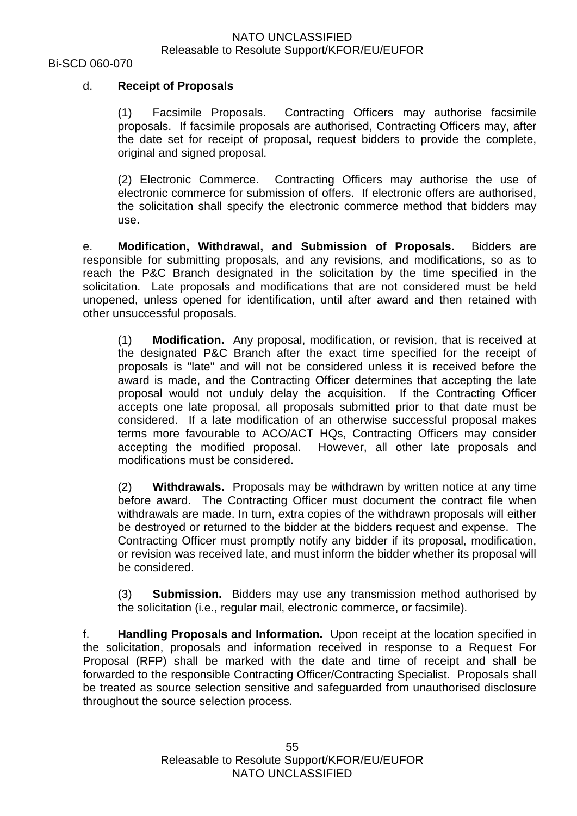# d. **Receipt of Proposals**

(1) Facsimile Proposals. Contracting Officers may authorise facsimile proposals. If facsimile proposals are authorised, Contracting Officers may, after the date set for receipt of proposal, request bidders to provide the complete, original and signed proposal.

(2) Electronic Commerce. Contracting Officers may authorise the use of electronic commerce for submission of offers. If electronic offers are authorised, the solicitation shall specify the electronic commerce method that bidders may use.

e. **Modification, Withdrawal, and Submission of Proposals.** Bidders are responsible for submitting proposals, and any revisions, and modifications, so as to reach the P&C Branch designated in the solicitation by the time specified in the solicitation. Late proposals and modifications that are not considered must be held unopened, unless opened for identification, until after award and then retained with other unsuccessful proposals.

(1) **Modification.** Any proposal, modification, or revision, that is received at the designated P&C Branch after the exact time specified for the receipt of proposals is "late" and will not be considered unless it is received before the award is made, and the Contracting Officer determines that accepting the late proposal would not unduly delay the acquisition. If the Contracting Officer accepts one late proposal, all proposals submitted prior to that date must be considered. If a late modification of an otherwise successful proposal makes terms more favourable to ACO/ACT HQs, Contracting Officers may consider accepting the modified proposal. However, all other late proposals and modifications must be considered.

(2) **Withdrawals.** Proposals may be withdrawn by written notice at any time before award. The Contracting Officer must document the contract file when withdrawals are made. In turn, extra copies of the withdrawn proposals will either be destroyed or returned to the bidder at the bidders request and expense. The Contracting Officer must promptly notify any bidder if its proposal, modification, or revision was received late, and must inform the bidder whether its proposal will be considered.

(3) **Submission.** Bidders may use any transmission method authorised by the solicitation (i.e., regular mail, electronic commerce, or facsimile).

f. **Handling Proposals and Information.** Upon receipt at the location specified in the solicitation, proposals and information received in response to a Request For Proposal (RFP) shall be marked with the date and time of receipt and shall be forwarded to the responsible Contracting Officer/Contracting Specialist. Proposals shall be treated as source selection sensitive and safeguarded from unauthorised disclosure throughout the source selection process.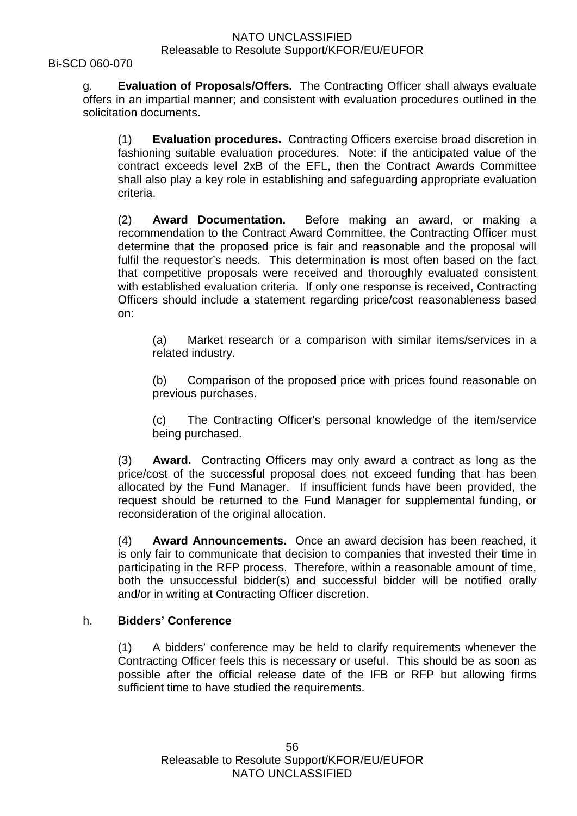Bi-SCD 060-070

g. **Evaluation of Proposals/Offers.** The Contracting Officer shall always evaluate offers in an impartial manner; and consistent with evaluation procedures outlined in the solicitation documents.

(1) **Evaluation procedures.** Contracting Officers exercise broad discretion in fashioning suitable evaluation procedures. Note: if the anticipated value of the contract exceeds level 2xB of the EFL, then the Contract Awards Committee shall also play a key role in establishing and safeguarding appropriate evaluation criteria.

(2) **Award Documentation.** Before making an award, or making a recommendation to the Contract Award Committee, the Contracting Officer must determine that the proposed price is fair and reasonable and the proposal will fulfil the requestor's needs. This determination is most often based on the fact that competitive proposals were received and thoroughly evaluated consistent with established evaluation criteria. If only one response is received, Contracting Officers should include a statement regarding price/cost reasonableness based on:

(a) Market research or a comparison with similar items/services in a related industry.

(b) Comparison of the proposed price with prices found reasonable on previous purchases.

(c) The Contracting Officer's personal knowledge of the item/service being purchased.

(3) **Award.** Contracting Officers may only award a contract as long as the price/cost of the successful proposal does not exceed funding that has been allocated by the Fund Manager. If insufficient funds have been provided, the request should be returned to the Fund Manager for supplemental funding, or reconsideration of the original allocation.

(4) **Award Announcements.** Once an award decision has been reached, it is only fair to communicate that decision to companies that invested their time in participating in the RFP process. Therefore, within a reasonable amount of time, both the unsuccessful bidder(s) and successful bidder will be notified orally and/or in writing at Contracting Officer discretion.

# h. **Bidders' Conference**

(1) A bidders' conference may be held to clarify requirements whenever the Contracting Officer feels this is necessary or useful. This should be as soon as possible after the official release date of the IFB or RFP but allowing firms sufficient time to have studied the requirements.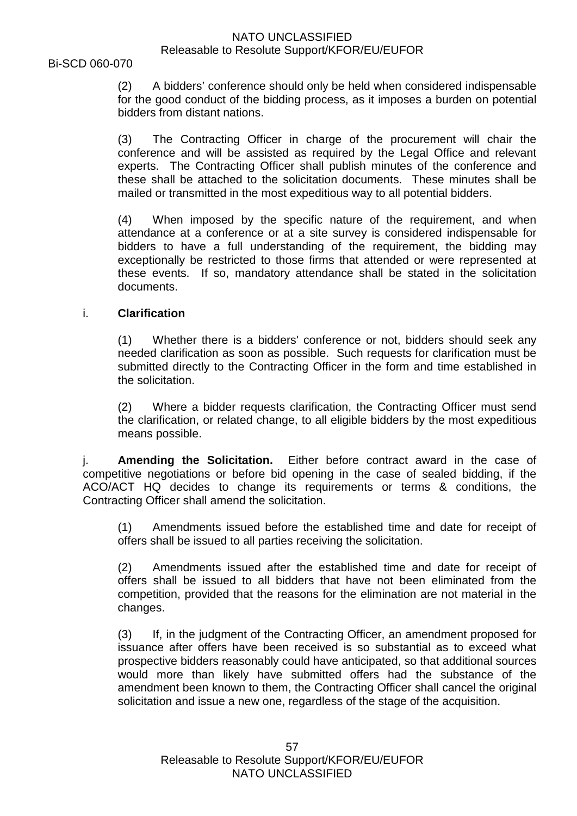(2) A bidders' conference should only be held when considered indispensable for the good conduct of the bidding process, as it imposes a burden on potential bidders from distant nations.

(3) The Contracting Officer in charge of the procurement will chair the conference and will be assisted as required by the Legal Office and relevant experts. The Contracting Officer shall publish minutes of the conference and these shall be attached to the solicitation documents. These minutes shall be mailed or transmitted in the most expeditious way to all potential bidders.

(4) When imposed by the specific nature of the requirement, and when attendance at a conference or at a site survey is considered indispensable for bidders to have a full understanding of the requirement, the bidding may exceptionally be restricted to those firms that attended or were represented at these events. If so, mandatory attendance shall be stated in the solicitation documents.

# i. **Clarification**

(1) Whether there is a bidders' conference or not, bidders should seek any needed clarification as soon as possible. Such requests for clarification must be submitted directly to the Contracting Officer in the form and time established in the solicitation.

(2) Where a bidder requests clarification, the Contracting Officer must send the clarification, or related change, to all eligible bidders by the most expeditious means possible.

j. **Amending the Solicitation.** Either before contract award in the case of competitive negotiations or before bid opening in the case of sealed bidding, if the ACO/ACT HQ decides to change its requirements or terms & conditions, the Contracting Officer shall amend the solicitation.

(1) Amendments issued before the established time and date for receipt of offers shall be issued to all parties receiving the solicitation.

(2) Amendments issued after the established time and date for receipt of offers shall be issued to all bidders that have not been eliminated from the competition, provided that the reasons for the elimination are not material in the changes.

(3) If, in the judgment of the Contracting Officer, an amendment proposed for issuance after offers have been received is so substantial as to exceed what prospective bidders reasonably could have anticipated, so that additional sources would more than likely have submitted offers had the substance of the amendment been known to them, the Contracting Officer shall cancel the original solicitation and issue a new one, regardless of the stage of the acquisition.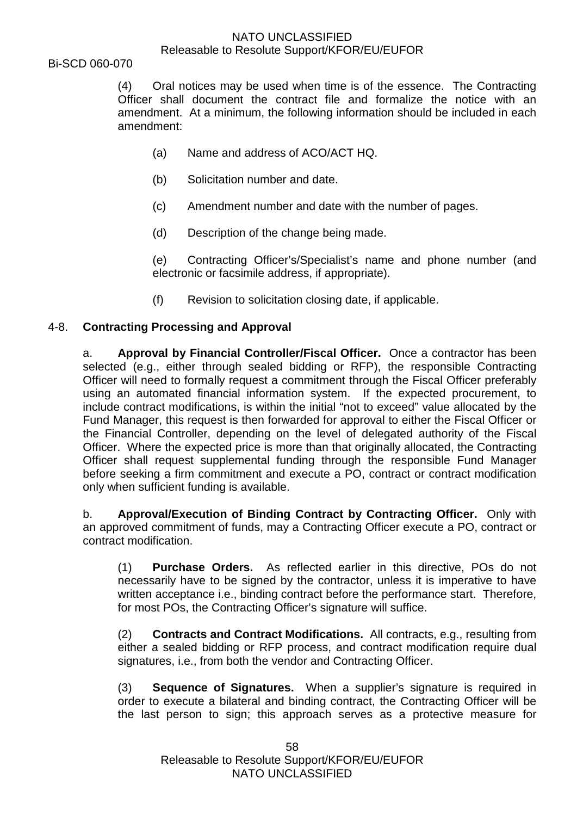Bi-SCD 060-070

(4) Oral notices may be used when time is of the essence. The Contracting Officer shall document the contract file and formalize the notice with an amendment. At a minimum, the following information should be included in each amendment:

- (a) Name and address of ACO/ACT HQ.
- (b) Solicitation number and date.
- (c) Amendment number and date with the number of pages.
- (d) Description of the change being made.

(e) Contracting Officer's/Specialist's name and phone number (and electronic or facsimile address, if appropriate).

(f) Revision to solicitation closing date, if applicable.

# 4-8. **Contracting Processing and Approval**

a. **Approval by Financial Controller/Fiscal Officer.** Once a contractor has been selected (e.g., either through sealed bidding or RFP), the responsible Contracting Officer will need to formally request a commitment through the Fiscal Officer preferably using an automated financial information system. If the expected procurement, to include contract modifications, is within the initial "not to exceed" value allocated by the Fund Manager, this request is then forwarded for approval to either the Fiscal Officer or the Financial Controller, depending on the level of delegated authority of the Fiscal Officer. Where the expected price is more than that originally allocated, the Contracting Officer shall request supplemental funding through the responsible Fund Manager before seeking a firm commitment and execute a PO, contract or contract modification only when sufficient funding is available.

b. **Approval/Execution of Binding Contract by Contracting Officer.** Only with an approved commitment of funds, may a Contracting Officer execute a PO, contract or contract modification.

(1) **Purchase Orders.** As reflected earlier in this directive, POs do not necessarily have to be signed by the contractor, unless it is imperative to have written acceptance i.e., binding contract before the performance start. Therefore, for most POs, the Contracting Officer's signature will suffice.

(2) **Contracts and Contract Modifications.** All contracts, e.g., resulting from either a sealed bidding or RFP process, and contract modification require dual signatures, i.e., from both the vendor and Contracting Officer.

(3) **Sequence of Signatures.** When a supplier's signature is required in order to execute a bilateral and binding contract, the Contracting Officer will be the last person to sign; this approach serves as a protective measure for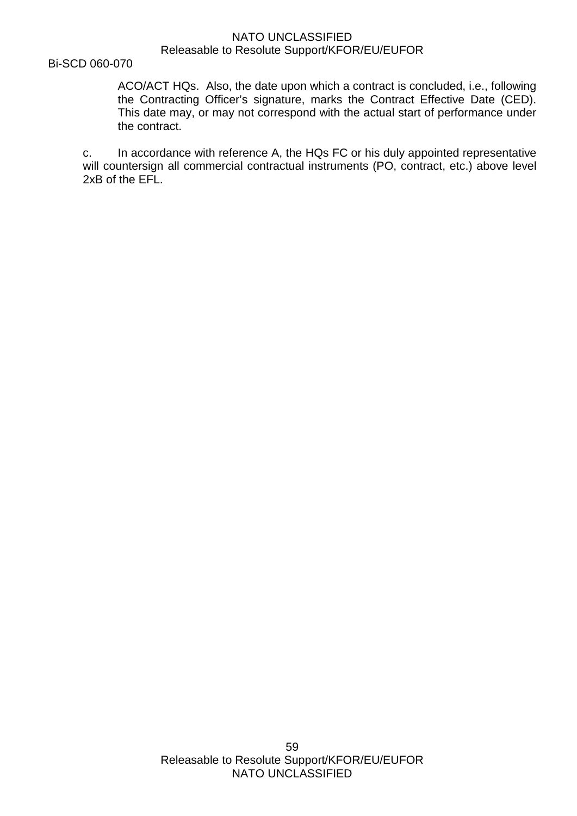Bi-SCD 060-070

ACO/ACT HQs. Also, the date upon which a contract is concluded, i.e., following the Contracting Officer's signature, marks the Contract Effective Date (CED). This date may, or may not correspond with the actual start of performance under the contract.

c. In accordance with reference A, the HQs FC or his duly appointed representative will countersign all commercial contractual instruments (PO, contract, etc.) above level 2xB of the EFL.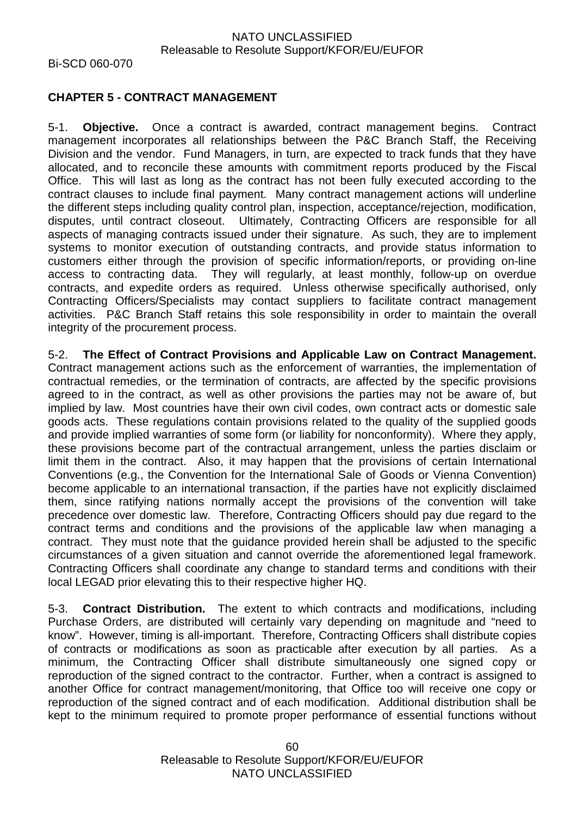# **CHAPTER 5 - CONTRACT MANAGEMENT**

5-1. **Objective.** Once a contract is awarded, contract management begins. Contract management incorporates all relationships between the P&C Branch Staff, the Receiving Division and the vendor. Fund Managers, in turn, are expected to track funds that they have allocated, and to reconcile these amounts with commitment reports produced by the Fiscal Office. This will last as long as the contract has not been fully executed according to the contract clauses to include final payment. Many contract management actions will underline the different steps including quality control plan, inspection, acceptance/rejection, modification, disputes, until contract closeout. Ultimately, Contracting Officers are responsible for all aspects of managing contracts issued under their signature. As such, they are to implement systems to monitor execution of outstanding contracts, and provide status information to customers either through the provision of specific information/reports, or providing on-line access to contracting data. They will regularly, at least monthly, follow-up on overdue contracts, and expedite orders as required. Unless otherwise specifically authorised, only Contracting Officers/Specialists may contact suppliers to facilitate contract management activities. P&C Branch Staff retains this sole responsibility in order to maintain the overall integrity of the procurement process.

5-2. **The Effect of Contract Provisions and Applicable Law on Contract Management.** Contract management actions such as the enforcement of warranties, the implementation of contractual remedies, or the termination of contracts, are affected by the specific provisions agreed to in the contract, as well as other provisions the parties may not be aware of, but implied by law. Most countries have their own civil codes, own contract acts or domestic sale goods acts. These regulations contain provisions related to the quality of the supplied goods and provide implied warranties of some form (or liability for nonconformity). Where they apply, these provisions become part of the contractual arrangement, unless the parties disclaim or limit them in the contract. Also, it may happen that the provisions of certain International Conventions (e.g., the Convention for the International Sale of Goods or Vienna Convention) become applicable to an international transaction, if the parties have not explicitly disclaimed them, since ratifying nations normally accept the provisions of the convention will take precedence over domestic law. Therefore, Contracting Officers should pay due regard to the contract terms and conditions and the provisions of the applicable law when managing a contract. They must note that the guidance provided herein shall be adjusted to the specific circumstances of a given situation and cannot override the aforementioned legal framework. Contracting Officers shall coordinate any change to standard terms and conditions with their local LEGAD prior elevating this to their respective higher HQ.

5-3. **Contract Distribution.** The extent to which contracts and modifications, including Purchase Orders, are distributed will certainly vary depending on magnitude and "need to know". However, timing is all-important. Therefore, Contracting Officers shall distribute copies of contracts or modifications as soon as practicable after execution by all parties. As a minimum, the Contracting Officer shall distribute simultaneously one signed copy or reproduction of the signed contract to the contractor. Further, when a contract is assigned to another Office for contract management/monitoring, that Office too will receive one copy or reproduction of the signed contract and of each modification. Additional distribution shall be kept to the minimum required to promote proper performance of essential functions without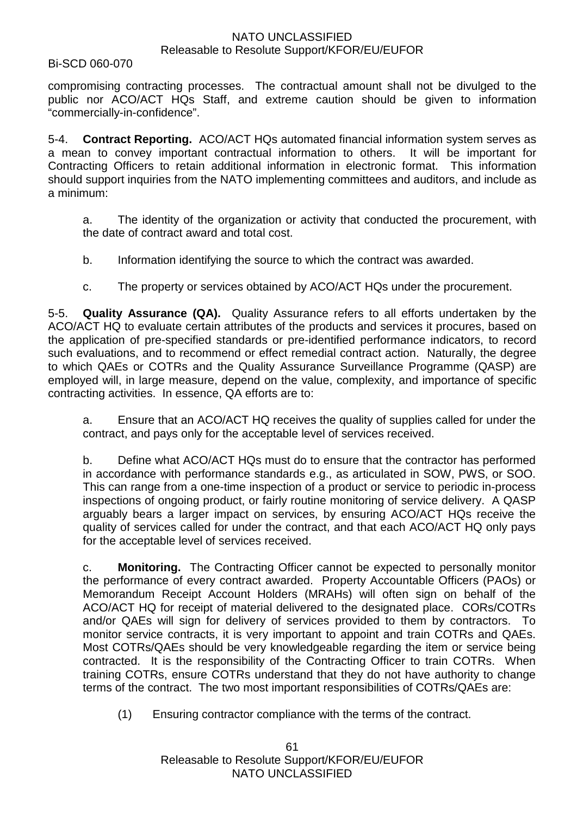#### Bi-SCD 060-070

compromising contracting processes. The contractual amount shall not be divulged to the public nor ACO/ACT HQs Staff, and extreme caution should be given to information "commercially-in-confidence".

5-4. **Contract Reporting.** ACO/ACT HQs automated financial information system serves as a mean to convey important contractual information to others. It will be important for Contracting Officers to retain additional information in electronic format. This information should support inquiries from the NATO implementing committees and auditors, and include as a minimum:

a. The identity of the organization or activity that conducted the procurement, with the date of contract award and total cost.

- b. Information identifying the source to which the contract was awarded.
- c. The property or services obtained by ACO/ACT HQs under the procurement.

5-5. **Quality Assurance (QA).** Quality Assurance refers to all efforts undertaken by the ACO/ACT HQ to evaluate certain attributes of the products and services it procures, based on the application of pre-specified standards or pre-identified performance indicators, to record such evaluations, and to recommend or effect remedial contract action. Naturally, the degree to which QAEs or COTRs and the Quality Assurance Surveillance Programme (QASP) are employed will, in large measure, depend on the value, complexity, and importance of specific contracting activities. In essence, QA efforts are to:

a. Ensure that an ACO/ACT HQ receives the quality of supplies called for under the contract, and pays only for the acceptable level of services received.

b. Define what ACO/ACT HQs must do to ensure that the contractor has performed in accordance with performance standards e.g., as articulated in SOW, PWS, or SOO. This can range from a one-time inspection of a product or service to periodic in-process inspections of ongoing product, or fairly routine monitoring of service delivery. A QASP arguably bears a larger impact on services, by ensuring ACO/ACT HQs receive the quality of services called for under the contract, and that each ACO/ACT HQ only pays for the acceptable level of services received.

c. **Monitoring.** The Contracting Officer cannot be expected to personally monitor the performance of every contract awarded. Property Accountable Officers (PAOs) or Memorandum Receipt Account Holders (MRAHs) will often sign on behalf of the ACO/ACT HQ for receipt of material delivered to the designated place. CORs/COTRs and/or QAEs will sign for delivery of services provided to them by contractors. To monitor service contracts, it is very important to appoint and train COTRs and QAEs. Most COTRs/QAEs should be very knowledgeable regarding the item or service being contracted. It is the responsibility of the Contracting Officer to train COTRs. When training COTRs, ensure COTRs understand that they do not have authority to change terms of the contract. The two most important responsibilities of COTRs/QAEs are:

(1) Ensuring contractor compliance with the terms of the contract.

61 Releasable to Resolute Support/KFOR/EU/EUFOR NATO UNCLASSIFIED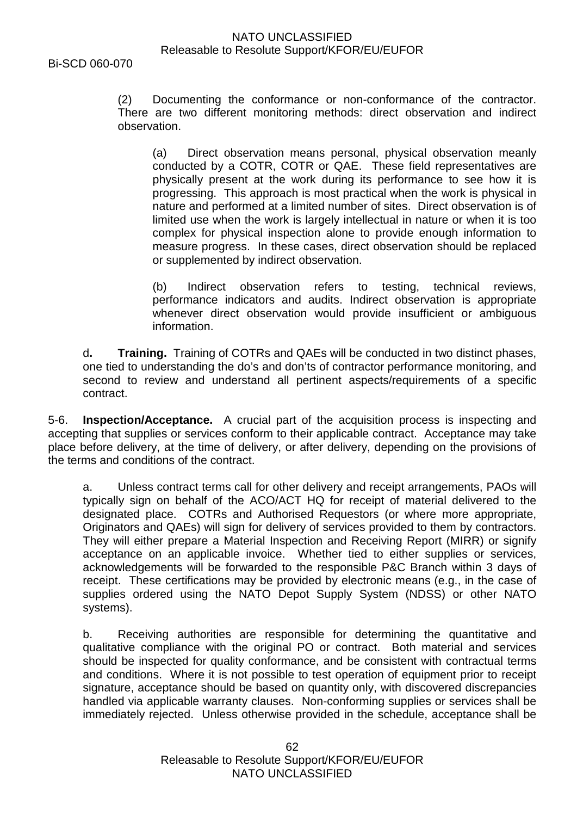Bi-SCD 060-070

(2) Documenting the conformance or non-conformance of the contractor. There are two different monitoring methods: direct observation and indirect observation.

(a) Direct observation means personal, physical observation meanly conducted by a COTR, COTR or QAE. These field representatives are physically present at the work during its performance to see how it is progressing. This approach is most practical when the work is physical in nature and performed at a limited number of sites. Direct observation is of limited use when the work is largely intellectual in nature or when it is too complex for physical inspection alone to provide enough information to measure progress. In these cases, direct observation should be replaced or supplemented by indirect observation.

(b) Indirect observation refers to testing, technical reviews, performance indicators and audits. Indirect observation is appropriate whenever direct observation would provide insufficient or ambiguous information.

d**. Training.** Training of COTRs and QAEs will be conducted in two distinct phases, one tied to understanding the do's and don'ts of contractor performance monitoring, and second to review and understand all pertinent aspects/requirements of a specific contract.

5-6. **Inspection/Acceptance.** A crucial part of the acquisition process is inspecting and accepting that supplies or services conform to their applicable contract. Acceptance may take place before delivery, at the time of delivery, or after delivery, depending on the provisions of the terms and conditions of the contract.

a. Unless contract terms call for other delivery and receipt arrangements, PAOs will typically sign on behalf of the ACO/ACT HQ for receipt of material delivered to the designated place. COTRs and Authorised Requestors (or where more appropriate, Originators and QAEs) will sign for delivery of services provided to them by contractors. They will either prepare a Material Inspection and Receiving Report (MIRR) or signify acceptance on an applicable invoice. Whether tied to either supplies or services, acknowledgements will be forwarded to the responsible P&C Branch within 3 days of receipt. These certifications may be provided by electronic means (e.g., in the case of supplies ordered using the NATO Depot Supply System (NDSS) or other NATO systems).

b. Receiving authorities are responsible for determining the quantitative and qualitative compliance with the original PO or contract. Both material and services should be inspected for quality conformance, and be consistent with contractual terms and conditions. Where it is not possible to test operation of equipment prior to receipt signature, acceptance should be based on quantity only, with discovered discrepancies handled via applicable warranty clauses. Non-conforming supplies or services shall be immediately rejected. Unless otherwise provided in the schedule, acceptance shall be

> 62 Releasable to Resolute Support/KFOR/EU/EUFOR NATO UNCLASSIFIED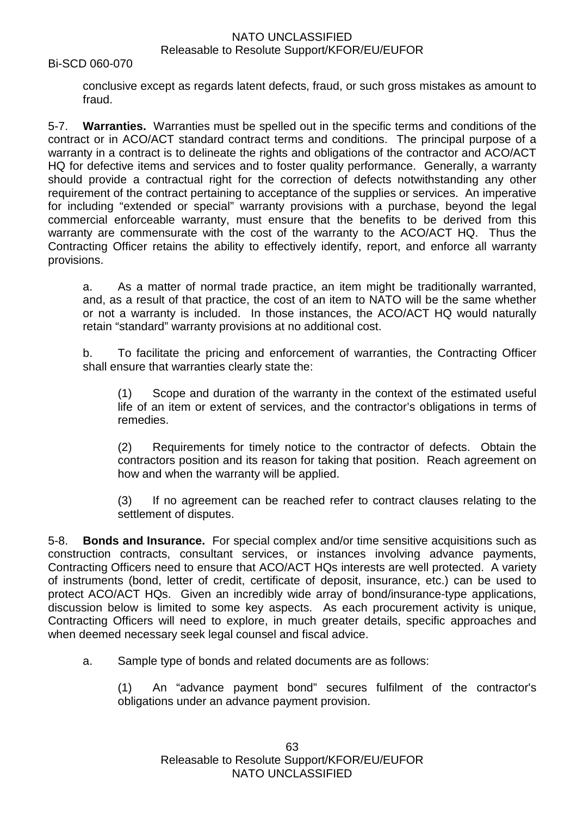Bi-SCD 060-070

conclusive except as regards latent defects, fraud, or such gross mistakes as amount to fraud.

5-7. **Warranties.** Warranties must be spelled out in the specific terms and conditions of the contract or in ACO/ACT standard contract terms and conditions. The principal purpose of a warranty in a contract is to delineate the rights and obligations of the contractor and ACO/ACT HQ for defective items and services and to foster quality performance. Generally, a warranty should provide a contractual right for the correction of defects notwithstanding any other requirement of the contract pertaining to acceptance of the supplies or services. An imperative for including "extended or special" warranty provisions with a purchase, beyond the legal commercial enforceable warranty, must ensure that the benefits to be derived from this warranty are commensurate with the cost of the warranty to the ACO/ACT HQ. Thus the Contracting Officer retains the ability to effectively identify, report, and enforce all warranty provisions.

a. As a matter of normal trade practice, an item might be traditionally warranted, and, as a result of that practice, the cost of an item to NATO will be the same whether or not a warranty is included. In those instances, the ACO/ACT HQ would naturally retain "standard" warranty provisions at no additional cost.

b. To facilitate the pricing and enforcement of warranties, the Contracting Officer shall ensure that warranties clearly state the:

(1) Scope and duration of the warranty in the context of the estimated useful life of an item or extent of services, and the contractor's obligations in terms of remedies.

(2) Requirements for timely notice to the contractor of defects. Obtain the contractors position and its reason for taking that position. Reach agreement on how and when the warranty will be applied.

(3) If no agreement can be reached refer to contract clauses relating to the settlement of disputes.

5-8. **Bonds and Insurance.** For special complex and/or time sensitive acquisitions such as construction contracts, consultant services, or instances involving advance payments, Contracting Officers need to ensure that ACO/ACT HQs interests are well protected. A variety of instruments (bond, letter of credit, certificate of deposit, insurance, etc.) can be used to protect ACO/ACT HQs. Given an incredibly wide array of bond/insurance-type applications, discussion below is limited to some key aspects. As each procurement activity is unique, Contracting Officers will need to explore, in much greater details, specific approaches and when deemed necessary seek legal counsel and fiscal advice.

a. Sample type of bonds and related documents are as follows:

(1) An "advance payment bond" secures fulfilment of the contractor's obligations under an advance payment provision.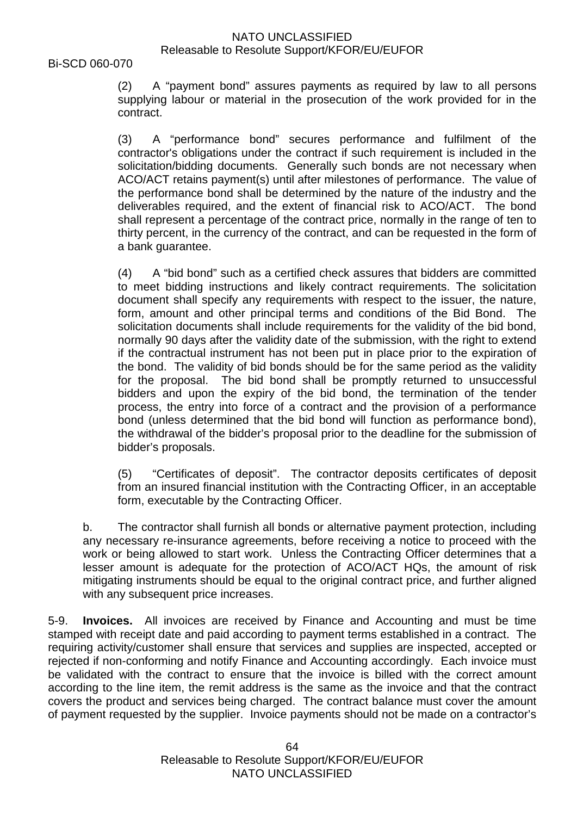(2) A "payment bond" assures payments as required by law to all persons supplying labour or material in the prosecution of the work provided for in the contract.

(3) A "performance bond" secures performance and fulfilment of the contractor's obligations under the contract if such requirement is included in the solicitation/bidding documents. Generally such bonds are not necessary when ACO/ACT retains payment(s) until after milestones of performance. The value of the performance bond shall be determined by the nature of the industry and the deliverables required, and the extent of financial risk to ACO/ACT. The bond shall represent a percentage of the contract price, normally in the range of ten to thirty percent, in the currency of the contract, and can be requested in the form of a bank guarantee.

(4) A "bid bond" such as a certified check assures that bidders are committed to meet bidding instructions and likely contract requirements. The solicitation document shall specify any requirements with respect to the issuer, the nature, form, amount and other principal terms and conditions of the Bid Bond. The solicitation documents shall include requirements for the validity of the bid bond, normally 90 days after the validity date of the submission, with the right to extend if the contractual instrument has not been put in place prior to the expiration of the bond. The validity of bid bonds should be for the same period as the validity for the proposal. The bid bond shall be promptly returned to unsuccessful bidders and upon the expiry of the bid bond, the termination of the tender process, the entry into force of a contract and the provision of a performance bond (unless determined that the bid bond will function as performance bond), the withdrawal of the bidder's proposal prior to the deadline for the submission of bidder's proposals.

(5) "Certificates of deposit". The contractor deposits certificates of deposit from an insured financial institution with the Contracting Officer, in an acceptable form, executable by the Contracting Officer.

b. The contractor shall furnish all bonds or alternative payment protection, including any necessary re-insurance agreements, before receiving a notice to proceed with the work or being allowed to start work. Unless the Contracting Officer determines that a lesser amount is adequate for the protection of ACO/ACT HQs, the amount of risk mitigating instruments should be equal to the original contract price, and further aligned with any subsequent price increases.

5-9. **Invoices.** All invoices are received by Finance and Accounting and must be time stamped with receipt date and paid according to payment terms established in a contract. The requiring activity/customer shall ensure that services and supplies are inspected, accepted or rejected if non-conforming and notify Finance and Accounting accordingly. Each invoice must be validated with the contract to ensure that the invoice is billed with the correct amount according to the line item, the remit address is the same as the invoice and that the contract covers the product and services being charged. The contract balance must cover the amount of payment requested by the supplier. Invoice payments should not be made on a contractor's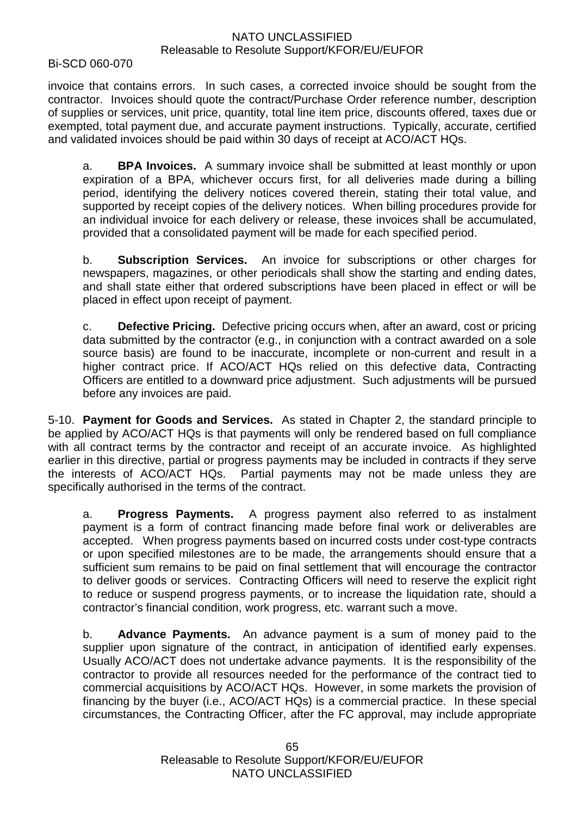Bi-SCD 060-070

invoice that contains errors. In such cases, a corrected invoice should be sought from the contractor. Invoices should quote the contract/Purchase Order reference number, description of supplies or services, unit price, quantity, total line item price, discounts offered, taxes due or exempted, total payment due, and accurate payment instructions. Typically, accurate, certified and validated invoices should be paid within 30 days of receipt at ACO/ACT HQs.

a. **BPA Invoices.** A summary invoice shall be submitted at least monthly or upon expiration of a BPA, whichever occurs first, for all deliveries made during a billing period, identifying the delivery notices covered therein, stating their total value, and supported by receipt copies of the delivery notices. When billing procedures provide for an individual invoice for each delivery or release, these invoices shall be accumulated, provided that a consolidated payment will be made for each specified period.

b. **Subscription Services.** An invoice for subscriptions or other charges for newspapers, magazines, or other periodicals shall show the starting and ending dates, and shall state either that ordered subscriptions have been placed in effect or will be placed in effect upon receipt of payment.

c. **Defective Pricing.** Defective pricing occurs when, after an award, cost or pricing data submitted by the contractor (e.g., in conjunction with a contract awarded on a sole source basis) are found to be inaccurate, incomplete or non-current and result in a higher contract price. If ACO/ACT HQs relied on this defective data, Contracting Officers are entitled to a downward price adjustment. Such adjustments will be pursued before any invoices are paid.

5-10. **Payment for Goods and Services.** As stated in Chapter 2, the standard principle to be applied by ACO/ACT HQs is that payments will only be rendered based on full compliance with all contract terms by the contractor and receipt of an accurate invoice. As highlighted earlier in this directive, partial or progress payments may be included in contracts if they serve the interests of ACO/ACT HQs. Partial payments may not be made unless they are specifically authorised in the terms of the contract.

a. **Progress Payments.** A progress payment also referred to as instalment payment is a form of contract financing made before final work or deliverables are accepted. When progress payments based on incurred costs under cost-type contracts or upon specified milestones are to be made, the arrangements should ensure that a sufficient sum remains to be paid on final settlement that will encourage the contractor to deliver goods or services. Contracting Officers will need to reserve the explicit right to reduce or suspend progress payments, or to increase the liquidation rate, should a contractor's financial condition, work progress, etc. warrant such a move.

b. **Advance Payments.** An advance payment is a sum of money paid to the supplier upon signature of the contract, in anticipation of identified early expenses. Usually ACO/ACT does not undertake advance payments. It is the responsibility of the contractor to provide all resources needed for the performance of the contract tied to commercial acquisitions by ACO/ACT HQs. However, in some markets the provision of financing by the buyer (i.e., ACO/ACT HQs) is a commercial practice. In these special circumstances, the Contracting Officer, after the FC approval, may include appropriate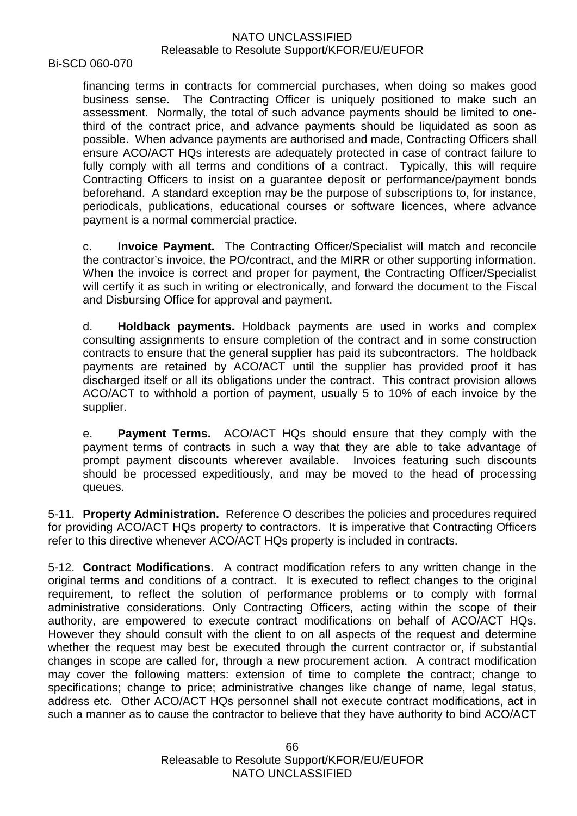Bi-SCD 060-070

financing terms in contracts for commercial purchases, when doing so makes good business sense. The Contracting Officer is uniquely positioned to make such an assessment. Normally, the total of such advance payments should be limited to onethird of the contract price, and advance payments should be liquidated as soon as possible. When advance payments are authorised and made, Contracting Officers shall ensure ACO/ACT HQs interests are adequately protected in case of contract failure to fully comply with all terms and conditions of a contract. Typically, this will require Contracting Officers to insist on a guarantee deposit or performance/payment bonds beforehand. A standard exception may be the purpose of subscriptions to, for instance, periodicals, publications, educational courses or software licences, where advance payment is a normal commercial practice.

c. **Invoice Payment.** The Contracting Officer/Specialist will match and reconcile the contractor's invoice, the PO/contract, and the MIRR or other supporting information. When the invoice is correct and proper for payment, the Contracting Officer/Specialist will certify it as such in writing or electronically, and forward the document to the Fiscal and Disbursing Office for approval and payment.

d. **Holdback payments.** Holdback payments are used in works and complex consulting assignments to ensure completion of the contract and in some construction contracts to ensure that the general supplier has paid its subcontractors. The holdback payments are retained by ACO/ACT until the supplier has provided proof it has discharged itself or all its obligations under the contract. This contract provision allows ACO/ACT to withhold a portion of payment, usually 5 to 10% of each invoice by the supplier.

e. **Payment Terms.** ACO/ACT HQs should ensure that they comply with the payment terms of contracts in such a way that they are able to take advantage of prompt payment discounts wherever available. Invoices featuring such discounts should be processed expeditiously, and may be moved to the head of processing queues.

5-11. **Property Administration.** Reference O describes the policies and procedures required for providing ACO/ACT HQs property to contractors. It is imperative that Contracting Officers refer to this directive whenever ACO/ACT HQs property is included in contracts.

5-12. **Contract Modifications.** A contract modification refers to any written change in the original terms and conditions of a contract. It is executed to reflect changes to the original requirement, to reflect the solution of performance problems or to comply with formal administrative considerations. Only Contracting Officers, acting within the scope of their authority, are empowered to execute contract modifications on behalf of ACO/ACT HQs. However they should consult with the client to on all aspects of the request and determine whether the request may best be executed through the current contractor or, if substantial changes in scope are called for, through a new procurement action. A contract modification may cover the following matters: extension of time to complete the contract; change to specifications; change to price; administrative changes like change of name, legal status, address etc. Other ACO/ACT HQs personnel shall not execute contract modifications, act in such a manner as to cause the contractor to believe that they have authority to bind ACO/ACT

> 66 Releasable to Resolute Support/KFOR/EU/EUFOR NATO UNCLASSIFIED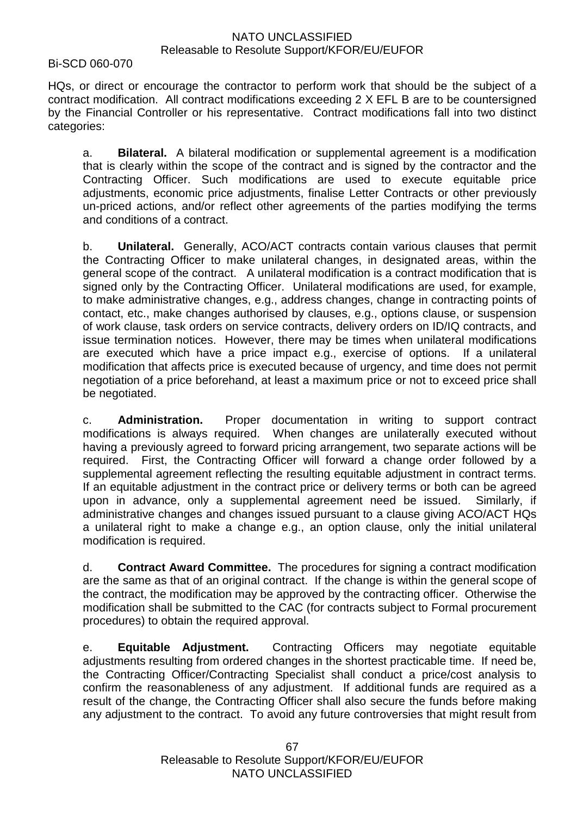Bi-SCD 060-070

HQs, or direct or encourage the contractor to perform work that should be the subject of a contract modification. All contract modifications exceeding 2 X EFL B are to be countersigned by the Financial Controller or his representative. Contract modifications fall into two distinct categories:

a. **Bilateral.** A bilateral modification or supplemental agreement is a modification that is clearly within the scope of the contract and is signed by the contractor and the Contracting Officer. Such modifications are used to execute equitable price adjustments, economic price adjustments, finalise Letter Contracts or other previously un-priced actions, and/or reflect other agreements of the parties modifying the terms and conditions of a contract.

b. **Unilateral.** Generally, ACO/ACT contracts contain various clauses that permit the Contracting Officer to make unilateral changes, in designated areas, within the general scope of the contract. A unilateral modification is a contract modification that is signed only by the Contracting Officer. Unilateral modifications are used, for example, to make administrative changes, e.g., address changes, change in contracting points of contact, etc., make changes authorised by clauses, e.g., options clause, or suspension of work clause, task orders on service contracts, delivery orders on ID/IQ contracts, and issue termination notices. However, there may be times when unilateral modifications are executed which have a price impact e.g., exercise of options. If a unilateral modification that affects price is executed because of urgency, and time does not permit negotiation of a price beforehand, at least a maximum price or not to exceed price shall be negotiated.

c. **Administration.** Proper documentation in writing to support contract modifications is always required. When changes are unilaterally executed without having a previously agreed to forward pricing arrangement, two separate actions will be required. First, the Contracting Officer will forward a change order followed by a supplemental agreement reflecting the resulting equitable adjustment in contract terms. If an equitable adjustment in the contract price or delivery terms or both can be agreed upon in advance, only a supplemental agreement need be issued. Similarly, if administrative changes and changes issued pursuant to a clause giving ACO/ACT HQs a unilateral right to make a change e.g., an option clause, only the initial unilateral modification is required.

d. **Contract Award Committee.** The procedures for signing a contract modification are the same as that of an original contract. If the change is within the general scope of the contract, the modification may be approved by the contracting officer. Otherwise the modification shall be submitted to the CAC (for contracts subject to Formal procurement procedures) to obtain the required approval.

e. **Equitable Adjustment.** Contracting Officers may negotiate equitable adjustments resulting from ordered changes in the shortest practicable time. If need be, the Contracting Officer/Contracting Specialist shall conduct a price/cost analysis to confirm the reasonableness of any adjustment. If additional funds are required as a result of the change, the Contracting Officer shall also secure the funds before making any adjustment to the contract. To avoid any future controversies that might result from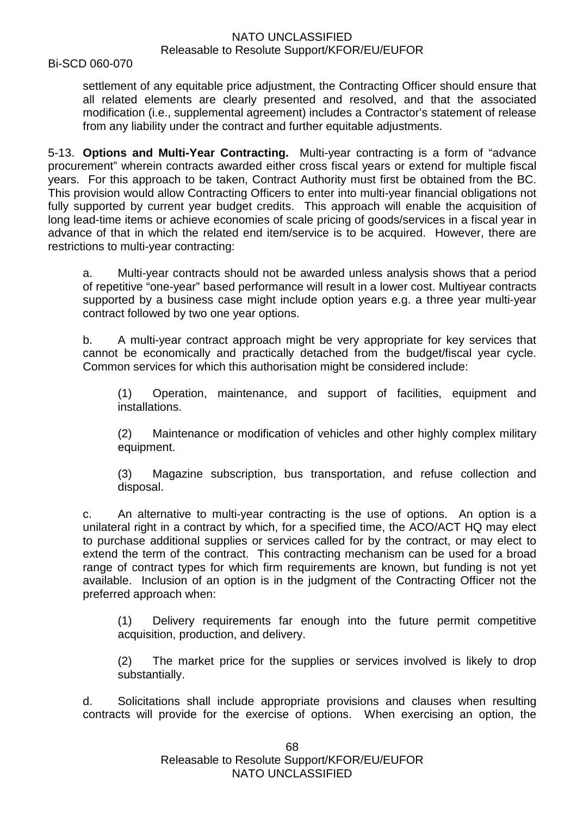Bi-SCD 060-070

settlement of any equitable price adjustment, the Contracting Officer should ensure that all related elements are clearly presented and resolved, and that the associated modification (i.e., supplemental agreement) includes a Contractor's statement of release from any liability under the contract and further equitable adjustments.

5-13. **Options and Multi-Year Contracting.** Multi-year contracting is a form of "advance procurement" wherein contracts awarded either cross fiscal years or extend for multiple fiscal years. For this approach to be taken, Contract Authority must first be obtained from the BC. This provision would allow Contracting Officers to enter into multi-year financial obligations not fully supported by current year budget credits. This approach will enable the acquisition of long lead-time items or achieve economies of scale pricing of goods/services in a fiscal year in advance of that in which the related end item/service is to be acquired. However, there are restrictions to multi-year contracting:

a. Multi-year contracts should not be awarded unless analysis shows that a period of repetitive "one-year" based performance will result in a lower cost. Multiyear contracts supported by a business case might include option years e.g. a three year multi-year contract followed by two one year options.

b. A multi-year contract approach might be very appropriate for key services that cannot be economically and practically detached from the budget/fiscal year cycle. Common services for which this authorisation might be considered include:

(1) Operation, maintenance, and support of facilities, equipment and installations.

(2) Maintenance or modification of vehicles and other highly complex military equipment.

(3) Magazine subscription, bus transportation, and refuse collection and disposal.

c. An alternative to multi-year contracting is the use of options. An option is a unilateral right in a contract by which, for a specified time, the ACO/ACT HQ may elect to purchase additional supplies or services called for by the contract, or may elect to extend the term of the contract. This contracting mechanism can be used for a broad range of contract types for which firm requirements are known, but funding is not yet available. Inclusion of an option is in the judgment of the Contracting Officer not the preferred approach when:

(1) Delivery requirements far enough into the future permit competitive acquisition, production, and delivery.

(2) The market price for the supplies or services involved is likely to drop substantially.

d. Solicitations shall include appropriate provisions and clauses when resulting contracts will provide for the exercise of options. When exercising an option, the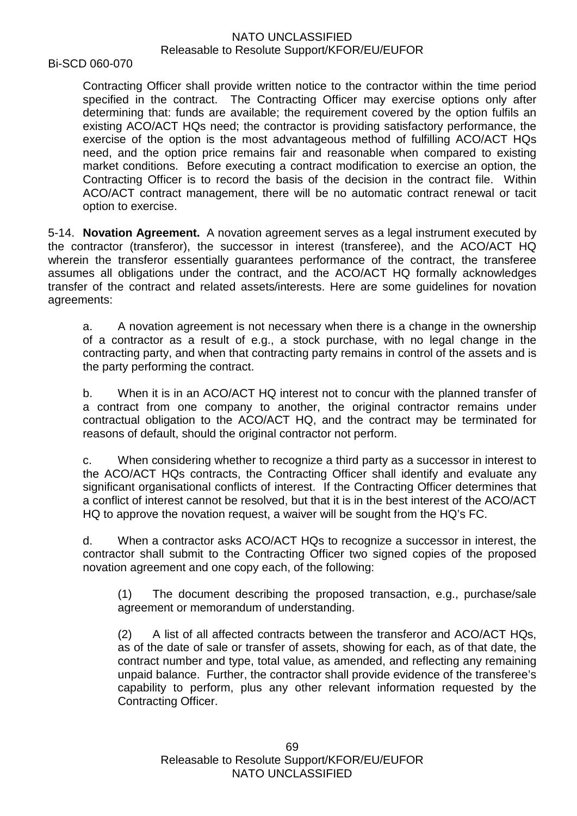Bi-SCD 060-070

Contracting Officer shall provide written notice to the contractor within the time period specified in the contract. The Contracting Officer may exercise options only after determining that: funds are available; the requirement covered by the option fulfils an existing ACO/ACT HQs need; the contractor is providing satisfactory performance, the exercise of the option is the most advantageous method of fulfilling ACO/ACT HQs need, and the option price remains fair and reasonable when compared to existing market conditions. Before executing a contract modification to exercise an option, the Contracting Officer is to record the basis of the decision in the contract file. Within ACO/ACT contract management, there will be no automatic contract renewal or tacit option to exercise.

5-14. **Novation Agreement.** A novation agreement serves as a legal instrument executed by the contractor (transferor), the successor in interest (transferee), and the ACO/ACT HQ wherein the transferor essentially guarantees performance of the contract, the transferee assumes all obligations under the contract, and the ACO/ACT HQ formally acknowledges transfer of the contract and related assets/interests. Here are some guidelines for novation agreements:

a. A novation agreement is not necessary when there is a change in the ownership of a contractor as a result of e.g., a stock purchase, with no legal change in the contracting party, and when that contracting party remains in control of the assets and is the party performing the contract.

b. When it is in an ACO/ACT HQ interest not to concur with the planned transfer of a contract from one company to another, the original contractor remains under contractual obligation to the ACO/ACT HQ, and the contract may be terminated for reasons of default, should the original contractor not perform.

c. When considering whether to recognize a third party as a successor in interest to the ACO/ACT HQs contracts, the Contracting Officer shall identify and evaluate any significant organisational conflicts of interest. If the Contracting Officer determines that a conflict of interest cannot be resolved, but that it is in the best interest of the ACO/ACT HQ to approve the novation request, a waiver will be sought from the HQ's FC.

d. When a contractor asks ACO/ACT HQs to recognize a successor in interest, the contractor shall submit to the Contracting Officer two signed copies of the proposed novation agreement and one copy each, of the following:

(1) The document describing the proposed transaction, e.g., purchase/sale agreement or memorandum of understanding.

(2) A list of all affected contracts between the transferor and ACO/ACT HQs, as of the date of sale or transfer of assets, showing for each, as of that date, the contract number and type, total value, as amended, and reflecting any remaining unpaid balance. Further, the contractor shall provide evidence of the transferee's capability to perform, plus any other relevant information requested by the Contracting Officer.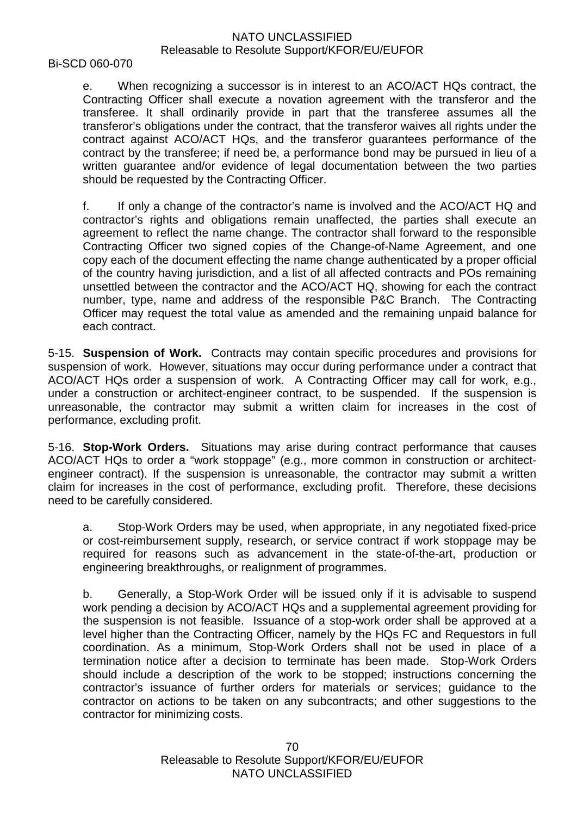Bi-SCD 060-070

e. When recognizing a successor is in interest to an ACO/ACT HQs contract, the Contracting Officer shall execute a novation agreement with the transferor and the transferee. It shall ordinarily provide in part that the transferee assumes all the transferor's obligations under the contract, that the transferor waives all rights under the contract against ACO/ACT HQs, and the transferor guarantees performance of the contract by the transferee; if need be, a performance bond may be pursued in lieu of a written guarantee and/or evidence of legal documentation between the two parties should be requested by the Contracting Officer.

f. If only a change of the contractor's name is involved and the ACO/ACT HQ and contractor's rights and obligations remain unaffected, the parties shall execute an agreement to reflect the name change. The contractor shall forward to the responsible Contracting Officer two signed copies of the Change-of-Name Agreement, and one copy each of the document effecting the name change authenticated by a proper official of the country having jurisdiction, and a list of all affected contracts and POs remaining unsettled between the contractor and the ACO/ACT HQ, showing for each the contract number, type, name and address of the responsible P&C Branch. The Contracting Officer may request the total value as amended and the remaining unpaid balance for each contract.

5-15. **Suspension of Work.** Contracts may contain specific procedures and provisions for suspension of work. However, situations may occur during performance under a contract that ACO/ACT HQs order a suspension of work. A Contracting Officer may call for work, e.g., under a construction or architect-engineer contract, to be suspended. If the suspension is unreasonable, the contractor may submit a written claim for increases in the cost of performance, excluding profit.

5-16. **Stop-Work Orders.** Situations may arise during contract performance that causes ACO/ACT HQs to order a "work stoppage" (e.g., more common in construction or architectengineer contract). If the suspension is unreasonable, the contractor may submit a written claim for increases in the cost of performance, excluding profit. Therefore, these decisions need to be carefully considered.

a. Stop-Work Orders may be used, when appropriate, in any negotiated fixed-price or cost-reimbursement supply, research, or service contract if work stoppage may be required for reasons such as advancement in the state-of-the-art, production or engineering breakthroughs, or realignment of programmes.

b. Generally, a Stop-Work Order will be issued only if it is advisable to suspend work pending a decision by ACO/ACT HQs and a supplemental agreement providing for the suspension is not feasible. Issuance of a stop-work order shall be approved at a level higher than the Contracting Officer, namely by the HQs FC and Requestors in full coordination. As a minimum, Stop-Work Orders shall not be used in place of a termination notice after a decision to terminate has been made. Stop-Work Orders should include a description of the work to be stopped; instructions concerning the contractor's issuance of further orders for materials or services; guidance to the contractor on actions to be taken on any subcontracts; and other suggestions to the contractor for minimizing costs.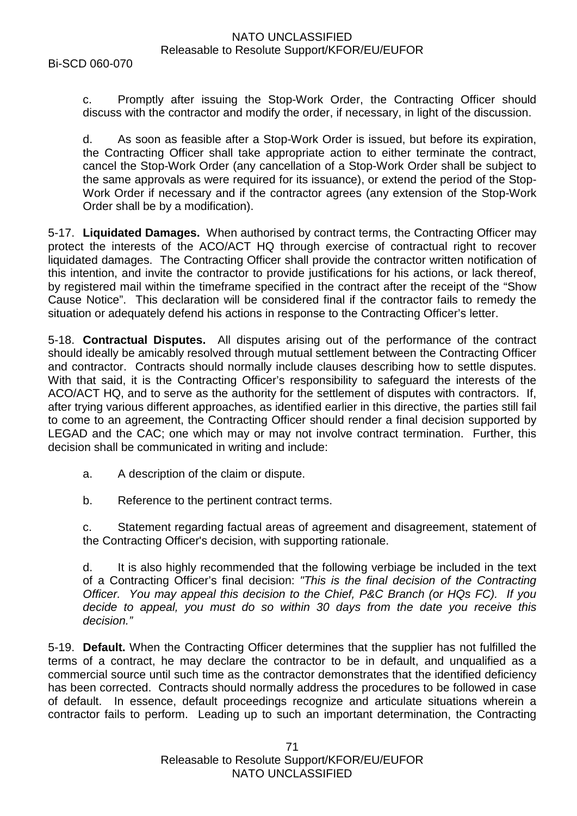c. Promptly after issuing the Stop-Work Order, the Contracting Officer should discuss with the contractor and modify the order, if necessary, in light of the discussion.

d. As soon as feasible after a Stop-Work Order is issued, but before its expiration, the Contracting Officer shall take appropriate action to either terminate the contract, cancel the Stop-Work Order (any cancellation of a Stop-Work Order shall be subject to the same approvals as were required for its issuance), or extend the period of the Stop-Work Order if necessary and if the contractor agrees (any extension of the Stop-Work Order shall be by a modification).

5-17. **Liquidated Damages.** When authorised by contract terms, the Contracting Officer may protect the interests of the ACO/ACT HQ through exercise of contractual right to recover liquidated damages. The Contracting Officer shall provide the contractor written notification of this intention, and invite the contractor to provide justifications for his actions, or lack thereof, by registered mail within the timeframe specified in the contract after the receipt of the "Show Cause Notice". This declaration will be considered final if the contractor fails to remedy the situation or adequately defend his actions in response to the Contracting Officer's letter.

5-18. **Contractual Disputes.** All disputes arising out of the performance of the contract should ideally be amicably resolved through mutual settlement between the Contracting Officer and contractor. Contracts should normally include clauses describing how to settle disputes. With that said, it is the Contracting Officer's responsibility to safeguard the interests of the ACO/ACT HQ, and to serve as the authority for the settlement of disputes with contractors. If, after trying various different approaches, as identified earlier in this directive, the parties still fail to come to an agreement, the Contracting Officer should render a final decision supported by LEGAD and the CAC; one which may or may not involve contract termination. Further, this decision shall be communicated in writing and include:

- a. A description of the claim or dispute.
- b. Reference to the pertinent contract terms.

c. Statement regarding factual areas of agreement and disagreement, statement of the Contracting Officer's decision, with supporting rationale.

d. It is also highly recommended that the following verbiage be included in the text of a Contracting Officer's final decision: *"This is the final decision of the Contracting Officer. You may appeal this decision to the Chief, P&C Branch (or HQs FC). If you decide to appeal, you must do so within 30 days from the date you receive this decision."*

5-19. **Default.** When the Contracting Officer determines that the supplier has not fulfilled the terms of a contract, he may declare the contractor to be in default, and unqualified as a commercial source until such time as the contractor demonstrates that the identified deficiency has been corrected. Contracts should normally address the procedures to be followed in case of default. In essence, default proceedings recognize and articulate situations wherein a contractor fails to perform. Leading up to such an important determination, the Contracting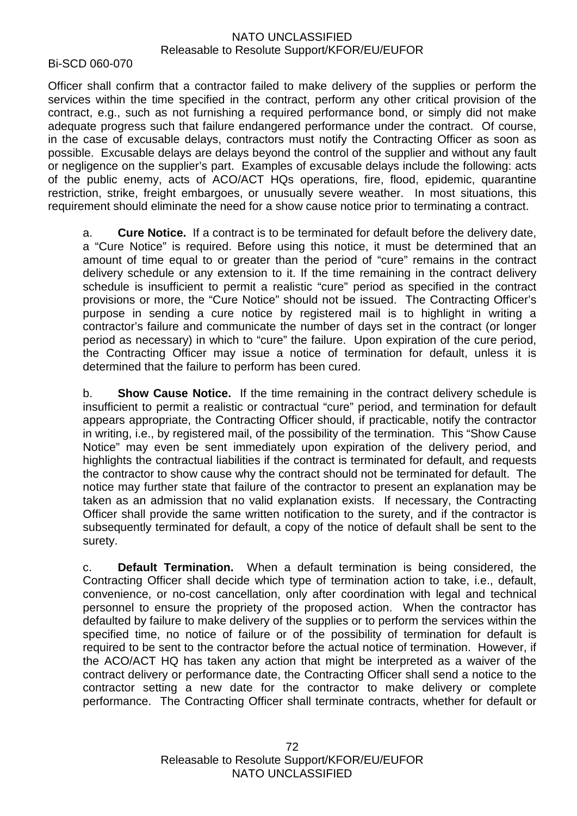Bi-SCD 060-070

Officer shall confirm that a contractor failed to make delivery of the supplies or perform the services within the time specified in the contract, perform any other critical provision of the contract, e.g., such as not furnishing a required performance bond, or simply did not make adequate progress such that failure endangered performance under the contract. Of course, in the case of excusable delays, contractors must notify the Contracting Officer as soon as possible. Excusable delays are delays beyond the control of the supplier and without any fault or negligence on the supplier's part. Examples of excusable delays include the following: acts of the public enemy, acts of ACO/ACT HQs operations, fire, flood, epidemic, quarantine restriction, strike, freight embargoes, or unusually severe weather. In most situations, this requirement should eliminate the need for a show cause notice prior to terminating a contract.

a. **Cure Notice.** If a contract is to be terminated for default before the delivery date, a "Cure Notice" is required. Before using this notice, it must be determined that an amount of time equal to or greater than the period of "cure" remains in the contract delivery schedule or any extension to it. If the time remaining in the contract delivery schedule is insufficient to permit a realistic "cure" period as specified in the contract provisions or more, the "Cure Notice" should not be issued. The Contracting Officer's purpose in sending a cure notice by registered mail is to highlight in writing a contractor's failure and communicate the number of days set in the contract (or longer period as necessary) in which to "cure" the failure. Upon expiration of the cure period, the Contracting Officer may issue a notice of termination for default, unless it is determined that the failure to perform has been cured.

b. **Show Cause Notice.** If the time remaining in the contract delivery schedule is insufficient to permit a realistic or contractual "cure" period, and termination for default appears appropriate, the Contracting Officer should, if practicable, notify the contractor in writing, i.e., by registered mail, of the possibility of the termination. This "Show Cause Notice" may even be sent immediately upon expiration of the delivery period, and highlights the contractual liabilities if the contract is terminated for default, and requests the contractor to show cause why the contract should not be terminated for default. The notice may further state that failure of the contractor to present an explanation may be taken as an admission that no valid explanation exists. If necessary, the Contracting Officer shall provide the same written notification to the surety, and if the contractor is subsequently terminated for default, a copy of the notice of default shall be sent to the surety.

c. **Default Termination.** When a default termination is being considered, the Contracting Officer shall decide which type of termination action to take, i.e., default, convenience, or no-cost cancellation, only after coordination with legal and technical personnel to ensure the propriety of the proposed action. When the contractor has defaulted by failure to make delivery of the supplies or to perform the services within the specified time, no notice of failure or of the possibility of termination for default is required to be sent to the contractor before the actual notice of termination. However, if the ACO/ACT HQ has taken any action that might be interpreted as a waiver of the contract delivery or performance date, the Contracting Officer shall send a notice to the contractor setting a new date for the contractor to make delivery or complete performance. The Contracting Officer shall terminate contracts, whether for default or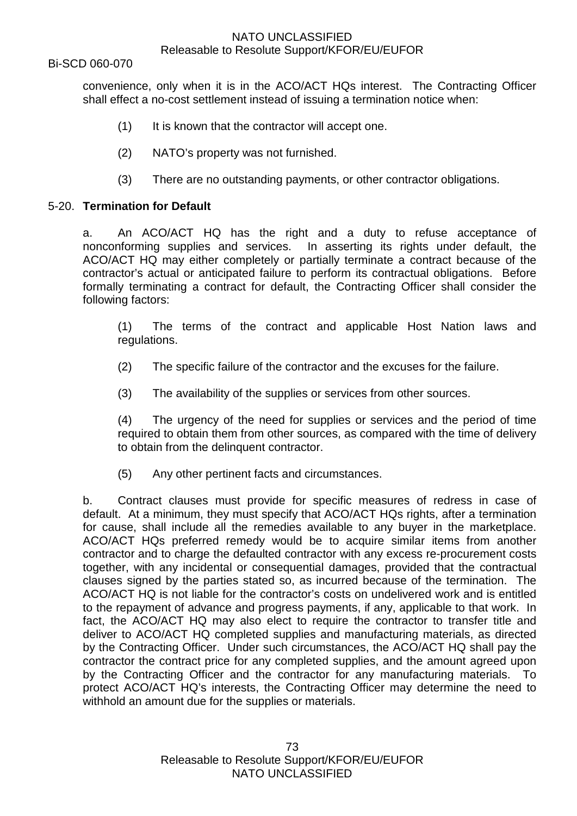Bi-SCD 060-070

convenience, only when it is in the ACO/ACT HQs interest. The Contracting Officer shall effect a no-cost settlement instead of issuing a termination notice when:

- (1) It is known that the contractor will accept one.
- (2) NATO's property was not furnished.
- (3) There are no outstanding payments, or other contractor obligations.

#### 5-20. **Termination for Default**

a. An ACO/ACT HQ has the right and a duty to refuse acceptance of nonconforming supplies and services. In asserting its rights under default, the ACO/ACT HQ may either completely or partially terminate a contract because of the contractor's actual or anticipated failure to perform its contractual obligations. Before formally terminating a contract for default, the Contracting Officer shall consider the following factors:

(1) The terms of the contract and applicable Host Nation laws and regulations.

- (2) The specific failure of the contractor and the excuses for the failure.
- (3) The availability of the supplies or services from other sources.

(4) The urgency of the need for supplies or services and the period of time required to obtain them from other sources, as compared with the time of delivery to obtain from the delinquent contractor.

(5) Any other pertinent facts and circumstances.

b. Contract clauses must provide for specific measures of redress in case of default. At a minimum, they must specify that ACO/ACT HQs rights, after a termination for cause, shall include all the remedies available to any buyer in the marketplace. ACO/ACT HQs preferred remedy would be to acquire similar items from another contractor and to charge the defaulted contractor with any excess re-procurement costs together, with any incidental or consequential damages, provided that the contractual clauses signed by the parties stated so, as incurred because of the termination. The ACO/ACT HQ is not liable for the contractor's costs on undelivered work and is entitled to the repayment of advance and progress payments, if any, applicable to that work. In fact, the ACO/ACT HQ may also elect to require the contractor to transfer title and deliver to ACO/ACT HQ completed supplies and manufacturing materials, as directed by the Contracting Officer. Under such circumstances, the ACO/ACT HQ shall pay the contractor the contract price for any completed supplies, and the amount agreed upon by the Contracting Officer and the contractor for any manufacturing materials. To protect ACO/ACT HQ's interests, the Contracting Officer may determine the need to withhold an amount due for the supplies or materials.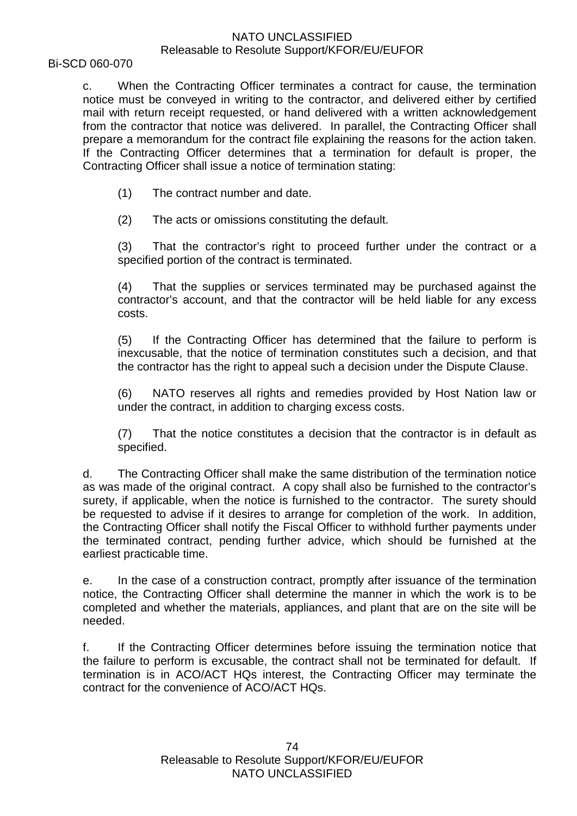Bi-SCD 060-070

c. When the Contracting Officer terminates a contract for cause, the termination notice must be conveyed in writing to the contractor, and delivered either by certified mail with return receipt requested, or hand delivered with a written acknowledgement from the contractor that notice was delivered. In parallel, the Contracting Officer shall prepare a memorandum for the contract file explaining the reasons for the action taken. If the Contracting Officer determines that a termination for default is proper, the Contracting Officer shall issue a notice of termination stating:

(1) The contract number and date.

(2) The acts or omissions constituting the default.

(3) That the contractor's right to proceed further under the contract or a specified portion of the contract is terminated.

(4) That the supplies or services terminated may be purchased against the contractor's account, and that the contractor will be held liable for any excess costs.

(5) If the Contracting Officer has determined that the failure to perform is inexcusable, that the notice of termination constitutes such a decision, and that the contractor has the right to appeal such a decision under the Dispute Clause.

(6) NATO reserves all rights and remedies provided by Host Nation law or under the contract, in addition to charging excess costs.

(7) That the notice constitutes a decision that the contractor is in default as specified.

d. The Contracting Officer shall make the same distribution of the termination notice as was made of the original contract. A copy shall also be furnished to the contractor's surety, if applicable, when the notice is furnished to the contractor. The surety should be requested to advise if it desires to arrange for completion of the work. In addition, the Contracting Officer shall notify the Fiscal Officer to withhold further payments under the terminated contract, pending further advice, which should be furnished at the earliest practicable time.

e. In the case of a construction contract, promptly after issuance of the termination notice, the Contracting Officer shall determine the manner in which the work is to be completed and whether the materials, appliances, and plant that are on the site will be needed.

f. If the Contracting Officer determines before issuing the termination notice that the failure to perform is excusable, the contract shall not be terminated for default. If termination is in ACO/ACT HQs interest, the Contracting Officer may terminate the contract for the convenience of ACO/ACT HQs.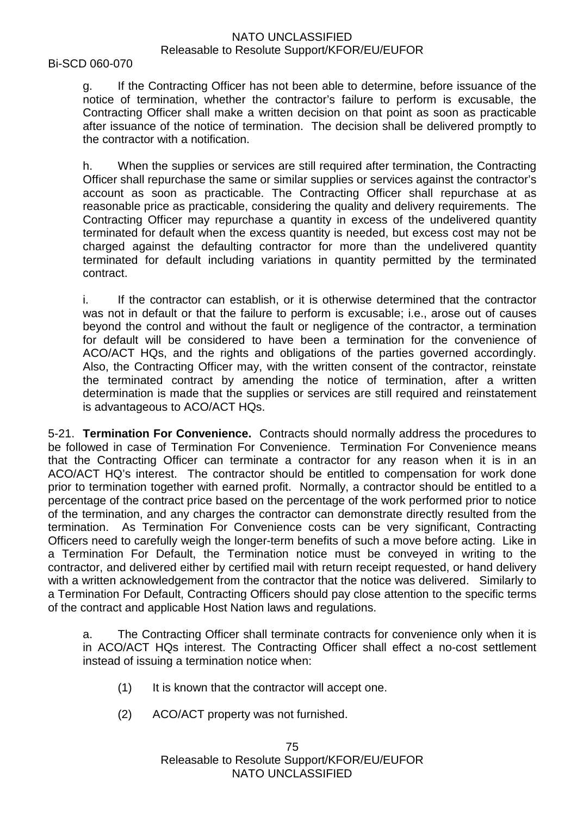#### Bi-SCD 060-070

g. If the Contracting Officer has not been able to determine, before issuance of the notice of termination, whether the contractor's failure to perform is excusable, the Contracting Officer shall make a written decision on that point as soon as practicable after issuance of the notice of termination. The decision shall be delivered promptly to the contractor with a notification.

h. When the supplies or services are still required after termination, the Contracting Officer shall repurchase the same or similar supplies or services against the contractor's account as soon as practicable. The Contracting Officer shall repurchase at as reasonable price as practicable, considering the quality and delivery requirements. The Contracting Officer may repurchase a quantity in excess of the undelivered quantity terminated for default when the excess quantity is needed, but excess cost may not be charged against the defaulting contractor for more than the undelivered quantity terminated for default including variations in quantity permitted by the terminated contract.

i. If the contractor can establish, or it is otherwise determined that the contractor was not in default or that the failure to perform is excusable; i.e., arose out of causes beyond the control and without the fault or negligence of the contractor, a termination for default will be considered to have been a termination for the convenience of ACO/ACT HQs, and the rights and obligations of the parties governed accordingly. Also, the Contracting Officer may, with the written consent of the contractor, reinstate the terminated contract by amending the notice of termination, after a written determination is made that the supplies or services are still required and reinstatement is advantageous to ACO/ACT HQs.

5-21. **Termination For Convenience.** Contracts should normally address the procedures to be followed in case of Termination For Convenience. Termination For Convenience means that the Contracting Officer can terminate a contractor for any reason when it is in an ACO/ACT HQ's interest. The contractor should be entitled to compensation for work done prior to termination together with earned profit. Normally, a contractor should be entitled to a percentage of the contract price based on the percentage of the work performed prior to notice of the termination, and any charges the contractor can demonstrate directly resulted from the termination. As Termination For Convenience costs can be very significant, Contracting Officers need to carefully weigh the longer-term benefits of such a move before acting. Like in a Termination For Default, the Termination notice must be conveyed in writing to the contractor, and delivered either by certified mail with return receipt requested, or hand delivery with a written acknowledgement from the contractor that the notice was delivered. Similarly to a Termination For Default, Contracting Officers should pay close attention to the specific terms of the contract and applicable Host Nation laws and regulations.

a. The Contracting Officer shall terminate contracts for convenience only when it is in ACO/ACT HQs interest. The Contracting Officer shall effect a no-cost settlement instead of issuing a termination notice when:

- (1) It is known that the contractor will accept one.
- (2) ACO/ACT property was not furnished.

75 Releasable to Resolute Support/KFOR/EU/EUFOR NATO UNCLASSIFIED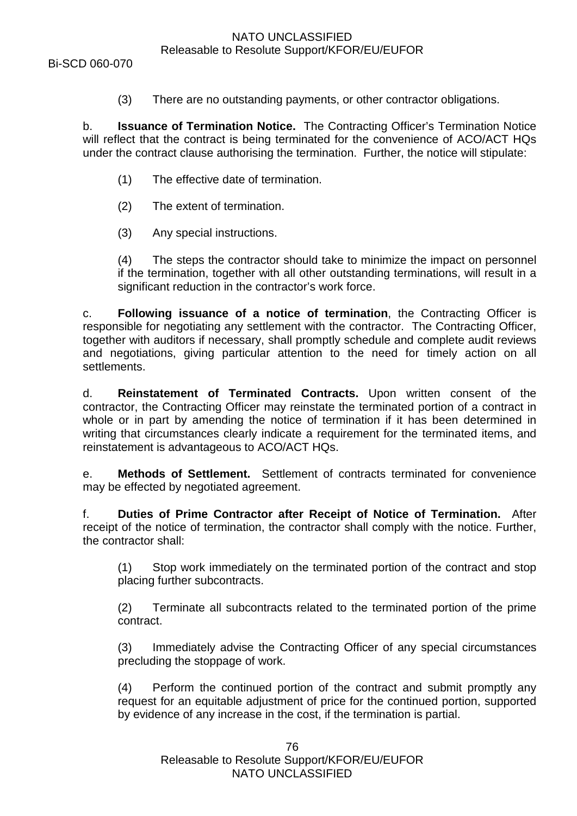Bi-SCD 060-070

(3) There are no outstanding payments, or other contractor obligations.

b. **Issuance of Termination Notice.** The Contracting Officer's Termination Notice will reflect that the contract is being terminated for the convenience of ACO/ACT HQs under the contract clause authorising the termination. Further, the notice will stipulate:

- (1) The effective date of termination.
- (2) The extent of termination.
- (3) Any special instructions.

(4) The steps the contractor should take to minimize the impact on personnel if the termination, together with all other outstanding terminations, will result in a significant reduction in the contractor's work force.

c. **Following issuance of a notice of termination**, the Contracting Officer is responsible for negotiating any settlement with the contractor. The Contracting Officer, together with auditors if necessary, shall promptly schedule and complete audit reviews and negotiations, giving particular attention to the need for timely action on all settlements.

d. **Reinstatement of Terminated Contracts.** Upon written consent of the contractor, the Contracting Officer may reinstate the terminated portion of a contract in whole or in part by amending the notice of termination if it has been determined in writing that circumstances clearly indicate a requirement for the terminated items, and reinstatement is advantageous to ACO/ACT HQs.

e. **Methods of Settlement.** Settlement of contracts terminated for convenience may be effected by negotiated agreement.

f. **Duties of Prime Contractor after Receipt of Notice of Termination.** After receipt of the notice of termination, the contractor shall comply with the notice. Further, the contractor shall:

(1) Stop work immediately on the terminated portion of the contract and stop placing further subcontracts.

(2) Terminate all subcontracts related to the terminated portion of the prime contract.

(3) Immediately advise the Contracting Officer of any special circumstances precluding the stoppage of work.

(4) Perform the continued portion of the contract and submit promptly any request for an equitable adjustment of price for the continued portion, supported by evidence of any increase in the cost, if the termination is partial.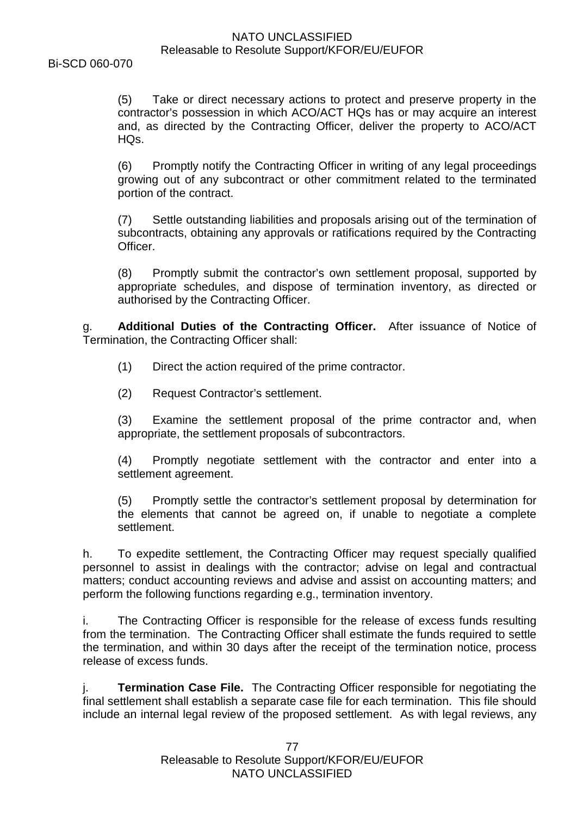Bi-SCD 060-070

(5) Take or direct necessary actions to protect and preserve property in the contractor's possession in which ACO/ACT HQs has or may acquire an interest and, as directed by the Contracting Officer, deliver the property to ACO/ACT HQs.

(6) Promptly notify the Contracting Officer in writing of any legal proceedings growing out of any subcontract or other commitment related to the terminated portion of the contract.

(7) Settle outstanding liabilities and proposals arising out of the termination of subcontracts, obtaining any approvals or ratifications required by the Contracting Officer.

(8) Promptly submit the contractor's own settlement proposal, supported by appropriate schedules, and dispose of termination inventory, as directed or authorised by the Contracting Officer.

g. **Additional Duties of the Contracting Officer.** After issuance of Notice of Termination, the Contracting Officer shall:

- (1) Direct the action required of the prime contractor.
- (2) Request Contractor's settlement.

(3) Examine the settlement proposal of the prime contractor and, when appropriate, the settlement proposals of subcontractors.

(4) Promptly negotiate settlement with the contractor and enter into a settlement agreement.

(5) Promptly settle the contractor's settlement proposal by determination for the elements that cannot be agreed on, if unable to negotiate a complete settlement.

h. To expedite settlement, the Contracting Officer may request specially qualified personnel to assist in dealings with the contractor; advise on legal and contractual matters; conduct accounting reviews and advise and assist on accounting matters; and perform the following functions regarding e.g., termination inventory.

i. The Contracting Officer is responsible for the release of excess funds resulting from the termination. The Contracting Officer shall estimate the funds required to settle the termination, and within 30 days after the receipt of the termination notice, process release of excess funds.

**Termination Case File.** The Contracting Officer responsible for negotiating the final settlement shall establish a separate case file for each termination. This file should include an internal legal review of the proposed settlement. As with legal reviews, any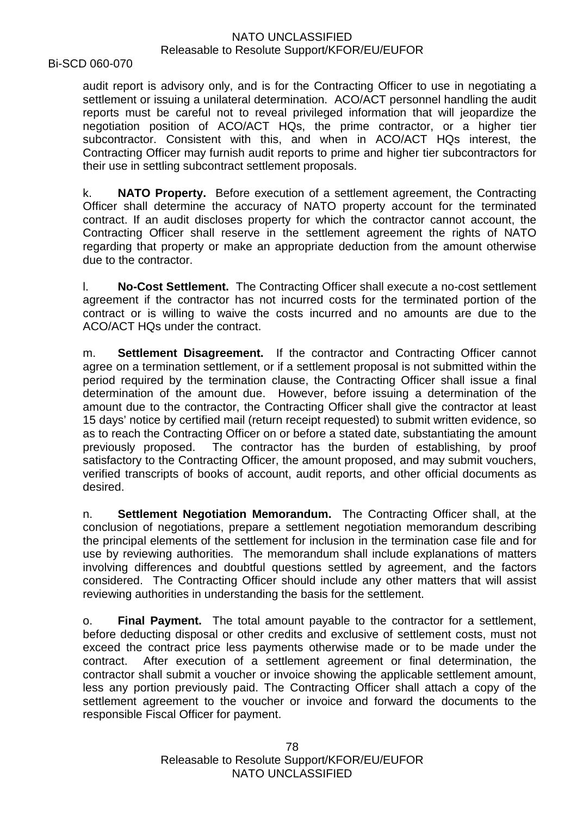Bi-SCD 060-070

audit report is advisory only, and is for the Contracting Officer to use in negotiating a settlement or issuing a unilateral determination. ACO/ACT personnel handling the audit reports must be careful not to reveal privileged information that will jeopardize the negotiation position of ACO/ACT HQs, the prime contractor, or a higher tier subcontractor. Consistent with this, and when in ACO/ACT HQs interest, the Contracting Officer may furnish audit reports to prime and higher tier subcontractors for their use in settling subcontract settlement proposals.

k. **NATO Property.** Before execution of a settlement agreement, the Contracting Officer shall determine the accuracy of NATO property account for the terminated contract. If an audit discloses property for which the contractor cannot account, the Contracting Officer shall reserve in the settlement agreement the rights of NATO regarding that property or make an appropriate deduction from the amount otherwise due to the contractor.

l. **No-Cost Settlement.** The Contracting Officer shall execute a no-cost settlement agreement if the contractor has not incurred costs for the terminated portion of the contract or is willing to waive the costs incurred and no amounts are due to the ACO/ACT HQs under the contract.

m. **Settlement Disagreement.** If the contractor and Contracting Officer cannot agree on a termination settlement, or if a settlement proposal is not submitted within the period required by the termination clause, the Contracting Officer shall issue a final determination of the amount due. However, before issuing a determination of the amount due to the contractor, the Contracting Officer shall give the contractor at least 15 days' notice by certified mail (return receipt requested) to submit written evidence, so as to reach the Contracting Officer on or before a stated date, substantiating the amount previously proposed. The contractor has the burden of establishing, by proof satisfactory to the Contracting Officer, the amount proposed, and may submit vouchers, verified transcripts of books of account, audit reports, and other official documents as desired.

n. **Settlement Negotiation Memorandum.** The Contracting Officer shall, at the conclusion of negotiations, prepare a settlement negotiation memorandum describing the principal elements of the settlement for inclusion in the termination case file and for use by reviewing authorities. The memorandum shall include explanations of matters involving differences and doubtful questions settled by agreement, and the factors considered. The Contracting Officer should include any other matters that will assist reviewing authorities in understanding the basis for the settlement.

o. **Final Payment.** The total amount payable to the contractor for a settlement, before deducting disposal or other credits and exclusive of settlement costs, must not exceed the contract price less payments otherwise made or to be made under the contract. After execution of a settlement agreement or final determination, the contractor shall submit a voucher or invoice showing the applicable settlement amount, less any portion previously paid. The Contracting Officer shall attach a copy of the settlement agreement to the voucher or invoice and forward the documents to the responsible Fiscal Officer for payment.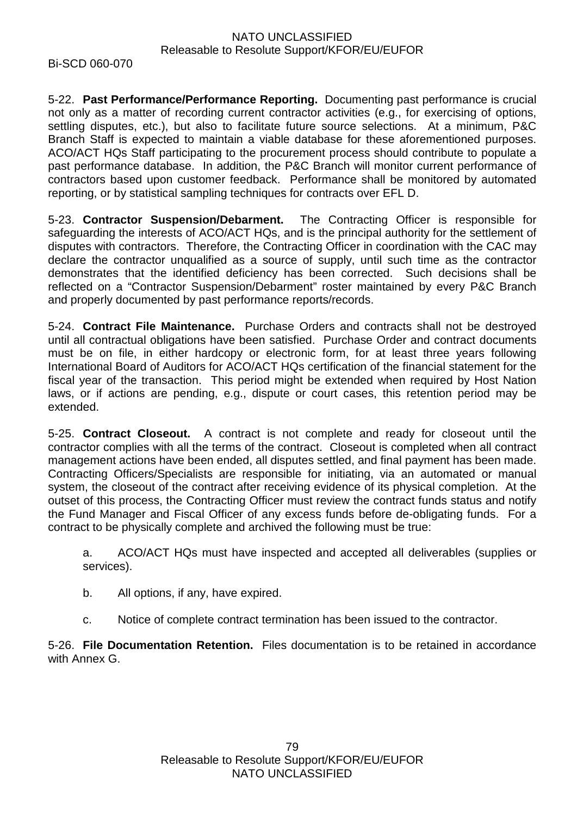Bi-SCD 060-070

5-22. **Past Performance/Performance Reporting.** Documenting past performance is crucial not only as a matter of recording current contractor activities (e.g., for exercising of options, settling disputes, etc.), but also to facilitate future source selections. At a minimum, P&C Branch Staff is expected to maintain a viable database for these aforementioned purposes. ACO/ACT HQs Staff participating to the procurement process should contribute to populate a past performance database. In addition, the P&C Branch will monitor current performance of contractors based upon customer feedback. Performance shall be monitored by automated reporting, or by statistical sampling techniques for contracts over EFL D.

5-23. **Contractor Suspension/Debarment.** The Contracting Officer is responsible for safeguarding the interests of ACO/ACT HQs, and is the principal authority for the settlement of disputes with contractors. Therefore, the Contracting Officer in coordination with the CAC may declare the contractor unqualified as a source of supply, until such time as the contractor demonstrates that the identified deficiency has been corrected. Such decisions shall be reflected on a "Contractor Suspension/Debarment" roster maintained by every P&C Branch and properly documented by past performance reports/records.

5-24. **Contract File Maintenance.** Purchase Orders and contracts shall not be destroyed until all contractual obligations have been satisfied. Purchase Order and contract documents must be on file, in either hardcopy or electronic form, for at least three years following International Board of Auditors for ACO/ACT HQs certification of the financial statement for the fiscal year of the transaction. This period might be extended when required by Host Nation laws, or if actions are pending, e.g., dispute or court cases, this retention period may be extended.

5-25. **Contract Closeout.** A contract is not complete and ready for closeout until the contractor complies with all the terms of the contract. Closeout is completed when all contract management actions have been ended, all disputes settled, and final payment has been made. Contracting Officers/Specialists are responsible for initiating, via an automated or manual system, the closeout of the contract after receiving evidence of its physical completion. At the outset of this process, the Contracting Officer must review the contract funds status and notify the Fund Manager and Fiscal Officer of any excess funds before de-obligating funds. For a contract to be physically complete and archived the following must be true:

a. ACO/ACT HQs must have inspected and accepted all deliverables (supplies or services).

- b. All options, if any, have expired.
- c. Notice of complete contract termination has been issued to the contractor.

5-26. **File Documentation Retention.** Files documentation is to be retained in accordance with Annex G.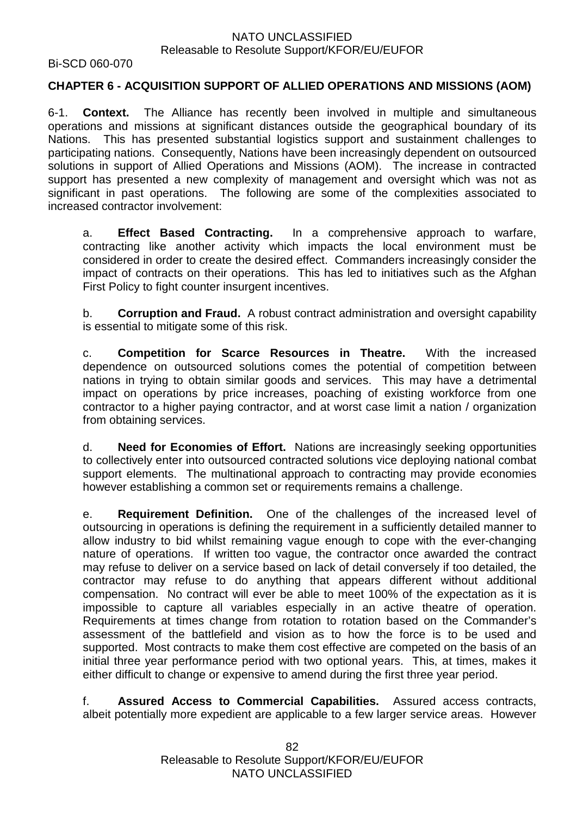Bi-SCD 060-070

# **CHAPTER 6 - ACQUISITION SUPPORT OF ALLIED OPERATIONS AND MISSIONS (AOM)**

6-1. **Context.** The Alliance has recently been involved in multiple and simultaneous operations and missions at significant distances outside the geographical boundary of its Nations. This has presented substantial logistics support and sustainment challenges to participating nations. Consequently, Nations have been increasingly dependent on outsourced solutions in support of Allied Operations and Missions (AOM). The increase in contracted support has presented a new complexity of management and oversight which was not as significant in past operations. The following are some of the complexities associated to increased contractor involvement:

a. **Effect Based Contracting.** In a comprehensive approach to warfare, contracting like another activity which impacts the local environment must be considered in order to create the desired effect. Commanders increasingly consider the impact of contracts on their operations. This has led to initiatives such as the Afghan First Policy to fight counter insurgent incentives.

b. **Corruption and Fraud.** A robust contract administration and oversight capability is essential to mitigate some of this risk.

c. **Competition for Scarce Resources in Theatre.** With the increased dependence on outsourced solutions comes the potential of competition between nations in trying to obtain similar goods and services. This may have a detrimental impact on operations by price increases, poaching of existing workforce from one contractor to a higher paying contractor, and at worst case limit a nation / organization from obtaining services.

d. **Need for Economies of Effort.** Nations are increasingly seeking opportunities to collectively enter into outsourced contracted solutions vice deploying national combat support elements. The multinational approach to contracting may provide economies however establishing a common set or requirements remains a challenge.

e. **Requirement Definition.** One of the challenges of the increased level of outsourcing in operations is defining the requirement in a sufficiently detailed manner to allow industry to bid whilst remaining vague enough to cope with the ever-changing nature of operations. If written too vague, the contractor once awarded the contract may refuse to deliver on a service based on lack of detail conversely if too detailed, the contractor may refuse to do anything that appears different without additional compensation. No contract will ever be able to meet 100% of the expectation as it is impossible to capture all variables especially in an active theatre of operation. Requirements at times change from rotation to rotation based on the Commander's assessment of the battlefield and vision as to how the force is to be used and supported. Most contracts to make them cost effective are competed on the basis of an initial three year performance period with two optional years. This, at times, makes it either difficult to change or expensive to amend during the first three year period.

f. **Assured Access to Commercial Capabilities.** Assured access contracts, albeit potentially more expedient are applicable to a few larger service areas. However

> 82 Releasable to Resolute Support/KFOR/EU/EUFOR NATO UNCLASSIFIED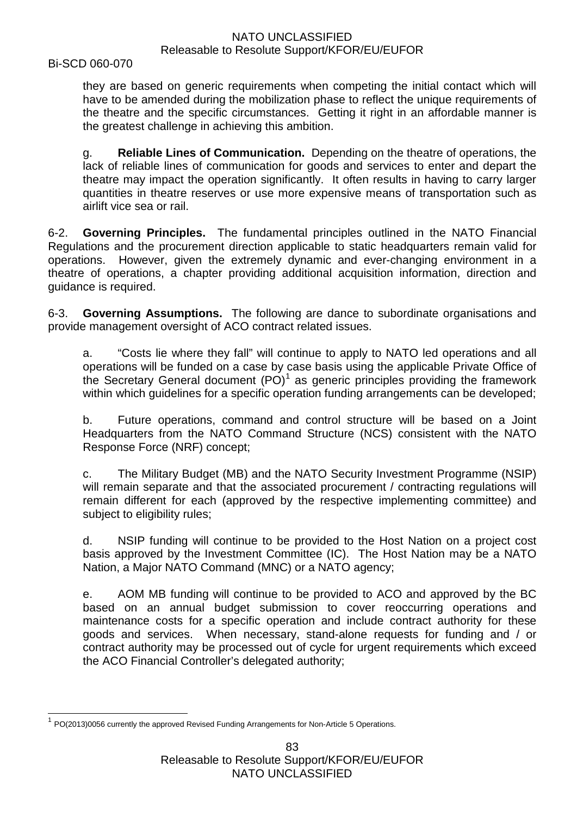Bi-SCD 060-070

they are based on generic requirements when competing the initial contact which will have to be amended during the mobilization phase to reflect the unique requirements of the theatre and the specific circumstances. Getting it right in an affordable manner is the greatest challenge in achieving this ambition.

g. **Reliable Lines of Communication.** Depending on the theatre of operations, the lack of reliable lines of communication for goods and services to enter and depart the theatre may impact the operation significantly. It often results in having to carry larger quantities in theatre reserves or use more expensive means of transportation such as airlift vice sea or rail.

6-2. **Governing Principles.** The fundamental principles outlined in the NATO Financial Regulations and the procurement direction applicable to static headquarters remain valid for operations. However, given the extremely dynamic and ever-changing environment in a theatre of operations, a chapter providing additional acquisition information, direction and guidance is required.

6-3. **Governing Assumptions.** The following are dance to subordinate organisations and provide management oversight of ACO contract related issues.

a. "Costs lie where they fall" will continue to apply to NATO led operations and all operations will be funded on a case by case basis using the applicable Private Office of the Secretary General document  $(PO)^1$  $(PO)^1$  as generic principles providing the framework within which guidelines for a specific operation funding arrangements can be developed;

b. Future operations, command and control structure will be based on a Joint Headquarters from the NATO Command Structure (NCS) consistent with the NATO Response Force (NRF) concept;

c. The Military Budget (MB) and the NATO Security Investment Programme (NSIP) will remain separate and that the associated procurement / contracting regulations will remain different for each (approved by the respective implementing committee) and subject to eligibility rules;

d. NSIP funding will continue to be provided to the Host Nation on a project cost basis approved by the Investment Committee (IC). The Host Nation may be a NATO Nation, a Major NATO Command (MNC) or a NATO agency;

e. AOM MB funding will continue to be provided to ACO and approved by the BC based on an annual budget submission to cover reoccurring operations and maintenance costs for a specific operation and include contract authority for these goods and services. When necessary, stand-alone requests for funding and / or contract authority may be processed out of cycle for urgent requirements which exceed the ACO Financial Controller's delegated authority;

<span id="page-82-0"></span> $1$  PO(2013)0056 currently the approved Revised Funding Arrangements for Non-Article 5 Operations.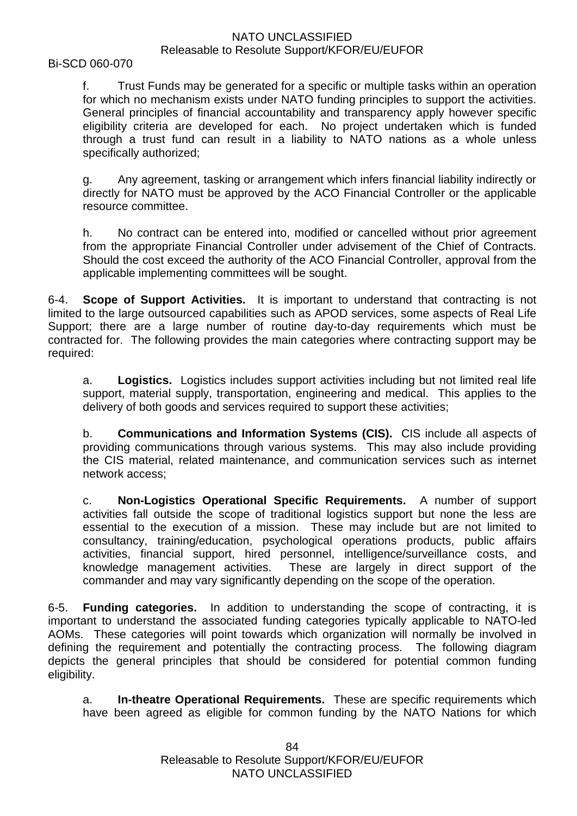Bi-SCD 060-070

f. Trust Funds may be generated for a specific or multiple tasks within an operation for which no mechanism exists under NATO funding principles to support the activities. General principles of financial accountability and transparency apply however specific eligibility criteria are developed for each. No project undertaken which is funded through a trust fund can result in a liability to NATO nations as a whole unless specifically authorized;

g. Any agreement, tasking or arrangement which infers financial liability indirectly or directly for NATO must be approved by the ACO Financial Controller or the applicable resource committee.

h. No contract can be entered into, modified or cancelled without prior agreement from the appropriate Financial Controller under advisement of the Chief of Contracts. Should the cost exceed the authority of the ACO Financial Controller, approval from the applicable implementing committees will be sought.

6-4. **Scope of Support Activities.** It is important to understand that contracting is not limited to the large outsourced capabilities such as APOD services, some aspects of Real Life Support; there are a large number of routine day-to-day requirements which must be contracted for. The following provides the main categories where contracting support may be required:

a. **Logistics.** Logistics includes support activities including but not limited real life support, material supply, transportation, engineering and medical. This applies to the delivery of both goods and services required to support these activities;

b. **Communications and Information Systems (CIS).** CIS include all aspects of providing communications through various systems. This may also include providing the CIS material, related maintenance, and communication services such as internet network access;

c. **Non-Logistics Operational Specific Requirements.** A number of support activities fall outside the scope of traditional logistics support but none the less are essential to the execution of a mission. These may include but are not limited to consultancy, training/education, psychological operations products, public affairs activities, financial support, hired personnel, intelligence/surveillance costs, and knowledge management activities. These are largely in direct support of the commander and may vary significantly depending on the scope of the operation.

6-5. **Funding categories.** In addition to understanding the scope of contracting, it is important to understand the associated funding categories typically applicable to NATO-led AOMs. These categories will point towards which organization will normally be involved in defining the requirement and potentially the contracting process. The following diagram depicts the general principles that should be considered for potential common funding eligibility.

a. **In-theatre Operational Requirements.** These are specific requirements which have been agreed as eligible for common funding by the NATO Nations for which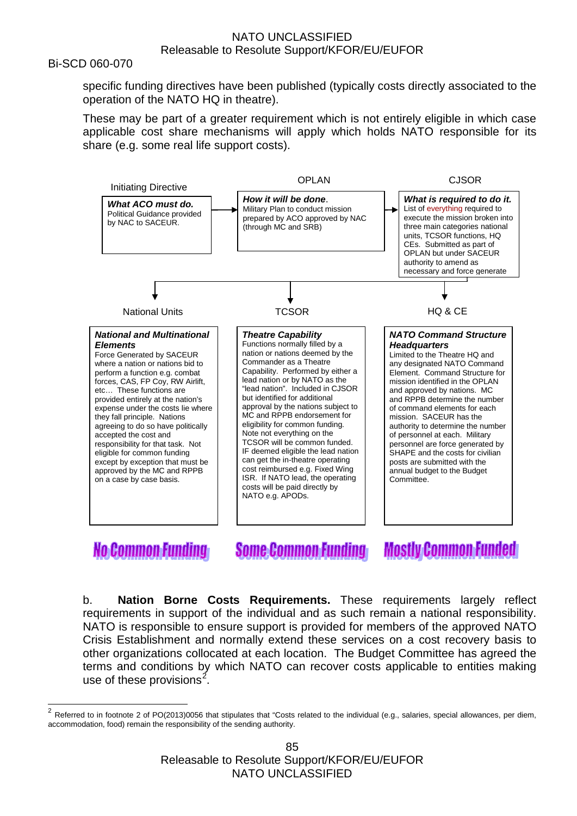#### Bi-SCD 060-070

specific funding directives have been published (typically costs directly associated to the operation of the NATO HQ in theatre).

These may be part of a greater requirement which is not entirely eligible in which case applicable cost share mechanisms will apply which holds NATO responsible for its share (e.g. some real life support costs).



# **No Common Funding**

**Some Common Funding** 

**Mostly Common Funded** 

b. **Nation Borne Costs Requirements.** These requirements largely reflect requirements in support of the individual and as such remain a national responsibility. NATO is responsible to ensure support is provided for members of the approved NATO Crisis Establishment and normally extend these services on a cost recovery basis to other organizations collocated at each location. The Budget Committee has agreed the terms and conditions by which NATO can recover costs applicable to entities making use of these provisions<sup>[2](#page-84-0)</sup>.

<span id="page-84-0"></span><sup>2</sup> Referred to in footnote 2 of PO(2013)0056 that stipulates that "Costs related to the individual (e.g., salaries, special allowances, per diem, accommodation, food) remain the responsibility of the sending authority.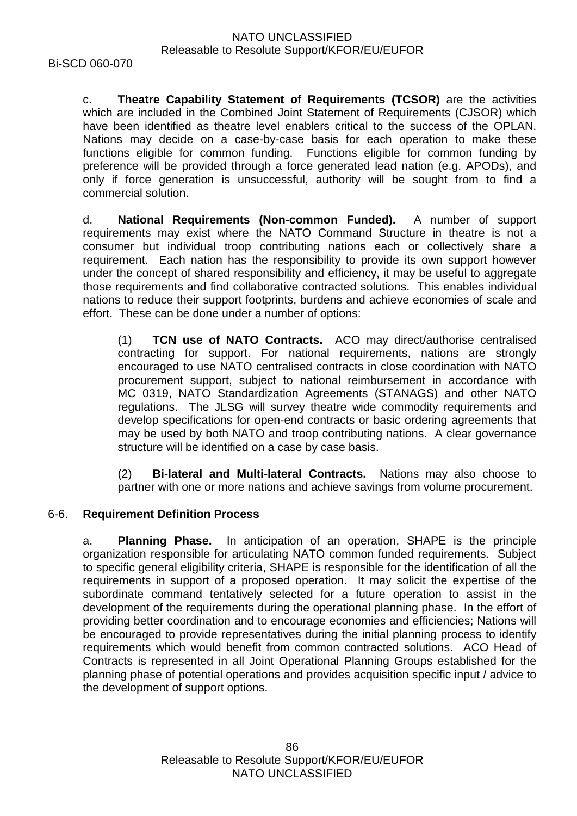c. **Theatre Capability Statement of Requirements (TCSOR)** are the activities which are included in the Combined Joint Statement of Requirements (CJSOR) which have been identified as theatre level enablers critical to the success of the OPLAN. Nations may decide on a case-by-case basis for each operation to make these functions eligible for common funding. Functions eligible for common funding by preference will be provided through a force generated lead nation (e.g. APODs), and only if force generation is unsuccessful, authority will be sought from to find a commercial solution.

d. **National Requirements (Non-common Funded).** A number of support requirements may exist where the NATO Command Structure in theatre is not a consumer but individual troop contributing nations each or collectively share a requirement. Each nation has the responsibility to provide its own support however under the concept of shared responsibility and efficiency, it may be useful to aggregate those requirements and find collaborative contracted solutions. This enables individual nations to reduce their support footprints, burdens and achieve economies of scale and effort. These can be done under a number of options:

(1) **TCN use of NATO Contracts.** ACO may direct/authorise centralised contracting for support. For national requirements, nations are strongly encouraged to use NATO centralised contracts in close coordination with NATO procurement support, subject to national reimbursement in accordance with MC 0319, NATO Standardization Agreements (STANAGS) and other NATO regulations. The JLSG will survey theatre wide commodity requirements and develop specifications for open-end contracts or basic ordering agreements that may be used by both NATO and troop contributing nations. A clear governance structure will be identified on a case by case basis.

(2) **Bi-lateral and Multi-lateral Contracts.** Nations may also choose to partner with one or more nations and achieve savings from volume procurement.

# 6-6. **Requirement Definition Process**

a. **Planning Phase.** In anticipation of an operation, SHAPE is the principle organization responsible for articulating NATO common funded requirements. Subject to specific general eligibility criteria, SHAPE is responsible for the identification of all the requirements in support of a proposed operation. It may solicit the expertise of the subordinate command tentatively selected for a future operation to assist in the development of the requirements during the operational planning phase. In the effort of providing better coordination and to encourage economies and efficiencies; Nations will be encouraged to provide representatives during the initial planning process to identify requirements which would benefit from common contracted solutions. ACO Head of Contracts is represented in all Joint Operational Planning Groups established for the planning phase of potential operations and provides acquisition specific input / advice to the development of support options.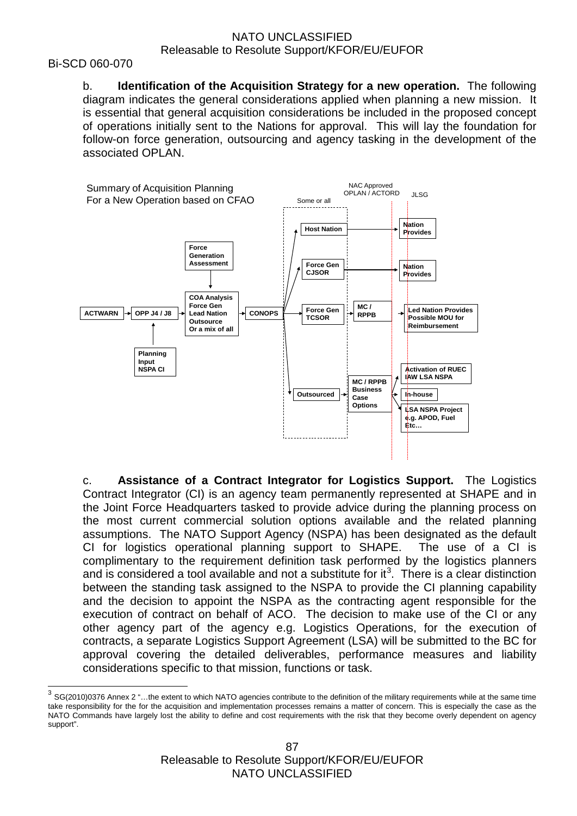#### Bi-SCD 060-070

b. **Identification of the Acquisition Strategy for a new operation.** The following diagram indicates the general considerations applied when planning a new mission. It is essential that general acquisition considerations be included in the proposed concept of operations initially sent to the Nations for approval. This will lay the foundation for follow-on force generation, outsourcing and agency tasking in the development of the associated OPLAN.



c. **Assistance of a Contract Integrator for Logistics Support.** The Logistics Contract Integrator (CI) is an agency team permanently represented at SHAPE and in the Joint Force Headquarters tasked to provide advice during the planning process on the most current commercial solution options available and the related planning assumptions. The NATO Support Agency (NSPA) has been designated as the default CI for logistics operational planning support to SHAPE. The use of a CI is complimentary to the requirement definition task performed by the logistics planners and is considered a tool available and not a substitute for it<sup>[3](#page-86-0)</sup>. There is a clear distinction between the standing task assigned to the NSPA to provide the CI planning capability and the decision to appoint the NSPA as the contracting agent responsible for the execution of contract on behalf of ACO. The decision to make use of the CI or any other agency part of the agency e.g. Logistics Operations, for the execution of contracts, a separate Logistics Support Agreement (LSA) will be submitted to the BC for approval covering the detailed deliverables, performance measures and liability considerations specific to that mission, functions or task.

<span id="page-86-0"></span> $3$  SG(2010)0376 Annex 2 "...the extent to which NATO agencies contribute to the definition of the military requirements while at the same time take responsibility for the for the acquisition and implementation processes remains a matter of concern. This is especially the case as the NATO Commands have largely lost the ability to define and cost requirements with the risk that they become overly dependent on agency support".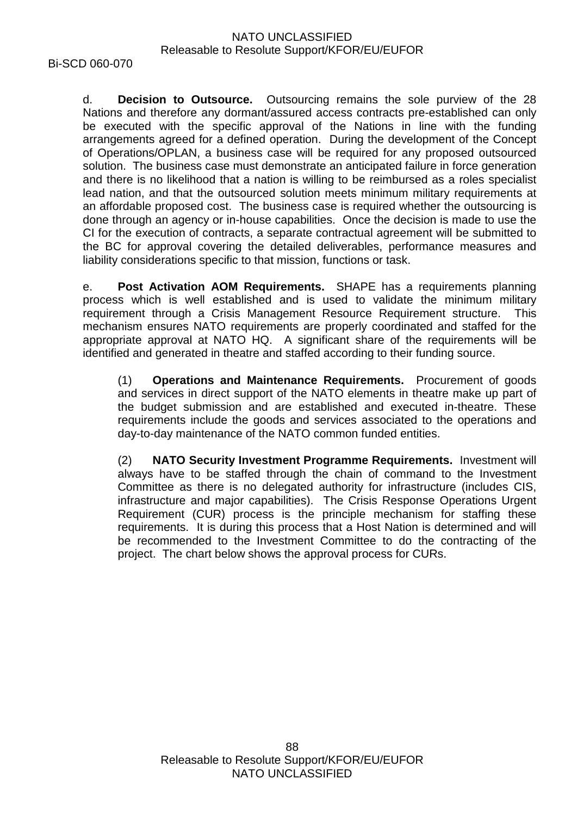d. **Decision to Outsource.** Outsourcing remains the sole purview of the 28 Nations and therefore any dormant/assured access contracts pre-established can only be executed with the specific approval of the Nations in line with the funding arrangements agreed for a defined operation. During the development of the Concept of Operations/OPLAN, a business case will be required for any proposed outsourced solution. The business case must demonstrate an anticipated failure in force generation and there is no likelihood that a nation is willing to be reimbursed as a roles specialist lead nation, and that the outsourced solution meets minimum military requirements at an affordable proposed cost. The business case is required whether the outsourcing is done through an agency or in-house capabilities. Once the decision is made to use the CI for the execution of contracts, a separate contractual agreement will be submitted to the BC for approval covering the detailed deliverables, performance measures and liability considerations specific to that mission, functions or task.

e. **Post Activation AOM Requirements.** SHAPE has a requirements planning process which is well established and is used to validate the minimum military requirement through a Crisis Management Resource Requirement structure. This mechanism ensures NATO requirements are properly coordinated and staffed for the appropriate approval at NATO HQ. A significant share of the requirements will be identified and generated in theatre and staffed according to their funding source.

(1) **Operations and Maintenance Requirements.** Procurement of goods and services in direct support of the NATO elements in theatre make up part of the budget submission and are established and executed in-theatre. These requirements include the goods and services associated to the operations and day-to-day maintenance of the NATO common funded entities.

(2) **NATO Security Investment Programme Requirements.** Investment will always have to be staffed through the chain of command to the Investment Committee as there is no delegated authority for infrastructure (includes CIS, infrastructure and major capabilities). The Crisis Response Operations Urgent Requirement (CUR) process is the principle mechanism for staffing these requirements. It is during this process that a Host Nation is determined and will be recommended to the Investment Committee to do the contracting of the project. The chart below shows the approval process for CURs.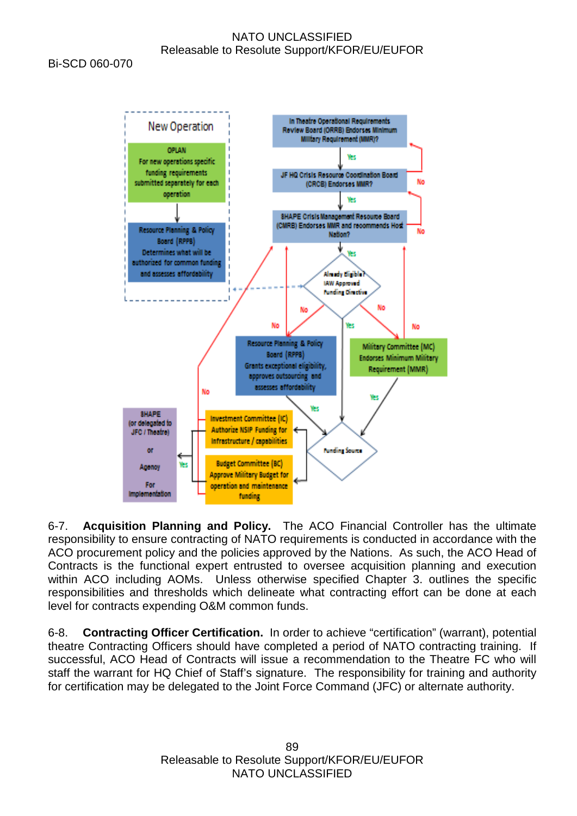Bi-SCD 060-070



6-7. **Acquisition Planning and Policy.** The ACO Financial Controller has the ultimate responsibility to ensure contracting of NATO requirements is conducted in accordance with the ACO procurement policy and the policies approved by the Nations. As such, the ACO Head of Contracts is the functional expert entrusted to oversee acquisition planning and execution within ACO including AOMs. Unless otherwise specified Chapter 3. outlines the specific responsibilities and thresholds which delineate what contracting effort can be done at each level for contracts expending O&M common funds.

6-8. **Contracting Officer Certification.** In order to achieve "certification" (warrant), potential theatre Contracting Officers should have completed a period of NATO contracting training. If successful, ACO Head of Contracts will issue a recommendation to the Theatre FC who will staff the warrant for HQ Chief of Staff's signature. The responsibility for training and authority for certification may be delegated to the Joint Force Command (JFC) or alternate authority.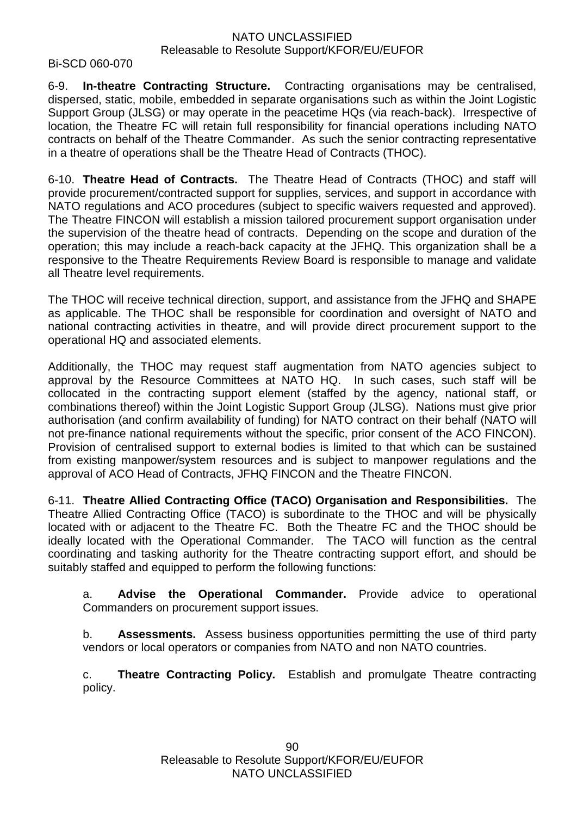#### Bi-SCD 060-070

6-9. **In-theatre Contracting Structure.** Contracting organisations may be centralised, dispersed, static, mobile, embedded in separate organisations such as within the Joint Logistic Support Group (JLSG) or may operate in the peacetime HQs (via reach-back). Irrespective of location, the Theatre FC will retain full responsibility for financial operations including NATO contracts on behalf of the Theatre Commander. As such the senior contracting representative in a theatre of operations shall be the Theatre Head of Contracts (THOC).

6-10. **Theatre Head of Contracts.** The Theatre Head of Contracts (THOC) and staff will provide procurement/contracted support for supplies, services, and support in accordance with NATO regulations and ACO procedures (subject to specific waivers requested and approved). The Theatre FINCON will establish a mission tailored procurement support organisation under the supervision of the theatre head of contracts. Depending on the scope and duration of the operation; this may include a reach-back capacity at the JFHQ. This organization shall be a responsive to the Theatre Requirements Review Board is responsible to manage and validate all Theatre level requirements.

The THOC will receive technical direction, support, and assistance from the JFHQ and SHAPE as applicable. The THOC shall be responsible for coordination and oversight of NATO and national contracting activities in theatre, and will provide direct procurement support to the operational HQ and associated elements.

Additionally, the THOC may request staff augmentation from NATO agencies subject to approval by the Resource Committees at NATO HQ. In such cases, such staff will be collocated in the contracting support element (staffed by the agency, national staff, or combinations thereof) within the Joint Logistic Support Group (JLSG). Nations must give prior authorisation (and confirm availability of funding) for NATO contract on their behalf (NATO will not pre-finance national requirements without the specific, prior consent of the ACO FINCON). Provision of centralised support to external bodies is limited to that which can be sustained from existing manpower/system resources and is subject to manpower regulations and the approval of ACO Head of Contracts, JFHQ FINCON and the Theatre FINCON.

6-11. **Theatre Allied Contracting Office (TACO) Organisation and Responsibilities.** The Theatre Allied Contracting Office (TACO) is subordinate to the THOC and will be physically located with or adjacent to the Theatre FC. Both the Theatre FC and the THOC should be ideally located with the Operational Commander. The TACO will function as the central coordinating and tasking authority for the Theatre contracting support effort, and should be suitably staffed and equipped to perform the following functions:

a. **Advise the Operational Commander.** Provide advice to operational Commanders on procurement support issues.

b. **Assessments.** Assess business opportunities permitting the use of third party vendors or local operators or companies from NATO and non NATO countries.

c. **Theatre Contracting Policy.** Establish and promulgate Theatre contracting policy.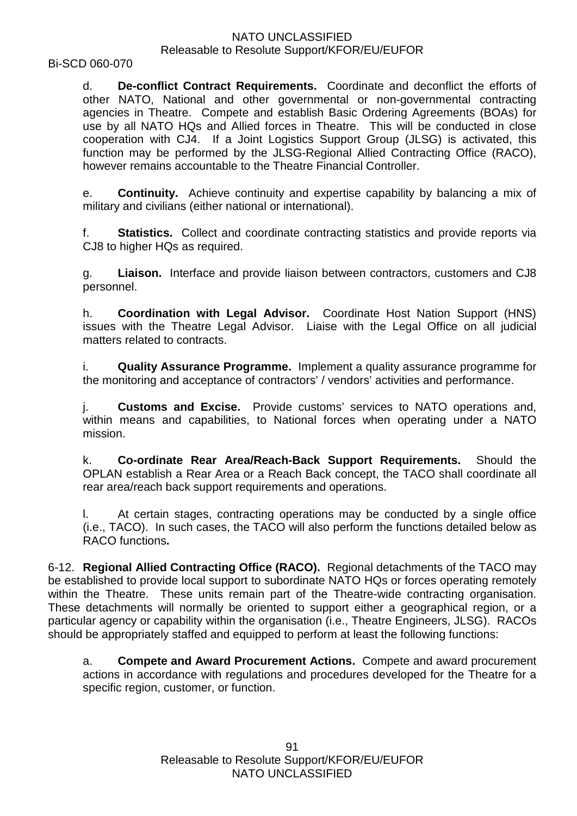Bi-SCD 060-070

d. **De-conflict Contract Requirements.** Coordinate and deconflict the efforts of other NATO, National and other governmental or non-governmental contracting agencies in Theatre. Compete and establish Basic Ordering Agreements (BOAs) for use by all NATO HQs and Allied forces in Theatre. This will be conducted in close cooperation with CJ4. If a Joint Logistics Support Group (JLSG) is activated, this function may be performed by the JLSG-Regional Allied Contracting Office (RACO), however remains accountable to the Theatre Financial Controller.

e. **Continuity.** Achieve continuity and expertise capability by balancing a mix of military and civilians (either national or international).

f. **Statistics.** Collect and coordinate contracting statistics and provide reports via CJ8 to higher HQs as required.

g. **Liaison.** Interface and provide liaison between contractors, customers and CJ8 personnel.

h. **Coordination with Legal Advisor.** Coordinate Host Nation Support (HNS) issues with the Theatre Legal Advisor. Liaise with the Legal Office on all judicial matters related to contracts.

i. **Quality Assurance Programme.** Implement a quality assurance programme for the monitoring and acceptance of contractors' / vendors' activities and performance.

j. **Customs and Excise.** Provide customs' services to NATO operations and, within means and capabilities, to National forces when operating under a NATO mission.

k. **Co-ordinate Rear Area/Reach-Back Support Requirements.** Should the OPLAN establish a Rear Area or a Reach Back concept, the TACO shall coordinate all rear area/reach back support requirements and operations.

At certain stages, contracting operations may be conducted by a single office (i.e., TACO). In such cases, the TACO will also perform the functions detailed below as RACO functions**.**

6-12. **Regional Allied Contracting Office (RACO).** Regional detachments of the TACO may be established to provide local support to subordinate NATO HQs or forces operating remotely within the Theatre. These units remain part of the Theatre-wide contracting organisation. These detachments will normally be oriented to support either a geographical region, or a particular agency or capability within the organisation (i.e., Theatre Engineers, JLSG). RACOs should be appropriately staffed and equipped to perform at least the following functions:

a. **Compete and Award Procurement Actions.** Compete and award procurement actions in accordance with regulations and procedures developed for the Theatre for a specific region, customer, or function.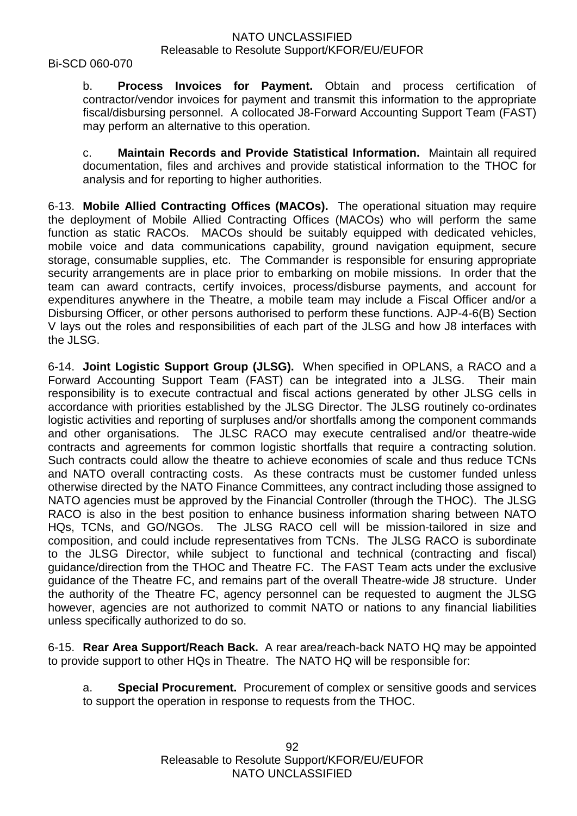Bi-SCD 060-070

b. **Process Invoices for Payment.** Obtain and process certification of contractor/vendor invoices for payment and transmit this information to the appropriate fiscal/disbursing personnel. A collocated J8-Forward Accounting Support Team (FAST) may perform an alternative to this operation.

c. **Maintain Records and Provide Statistical Information.** Maintain all required documentation, files and archives and provide statistical information to the THOC for analysis and for reporting to higher authorities.

6-13. **Mobile Allied Contracting Offices (MACOs).** The operational situation may require the deployment of Mobile Allied Contracting Offices (MACOs) who will perform the same function as static RACOs. MACOs should be suitably equipped with dedicated vehicles, mobile voice and data communications capability, ground navigation equipment, secure storage, consumable supplies, etc. The Commander is responsible for ensuring appropriate security arrangements are in place prior to embarking on mobile missions. In order that the team can award contracts, certify invoices, process/disburse payments, and account for expenditures anywhere in the Theatre, a mobile team may include a Fiscal Officer and/or a Disbursing Officer, or other persons authorised to perform these functions. AJP-4-6(B) Section V lays out the roles and responsibilities of each part of the JLSG and how J8 interfaces with the JLSG.

6-14. **Joint Logistic Support Group (JLSG).** When specified in OPLANS, a RACO and a Forward Accounting Support Team (FAST) can be integrated into a JLSG. Their main responsibility is to execute contractual and fiscal actions generated by other JLSG cells in accordance with priorities established by the JLSG Director. The JLSG routinely co-ordinates logistic activities and reporting of surpluses and/or shortfalls among the component commands and other organisations. The JLSC RACO may execute centralised and/or theatre-wide contracts and agreements for common logistic shortfalls that require a contracting solution. Such contracts could allow the theatre to achieve economies of scale and thus reduce TCNs and NATO overall contracting costs. As these contracts must be customer funded unless otherwise directed by the NATO Finance Committees, any contract including those assigned to NATO agencies must be approved by the Financial Controller (through the THOC). The JLSG RACO is also in the best position to enhance business information sharing between NATO HQs, TCNs, and GO/NGOs. The JLSG RACO cell will be mission-tailored in size and composition, and could include representatives from TCNs. The JLSG RACO is subordinate to the JLSG Director, while subject to functional and technical (contracting and fiscal) guidance/direction from the THOC and Theatre FC. The FAST Team acts under the exclusive guidance of the Theatre FC, and remains part of the overall Theatre-wide J8 structure. Under the authority of the Theatre FC, agency personnel can be requested to augment the JLSG however, agencies are not authorized to commit NATO or nations to any financial liabilities unless specifically authorized to do so.

6-15. **Rear Area Support/Reach Back.** A rear area/reach-back NATO HQ may be appointed to provide support to other HQs in Theatre. The NATO HQ will be responsible for:

a. **Special Procurement.** Procurement of complex or sensitive goods and services to support the operation in response to requests from the THOC.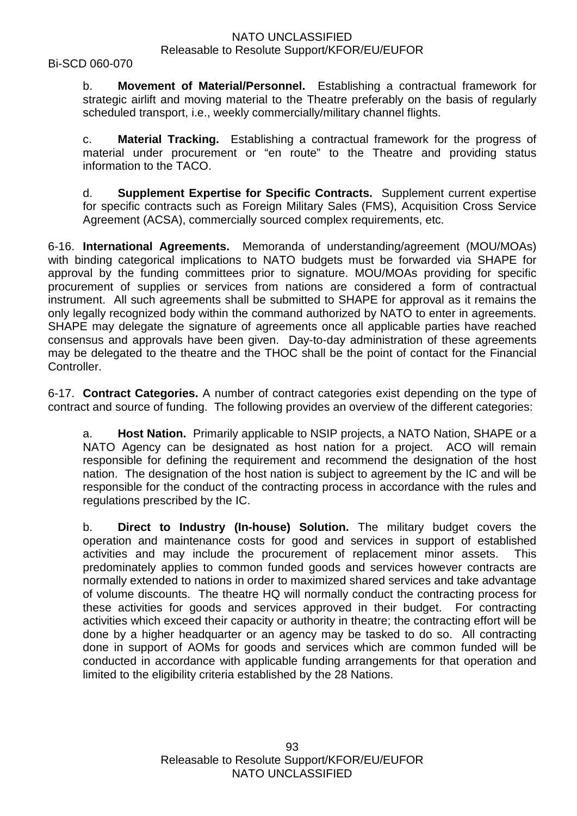Bi-SCD 060-070

b. **Movement of Material/Personnel.** Establishing a contractual framework for strategic airlift and moving material to the Theatre preferably on the basis of regularly scheduled transport, i.e., weekly commercially/military channel flights.

c. **Material Tracking.** Establishing a contractual framework for the progress of material under procurement or "en route" to the Theatre and providing status information to the TACO.

d. **Supplement Expertise for Specific Contracts.** Supplement current expertise for specific contracts such as Foreign Military Sales (FMS), Acquisition Cross Service Agreement (ACSA), commercially sourced complex requirements, etc.

6-16. **International Agreements.** Memoranda of understanding/agreement (MOU/MOAs) with binding categorical implications to NATO budgets must be forwarded via SHAPE for approval by the funding committees prior to signature. MOU/MOAs providing for specific procurement of supplies or services from nations are considered a form of contractual instrument. All such agreements shall be submitted to SHAPE for approval as it remains the only legally recognized body within the command authorized by NATO to enter in agreements. SHAPE may delegate the signature of agreements once all applicable parties have reached consensus and approvals have been given. Day-to-day administration of these agreements may be delegated to the theatre and the THOC shall be the point of contact for the Financial Controller.

6-17. **Contract Categories.** A number of contract categories exist depending on the type of contract and source of funding. The following provides an overview of the different categories:

a. **Host Nation.** Primarily applicable to NSIP projects, a NATO Nation, SHAPE or a NATO Agency can be designated as host nation for a project. ACO will remain responsible for defining the requirement and recommend the designation of the host nation. The designation of the host nation is subject to agreement by the IC and will be responsible for the conduct of the contracting process in accordance with the rules and regulations prescribed by the IC.

b. **Direct to Industry (In-house) Solution.** The military budget covers the operation and maintenance costs for good and services in support of established activities and may include the procurement of replacement minor assets. This predominately applies to common funded goods and services however contracts are normally extended to nations in order to maximized shared services and take advantage of volume discounts. The theatre HQ will normally conduct the contracting process for these activities for goods and services approved in their budget. For contracting activities which exceed their capacity or authority in theatre; the contracting effort will be done by a higher headquarter or an agency may be tasked to do so. All contracting done in support of AOMs for goods and services which are common funded will be conducted in accordance with applicable funding arrangements for that operation and limited to the eligibility criteria established by the 28 Nations.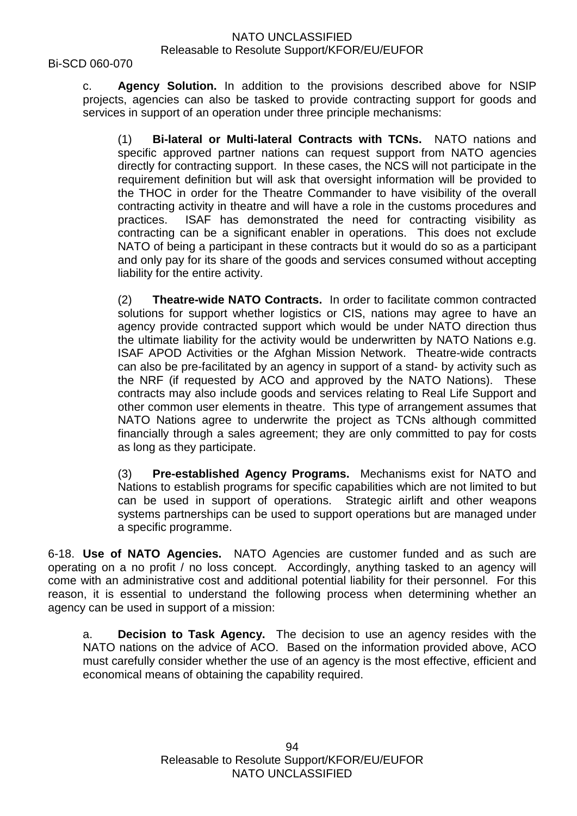Bi-SCD 060-070

c. **Agency Solution.** In addition to the provisions described above for NSIP projects, agencies can also be tasked to provide contracting support for goods and services in support of an operation under three principle mechanisms:

(1) **Bi-lateral or Multi-lateral Contracts with TCNs.** NATO nations and specific approved partner nations can request support from NATO agencies directly for contracting support. In these cases, the NCS will not participate in the requirement definition but will ask that oversight information will be provided to the THOC in order for the Theatre Commander to have visibility of the overall contracting activity in theatre and will have a role in the customs procedures and practices. ISAF has demonstrated the need for contracting visibility as contracting can be a significant enabler in operations. This does not exclude NATO of being a participant in these contracts but it would do so as a participant and only pay for its share of the goods and services consumed without accepting liability for the entire activity.

(2) **Theatre-wide NATO Contracts.** In order to facilitate common contracted solutions for support whether logistics or CIS, nations may agree to have an agency provide contracted support which would be under NATO direction thus the ultimate liability for the activity would be underwritten by NATO Nations e.g. ISAF APOD Activities or the Afghan Mission Network. Theatre-wide contracts can also be pre-facilitated by an agency in support of a stand- by activity such as the NRF (if requested by ACO and approved by the NATO Nations). These contracts may also include goods and services relating to Real Life Support and other common user elements in theatre. This type of arrangement assumes that NATO Nations agree to underwrite the project as TCNs although committed financially through a sales agreement; they are only committed to pay for costs as long as they participate.

(3) **Pre-established Agency Programs.** Mechanisms exist for NATO and Nations to establish programs for specific capabilities which are not limited to but can be used in support of operations. Strategic airlift and other weapons systems partnerships can be used to support operations but are managed under a specific programme.

6-18. **Use of NATO Agencies.** NATO Agencies are customer funded and as such are operating on a no profit / no loss concept. Accordingly, anything tasked to an agency will come with an administrative cost and additional potential liability for their personnel. For this reason, it is essential to understand the following process when determining whether an agency can be used in support of a mission:

a. **Decision to Task Agency.** The decision to use an agency resides with the NATO nations on the advice of ACO. Based on the information provided above, ACO must carefully consider whether the use of an agency is the most effective, efficient and economical means of obtaining the capability required.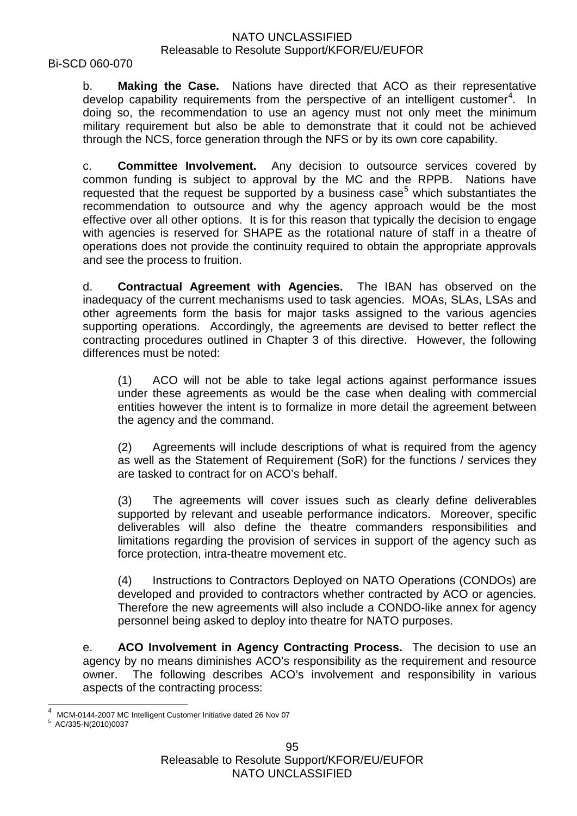#### Bi-SCD 060-070

b. **Making the Case.** Nations have directed that ACO as their representative develop capability requirements from the perspective of an intelligent customer<sup>[4](#page-94-0)</sup>. In doing so, the recommendation to use an agency must not only meet the minimum military requirement but also be able to demonstrate that it could not be achieved through the NCS, force generation through the NFS or by its own core capability.

c. **Committee Involvement.** Any decision to outsource services covered by common funding is subject to approval by the MC and the RPPB. Nations have requested that the request be supported by a business case<sup>[5](#page-94-1)</sup> which substantiates the recommendation to outsource and why the agency approach would be the most effective over all other options. It is for this reason that typically the decision to engage with agencies is reserved for SHAPE as the rotational nature of staff in a theatre of operations does not provide the continuity required to obtain the appropriate approvals and see the process to fruition.

d. **Contractual Agreement with Agencies.** The IBAN has observed on the inadequacy of the current mechanisms used to task agencies. MOAs, SLAs, LSAs and other agreements form the basis for major tasks assigned to the various agencies supporting operations. Accordingly, the agreements are devised to better reflect the contracting procedures outlined in Chapter 3 of this directive. However, the following differences must be noted:

(1) ACO will not be able to take legal actions against performance issues under these agreements as would be the case when dealing with commercial entities however the intent is to formalize in more detail the agreement between the agency and the command.

(2) Agreements will include descriptions of what is required from the agency as well as the Statement of Requirement (SoR) for the functions / services they are tasked to contract for on ACO's behalf.

(3) The agreements will cover issues such as clearly define deliverables supported by relevant and useable performance indicators. Moreover, specific deliverables will also define the theatre commanders responsibilities and limitations regarding the provision of services in support of the agency such as force protection, intra-theatre movement etc.

(4) Instructions to Contractors Deployed on NATO Operations (CONDOs) are developed and provided to contractors whether contracted by ACO or agencies. Therefore the new agreements will also include a CONDO-like annex for agency personnel being asked to deploy into theatre for NATO purposes.

e. **ACO Involvement in Agency Contracting Process.** The decision to use an agency by no means diminishes ACO's responsibility as the requirement and resource owner. The following describes ACO's involvement and responsibility in various aspects of the contracting process:

<span id="page-94-0"></span>MCM-0144-2007 MC Intelligent Customer Initiative dated 26 Nov 07<br>AC/335-N(2010)0037

<span id="page-94-1"></span>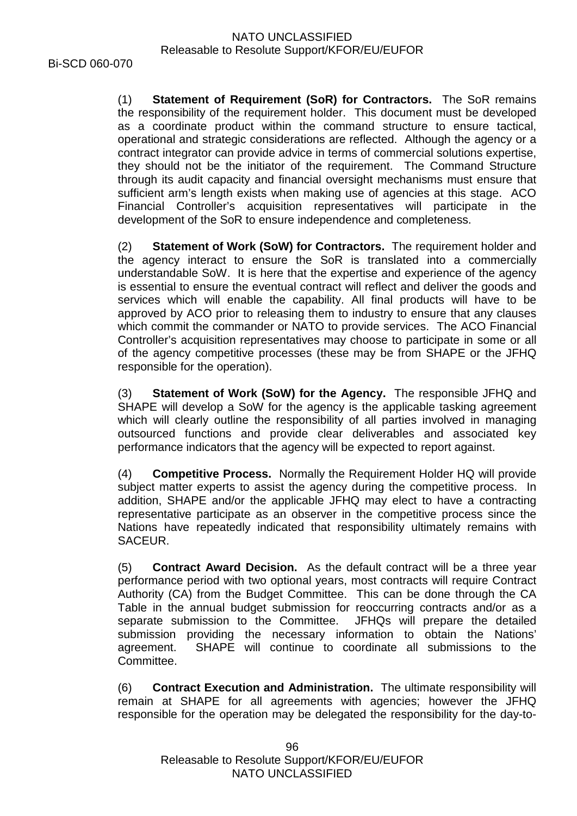(1) **Statement of Requirement (SoR) for Contractors.** The SoR remains the responsibility of the requirement holder. This document must be developed as a coordinate product within the command structure to ensure tactical, operational and strategic considerations are reflected. Although the agency or a contract integrator can provide advice in terms of commercial solutions expertise, they should not be the initiator of the requirement. The Command Structure through its audit capacity and financial oversight mechanisms must ensure that sufficient arm's length exists when making use of agencies at this stage. ACO Financial Controller's acquisition representatives will participate in the development of the SoR to ensure independence and completeness.

(2) **Statement of Work (SoW) for Contractors.** The requirement holder and the agency interact to ensure the SoR is translated into a commercially understandable SoW. It is here that the expertise and experience of the agency is essential to ensure the eventual contract will reflect and deliver the goods and services which will enable the capability. All final products will have to be approved by ACO prior to releasing them to industry to ensure that any clauses which commit the commander or NATO to provide services. The ACO Financial Controller's acquisition representatives may choose to participate in some or all of the agency competitive processes (these may be from SHAPE or the JFHQ responsible for the operation).

(3) **Statement of Work (SoW) for the Agency.** The responsible JFHQ and SHAPE will develop a SoW for the agency is the applicable tasking agreement which will clearly outline the responsibility of all parties involved in managing outsourced functions and provide clear deliverables and associated key performance indicators that the agency will be expected to report against.

(4) **Competitive Process.** Normally the Requirement Holder HQ will provide subject matter experts to assist the agency during the competitive process. In addition, SHAPE and/or the applicable JFHQ may elect to have a contracting representative participate as an observer in the competitive process since the Nations have repeatedly indicated that responsibility ultimately remains with SACEUR.

(5) **Contract Award Decision.** As the default contract will be a three year performance period with two optional years, most contracts will require Contract Authority (CA) from the Budget Committee. This can be done through the CA Table in the annual budget submission for reoccurring contracts and/or as a separate submission to the Committee. JFHQs will prepare the detailed submission providing the necessary information to obtain the Nations' agreement. SHAPE will continue to coordinate all submissions to the Committee.

(6) **Contract Execution and Administration.** The ultimate responsibility will remain at SHAPE for all agreements with agencies; however the JFHQ responsible for the operation may be delegated the responsibility for the day-to-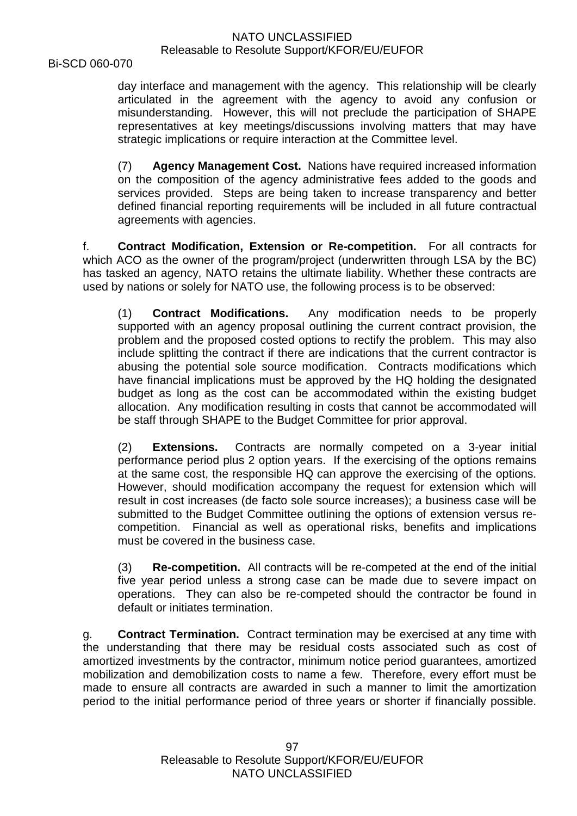Bi-SCD 060-070

day interface and management with the agency. This relationship will be clearly articulated in the agreement with the agency to avoid any confusion or misunderstanding. However, this will not preclude the participation of SHAPE representatives at key meetings/discussions involving matters that may have strategic implications or require interaction at the Committee level.

(7) **Agency Management Cost.** Nations have required increased information on the composition of the agency administrative fees added to the goods and services provided. Steps are being taken to increase transparency and better defined financial reporting requirements will be included in all future contractual agreements with agencies.

f. **Contract Modification, Extension or Re-competition.** For all contracts for which ACO as the owner of the program/project (underwritten through LSA by the BC) has tasked an agency, NATO retains the ultimate liability. Whether these contracts are used by nations or solely for NATO use, the following process is to be observed:

(1) **Contract Modifications.** Any modification needs to be properly supported with an agency proposal outlining the current contract provision, the problem and the proposed costed options to rectify the problem. This may also include splitting the contract if there are indications that the current contractor is abusing the potential sole source modification. Contracts modifications which have financial implications must be approved by the HQ holding the designated budget as long as the cost can be accommodated within the existing budget allocation. Any modification resulting in costs that cannot be accommodated will be staff through SHAPE to the Budget Committee for prior approval.

(2) **Extensions.** Contracts are normally competed on a 3-year initial performance period plus 2 option years. If the exercising of the options remains at the same cost, the responsible HQ can approve the exercising of the options. However, should modification accompany the request for extension which will result in cost increases (de facto sole source increases); a business case will be submitted to the Budget Committee outlining the options of extension versus recompetition. Financial as well as operational risks, benefits and implications must be covered in the business case.

(3) **Re-competition.** All contracts will be re-competed at the end of the initial five year period unless a strong case can be made due to severe impact on operations. They can also be re-competed should the contractor be found in default or initiates termination.

g. **Contract Termination.** Contract termination may be exercised at any time with the understanding that there may be residual costs associated such as cost of amortized investments by the contractor, minimum notice period guarantees, amortized mobilization and demobilization costs to name a few. Therefore, every effort must be made to ensure all contracts are awarded in such a manner to limit the amortization period to the initial performance period of three years or shorter if financially possible.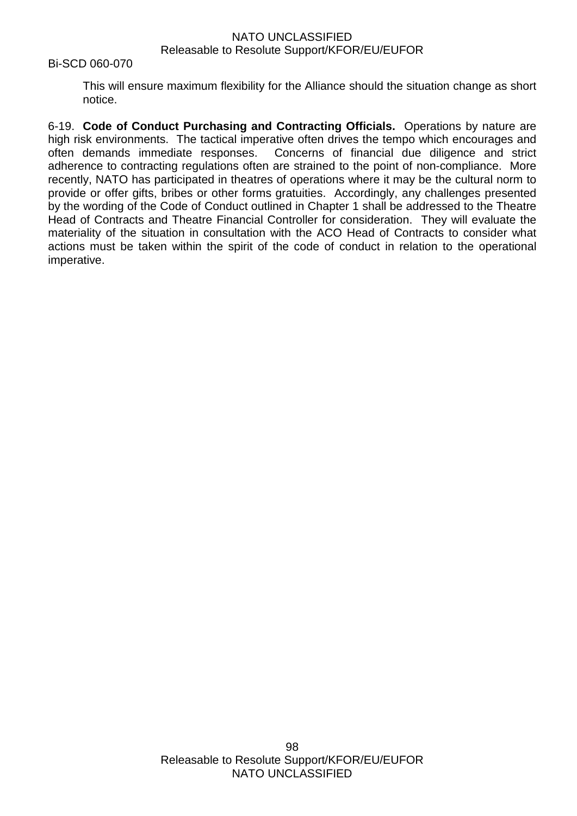#### Bi-SCD 060-070

This will ensure maximum flexibility for the Alliance should the situation change as short notice.

6-19. **Code of Conduct Purchasing and Contracting Officials.** Operations by nature are high risk environments. The tactical imperative often drives the tempo which encourages and often demands immediate responses. Concerns of financial due diligence and strict adherence to contracting regulations often are strained to the point of non-compliance. More recently, NATO has participated in theatres of operations where it may be the cultural norm to provide or offer gifts, bribes or other forms gratuities. Accordingly, any challenges presented by the wording of the Code of Conduct outlined in Chapter 1 shall be addressed to the Theatre Head of Contracts and Theatre Financial Controller for consideration. They will evaluate the materiality of the situation in consultation with the ACO Head of Contracts to consider what actions must be taken within the spirit of the code of conduct in relation to the operational imperative.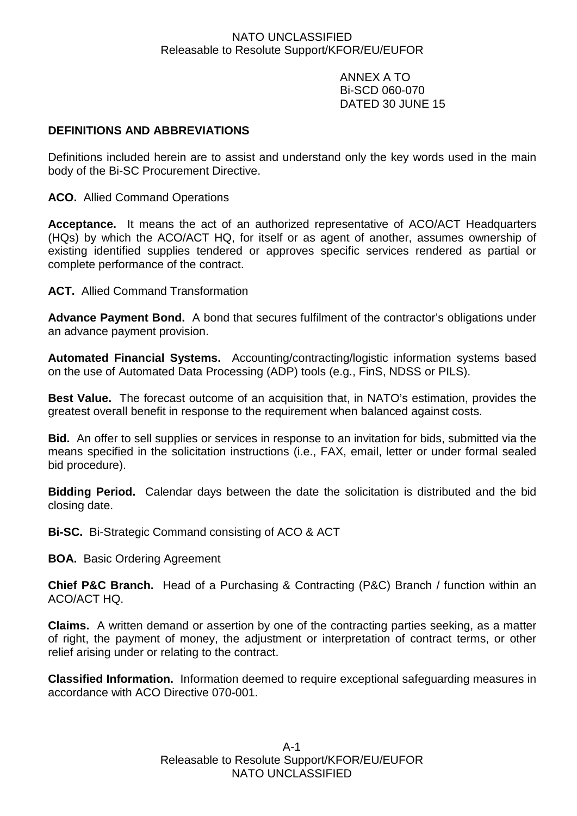ANNEX A TO Bi-SCD 060-070 DATED 30 JUNE 15

# **DEFINITIONS AND ABBREVIATIONS**

Definitions included herein are to assist and understand only the key words used in the main body of the Bi-SC Procurement Directive.

**ACO.** Allied Command Operations

**Acceptance.** It means the act of an authorized representative of ACO/ACT Headquarters (HQs) by which the ACO/ACT HQ, for itself or as agent of another, assumes ownership of existing identified supplies tendered or approves specific services rendered as partial or complete performance of the contract.

**ACT.** Allied Command Transformation

**Advance Payment Bond.** A bond that secures fulfilment of the contractor's obligations under an advance payment provision.

**Automated Financial Systems.** Accounting/contracting/logistic information systems based on the use of Automated Data Processing (ADP) tools (e.g., FinS, NDSS or PILS).

**Best Value.** The forecast outcome of an acquisition that, in NATO's estimation, provides the greatest overall benefit in response to the requirement when balanced against costs.

**Bid.** An offer to sell supplies or services in response to an invitation for bids, submitted via the means specified in the solicitation instructions (i.e., FAX, email, letter or under formal sealed bid procedure).

**Bidding Period.** Calendar days between the date the solicitation is distributed and the bid closing date.

**Bi-SC.** Bi-Strategic Command consisting of ACO & ACT

**BOA.** Basic Ordering Agreement

**Chief P&C Branch.** Head of a Purchasing & Contracting (P&C) Branch / function within an ACO/ACT HQ.

**Claims.** A written demand or assertion by one of the contracting parties seeking, as a matter of right, the payment of money, the adjustment or interpretation of contract terms, or other relief arising under or relating to the contract.

**Classified Information.** Information deemed to require exceptional safeguarding measures in accordance with ACO Directive 070-001.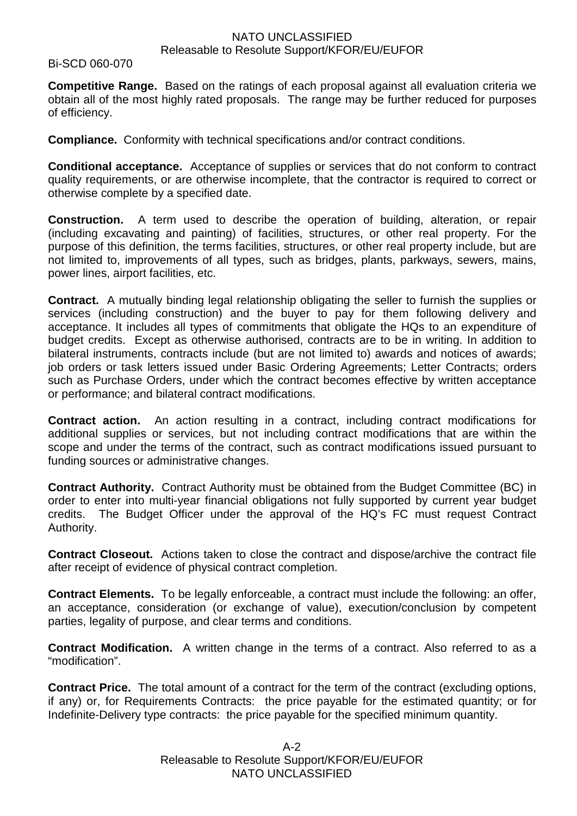Bi-SCD 060-070

**Competitive Range.** Based on the ratings of each proposal against all evaluation criteria we obtain all of the most highly rated proposals. The range may be further reduced for purposes of efficiency.

**Compliance.** Conformity with technical specifications and/or contract conditions.

**Conditional acceptance.** Acceptance of supplies or services that do not conform to contract quality requirements, or are otherwise incomplete, that the contractor is required to correct or otherwise complete by a specified date.

**Construction.** A term used to describe the operation of building, alteration, or repair (including excavating and painting) of facilities, structures, or other real property. For the purpose of this definition, the terms facilities, structures, or other real property include, but are not limited to, improvements of all types, such as bridges, plants, parkways, sewers, mains, power lines, airport facilities, etc.

**Contract.** A mutually binding legal relationship obligating the seller to furnish the supplies or services (including construction) and the buyer to pay for them following delivery and acceptance. It includes all types of commitments that obligate the HQs to an expenditure of budget credits. Except as otherwise authorised, contracts are to be in writing. In addition to bilateral instruments, contracts include (but are not limited to) awards and notices of awards; job orders or task letters issued under Basic Ordering Agreements; Letter Contracts; orders such as Purchase Orders, under which the contract becomes effective by written acceptance or performance; and bilateral contract modifications.

**Contract action.** An action resulting in a contract, including contract modifications for additional supplies or services, but not including contract modifications that are within the scope and under the terms of the contract, such as contract modifications issued pursuant to funding sources or administrative changes.

**Contract Authority.** Contract Authority must be obtained from the Budget Committee (BC) in order to enter into multi-year financial obligations not fully supported by current year budget credits. The Budget Officer under the approval of the HQ's FC must request Contract Authority.

**Contract Closeout.** Actions taken to close the contract and dispose/archive the contract file after receipt of evidence of physical contract completion.

**Contract Elements.** To be legally enforceable, a contract must include the following: an offer, an acceptance, consideration (or exchange of value), execution/conclusion by competent parties, legality of purpose, and clear terms and conditions.

**Contract Modification.** A written change in the terms of a contract. Also referred to as a "modification".

**Contract Price.** The total amount of a contract for the term of the contract (excluding options, if any) or, for Requirements Contracts: the price payable for the estimated quantity; or for Indefinite-Delivery type contracts: the price payable for the specified minimum quantity.

> A-2 Releasable to Resolute Support/KFOR/EU/EUFOR NATO UNCLASSIFIED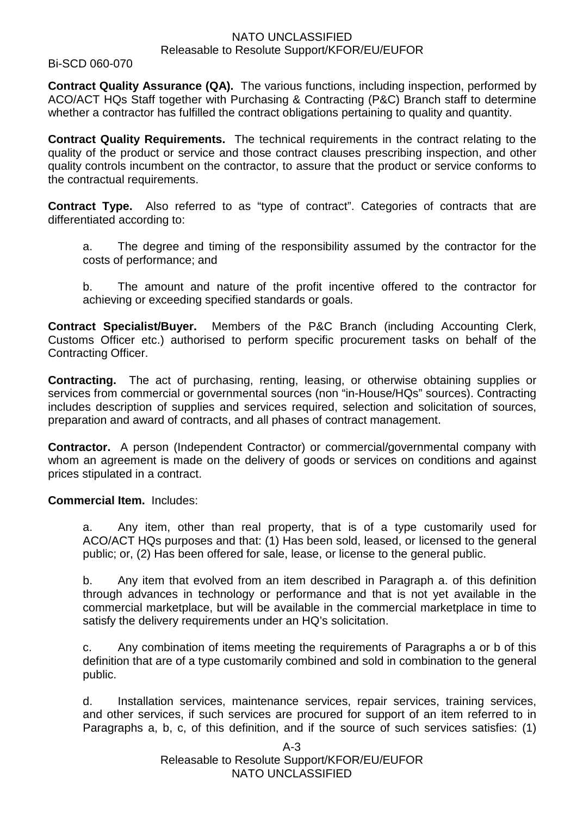Bi-SCD 060-070

**Contract Quality Assurance (QA).** The various functions, including inspection, performed by ACO/ACT HQs Staff together with Purchasing & Contracting (P&C) Branch staff to determine whether a contractor has fulfilled the contract obligations pertaining to quality and quantity.

**Contract Quality Requirements.** The technical requirements in the contract relating to the quality of the product or service and those contract clauses prescribing inspection, and other quality controls incumbent on the contractor, to assure that the product or service conforms to the contractual requirements.

**Contract Type.** Also referred to as "type of contract". Categories of contracts that are differentiated according to:

a. The degree and timing of the responsibility assumed by the contractor for the costs of performance; and

b. The amount and nature of the profit incentive offered to the contractor for achieving or exceeding specified standards or goals.

**Contract Specialist/Buyer.** Members of the P&C Branch (including Accounting Clerk, Customs Officer etc.) authorised to perform specific procurement tasks on behalf of the Contracting Officer.

**Contracting.** The act of purchasing, renting, leasing, or otherwise obtaining supplies or services from commercial or governmental sources (non "in-House/HQs" sources). Contracting includes description of supplies and services required, selection and solicitation of sources, preparation and award of contracts, and all phases of contract management.

**Contractor.** A person (Independent Contractor) or commercial/governmental company with whom an agreement is made on the delivery of goods or services on conditions and against prices stipulated in a contract.

**Commercial Item.** Includes:

a. Any item, other than real property, that is of a type customarily used for ACO/ACT HQs purposes and that: (1) Has been sold, leased, or licensed to the general public; or, (2) Has been offered for sale, lease, or license to the general public.

b. Any item that evolved from an item described in Paragraph a. of this definition through advances in technology or performance and that is not yet available in the commercial marketplace, but will be available in the commercial marketplace in time to satisfy the delivery requirements under an HQ's solicitation.

c. Any combination of items meeting the requirements of Paragraphs a or b of this definition that are of a type customarily combined and sold in combination to the general public.

d. Installation services, maintenance services, repair services, training services, and other services, if such services are procured for support of an item referred to in Paragraphs a, b, c, of this definition, and if the source of such services satisfies: (1)

> A-3 Releasable to Resolute Support/KFOR/EU/EUFOR NATO UNCLASSIFIED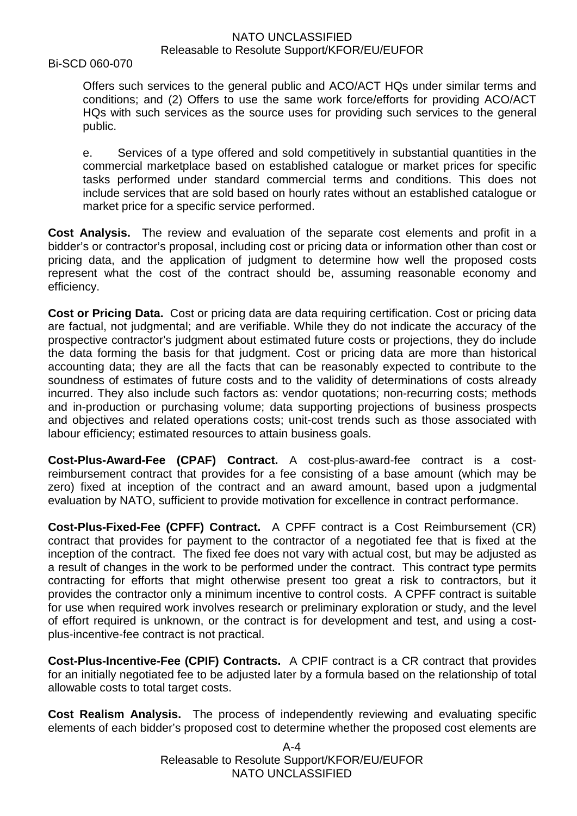Bi-SCD 060-070

Offers such services to the general public and ACO/ACT HQs under similar terms and conditions; and (2) Offers to use the same work force/efforts for providing ACO/ACT HQs with such services as the source uses for providing such services to the general public.

e. Services of a type offered and sold competitively in substantial quantities in the commercial marketplace based on established catalogue or market prices for specific tasks performed under standard commercial terms and conditions. This does not include services that are sold based on hourly rates without an established catalogue or market price for a specific service performed.

**Cost Analysis.** The review and evaluation of the separate cost elements and profit in a bidder's or contractor's proposal, including cost or pricing data or information other than cost or pricing data, and the application of judgment to determine how well the proposed costs represent what the cost of the contract should be, assuming reasonable economy and efficiency.

**Cost or Pricing Data.** Cost or pricing data are data requiring certification. Cost or pricing data are factual, not judgmental; and are verifiable. While they do not indicate the accuracy of the prospective contractor's judgment about estimated future costs or projections, they do include the data forming the basis for that judgment. Cost or pricing data are more than historical accounting data; they are all the facts that can be reasonably expected to contribute to the soundness of estimates of future costs and to the validity of determinations of costs already incurred. They also include such factors as: vendor quotations; non-recurring costs; methods and in-production or purchasing volume; data supporting projections of business prospects and objectives and related operations costs; unit-cost trends such as those associated with labour efficiency; estimated resources to attain business goals.

**Cost-Plus-Award-Fee (CPAF) Contract.** A cost-plus-award-fee contract is a costreimbursement contract that provides for a fee consisting of a base amount (which may be zero) fixed at inception of the contract and an award amount, based upon a judgmental evaluation by NATO, sufficient to provide motivation for excellence in contract performance.

**Cost-Plus-Fixed-Fee (CPFF) Contract.** A CPFF contract is a Cost Reimbursement (CR) contract that provides for payment to the contractor of a negotiated fee that is fixed at the inception of the contract. The fixed fee does not vary with actual cost, but may be adjusted as a result of changes in the work to be performed under the contract. This contract type permits contracting for efforts that might otherwise present too great a risk to contractors, but it provides the contractor only a minimum incentive to control costs. A CPFF contract is suitable for use when required work involves research or preliminary exploration or study, and the level of effort required is unknown, or the contract is for development and test, and using a costplus-incentive-fee contract is not practical.

**Cost-Plus-Incentive-Fee (CPIF) Contracts.** A CPIF contract is a CR contract that provides for an initially negotiated fee to be adjusted later by a formula based on the relationship of total allowable costs to total target costs.

**Cost Realism Analysis.** The process of independently reviewing and evaluating specific elements of each bidder's proposed cost to determine whether the proposed cost elements are

> A-4 Releasable to Resolute Support/KFOR/EU/EUFOR NATO UNCLASSIFIED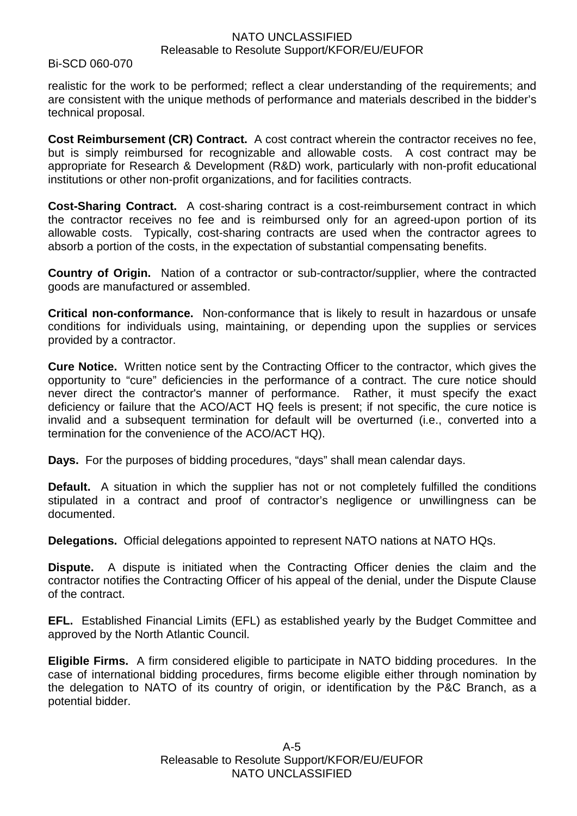Bi-SCD 060-070

realistic for the work to be performed; reflect a clear understanding of the requirements; and are consistent with the unique methods of performance and materials described in the bidder's technical proposal.

**Cost Reimbursement (CR) Contract.** A cost contract wherein the contractor receives no fee, but is simply reimbursed for recognizable and allowable costs. A cost contract may be appropriate for Research & Development (R&D) work, particularly with non-profit educational institutions or other non-profit organizations, and for facilities contracts.

**Cost-Sharing Contract.** A cost-sharing contract is a cost-reimbursement contract in which the contractor receives no fee and is reimbursed only for an agreed-upon portion of its allowable costs. Typically, cost-sharing contracts are used when the contractor agrees to absorb a portion of the costs, in the expectation of substantial compensating benefits.

**Country of Origin.** Nation of a contractor or sub-contractor/supplier, where the contracted goods are manufactured or assembled.

**Critical non-conformance.** Non-conformance that is likely to result in hazardous or unsafe conditions for individuals using, maintaining, or depending upon the supplies or services provided by a contractor.

**Cure Notice.** Written notice sent by the Contracting Officer to the contractor, which gives the opportunity to "cure" deficiencies in the performance of a contract. The cure notice should never direct the contractor's manner of performance. Rather, it must specify the exact deficiency or failure that the ACO/ACT HQ feels is present; if not specific, the cure notice is invalid and a subsequent termination for default will be overturned (i.e., converted into a termination for the convenience of the ACO/ACT HQ).

**Days.** For the purposes of bidding procedures, "days" shall mean calendar days.

**Default.** A situation in which the supplier has not or not completely fulfilled the conditions stipulated in a contract and proof of contractor's negligence or unwillingness can be documented.

**Delegations.** Official delegations appointed to represent NATO nations at NATO HQs.

**Dispute.** A dispute is initiated when the Contracting Officer denies the claim and the contractor notifies the Contracting Officer of his appeal of the denial, under the Dispute Clause of the contract.

**EFL.** Established Financial Limits (EFL) as established yearly by the Budget Committee and approved by the North Atlantic Council.

**Eligible Firms.** A firm considered eligible to participate in NATO bidding procedures. In the case of international bidding procedures, firms become eligible either through nomination by the delegation to NATO of its country of origin, or identification by the P&C Branch, as a potential bidder.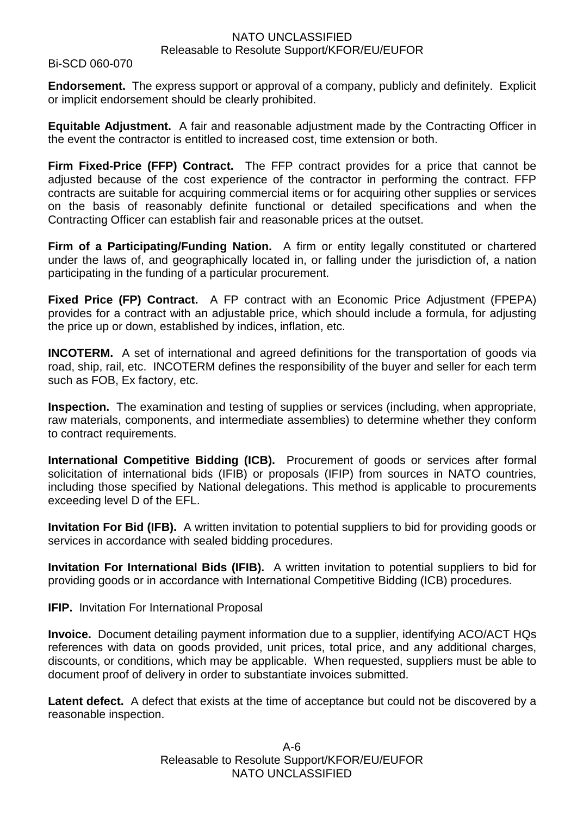Bi-SCD 060-070

**Endorsement.** The express support or approval of a company, publicly and definitely. Explicit or implicit endorsement should be clearly prohibited.

**Equitable Adjustment.** A fair and reasonable adjustment made by the Contracting Officer in the event the contractor is entitled to increased cost, time extension or both.

**Firm Fixed-Price (FFP) Contract.** The FFP contract provides for a price that cannot be adjusted because of the cost experience of the contractor in performing the contract. FFP contracts are suitable for acquiring commercial items or for acquiring other supplies or services on the basis of reasonably definite functional or detailed specifications and when the Contracting Officer can establish fair and reasonable prices at the outset.

**Firm of a Participating/Funding Nation.** A firm or entity legally constituted or chartered under the laws of, and geographically located in, or falling under the jurisdiction of, a nation participating in the funding of a particular procurement.

**Fixed Price (FP) Contract.** A FP contract with an Economic Price Adjustment (FPEPA) provides for a contract with an adjustable price, which should include a formula, for adjusting the price up or down, established by indices, inflation, etc.

**INCOTERM.** A set of international and agreed definitions for the transportation of goods via road, ship, rail, etc. INCOTERM defines the responsibility of the buyer and seller for each term such as FOB, Ex factory, etc.

**Inspection.** The examination and testing of supplies or services (including, when appropriate, raw materials, components, and intermediate assemblies) to determine whether they conform to contract requirements.

**International Competitive Bidding (ICB).** Procurement of goods or services after formal solicitation of international bids (IFIB) or proposals (IFIP) from sources in NATO countries, including those specified by National delegations. This method is applicable to procurements exceeding level D of the EFL.

**Invitation For Bid (IFB).** A written invitation to potential suppliers to bid for providing goods or services in accordance with sealed bidding procedures.

**Invitation For International Bids (IFIB).** A written invitation to potential suppliers to bid for providing goods or in accordance with International Competitive Bidding (ICB) procedures.

**IFIP.** Invitation For International Proposal

**Invoice.** Document detailing payment information due to a supplier, identifying ACO/ACT HQs references with data on goods provided, unit prices, total price, and any additional charges, discounts, or conditions, which may be applicable. When requested, suppliers must be able to document proof of delivery in order to substantiate invoices submitted.

Latent defect. A defect that exists at the time of acceptance but could not be discovered by a reasonable inspection.

> A-6 Releasable to Resolute Support/KFOR/EU/EUFOR NATO UNCLASSIFIED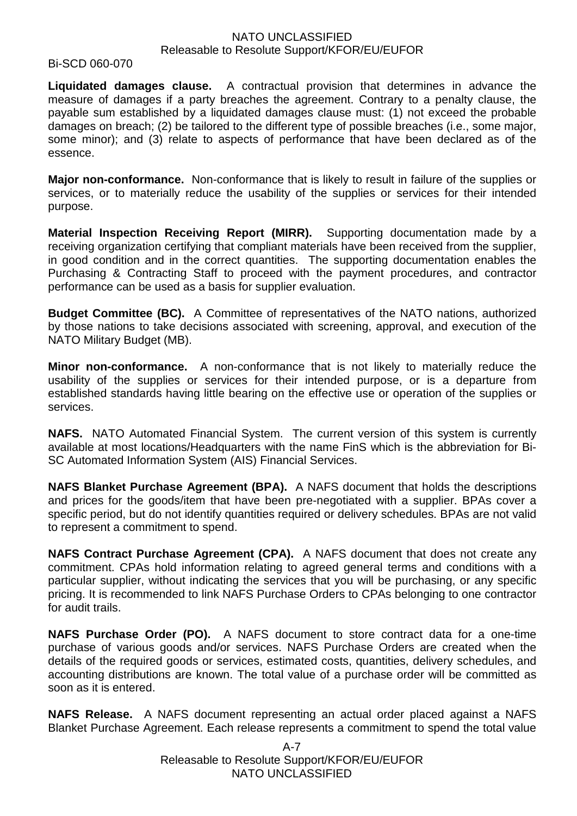#### Bi-SCD 060-070

**Liquidated damages clause.** A contractual provision that determines in advance the measure of damages if a party breaches the agreement. Contrary to a penalty clause, the payable sum established by a liquidated damages clause must: (1) not exceed the probable damages on breach; (2) be tailored to the different type of possible breaches (i.e., some major, some minor); and (3) relate to aspects of performance that have been declared as of the essence.

**Major non-conformance.** Non-conformance that is likely to result in failure of the supplies or services, or to materially reduce the usability of the supplies or services for their intended purpose.

**Material Inspection Receiving Report (MIRR).** Supporting documentation made by a receiving organization certifying that compliant materials have been received from the supplier, in good condition and in the correct quantities. The supporting documentation enables the Purchasing & Contracting Staff to proceed with the payment procedures, and contractor performance can be used as a basis for supplier evaluation.

**Budget Committee (BC).** A Committee of representatives of the NATO nations, authorized by those nations to take decisions associated with screening, approval, and execution of the NATO Military Budget (MB).

**Minor non-conformance.** A non-conformance that is not likely to materially reduce the usability of the supplies or services for their intended purpose, or is a departure from established standards having little bearing on the effective use or operation of the supplies or services.

**NAFS.** NATO Automated Financial System. The current version of this system is currently available at most locations/Headquarters with the name FinS which is the abbreviation for Bi-SC Automated Information System (AIS) Financial Services.

**NAFS Blanket Purchase Agreement (BPA).** A NAFS document that holds the descriptions and prices for the goods/item that have been pre-negotiated with a supplier. BPAs cover a specific period, but do not identify quantities required or delivery schedules. BPAs are not valid to represent a commitment to spend.

**NAFS Contract Purchase Agreement (CPA).** A NAFS document that does not create any commitment. CPAs hold information relating to agreed general terms and conditions with a particular supplier, without indicating the services that you will be purchasing, or any specific pricing. It is recommended to link NAFS Purchase Orders to CPAs belonging to one contractor for audit trails.

**NAFS Purchase Order (PO).** A NAFS document to store contract data for a one-time purchase of various goods and/or services. NAFS Purchase Orders are created when the details of the required goods or services, estimated costs, quantities, delivery schedules, and accounting distributions are known. The total value of a purchase order will be committed as soon as it is entered.

**NAFS Release.** A NAFS document representing an actual order placed against a NAFS Blanket Purchase Agreement. Each release represents a commitment to spend the total value

> A-7 Releasable to Resolute Support/KFOR/EU/EUFOR NATO UNCLASSIFIED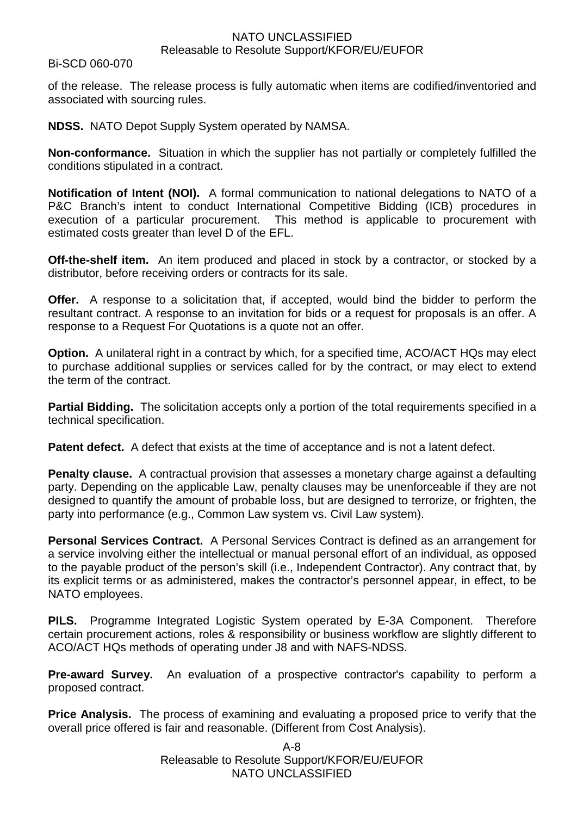#### Bi-SCD 060-070

of the release. The release process is fully automatic when items are codified/inventoried and associated with sourcing rules.

**NDSS.** NATO Depot Supply System operated by NAMSA.

**Non-conformance.** Situation in which the supplier has not partially or completely fulfilled the conditions stipulated in a contract.

**Notification of Intent (NOI).** A formal communication to national delegations to NATO of a P&C Branch's intent to conduct International Competitive Bidding (ICB) procedures in execution of a particular procurement. This method is applicable to procurement with estimated costs greater than level D of the EFL.

**Off-the-shelf item.** An item produced and placed in stock by a contractor, or stocked by a distributor, before receiving orders or contracts for its sale.

**Offer.** A response to a solicitation that, if accepted, would bind the bidder to perform the resultant contract. A response to an invitation for bids or a request for proposals is an offer. A response to a Request For Quotations is a quote not an offer.

**Option.** A unilateral right in a contract by which, for a specified time, ACO/ACT HQs may elect to purchase additional supplies or services called for by the contract, or may elect to extend the term of the contract.

**Partial Bidding.** The solicitation accepts only a portion of the total requirements specified in a technical specification.

**Patent defect.** A defect that exists at the time of acceptance and is not a latent defect.

**Penalty clause.** A contractual provision that assesses a monetary charge against a defaulting party. Depending on the applicable Law, penalty clauses may be unenforceable if they are not designed to quantify the amount of probable loss, but are designed to terrorize, or frighten, the party into performance (e.g., Common Law system vs. Civil Law system).

**Personal Services Contract.** A Personal Services Contract is defined as an arrangement for a service involving either the intellectual or manual personal effort of an individual, as opposed to the payable product of the person's skill (i.e., Independent Contractor). Any contract that, by its explicit terms or as administered, makes the contractor's personnel appear, in effect, to be NATO employees.

**PILS.** Programme Integrated Logistic System operated by E-3A Component. Therefore certain procurement actions, roles & responsibility or business workflow are slightly different to ACO/ACT HQs methods of operating under J8 and with NAFS-NDSS.

**Pre-award Survey.** An evaluation of a prospective contractor's capability to perform a proposed contract.

**Price Analysis.** The process of examining and evaluating a proposed price to verify that the overall price offered is fair and reasonable. (Different from Cost Analysis).

> A-8 Releasable to Resolute Support/KFOR/EU/EUFOR NATO UNCLASSIFIED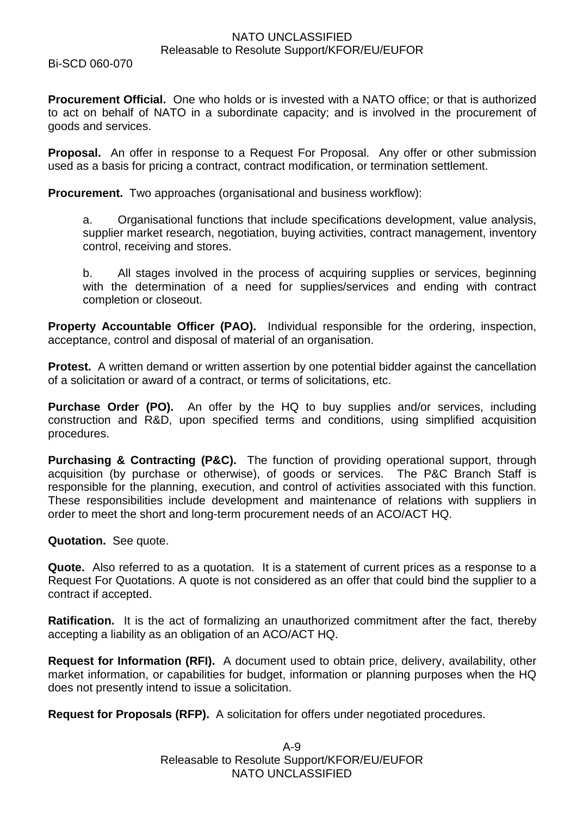Bi-SCD 060-070

**Procurement Official.** One who holds or is invested with a NATO office; or that is authorized to act on behalf of NATO in a subordinate capacity; and is involved in the procurement of goods and services.

**Proposal.** An offer in response to a Request For Proposal. Any offer or other submission used as a basis for pricing a contract, contract modification, or termination settlement.

**Procurement.** Two approaches (organisational and business workflow):

a. Organisational functions that include specifications development, value analysis, supplier market research, negotiation, buying activities, contract management, inventory control, receiving and stores.

b. All stages involved in the process of acquiring supplies or services, beginning with the determination of a need for supplies/services and ending with contract completion or closeout.

**Property Accountable Officer (PAO).** Individual responsible for the ordering, inspection, acceptance, control and disposal of material of an organisation.

**Protest.** A written demand or written assertion by one potential bidder against the cancellation of a solicitation or award of a contract, or terms of solicitations, etc.

**Purchase Order (PO).** An offer by the HQ to buy supplies and/or services, including construction and R&D, upon specified terms and conditions, using simplified acquisition procedures.

**Purchasing & Contracting (P&C).** The function of providing operational support, through acquisition (by purchase or otherwise), of goods or services. The P&C Branch Staff is responsible for the planning, execution, and control of activities associated with this function. These responsibilities include development and maintenance of relations with suppliers in order to meet the short and long-term procurement needs of an ACO/ACT HQ.

#### **Quotation.** See quote.

**Quote.** Also referred to as a quotation. It is a statement of current prices as a response to a Request For Quotations. A quote is not considered as an offer that could bind the supplier to a contract if accepted.

**Ratification.** It is the act of formalizing an unauthorized commitment after the fact, thereby accepting a liability as an obligation of an ACO/ACT HQ.

**Request for Information (RFI).** A document used to obtain price, delivery, availability, other market information, or capabilities for budget, information or planning purposes when the HQ does not presently intend to issue a solicitation.

**Request for Proposals (RFP).** A solicitation for offers under negotiated procedures.

A-9 Releasable to Resolute Support/KFOR/EU/EUFOR NATO UNCLASSIFIED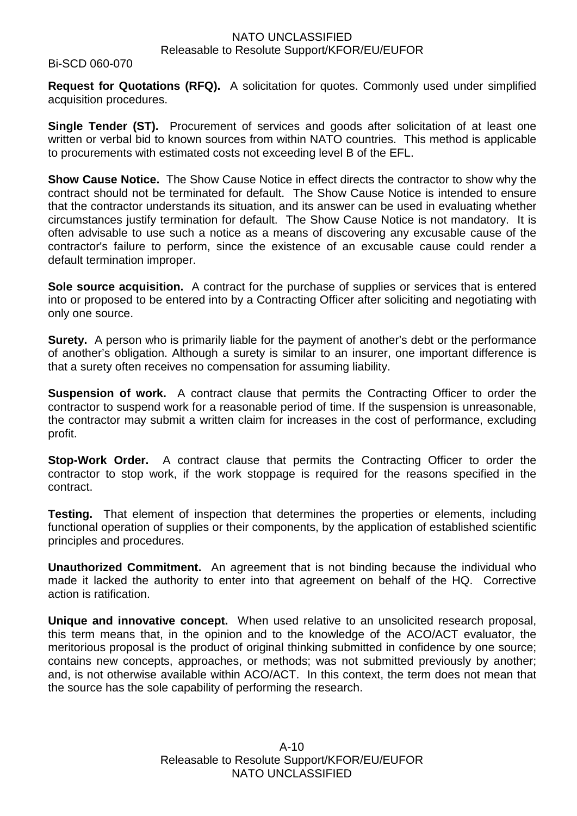#### Bi-SCD 060-070

**Request for Quotations (RFQ).** A solicitation for quotes. Commonly used under simplified acquisition procedures.

**Single Tender (ST).** Procurement of services and goods after solicitation of at least one written or verbal bid to known sources from within NATO countries. This method is applicable to procurements with estimated costs not exceeding level B of the EFL.

**Show Cause Notice.** The Show Cause Notice in effect directs the contractor to show why the contract should not be terminated for default. The Show Cause Notice is intended to ensure that the contractor understands its situation, and its answer can be used in evaluating whether circumstances justify termination for default. The Show Cause Notice is not mandatory. It is often advisable to use such a notice as a means of discovering any excusable cause of the contractor's failure to perform, since the existence of an excusable cause could render a default termination improper.

**Sole source acquisition.** A contract for the purchase of supplies or services that is entered into or proposed to be entered into by a Contracting Officer after soliciting and negotiating with only one source.

**Surety.** A person who is primarily liable for the payment of another's debt or the performance of another's obligation. Although a surety is similar to an insurer, one important difference is that a surety often receives no compensation for assuming liability.

**Suspension of work.** A contract clause that permits the Contracting Officer to order the contractor to suspend work for a reasonable period of time. If the suspension is unreasonable, the contractor may submit a written claim for increases in the cost of performance, excluding profit.

**Stop-Work Order.** A contract clause that permits the Contracting Officer to order the contractor to stop work, if the work stoppage is required for the reasons specified in the contract.

**Testing.** That element of inspection that determines the properties or elements, including functional operation of supplies or their components, by the application of established scientific principles and procedures.

**Unauthorized Commitment.** An agreement that is not binding because the individual who made it lacked the authority to enter into that agreement on behalf of the HQ. Corrective action is ratification.

**Unique and innovative concept.** When used relative to an unsolicited research proposal, this term means that, in the opinion and to the knowledge of the ACO/ACT evaluator, the meritorious proposal is the product of original thinking submitted in confidence by one source; contains new concepts, approaches, or methods; was not submitted previously by another; and, is not otherwise available within ACO/ACT. In this context, the term does not mean that the source has the sole capability of performing the research.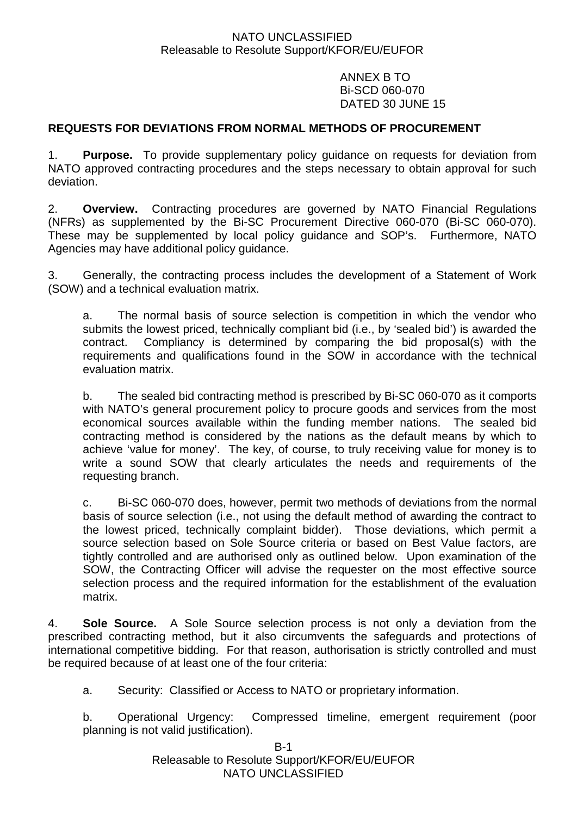ANNEX B TO Bi-SCD 060-070 DATED 30 JUNE 15

# **REQUESTS FOR DEVIATIONS FROM NORMAL METHODS OF PROCUREMENT**

1. **Purpose.** To provide supplementary policy guidance on requests for deviation from NATO approved contracting procedures and the steps necessary to obtain approval for such deviation.

2. **Overview.** Contracting procedures are governed by NATO Financial Regulations (NFRs) as supplemented by the Bi-SC Procurement Directive 060-070 (Bi-SC 060-070). These may be supplemented by local policy guidance and SOP's. Furthermore, NATO Agencies may have additional policy guidance.

3. Generally, the contracting process includes the development of a Statement of Work (SOW) and a technical evaluation matrix.

a. The normal basis of source selection is competition in which the vendor who submits the lowest priced, technically compliant bid (i.e., by 'sealed bid') is awarded the contract. Compliancy is determined by comparing the bid proposal(s) with the requirements and qualifications found in the SOW in accordance with the technical evaluation matrix.

b. The sealed bid contracting method is prescribed by Bi-SC 060-070 as it comports with NATO's general procurement policy to procure goods and services from the most economical sources available within the funding member nations. The sealed bid contracting method is considered by the nations as the default means by which to achieve 'value for money'. The key, of course, to truly receiving value for money is to write a sound SOW that clearly articulates the needs and requirements of the requesting branch.

c. Bi-SC 060-070 does, however, permit two methods of deviations from the normal basis of source selection (i.e., not using the default method of awarding the contract to the lowest priced, technically complaint bidder). Those deviations, which permit a source selection based on Sole Source criteria or based on Best Value factors, are tightly controlled and are authorised only as outlined below. Upon examination of the SOW, the Contracting Officer will advise the requester on the most effective source selection process and the required information for the establishment of the evaluation matrix.

4. **Sole Source.** A Sole Source selection process is not only a deviation from the prescribed contracting method, but it also circumvents the safeguards and protections of international competitive bidding. For that reason, authorisation is strictly controlled and must be required because of at least one of the four criteria:

a. Security: Classified or Access to NATO or proprietary information.

b. Operational Urgency: Compressed timeline, emergent requirement (poor planning is not valid justification).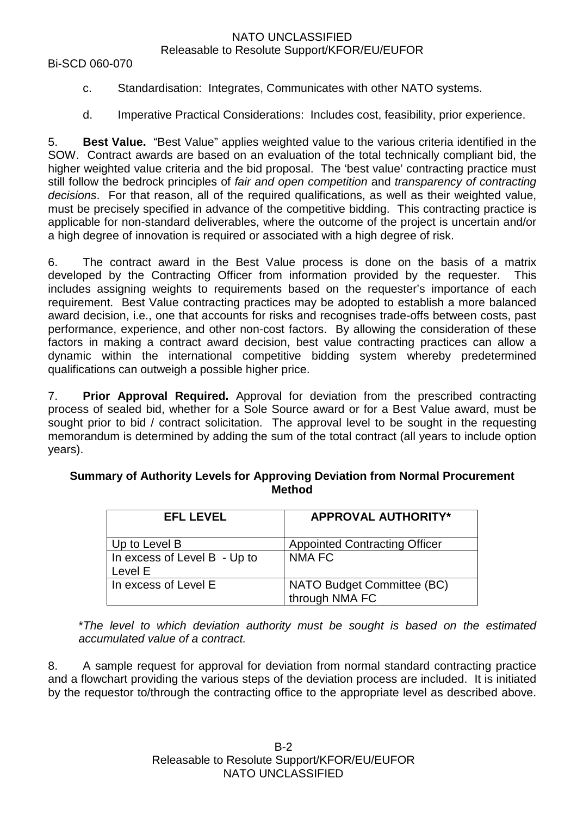Bi-SCD 060-070

- c. Standardisation: Integrates, Communicates with other NATO systems.
- d. Imperative Practical Considerations: Includes cost, feasibility, prior experience.

5. **Best Value.** "Best Value" applies weighted value to the various criteria identified in the SOW. Contract awards are based on an evaluation of the total technically compliant bid, the higher weighted value criteria and the bid proposal. The 'best value' contracting practice must still follow the bedrock principles of *fair and open competition* and *transparency of contracting decisions*. For that reason, all of the required qualifications, as well as their weighted value, must be precisely specified in advance of the competitive bidding. This contracting practice is applicable for non-standard deliverables, where the outcome of the project is uncertain and/or a high degree of innovation is required or associated with a high degree of risk.

6. The contract award in the Best Value process is done on the basis of a matrix developed by the Contracting Officer from information provided by the requester. This includes assigning weights to requirements based on the requester's importance of each requirement. Best Value contracting practices may be adopted to establish a more balanced award decision, i.e., one that accounts for risks and recognises trade-offs between costs, past performance, experience, and other non-cost factors. By allowing the consideration of these factors in making a contract award decision, best value contracting practices can allow a dynamic within the international competitive bidding system whereby predetermined qualifications can outweigh a possible higher price.

7. **Prior Approval Required.** Approval for deviation from the prescribed contracting process of sealed bid, whether for a Sole Source award or for a Best Value award, must be sought prior to bid / contract solicitation. The approval level to be sought in the requesting memorandum is determined by adding the sum of the total contract (all years to include option years).

# **EFL LEVEL APPROVAL AUTHORITY\*** Up to Level B Appointed Contracting Officer In excess of Level B - Up to Level E NMA FC In excess of Level E | NATO Budget Committee (BC) through NMA FC

#### **Summary of Authority Levels for Approving Deviation from Normal Procurement Method**

\**The level to which deviation authority must be sought is based on the estimated accumulated value of a contract.*

8. A sample request for approval for deviation from normal standard contracting practice and a flowchart providing the various steps of the deviation process are included. It is initiated by the requestor to/through the contracting office to the appropriate level as described above.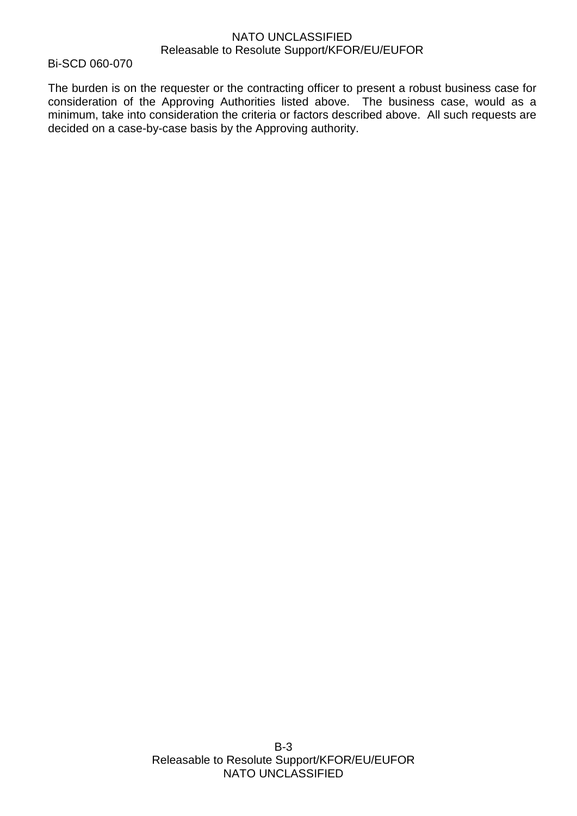Bi-SCD 060-070

The burden is on the requester or the contracting officer to present a robust business case for consideration of the Approving Authorities listed above. The business case, would as a minimum, take into consideration the criteria or factors described above. All such requests are decided on a case-by-case basis by the Approving authority.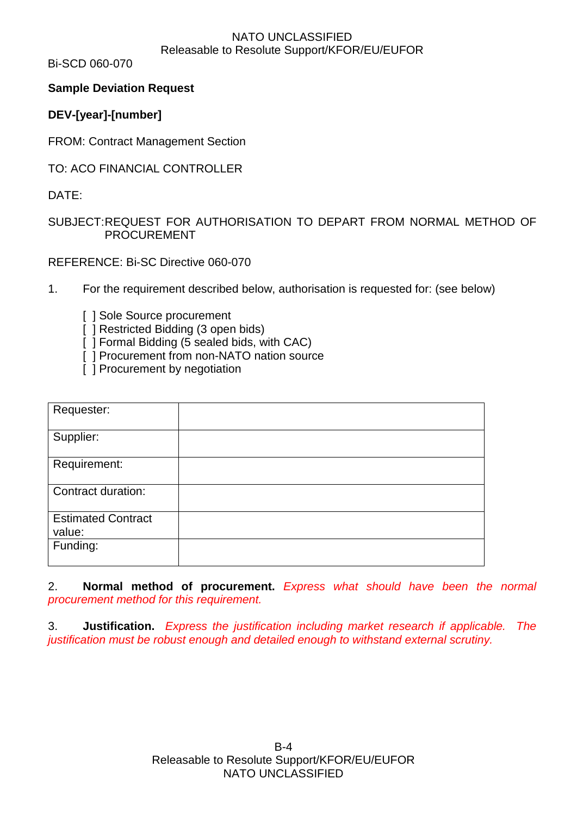Bi-SCD 060-070

# **Sample Deviation Request**

# **DEV-[year]-[number]**

FROM: Contract Management Section

TO: ACO FINANCIAL CONTROLLER

DATE:

# SUBJECT:REQUEST FOR AUTHORISATION TO DEPART FROM NORMAL METHOD OF PROCUREMENT

REFERENCE: Bi-SC Directive 060-070

- 1. For the requirement described below, authorisation is requested for: (see below)
	- [ ] Sole Source procurement
	- [ ] Restricted Bidding (3 open bids)
	- [ ] Formal Bidding (5 sealed bids, with CAC)
	- [ ] Procurement from non-NATO nation source
	- $\overline{1}$  Procurement by negotiation

| Requester:                          |  |
|-------------------------------------|--|
| Supplier:                           |  |
| Requirement:                        |  |
| Contract duration:                  |  |
| <b>Estimated Contract</b><br>value: |  |
| Funding:                            |  |

2. **Normal method of procurement.** *Express what should have been the normal procurement method for this requirement.*

3. **Justification.** *Express the justification including market research if applicable. The justification must be robust enough and detailed enough to withstand external scrutiny.*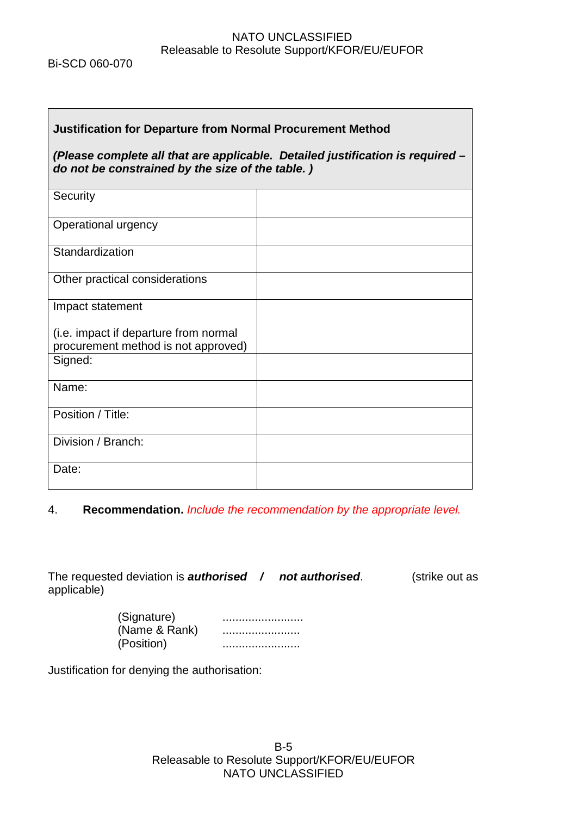Bi-SCD 060-070

Г

| <b>Justification for Departure from Normal Procurement Method</b>                                                                  |  |  |  |  |  |  |  |
|------------------------------------------------------------------------------------------------------------------------------------|--|--|--|--|--|--|--|
| (Please complete all that are applicable. Detailed justification is required -<br>do not be constrained by the size of the table.) |  |  |  |  |  |  |  |
|                                                                                                                                    |  |  |  |  |  |  |  |
|                                                                                                                                    |  |  |  |  |  |  |  |
|                                                                                                                                    |  |  |  |  |  |  |  |
|                                                                                                                                    |  |  |  |  |  |  |  |
|                                                                                                                                    |  |  |  |  |  |  |  |
|                                                                                                                                    |  |  |  |  |  |  |  |
|                                                                                                                                    |  |  |  |  |  |  |  |
|                                                                                                                                    |  |  |  |  |  |  |  |
|                                                                                                                                    |  |  |  |  |  |  |  |
|                                                                                                                                    |  |  |  |  |  |  |  |
|                                                                                                                                    |  |  |  |  |  |  |  |
|                                                                                                                                    |  |  |  |  |  |  |  |

# 4. **Recommendation.** *Include the recommendation by the appropriate level.*

The requested deviation is *authorised / not authorised*. (strike out as applicable)

| (Signature)   |  |
|---------------|--|
| (Name & Rank) |  |
| (Position)    |  |

Justification for denying the authorisation: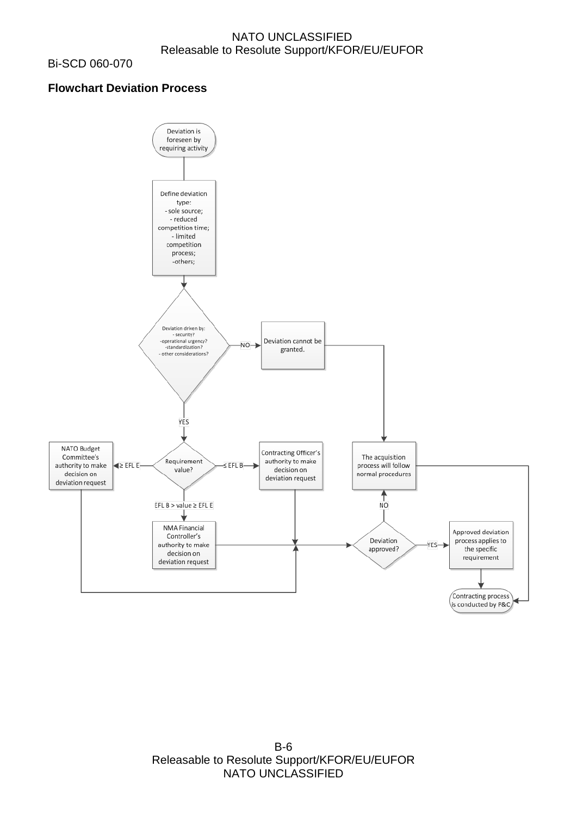Bi-SCD 060-070

# **Flowchart Deviation Process**



B-6 Releasable to Resolute Support/KFOR/EU/EUFOR NATO UNCLASSIFIED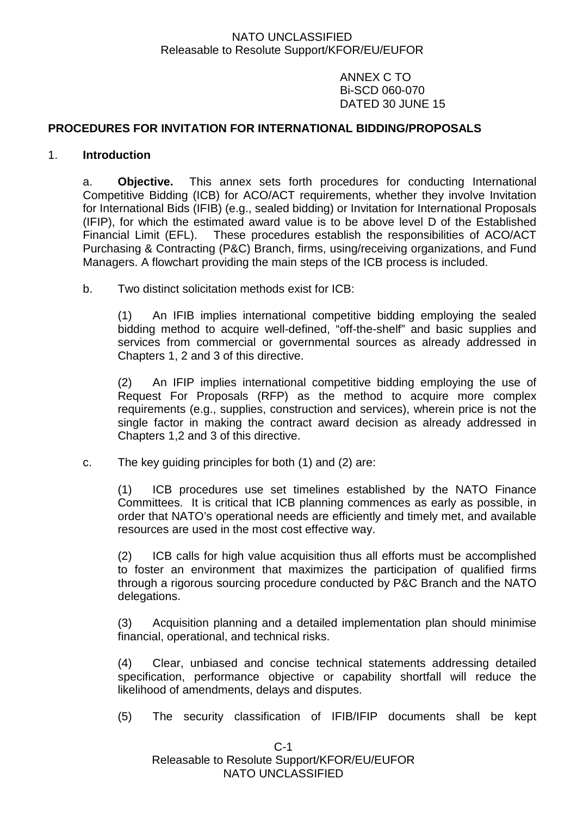ANNEX C TO Bi-SCD 060-070 DATED 30 JUNE 15

### **PROCEDURES FOR INVITATION FOR INTERNATIONAL BIDDING/PROPOSALS**

#### 1. **Introduction**

a. **Objective.** This annex sets forth procedures for conducting International Competitive Bidding (ICB) for ACO/ACT requirements, whether they involve Invitation for International Bids (IFIB) (e.g., sealed bidding) or Invitation for International Proposals (IFIP), for which the estimated award value is to be above level D of the Established Financial Limit (EFL). These procedures establish the responsibilities of ACO/ACT Purchasing & Contracting (P&C) Branch, firms, using/receiving organizations, and Fund Managers. A flowchart providing the main steps of the ICB process is included.

b. Two distinct solicitation methods exist for ICB:

(1) An IFIB implies international competitive bidding employing the sealed bidding method to acquire well-defined, "off-the-shelf" and basic supplies and services from commercial or governmental sources as already addressed in Chapters 1, 2 and 3 of this directive.

(2) An IFIP implies international competitive bidding employing the use of Request For Proposals (RFP) as the method to acquire more complex requirements (e.g., supplies, construction and services), wherein price is not the single factor in making the contract award decision as already addressed in Chapters 1,2 and 3 of this directive.

c. The key guiding principles for both (1) and (2) are:

(1) ICB procedures use set timelines established by the NATO Finance Committees. It is critical that ICB planning commences as early as possible, in order that NATO's operational needs are efficiently and timely met, and available resources are used in the most cost effective way.

(2) ICB calls for high value acquisition thus all efforts must be accomplished to foster an environment that maximizes the participation of qualified firms through a rigorous sourcing procedure conducted by P&C Branch and the NATO delegations.

(3) Acquisition planning and a detailed implementation plan should minimise financial, operational, and technical risks.

(4) Clear, unbiased and concise technical statements addressing detailed specification, performance objective or capability shortfall will reduce the likelihood of amendments, delays and disputes.

(5) The security classification of IFIB/IFIP documents shall be kept

 $C-1$ Releasable to Resolute Support/KFOR/EU/EUFOR NATO UNCLASSIFIED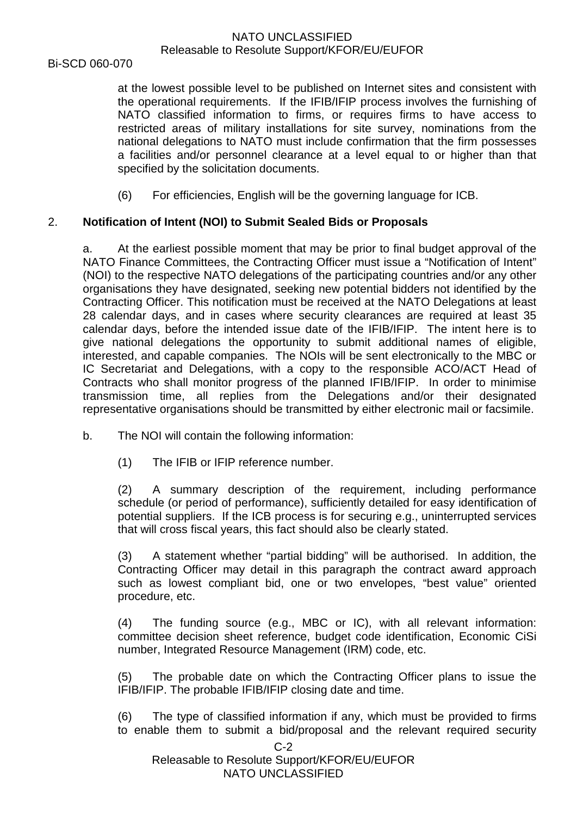Bi-SCD 060-070

at the lowest possible level to be published on Internet sites and consistent with the operational requirements. If the IFIB/IFIP process involves the furnishing of NATO classified information to firms, or requires firms to have access to restricted areas of military installations for site survey, nominations from the national delegations to NATO must include confirmation that the firm possesses a facilities and/or personnel clearance at a level equal to or higher than that specified by the solicitation documents.

(6) For efficiencies, English will be the governing language for ICB.

# 2. **Notification of Intent (NOI) to Submit Sealed Bids or Proposals**

a. At the earliest possible moment that may be prior to final budget approval of the NATO Finance Committees, the Contracting Officer must issue a "Notification of Intent" (NOI) to the respective NATO delegations of the participating countries and/or any other organisations they have designated, seeking new potential bidders not identified by the Contracting Officer. This notification must be received at the NATO Delegations at least 28 calendar days, and in cases where security clearances are required at least 35 calendar days, before the intended issue date of the IFIB/IFIP. The intent here is to give national delegations the opportunity to submit additional names of eligible, interested, and capable companies. The NOIs will be sent electronically to the MBC or IC Secretariat and Delegations, with a copy to the responsible ACO/ACT Head of Contracts who shall monitor progress of the planned IFIB/IFIP. In order to minimise transmission time, all replies from the Delegations and/or their designated representative organisations should be transmitted by either electronic mail or facsimile.

- b. The NOI will contain the following information:
	- (1) The IFIB or IFIP reference number.

(2) A summary description of the requirement, including performance schedule (or period of performance), sufficiently detailed for easy identification of potential suppliers. If the ICB process is for securing e.g., uninterrupted services that will cross fiscal years, this fact should also be clearly stated.

(3) A statement whether "partial bidding" will be authorised. In addition, the Contracting Officer may detail in this paragraph the contract award approach such as lowest compliant bid, one or two envelopes, "best value" oriented procedure, etc.

(4) The funding source (e.g., MBC or IC), with all relevant information: committee decision sheet reference, budget code identification, Economic CiSi number, Integrated Resource Management (IRM) code, etc.

(5) The probable date on which the Contracting Officer plans to issue the IFIB/IFIP. The probable IFIB/IFIP closing date and time.

(6) The type of classified information if any, which must be provided to firms to enable them to submit a bid/proposal and the relevant required security

 $C-2$ 

Releasable to Resolute Support/KFOR/EU/EUFOR NATO UNCLASSIFIED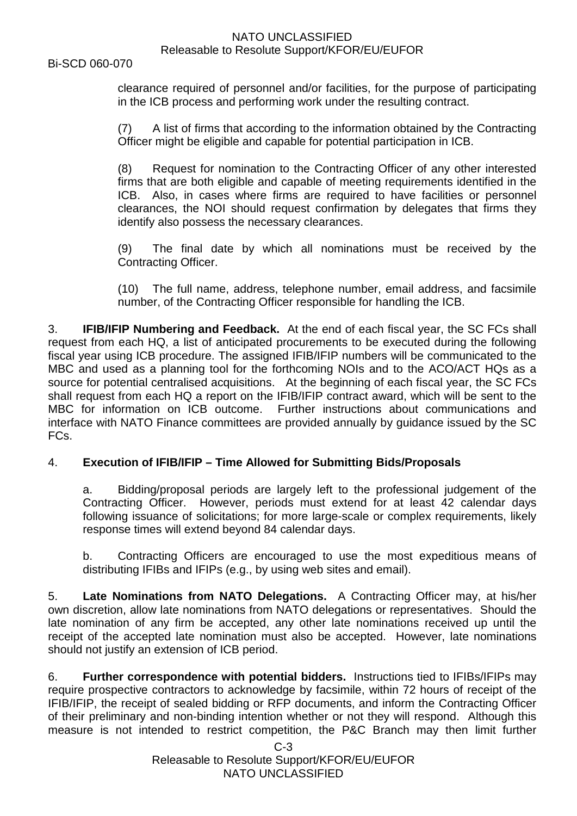Bi-SCD 060-070

clearance required of personnel and/or facilities, for the purpose of participating in the ICB process and performing work under the resulting contract.

(7) A list of firms that according to the information obtained by the Contracting Officer might be eligible and capable for potential participation in ICB.

(8) Request for nomination to the Contracting Officer of any other interested firms that are both eligible and capable of meeting requirements identified in the ICB. Also, in cases where firms are required to have facilities or personnel clearances, the NOI should request confirmation by delegates that firms they identify also possess the necessary clearances.

(9) The final date by which all nominations must be received by the Contracting Officer.

(10) The full name, address, telephone number, email address, and facsimile number, of the Contracting Officer responsible for handling the ICB.

3. **IFIB/IFIP Numbering and Feedback.** At the end of each fiscal year, the SC FCs shall request from each HQ, a list of anticipated procurements to be executed during the following fiscal year using ICB procedure. The assigned IFIB/IFIP numbers will be communicated to the MBC and used as a planning tool for the forthcoming NOIs and to the ACO/ACT HQs as a source for potential centralised acquisitions. At the beginning of each fiscal year, the SC FCs shall request from each HQ a report on the IFIB/IFIP contract award, which will be sent to the MBC for information on ICB outcome. Further instructions about communications and interface with NATO Finance committees are provided annually by guidance issued by the SC FCs.

### 4. **Execution of IFIB/IFIP – Time Allowed for Submitting Bids/Proposals**

a. Bidding/proposal periods are largely left to the professional judgement of the Contracting Officer. However, periods must extend for at least 42 calendar days following issuance of solicitations; for more large-scale or complex requirements, likely response times will extend beyond 84 calendar days.

b. Contracting Officers are encouraged to use the most expeditious means of distributing IFIBs and IFIPs (e.g., by using web sites and email).

5. **Late Nominations from NATO Delegations.** A Contracting Officer may, at his/her own discretion, allow late nominations from NATO delegations or representatives. Should the late nomination of any firm be accepted, any other late nominations received up until the receipt of the accepted late nomination must also be accepted. However, late nominations should not justify an extension of ICB period.

6. **Further correspondence with potential bidders.** Instructions tied to IFIBs/IFIPs may require prospective contractors to acknowledge by facsimile, within 72 hours of receipt of the IFIB/IFIP, the receipt of sealed bidding or RFP documents, and inform the Contracting Officer of their preliminary and non-binding intention whether or not they will respond. Although this measure is not intended to restrict competition, the P&C Branch may then limit further

> C-3 Releasable to Resolute Support/KFOR/EU/EUFOR NATO UNCLASSIFIED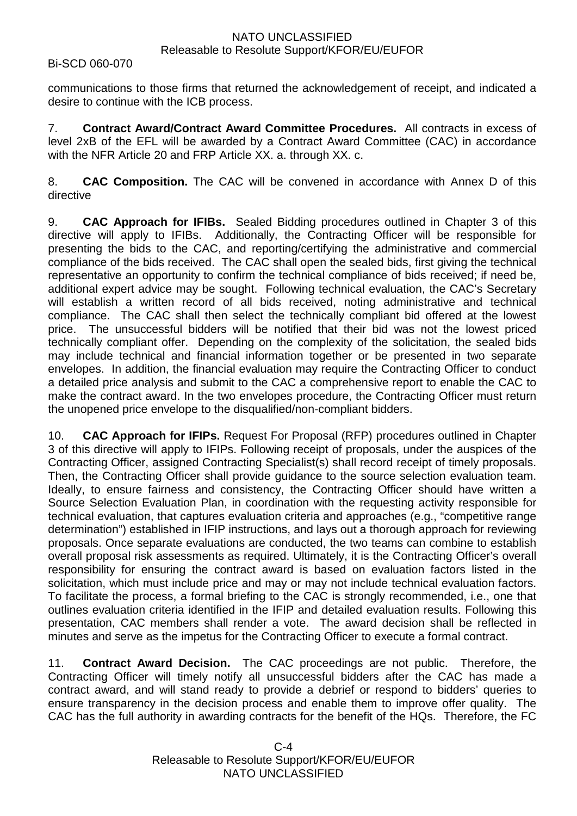#### Bi-SCD 060-070

communications to those firms that returned the acknowledgement of receipt, and indicated a desire to continue with the ICB process.

7. **Contract Award/Contract Award Committee Procedures.** All contracts in excess of level 2xB of the EFL will be awarded by a Contract Award Committee (CAC) in accordance with the NFR Article 20 and FRP Article XX. a. through XX. c.

8. **CAC Composition.** The CAC will be convened in accordance with Annex D of this directive

9. **CAC Approach for IFIBs.** Sealed Bidding procedures outlined in Chapter 3 of this directive will apply to IFIBs. Additionally, the Contracting Officer will be responsible for presenting the bids to the CAC, and reporting/certifying the administrative and commercial compliance of the bids received. The CAC shall open the sealed bids, first giving the technical representative an opportunity to confirm the technical compliance of bids received; if need be, additional expert advice may be sought. Following technical evaluation, the CAC's Secretary will establish a written record of all bids received, noting administrative and technical compliance. The CAC shall then select the technically compliant bid offered at the lowest price. The unsuccessful bidders will be notified that their bid was not the lowest priced technically compliant offer. Depending on the complexity of the solicitation, the sealed bids may include technical and financial information together or be presented in two separate envelopes. In addition, the financial evaluation may require the Contracting Officer to conduct a detailed price analysis and submit to the CAC a comprehensive report to enable the CAC to make the contract award. In the two envelopes procedure, the Contracting Officer must return the unopened price envelope to the disqualified/non-compliant bidders.

10. **CAC Approach for IFIPs.** Request For Proposal (RFP) procedures outlined in Chapter 3 of this directive will apply to IFIPs. Following receipt of proposals, under the auspices of the Contracting Officer, assigned Contracting Specialist(s) shall record receipt of timely proposals. Then, the Contracting Officer shall provide guidance to the source selection evaluation team. Ideally, to ensure fairness and consistency, the Contracting Officer should have written a Source Selection Evaluation Plan, in coordination with the requesting activity responsible for technical evaluation, that captures evaluation criteria and approaches (e.g., "competitive range determination") established in IFIP instructions, and lays out a thorough approach for reviewing proposals. Once separate evaluations are conducted, the two teams can combine to establish overall proposal risk assessments as required. Ultimately, it is the Contracting Officer's overall responsibility for ensuring the contract award is based on evaluation factors listed in the solicitation, which must include price and may or may not include technical evaluation factors. To facilitate the process, a formal briefing to the CAC is strongly recommended, i.e., one that outlines evaluation criteria identified in the IFIP and detailed evaluation results. Following this presentation, CAC members shall render a vote. The award decision shall be reflected in minutes and serve as the impetus for the Contracting Officer to execute a formal contract.

11. **Contract Award Decision.** The CAC proceedings are not public. Therefore, the Contracting Officer will timely notify all unsuccessful bidders after the CAC has made a contract award, and will stand ready to provide a debrief or respond to bidders' queries to ensure transparency in the decision process and enable them to improve offer quality. The CAC has the full authority in awarding contracts for the benefit of the HQs. Therefore, the FC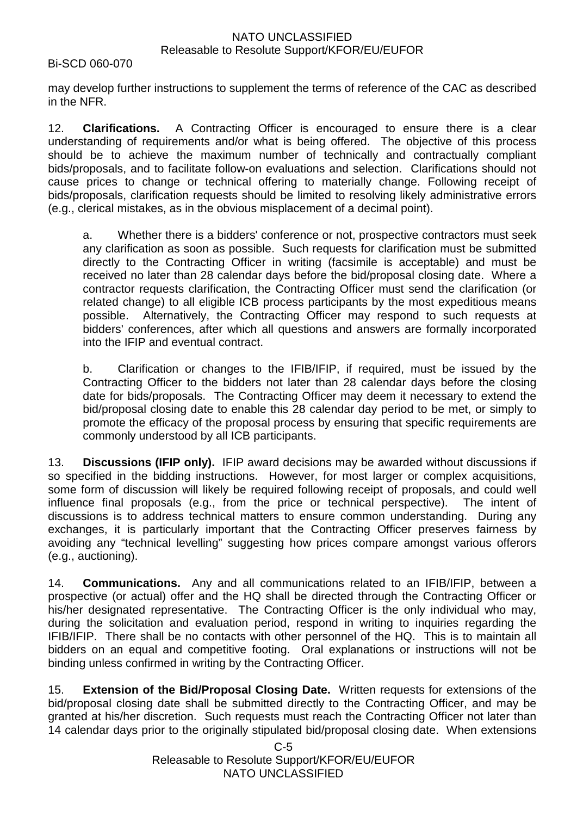Bi-SCD 060-070

may develop further instructions to supplement the terms of reference of the CAC as described in the NFR.

12. **Clarifications.** A Contracting Officer is encouraged to ensure there is a clear understanding of requirements and/or what is being offered. The objective of this process should be to achieve the maximum number of technically and contractually compliant bids/proposals, and to facilitate follow-on evaluations and selection. Clarifications should not cause prices to change or technical offering to materially change. Following receipt of bids/proposals, clarification requests should be limited to resolving likely administrative errors (e.g., clerical mistakes, as in the obvious misplacement of a decimal point).

a. Whether there is a bidders' conference or not, prospective contractors must seek any clarification as soon as possible. Such requests for clarification must be submitted directly to the Contracting Officer in writing (facsimile is acceptable) and must be received no later than 28 calendar days before the bid/proposal closing date. Where a contractor requests clarification, the Contracting Officer must send the clarification (or related change) to all eligible ICB process participants by the most expeditious means possible. Alternatively, the Contracting Officer may respond to such requests at bidders' conferences, after which all questions and answers are formally incorporated into the IFIP and eventual contract.

b. Clarification or changes to the IFIB/IFIP, if required, must be issued by the Contracting Officer to the bidders not later than 28 calendar days before the closing date for bids/proposals. The Contracting Officer may deem it necessary to extend the bid/proposal closing date to enable this 28 calendar day period to be met, or simply to promote the efficacy of the proposal process by ensuring that specific requirements are commonly understood by all ICB participants.

13. **Discussions (IFIP only).** IFIP award decisions may be awarded without discussions if so specified in the bidding instructions. However, for most larger or complex acquisitions, some form of discussion will likely be required following receipt of proposals, and could well influence final proposals (e.g., from the price or technical perspective). The intent of discussions is to address technical matters to ensure common understanding. During any exchanges, it is particularly important that the Contracting Officer preserves fairness by avoiding any "technical levelling" suggesting how prices compare amongst various offerors (e.g., auctioning).

14. **Communications.** Any and all communications related to an IFIB/IFIP, between a prospective (or actual) offer and the HQ shall be directed through the Contracting Officer or his/her designated representative. The Contracting Officer is the only individual who may, during the solicitation and evaluation period, respond in writing to inquiries regarding the IFIB/IFIP. There shall be no contacts with other personnel of the HQ. This is to maintain all bidders on an equal and competitive footing. Oral explanations or instructions will not be binding unless confirmed in writing by the Contracting Officer.

15. **Extension of the Bid/Proposal Closing Date.** Written requests for extensions of the bid/proposal closing date shall be submitted directly to the Contracting Officer, and may be granted at his/her discretion. Such requests must reach the Contracting Officer not later than 14 calendar days prior to the originally stipulated bid/proposal closing date. When extensions

> $C-5$ Releasable to Resolute Support/KFOR/EU/EUFOR NATO UNCLASSIFIED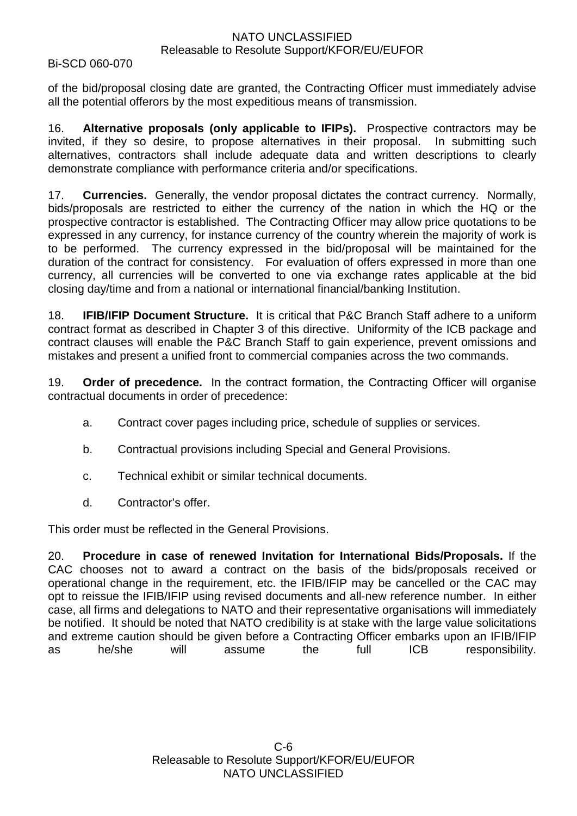Bi-SCD 060-070

of the bid/proposal closing date are granted, the Contracting Officer must immediately advise all the potential offerors by the most expeditious means of transmission.

16. **Alternative proposals (only applicable to IFIPs).** Prospective contractors may be invited, if they so desire, to propose alternatives in their proposal. In submitting such alternatives, contractors shall include adequate data and written descriptions to clearly demonstrate compliance with performance criteria and/or specifications.

17. **Currencies.** Generally, the vendor proposal dictates the contract currency. Normally, bids/proposals are restricted to either the currency of the nation in which the HQ or the prospective contractor is established. The Contracting Officer may allow price quotations to be expressed in any currency, for instance currency of the country wherein the majority of work is to be performed. The currency expressed in the bid/proposal will be maintained for the duration of the contract for consistency. For evaluation of offers expressed in more than one currency, all currencies will be converted to one via exchange rates applicable at the bid closing day/time and from a national or international financial/banking Institution.

18. **IFIB/IFIP Document Structure.** It is critical that P&C Branch Staff adhere to a uniform contract format as described in Chapter 3 of this directive. Uniformity of the ICB package and contract clauses will enable the P&C Branch Staff to gain experience, prevent omissions and mistakes and present a unified front to commercial companies across the two commands.

19. **Order of precedence.** In the contract formation, the Contracting Officer will organise contractual documents in order of precedence:

- a. Contract cover pages including price, schedule of supplies or services.
- b. Contractual provisions including Special and General Provisions.
- c. Technical exhibit or similar technical documents.
- d. Contractor's offer.

This order must be reflected in the General Provisions.

20. **Procedure in case of renewed Invitation for International Bids/Proposals.** If the CAC chooses not to award a contract on the basis of the bids/proposals received or operational change in the requirement, etc. the IFIB/IFIP may be cancelled or the CAC may opt to reissue the IFIB/IFIP using revised documents and all-new reference number. In either case, all firms and delegations to NATO and their representative organisations will immediately be notified. It should be noted that NATO credibility is at stake with the large value solicitations and extreme caution should be given before a Contracting Officer embarks upon an IFIB/IFIP as he/she will assume the full ICB responsibility.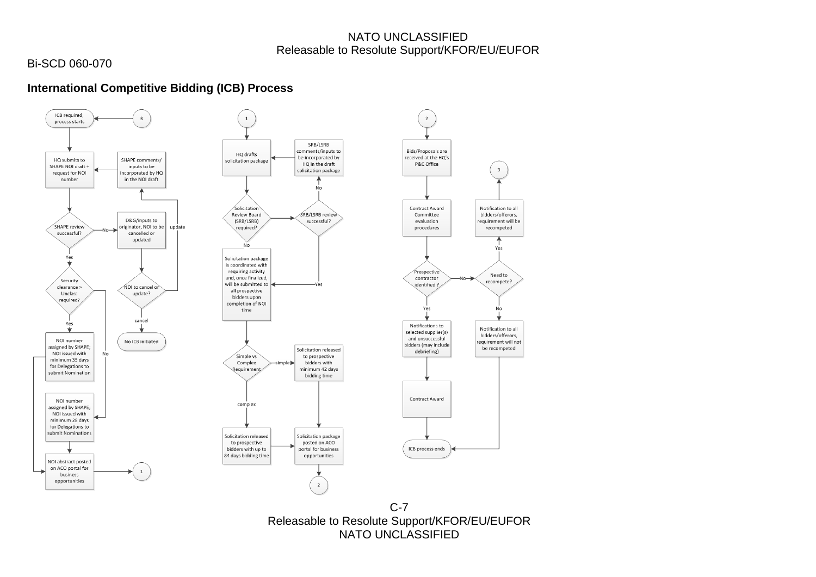# Bi-SCD 060-070

# **International Competitive Bidding (ICB) Process**



C-7 Releasable to Resolute Support/KFOR/EU/EUFOR NATO UNCLASSIFIED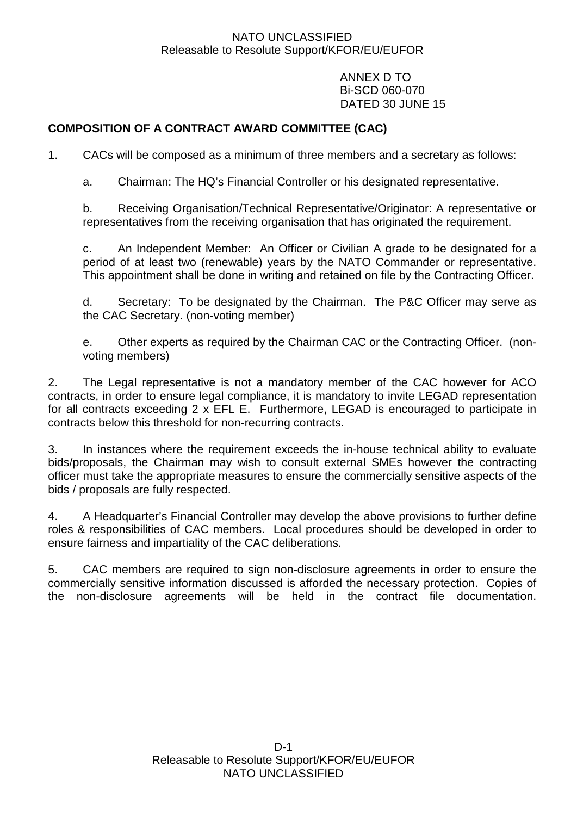ANNEX D TO Bi-SCD 060-070 DATED 30 JUNE 15

# **COMPOSITION OF A CONTRACT AWARD COMMITTEE (CAC)**

1. CACs will be composed as a minimum of three members and a secretary as follows:

a. Chairman: The HQ's Financial Controller or his designated representative.

b. Receiving Organisation/Technical Representative/Originator: A representative or representatives from the receiving organisation that has originated the requirement.

c. An Independent Member: An Officer or Civilian A grade to be designated for a period of at least two (renewable) years by the NATO Commander or representative. This appointment shall be done in writing and retained on file by the Contracting Officer.

d. Secretary: To be designated by the Chairman. The P&C Officer may serve as the CAC Secretary. (non-voting member)

e. Other experts as required by the Chairman CAC or the Contracting Officer. (nonvoting members)

2. The Legal representative is not a mandatory member of the CAC however for ACO contracts, in order to ensure legal compliance, it is mandatory to invite LEGAD representation for all contracts exceeding 2 x EFL E. Furthermore, LEGAD is encouraged to participate in contracts below this threshold for non-recurring contracts.

3. In instances where the requirement exceeds the in-house technical ability to evaluate bids/proposals, the Chairman may wish to consult external SMEs however the contracting officer must take the appropriate measures to ensure the commercially sensitive aspects of the bids / proposals are fully respected.

4. A Headquarter's Financial Controller may develop the above provisions to further define roles & responsibilities of CAC members. Local procedures should be developed in order to ensure fairness and impartiality of the CAC deliberations.

5. CAC members are required to sign non-disclosure agreements in order to ensure the commercially sensitive information discussed is afforded the necessary protection. Copies of the non-disclosure agreements will be held in the contract file documentation.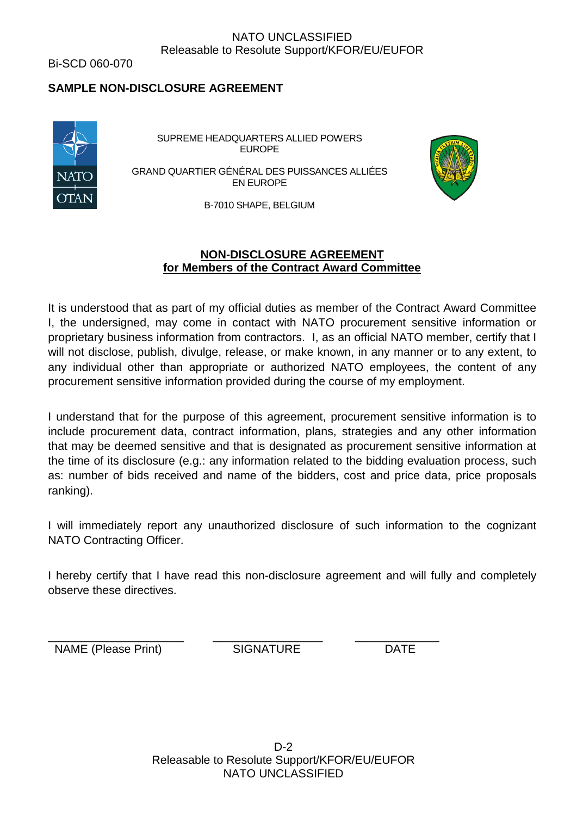Bi-SCD 060-070

# **SAMPLE NON-DISCLOSURE AGREEMENT**



SUPREME HEADQUARTERS ALLIED POWERS EUROPE

GRAND QUARTIER GÉNÉRAL DES PUISSANCES ALLIÉES EN EUROPE



B-7010 SHAPE, BELGIUM

#### **NON-DISCLOSURE AGREEMENT for Members of the Contract Award Committee**

It is understood that as part of my official duties as member of the Contract Award Committee I, the undersigned, may come in contact with NATO procurement sensitive information or proprietary business information from contractors. I, as an official NATO member, certify that I will not disclose, publish, divulge, release, or make known, in any manner or to any extent, to any individual other than appropriate or authorized NATO employees, the content of any procurement sensitive information provided during the course of my employment.

I understand that for the purpose of this agreement, procurement sensitive information is to include procurement data, contract information, plans, strategies and any other information that may be deemed sensitive and that is designated as procurement sensitive information at the time of its disclosure (e.g.: any information related to the bidding evaluation process, such as: number of bids received and name of the bidders, cost and price data, price proposals ranking).

I will immediately report any unauthorized disclosure of such information to the cognizant NATO Contracting Officer.

I hereby certify that I have read this non-disclosure agreement and will fully and completely observe these directives.

\_\_\_\_\_\_\_\_\_\_\_\_\_\_\_\_\_\_\_\_\_ \_\_\_\_\_\_\_\_\_\_\_\_\_\_\_\_\_ \_\_\_\_\_\_\_\_\_\_\_\_\_ NAME (Please Print) SIGNATURE DATE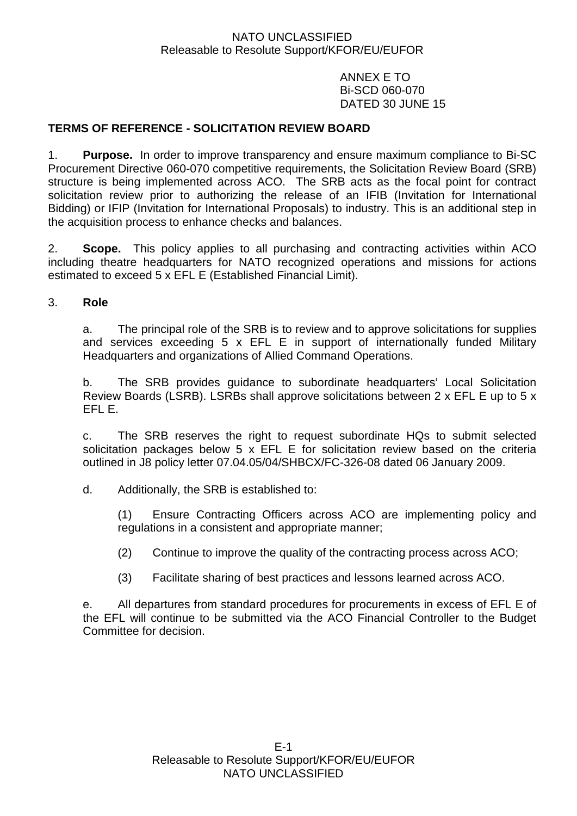ANNEX E TO Bi-SCD 060-070 DATED 30 JUNE 15

# **TERMS OF REFERENCE - SOLICITATION REVIEW BOARD**

1. **Purpose.** In order to improve transparency and ensure maximum compliance to Bi-SC Procurement Directive 060-070 competitive requirements, the Solicitation Review Board (SRB) structure is being implemented across ACO. The SRB acts as the focal point for contract solicitation review prior to authorizing the release of an IFIB (Invitation for International Bidding) or IFIP (Invitation for International Proposals) to industry. This is an additional step in the acquisition process to enhance checks and balances.

2. **Scope.** This policy applies to all purchasing and contracting activities within ACO including theatre headquarters for NATO recognized operations and missions for actions estimated to exceed 5 x EFL E (Established Financial Limit).

#### 3. **Role**

a. The principal role of the SRB is to review and to approve solicitations for supplies and services exceeding 5 x EFL E in support of internationally funded Military Headquarters and organizations of Allied Command Operations.

b. The SRB provides guidance to subordinate headquarters' Local Solicitation Review Boards (LSRB). LSRBs shall approve solicitations between 2 x EFL E up to 5 x EFL E.

c. The SRB reserves the right to request subordinate HQs to submit selected solicitation packages below 5 x EFL E for solicitation review based on the criteria outlined in J8 policy letter 07.04.05/04/SHBCX/FC-326-08 dated 06 January 2009.

d. Additionally, the SRB is established to:

(1) Ensure Contracting Officers across ACO are implementing policy and regulations in a consistent and appropriate manner;

(2) Continue to improve the quality of the contracting process across ACO;

(3) Facilitate sharing of best practices and lessons learned across ACO.

e. All departures from standard procedures for procurements in excess of EFL E of the EFL will continue to be submitted via the ACO Financial Controller to the Budget Committee for decision.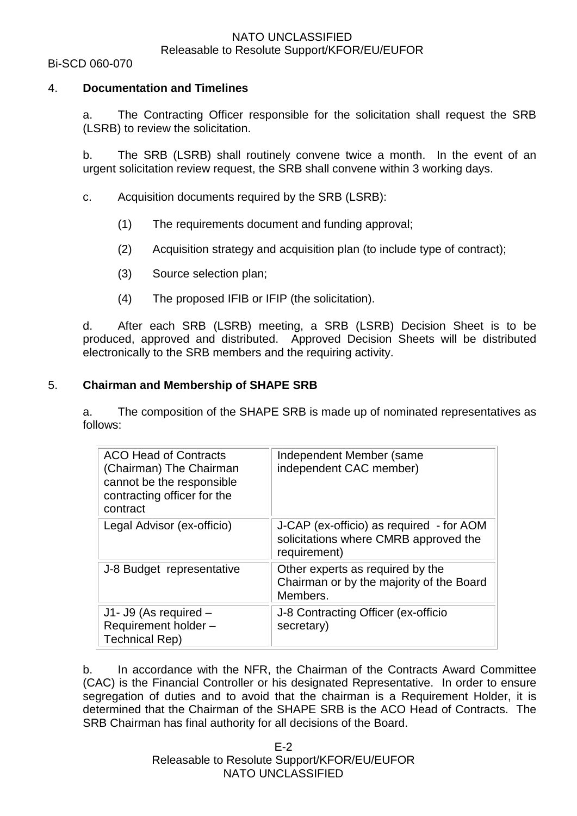#### Bi-SCD 060-070

#### 4. **Documentation and Timelines**

a. The Contracting Officer responsible for the solicitation shall request the SRB (LSRB) to review the solicitation.

b. The SRB (LSRB) shall routinely convene twice a month. In the event of an urgent solicitation review request, the SRB shall convene within 3 working days.

- c. Acquisition documents required by the SRB (LSRB):
	- (1) The requirements document and funding approval;
	- (2) Acquisition strategy and acquisition plan (to include type of contract);
	- (3) Source selection plan;
	- (4) The proposed IFIB or IFIP (the solicitation).

d. After each SRB (LSRB) meeting, a SRB (LSRB) Decision Sheet is to be produced, approved and distributed. Approved Decision Sheets will be distributed electronically to the SRB members and the requiring activity.

#### 5. **Chairman and Membership of SHAPE SRB**

a. The composition of the SHAPE SRB is made up of nominated representatives as follows:

| <b>ACO Head of Contracts</b><br>(Chairman) The Chairman<br>cannot be the responsible<br>contracting officer for the<br>contract | Independent Member (same<br>independent CAC member)                                               |
|---------------------------------------------------------------------------------------------------------------------------------|---------------------------------------------------------------------------------------------------|
| Legal Advisor (ex-officio)                                                                                                      | J-CAP (ex-officio) as required - for AOM<br>solicitations where CMRB approved the<br>requirement) |
| J-8 Budget representative                                                                                                       | Other experts as required by the<br>Chairman or by the majority of the Board<br>Members.          |
| $J1 - J9$ (As required $-$<br>Requirement holder -<br>Technical Rep)                                                            | J-8 Contracting Officer (ex-officio<br>secretary)                                                 |

b. In accordance with the NFR, the Chairman of the Contracts Award Committee (CAC) is the Financial Controller or his designated Representative. In order to ensure segregation of duties and to avoid that the chairman is a Requirement Holder, it is determined that the Chairman of the SHAPE SRB is the ACO Head of Contracts. The SRB Chairman has final authority for all decisions of the Board.

> E-2 Releasable to Resolute Support/KFOR/EU/EUFOR NATO UNCLASSIFIED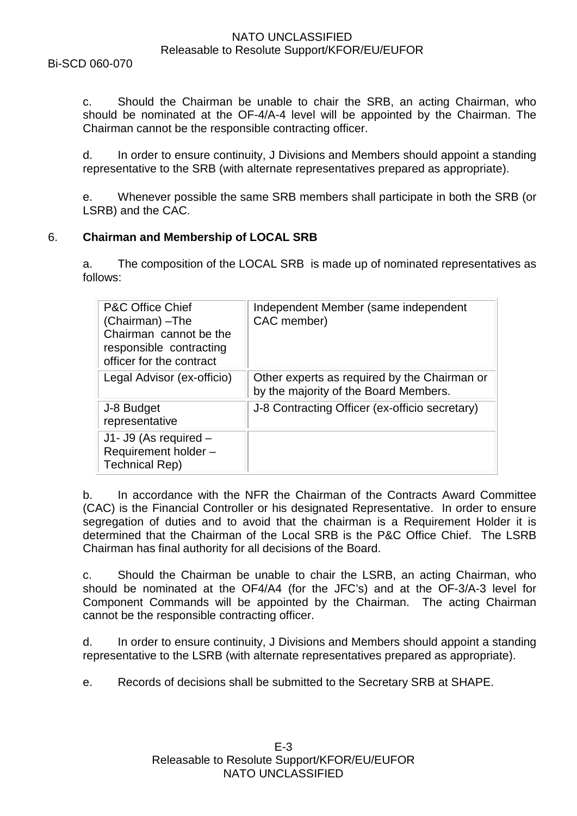c. Should the Chairman be unable to chair the SRB, an acting Chairman, who should be nominated at the OF-4/A-4 level will be appointed by the Chairman. The Chairman cannot be the responsible contracting officer.

d. In order to ensure continuity, J Divisions and Members should appoint a standing representative to the SRB (with alternate representatives prepared as appropriate).

e. Whenever possible the same SRB members shall participate in both the SRB (or LSRB) and the CAC.

### 6. **Chairman and Membership of LOCAL SRB**

a. The composition of the LOCAL SRB is made up of nominated representatives as follows:

| <b>P&amp;C Office Chief</b><br>(Chairman) - The<br>Chairman cannot be the<br>responsible contracting<br>officer for the contract | Independent Member (same independent<br>CAC member)                                   |
|----------------------------------------------------------------------------------------------------------------------------------|---------------------------------------------------------------------------------------|
| Legal Advisor (ex-officio)                                                                                                       | Other experts as required by the Chairman or<br>by the majority of the Board Members. |
| J-8 Budget<br>representative                                                                                                     | J-8 Contracting Officer (ex-officio secretary)                                        |
| J1- J9 (As required -<br>Requirement holder -<br><b>Technical Rep)</b>                                                           |                                                                                       |

b. In accordance with the NFR the Chairman of the Contracts Award Committee (CAC) is the Financial Controller or his designated Representative. In order to ensure segregation of duties and to avoid that the chairman is a Requirement Holder it is determined that the Chairman of the Local SRB is the P&C Office Chief. The LSRB Chairman has final authority for all decisions of the Board.

c. Should the Chairman be unable to chair the LSRB, an acting Chairman, who should be nominated at the OF4/A4 (for the JFC's) and at the OF-3/A-3 level for Component Commands will be appointed by the Chairman. The acting Chairman cannot be the responsible contracting officer.

d. In order to ensure continuity, J Divisions and Members should appoint a standing representative to the LSRB (with alternate representatives prepared as appropriate).

e. Records of decisions shall be submitted to the Secretary SRB at SHAPE.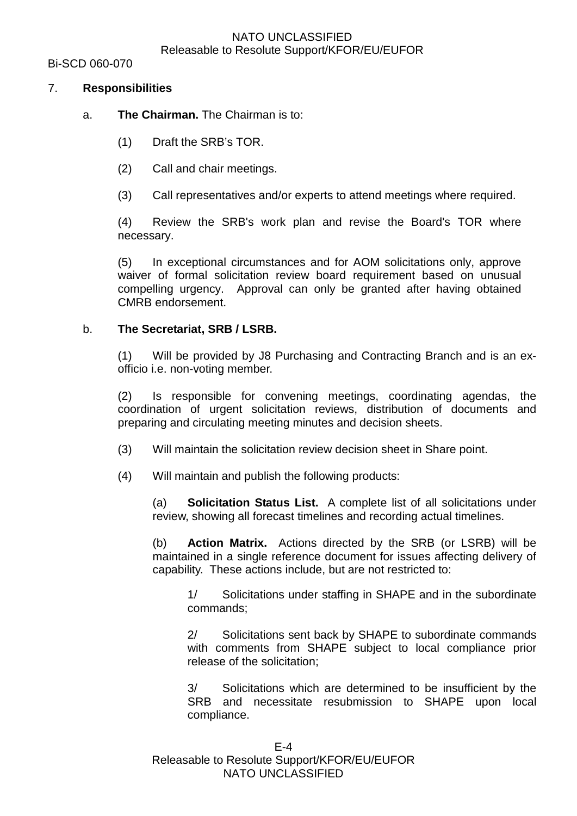Bi-SCD 060-070

## 7. **Responsibilities**

# a. **The Chairman.** The Chairman is to:

- (1) Draft the SRB's TOR.
- (2) Call and chair meetings.
- (3) Call representatives and/or experts to attend meetings where required.

(4) Review the SRB's work plan and revise the Board's TOR where necessary.

(5) In exceptional circumstances and for AOM solicitations only, approve waiver of formal solicitation review board requirement based on unusual compelling urgency. Approval can only be granted after having obtained CMRB endorsement.

### b. **The Secretariat, SRB / LSRB.**

(1) Will be provided by J8 Purchasing and Contracting Branch and is an exofficio i.e. non-voting member.

(2) Is responsible for convening meetings, coordinating agendas, the coordination of urgent solicitation reviews, distribution of documents and preparing and circulating meeting minutes and decision sheets.

- (3) Will maintain the solicitation review decision sheet in Share point.
- (4) Will maintain and publish the following products:

(a) **Solicitation Status List.** A complete list of all solicitations under review, showing all forecast timelines and recording actual timelines.

(b) **Action Matrix.** Actions directed by the SRB (or LSRB) will be maintained in a single reference document for issues affecting delivery of capability. These actions include, but are not restricted to:

1/ Solicitations under staffing in SHAPE and in the subordinate commands;

2/ Solicitations sent back by SHAPE to subordinate commands with comments from SHAPE subject to local compliance prior release of the solicitation;

3/ Solicitations which are determined to be insufficient by the SRB and necessitate resubmission to SHAPE upon local compliance.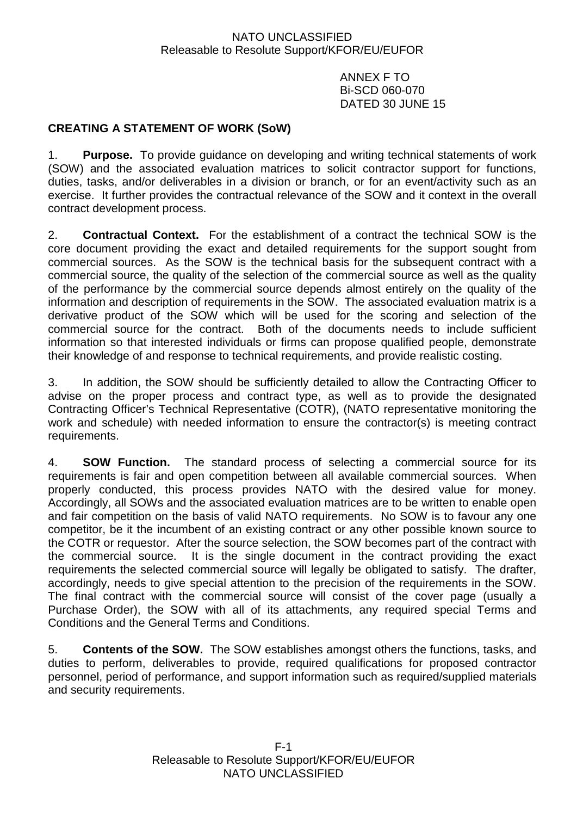ANNEX F TO Bi-SCD 060-070 DATED 30 JUNE 15

# **CREATING A STATEMENT OF WORK (SoW)**

1. **Purpose.** To provide guidance on developing and writing technical statements of work (SOW) and the associated evaluation matrices to solicit contractor support for functions, duties, tasks, and/or deliverables in a division or branch, or for an event/activity such as an exercise. It further provides the contractual relevance of the SOW and it context in the overall contract development process.

2. **Contractual Context.** For the establishment of a contract the technical SOW is the core document providing the exact and detailed requirements for the support sought from commercial sources. As the SOW is the technical basis for the subsequent contract with a commercial source, the quality of the selection of the commercial source as well as the quality of the performance by the commercial source depends almost entirely on the quality of the information and description of requirements in the SOW. The associated evaluation matrix is a derivative product of the SOW which will be used for the scoring and selection of the commercial source for the contract. Both of the documents needs to include sufficient information so that interested individuals or firms can propose qualified people, demonstrate their knowledge of and response to technical requirements, and provide realistic costing.

3. In addition, the SOW should be sufficiently detailed to allow the Contracting Officer to advise on the proper process and contract type, as well as to provide the designated Contracting Officer's Technical Representative (COTR), (NATO representative monitoring the work and schedule) with needed information to ensure the contractor(s) is meeting contract requirements.

4. **SOW Function.** The standard process of selecting a commercial source for its requirements is fair and open competition between all available commercial sources. When properly conducted, this process provides NATO with the desired value for money. Accordingly, all SOWs and the associated evaluation matrices are to be written to enable open and fair competition on the basis of valid NATO requirements. No SOW is to favour any one competitor, be it the incumbent of an existing contract or any other possible known source to the COTR or requestor. After the source selection, the SOW becomes part of the contract with the commercial source. It is the single document in the contract providing the exact requirements the selected commercial source will legally be obligated to satisfy. The drafter, accordingly, needs to give special attention to the precision of the requirements in the SOW. The final contract with the commercial source will consist of the cover page (usually a Purchase Order), the SOW with all of its attachments, any required special Terms and Conditions and the General Terms and Conditions.

5. **Contents of the SOW.** The SOW establishes amongst others the functions, tasks, and duties to perform, deliverables to provide, required qualifications for proposed contractor personnel, period of performance, and support information such as required/supplied materials and security requirements.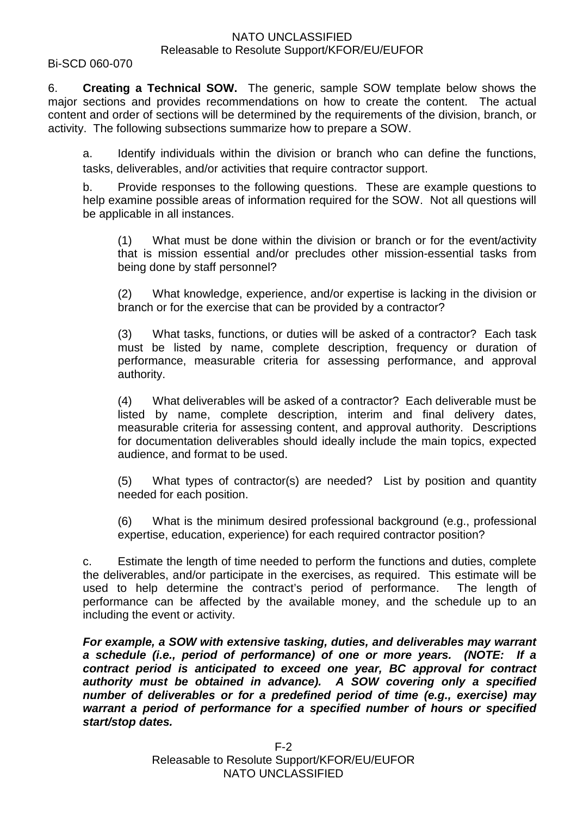#### Bi-SCD 060-070

6. **Creating a Technical SOW.** The generic, sample SOW template below shows the major sections and provides recommendations on how to create the content. The actual content and order of sections will be determined by the requirements of the division, branch, or activity. The following subsections summarize how to prepare a SOW.

a. Identify individuals within the division or branch who can define the functions, tasks, deliverables, and/or activities that require contractor support.

b. Provide responses to the following questions. These are example questions to help examine possible areas of information required for the SOW. Not all questions will be applicable in all instances.

(1) What must be done within the division or branch or for the event/activity that is mission essential and/or precludes other mission-essential tasks from being done by staff personnel?

(2) What knowledge, experience, and/or expertise is lacking in the division or branch or for the exercise that can be provided by a contractor?

(3) What tasks, functions, or duties will be asked of a contractor? Each task must be listed by name, complete description, frequency or duration of performance, measurable criteria for assessing performance, and approval authority.

(4) What deliverables will be asked of a contractor? Each deliverable must be listed by name, complete description, interim and final delivery dates, measurable criteria for assessing content, and approval authority. Descriptions for documentation deliverables should ideally include the main topics, expected audience, and format to be used.

(5) What types of contractor(s) are needed? List by position and quantity needed for each position.

(6) What is the minimum desired professional background (e.g., professional expertise, education, experience) for each required contractor position?

c. Estimate the length of time needed to perform the functions and duties, complete the deliverables, and/or participate in the exercises, as required. This estimate will be used to help determine the contract's period of performance. The length of performance can be affected by the available money, and the schedule up to an including the event or activity.

*For example, a SOW with extensive tasking, duties, and deliverables may warrant a schedule (i.e., period of performance) of one or more years. (NOTE: If a contract period is anticipated to exceed one year, BC approval for contract authority must be obtained in advance). A SOW covering only a specified number of deliverables or for a predefined period of time (e.g., exercise) may warrant a period of performance for a specified number of hours or specified start/stop dates.*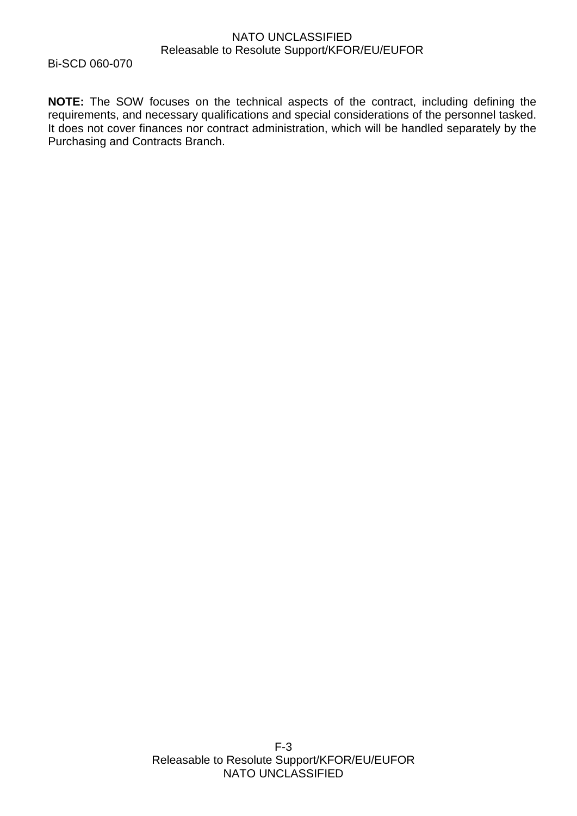Bi-SCD 060-070

**NOTE:** The SOW focuses on the technical aspects of the contract, including defining the requirements, and necessary qualifications and special considerations of the personnel tasked. It does not cover finances nor contract administration, which will be handled separately by the Purchasing and Contracts Branch.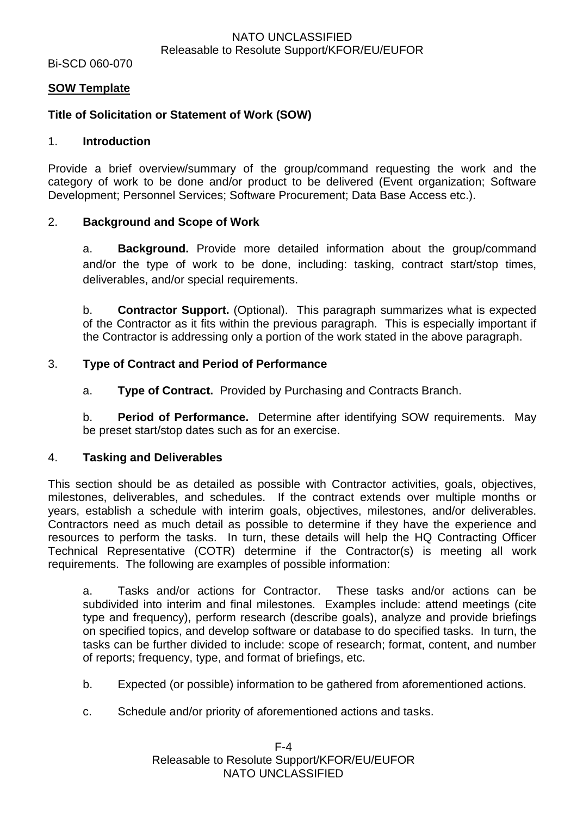Bi-SCD 060-070

### **SOW Template**

## **Title of Solicitation or Statement of Work (SOW)**

#### 1. **Introduction**

Provide a brief overview/summary of the group/command requesting the work and the category of work to be done and/or product to be delivered (Event organization; Software Development; Personnel Services; Software Procurement; Data Base Access etc.).

#### 2. **Background and Scope of Work**

a. **Background.** Provide more detailed information about the group/command and/or the type of work to be done, including: tasking, contract start/stop times, deliverables, and/or special requirements.

b. **Contractor Support.** (Optional). This paragraph summarizes what is expected of the Contractor as it fits within the previous paragraph. This is especially important if the Contractor is addressing only a portion of the work stated in the above paragraph.

#### 3. **Type of Contract and Period of Performance**

a. **Type of Contract.** Provided by Purchasing and Contracts Branch.

b. **Period of Performance.** Determine after identifying SOW requirements. May be preset start/stop dates such as for an exercise.

#### 4. **Tasking and Deliverables**

This section should be as detailed as possible with Contractor activities, goals, objectives, milestones, deliverables, and schedules. If the contract extends over multiple months or years, establish a schedule with interim goals, objectives, milestones, and/or deliverables. Contractors need as much detail as possible to determine if they have the experience and resources to perform the tasks. In turn, these details will help the HQ Contracting Officer Technical Representative (COTR) determine if the Contractor(s) is meeting all work requirements. The following are examples of possible information:

a. Tasks and/or actions for Contractor. These tasks and/or actions can be subdivided into interim and final milestones. Examples include: attend meetings (cite type and frequency), perform research (describe goals), analyze and provide briefings on specified topics, and develop software or database to do specified tasks. In turn, the tasks can be further divided to include: scope of research; format, content, and number of reports; frequency, type, and format of briefings, etc.

- b. Expected (or possible) information to be gathered from aforementioned actions.
- c. Schedule and/or priority of aforementioned actions and tasks.

F-4 Releasable to Resolute Support/KFOR/EU/EUFOR NATO UNCLASSIFIED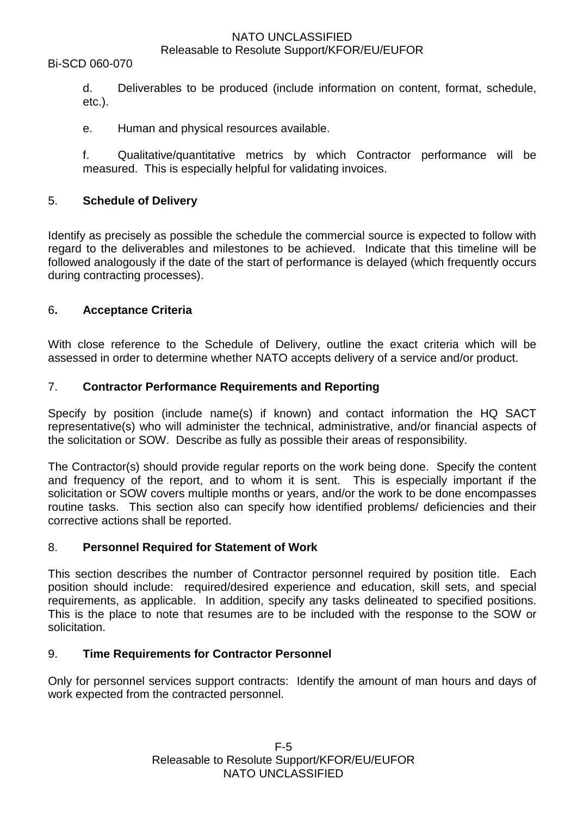#### Bi-SCD 060-070

d. Deliverables to be produced (include information on content, format, schedule, etc.).

e. Human and physical resources available.

f. Qualitative/quantitative metrics by which Contractor performance will be measured. This is especially helpful for validating invoices.

#### 5. **Schedule of Delivery**

Identify as precisely as possible the schedule the commercial source is expected to follow with regard to the deliverables and milestones to be achieved. Indicate that this timeline will be followed analogously if the date of the start of performance is delayed (which frequently occurs during contracting processes).

#### 6**. Acceptance Criteria**

With close reference to the Schedule of Delivery, outline the exact criteria which will be assessed in order to determine whether NATO accepts delivery of a service and/or product.

#### 7. **Contractor Performance Requirements and Reporting**

Specify by position (include name(s) if known) and contact information the HQ SACT representative(s) who will administer the technical, administrative, and/or financial aspects of the solicitation or SOW. Describe as fully as possible their areas of responsibility.

The Contractor(s) should provide regular reports on the work being done. Specify the content and frequency of the report, and to whom it is sent. This is especially important if the solicitation or SOW covers multiple months or years, and/or the work to be done encompasses routine tasks. This section also can specify how identified problems/ deficiencies and their corrective actions shall be reported.

#### 8. **Personnel Required for Statement of Work**

This section describes the number of Contractor personnel required by position title. Each position should include: required/desired experience and education, skill sets, and special requirements, as applicable. In addition, specify any tasks delineated to specified positions. This is the place to note that resumes are to be included with the response to the SOW or solicitation.

### 9. **Time Requirements for Contractor Personnel**

Only for personnel services support contracts: Identify the amount of man hours and days of work expected from the contracted personnel.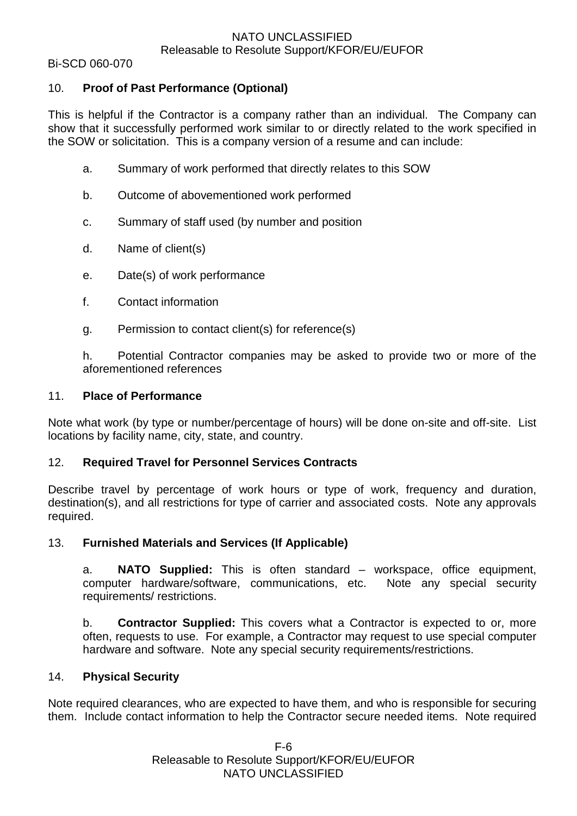Bi-SCD 060-070

# 10. **Proof of Past Performance (Optional)**

This is helpful if the Contractor is a company rather than an individual. The Company can show that it successfully performed work similar to or directly related to the work specified in the SOW or solicitation. This is a company version of a resume and can include:

- a. Summary of work performed that directly relates to this SOW
- b. Outcome of abovementioned work performed
- c. Summary of staff used (by number and position
- d. Name of client(s)
- e. Date(s) of work performance
- f. Contact information
- g. Permission to contact client(s) for reference(s)

h. Potential Contractor companies may be asked to provide two or more of the aforementioned references

#### 11. **Place of Performance**

Note what work (by type or number/percentage of hours) will be done on-site and off-site. List locations by facility name, city, state, and country.

### 12. **Required Travel for Personnel Services Contracts**

Describe travel by percentage of work hours or type of work, frequency and duration, destination(s), and all restrictions for type of carrier and associated costs. Note any approvals required.

### 13. **Furnished Materials and Services (If Applicable)**

a. **NATO Supplied:** This is often standard – workspace, office equipment, computer hardware/software, communications, etc. Note any special security requirements/ restrictions.

b. **Contractor Supplied:** This covers what a Contractor is expected to or, more often, requests to use. For example, a Contractor may request to use special computer hardware and software. Note any special security requirements/restrictions.

### 14. **Physical Security**

Note required clearances, who are expected to have them, and who is responsible for securing them. Include contact information to help the Contractor secure needed items. Note required

> F-6 Releasable to Resolute Support/KFOR/EU/EUFOR NATO UNCLASSIFIED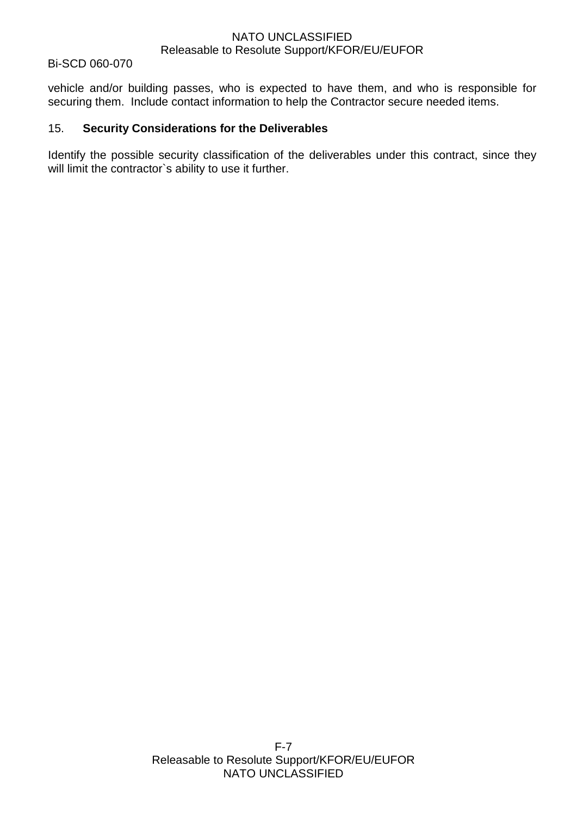#### Bi-SCD 060-070

vehicle and/or building passes, who is expected to have them, and who is responsible for securing them. Include contact information to help the Contractor secure needed items.

#### 15. **Security Considerations for the Deliverables**

Identify the possible security classification of the deliverables under this contract, since they will limit the contractor's ability to use it further.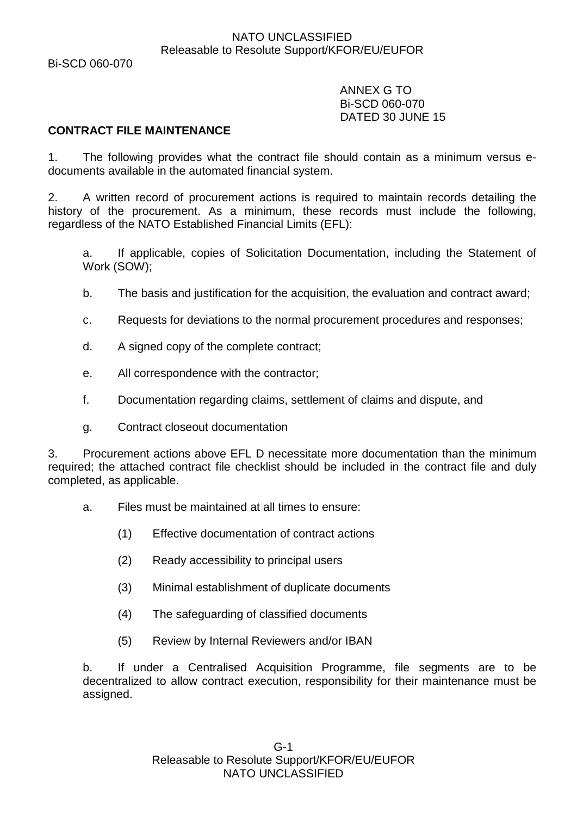Bi-SCD 060-070

ANNEX G TO Bi-SCD 060-070 DATED 30 JUNE 15

### **CONTRACT FILE MAINTENANCE**

1. The following provides what the contract file should contain as a minimum versus edocuments available in the automated financial system.

2. A written record of procurement actions is required to maintain records detailing the history of the procurement. As a minimum, these records must include the following, regardless of the NATO Established Financial Limits (EFL):

a. If applicable, copies of Solicitation Documentation, including the Statement of Work (SOW);

- b. The basis and justification for the acquisition, the evaluation and contract award;
- c. Requests for deviations to the normal procurement procedures and responses;
- d. A signed copy of the complete contract;
- e. All correspondence with the contractor;
- f. Documentation regarding claims, settlement of claims and dispute, and
- g. Contract closeout documentation

3. Procurement actions above EFL D necessitate more documentation than the minimum required; the attached contract file checklist should be included in the contract file and duly completed, as applicable.

- a. Files must be maintained at all times to ensure:
	- (1) Effective documentation of contract actions
	- (2) Ready accessibility to principal users
	- (3) Minimal establishment of duplicate documents
	- (4) The safeguarding of classified documents
	- (5) Review by Internal Reviewers and/or IBAN

b. If under a Centralised Acquisition Programme, file segments are to be decentralized to allow contract execution, responsibility for their maintenance must be assigned.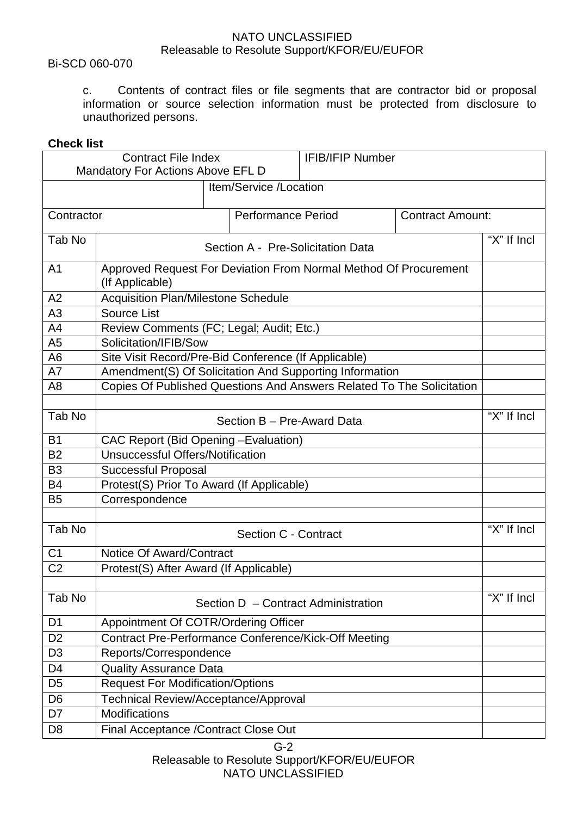#### Bi-SCD 060-070

c. Contents of contract files or file segments that are contractor bid or proposal information or source selection information must be protected from disclosure to unauthorized persons.

### **Check list**

| <b>Contract File Index</b> |                                                                                     |                           | <b>IFIB/IFIP Number</b>             |                         |                 |  |  |
|----------------------------|-------------------------------------------------------------------------------------|---------------------------|-------------------------------------|-------------------------|-----------------|--|--|
|                            | Mandatory For Actions Above EFL D                                                   |                           |                                     |                         |                 |  |  |
|                            | Item/Service /Location                                                              |                           |                                     |                         |                 |  |  |
|                            |                                                                                     |                           |                                     |                         |                 |  |  |
| Contractor                 |                                                                                     | <b>Performance Period</b> |                                     | <b>Contract Amount:</b> |                 |  |  |
| Tab No                     |                                                                                     |                           |                                     |                         | "X" If Incl     |  |  |
|                            |                                                                                     |                           | Section A - Pre-Solicitation Data   |                         |                 |  |  |
| A <sub>1</sub>             | Approved Request For Deviation From Normal Method Of Procurement<br>(If Applicable) |                           |                                     |                         |                 |  |  |
| A2                         | <b>Acquisition Plan/Milestone Schedule</b>                                          |                           |                                     |                         |                 |  |  |
| A3                         | <b>Source List</b>                                                                  |                           |                                     |                         |                 |  |  |
| A <sub>4</sub>             | Review Comments (FC; Legal; Audit; Etc.)                                            |                           |                                     |                         |                 |  |  |
| A <sub>5</sub>             | Solicitation/IFIB/Sow                                                               |                           |                                     |                         |                 |  |  |
| A <sub>6</sub>             | Site Visit Record/Pre-Bid Conference (If Applicable)                                |                           |                                     |                         |                 |  |  |
| A7                         | Amendment(S) Of Solicitation And Supporting Information                             |                           |                                     |                         |                 |  |  |
| A <sub>8</sub>             | Copies Of Published Questions And Answers Related To The Solicitation               |                           |                                     |                         |                 |  |  |
|                            |                                                                                     |                           |                                     |                         | "X" If Incl     |  |  |
| Tab No                     | Section B - Pre-Award Data                                                          |                           |                                     |                         |                 |  |  |
| <b>B1</b>                  | CAC Report (Bid Opening - Evaluation)                                               |                           |                                     |                         |                 |  |  |
| <b>B2</b>                  | <b>Unsuccessful Offers/Notification</b>                                             |                           |                                     |                         |                 |  |  |
| B <sub>3</sub>             | <b>Successful Proposal</b>                                                          |                           |                                     |                         |                 |  |  |
| <b>B4</b>                  | Protest(S) Prior To Award (If Applicable)                                           |                           |                                     |                         |                 |  |  |
| <b>B5</b>                  | Correspondence                                                                      |                           |                                     |                         |                 |  |  |
|                            |                                                                                     |                           |                                     |                         | "X" If Incl     |  |  |
| Tab No                     | Section C - Contract                                                                |                           |                                     |                         |                 |  |  |
| C <sub>1</sub>             | Notice Of Award/Contract                                                            |                           |                                     |                         |                 |  |  |
| C <sub>2</sub>             | Protest(S) After Award (If Applicable)                                              |                           |                                     |                         |                 |  |  |
|                            |                                                                                     |                           |                                     |                         |                 |  |  |
| Tab No                     |                                                                                     |                           | Section D - Contract Administration |                         | " $X$ " If Incl |  |  |
| D <sub>1</sub>             | Appointment Of COTR/Ordering Officer                                                |                           |                                     |                         |                 |  |  |
| D <sub>2</sub>             | Contract Pre-Performance Conference/Kick-Off Meeting                                |                           |                                     |                         |                 |  |  |
| D <sub>3</sub>             | Reports/Correspondence                                                              |                           |                                     |                         |                 |  |  |
| D <sub>4</sub>             | <b>Quality Assurance Data</b>                                                       |                           |                                     |                         |                 |  |  |
| D <sub>5</sub>             | <b>Request For Modification/Options</b>                                             |                           |                                     |                         |                 |  |  |
| D <sub>6</sub>             | Technical Review/Acceptance/Approval                                                |                           |                                     |                         |                 |  |  |
| D7                         | Modifications                                                                       |                           |                                     |                         |                 |  |  |
| D <sub>8</sub>             | Final Acceptance / Contract Close Out                                               |                           |                                     |                         |                 |  |  |

G-2 Releasable to Resolute Support/KFOR/EU/EUFOR NATO UNCLASSIFIED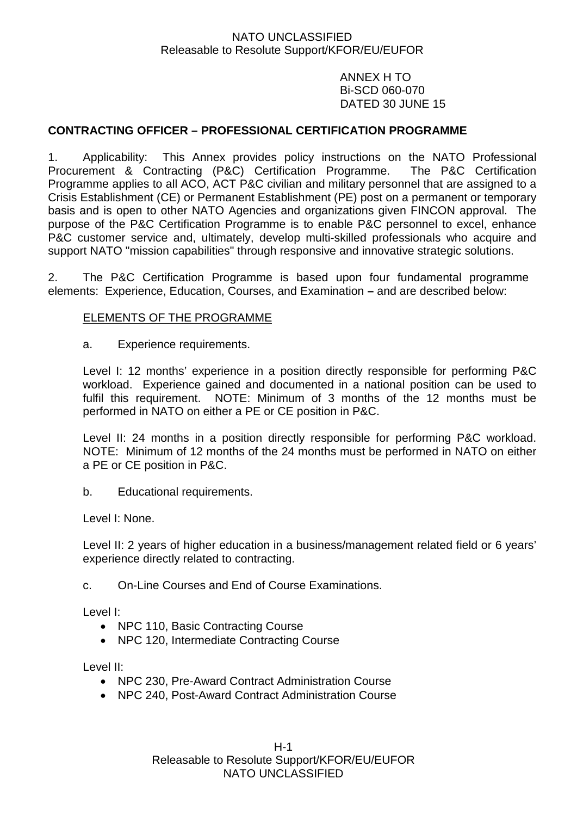ANNEX H TO Bi-SCD 060-070 DATED 30 JUNE 15

# **CONTRACTING OFFICER – PROFESSIONAL CERTIFICATION PROGRAMME**

1. Applicability: This Annex provides policy instructions on the NATO Professional Procurement & Contracting (P&C) Certification Programme. The P&C Certification Programme applies to all ACO, ACT P&C civilian and military personnel that are assigned to a Crisis Establishment (CE) or Permanent Establishment (PE) post on a permanent or temporary basis and is open to other NATO Agencies and organizations given FINCON approval. The purpose of the P&C Certification Programme is to enable P&C personnel to excel, enhance P&C customer service and, ultimately, develop multi-skilled professionals who acquire and support NATO "mission capabilities" through responsive and innovative strategic solutions.

2. The P&C Certification Programme is based upon four fundamental programme elements: Experience, Education, Courses, and Examination **–** and are described below:

#### ELEMENTS OF THE PROGRAMME

a. Experience requirements.

Level I: 12 months' experience in a position directly responsible for performing P&C workload. Experience gained and documented in a national position can be used to fulfil this requirement. NOTE: Minimum of 3 months of the 12 months must be performed in NATO on either a PE or CE position in P&C.

Level II: 24 months in a position directly responsible for performing P&C workload. NOTE: Minimum of 12 months of the 24 months must be performed in NATO on either a PE or CE position in P&C.

b. Educational requirements.

Level I: None.

Level II: 2 years of higher education in a business/management related field or 6 years' experience directly related to contracting.

c. On-Line Courses and End of Course Examinations.

Level I:

- NPC 110, Basic Contracting Course
- NPC 120, Intermediate Contracting Course

Level II:

- NPC 230, Pre-Award Contract Administration Course
- NPC 240, Post-Award Contract Administration Course

H-1 Releasable to Resolute Support/KFOR/EU/EUFOR NATO UNCLASSIFIED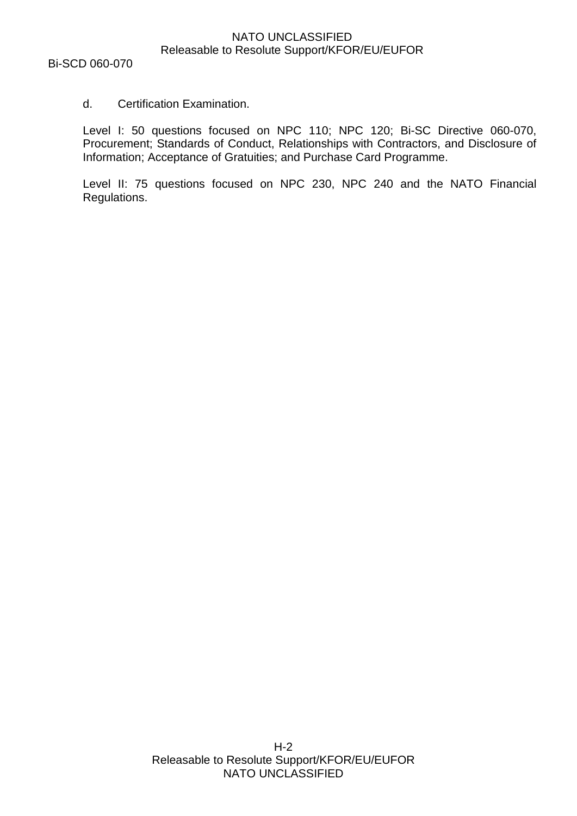### d. Certification Examination.

Level I: 50 questions focused on NPC 110; NPC 120; Bi-SC Directive 060-070, Procurement; Standards of Conduct, Relationships with Contractors, and Disclosure of Information; Acceptance of Gratuities; and Purchase Card Programme.

Level II: 75 questions focused on NPC 230, NPC 240 and the NATO Financial Regulations.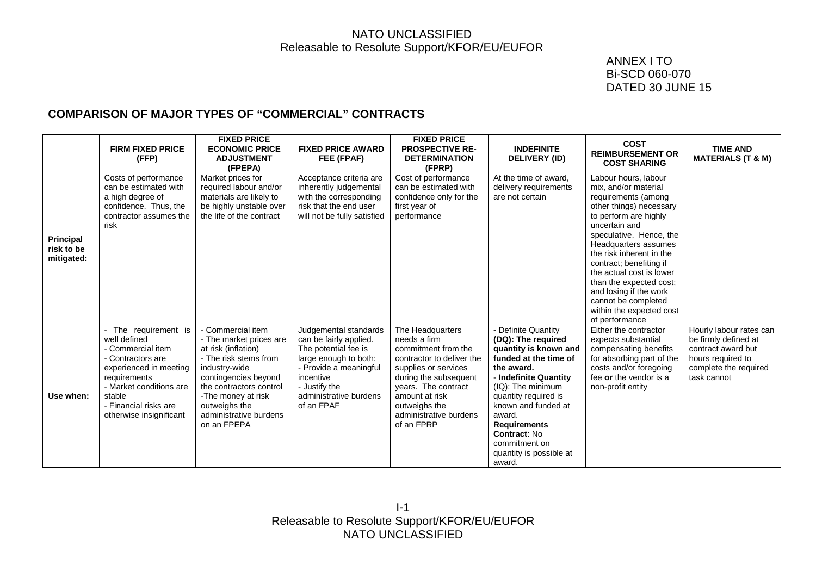### ANNEX I TO Bi-SCD 060-070 DATED 30 JUNE 15

# **COMPARISON OF MAJOR TYPES OF "COMMERCIAL" CONTRACTS**

|                                              | <b>FIRM FIXED PRICE</b><br>(FFP)                                                                                                                                                                                | <b>FIXED PRICE</b><br><b>ECONOMIC PRICE</b><br><b>ADJUSTMENT</b><br>(FPEPA)                                                                                                                                                                      | <b>FIXED PRICE AWARD</b><br>FEE (FPAF)                                                                                                                                                           | <b>FIXED PRICE</b><br><b>PROSPECTIVE RE-</b><br><b>DETERMINATION</b><br>(FPRP)                                                                                                                                                          | <b>INDEFINITE</b><br><b>DELIVERY (ID)</b>                                                                                                                                                                                                                                                                            | <b>COST</b><br><b>REIMBURSEMENT OR</b><br><b>COST SHARING</b>                                                                                                                                                                                                                                                                                                                                            | <b>TIME AND</b><br><b>MATERIALS (T &amp; M)</b>                                                                                    |
|----------------------------------------------|-----------------------------------------------------------------------------------------------------------------------------------------------------------------------------------------------------------------|--------------------------------------------------------------------------------------------------------------------------------------------------------------------------------------------------------------------------------------------------|--------------------------------------------------------------------------------------------------------------------------------------------------------------------------------------------------|-----------------------------------------------------------------------------------------------------------------------------------------------------------------------------------------------------------------------------------------|----------------------------------------------------------------------------------------------------------------------------------------------------------------------------------------------------------------------------------------------------------------------------------------------------------------------|----------------------------------------------------------------------------------------------------------------------------------------------------------------------------------------------------------------------------------------------------------------------------------------------------------------------------------------------------------------------------------------------------------|------------------------------------------------------------------------------------------------------------------------------------|
| <b>Principal</b><br>risk to be<br>mitigated: | Costs of performance<br>can be estimated with<br>a high degree of<br>confidence. Thus, the<br>contractor assumes the<br>risk                                                                                    | Market prices for<br>required labour and/or<br>materials are likely to<br>be highly unstable over<br>the life of the contract                                                                                                                    | Acceptance criteria are<br>inherently judgemental<br>with the corresponding<br>risk that the end user<br>will not be fully satisfied                                                             | Cost of performance<br>can be estimated with<br>confidence only for the<br>first year of<br>performance                                                                                                                                 | At the time of award.<br>delivery requirements<br>are not certain                                                                                                                                                                                                                                                    | Labour hours, labour<br>mix, and/or material<br>requirements (among<br>other things) necessary<br>to perform are highly<br>uncertain and<br>speculative. Hence, the<br>Headquarters assumes<br>the risk inherent in the<br>contract; benefiting if<br>the actual cost is lower<br>than the expected cost;<br>and losing if the work<br>cannot be completed<br>within the expected cost<br>of performance |                                                                                                                                    |
| Use when:                                    | The requirement is<br>well defined<br>- Commercial item<br>- Contractors are<br>experienced in meeting<br>requirements<br>- Market conditions are<br>stable<br>- Financial risks are<br>otherwise insignificant | - Commercial item<br>- The market prices are<br>at risk (inflation)<br>- The risk stems from<br>industry-wide<br>contingencies beyond<br>the contractors control<br>-The money at risk<br>outweighs the<br>administrative burdens<br>on an FPEPA | Judgemental standards<br>can be fairly applied.<br>The potential fee is<br>large enough to both:<br>- Provide a meaningful<br>incentive<br>- Justify the<br>administrative burdens<br>of an FPAF | The Headquarters<br>needs a firm<br>commitment from the<br>contractor to deliver the<br>supplies or services<br>during the subsequent<br>years. The contract<br>amount at risk<br>outweighs the<br>administrative burdens<br>of an FPRP | - Definite Quantity<br>(DQ): The required<br>quantity is known and<br>funded at the time of<br>the award.<br>- Indefinite Quantity<br>(IQ): The minimum<br>quantity required is<br>known and funded at<br>award.<br><b>Requirements</b><br><b>Contract: No</b><br>commitment on<br>quantity is possible at<br>award. | Either the contractor<br>expects substantial<br>compensating benefits<br>for absorbing part of the<br>costs and/or foregoing<br>fee or the vendor is a<br>non-profit entity                                                                                                                                                                                                                              | Hourly labour rates can<br>be firmly defined at<br>contract award but<br>hours required to<br>complete the required<br>task cannot |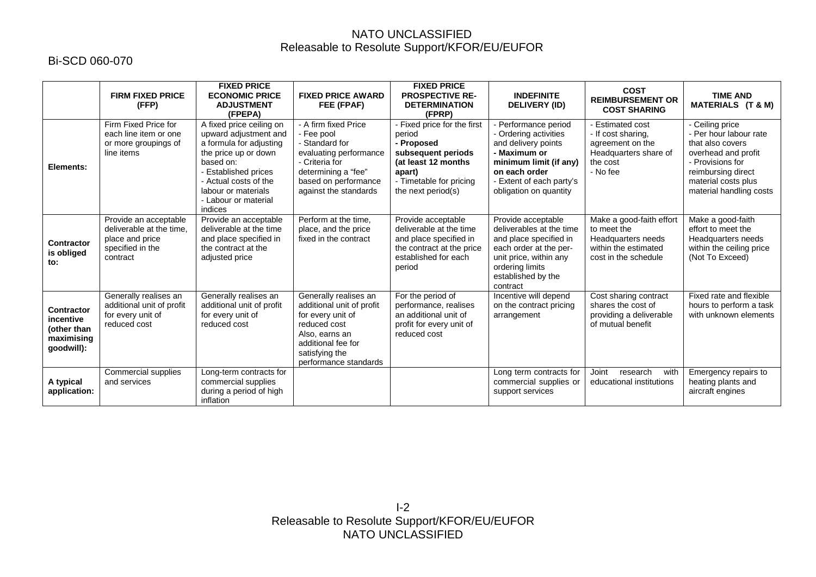# Bi-SCD 060-070

|                                                                           | <b>FIRM FIXED PRICE</b><br>(FFP)                                                                     | <b>FIXED PRICE</b><br><b>ECONOMIC PRICE</b><br><b>ADJUSTMENT</b><br>(FPEPA)                                                                                                                                                  | <b>FIXED PRICE AWARD</b><br>FEE (FPAF)                                                                                                                                     | <b>FIXED PRICE</b><br><b>PROSPECTIVE RE-</b><br><b>DETERMINATION</b><br>(FPRP)                                                                               | <b>INDEFINITE</b><br><b>DELIVERY (ID)</b>                                                                                                                                         | <b>COST</b><br><b>REIMBURSEMENT OR</b><br><b>COST SHARING</b>                                                    | <b>TIME AND</b><br>MATERIALS (T & M)                                                                                                                                             |
|---------------------------------------------------------------------------|------------------------------------------------------------------------------------------------------|------------------------------------------------------------------------------------------------------------------------------------------------------------------------------------------------------------------------------|----------------------------------------------------------------------------------------------------------------------------------------------------------------------------|--------------------------------------------------------------------------------------------------------------------------------------------------------------|-----------------------------------------------------------------------------------------------------------------------------------------------------------------------------------|------------------------------------------------------------------------------------------------------------------|----------------------------------------------------------------------------------------------------------------------------------------------------------------------------------|
| Elements:                                                                 | Firm Fixed Price for<br>each line item or one<br>or more groupings of<br>line items                  | A fixed price ceiling on<br>upward adjustment and<br>a formula for adjusting<br>the price up or down<br>based on:<br>- Established prices<br>- Actual costs of the<br>labour or materials<br>- Labour or material<br>indices | - A firm fixed Price<br>- Fee pool<br>- Standard for<br>evaluating performance<br>- Criteria for<br>determining a "fee"<br>based on performance<br>against the standards   | - Fixed price for the first<br>period<br>- Proposed<br>subsequent periods<br>(at least 12 months)<br>apart)<br>- Timetable for pricing<br>the next period(s) | Performance period<br>- Ordering activities<br>and delivery points<br>- Maximum or<br>minimum limit (if any)<br>on each order<br>Extent of each party's<br>obligation on quantity | <b>Estimated cost</b><br>- If cost sharing,<br>agreement on the<br>Headquarters share of<br>the cost<br>- No fee | - Ceiling price<br>- Per hour labour rate<br>that also covers<br>overhead and profit<br>- Provisions for<br>reimbursing direct<br>material costs plus<br>material handling costs |
| <b>Contractor</b><br>is obliged<br>to:                                    | Provide an acceptable<br>deliverable at the time.<br>place and price<br>specified in the<br>contract | Provide an acceptable<br>deliverable at the time<br>and place specified in<br>the contract at the<br>adjusted price                                                                                                          | Perform at the time.<br>place, and the price<br>fixed in the contract                                                                                                      | Provide acceptable<br>deliverable at the time<br>and place specified in<br>the contract at the price<br>established for each<br>period                       | Provide acceptable<br>deliverables at the time<br>and place specified in<br>each order at the per-<br>unit price, within any<br>ordering limits<br>established by the<br>contract | Make a good-faith effort<br>to meet the<br>Headquarters needs<br>within the estimated<br>cost in the schedule    | Make a good-faith<br>effort to meet the<br>Headquarters needs<br>within the ceiling price<br>(Not To Exceed)                                                                     |
| <b>Contractor</b><br>incentive<br>(other than<br>maximising<br>qoodwill): | Generally realises an<br>additional unit of profit<br>for every unit of<br>reduced cost              | Generally realises an<br>additional unit of profit<br>for every unit of<br>reduced cost                                                                                                                                      | Generally realises an<br>additional unit of profit<br>for every unit of<br>reduced cost<br>Also, earns an<br>additional fee for<br>satisfying the<br>performance standards | For the period of<br>performance, realises<br>an additional unit of<br>profit for every unit of<br>reduced cost                                              | Incentive will depend<br>on the contract pricing<br>arrangement                                                                                                                   | Cost sharing contract<br>shares the cost of<br>providing a deliverable<br>of mutual benefit                      | Fixed rate and flexible<br>hours to perform a task<br>with unknown elements                                                                                                      |
| A typical<br>application:                                                 | Commercial supplies<br>and services                                                                  | Long-term contracts for<br>commercial supplies<br>during a period of high<br>inflation                                                                                                                                       |                                                                                                                                                                            |                                                                                                                                                              | Long term contracts for<br>commercial supplies or<br>support services                                                                                                             | Joint<br>research<br>with<br>educational institutions                                                            | Emergency repairs to<br>heating plants and<br>aircraft engines                                                                                                                   |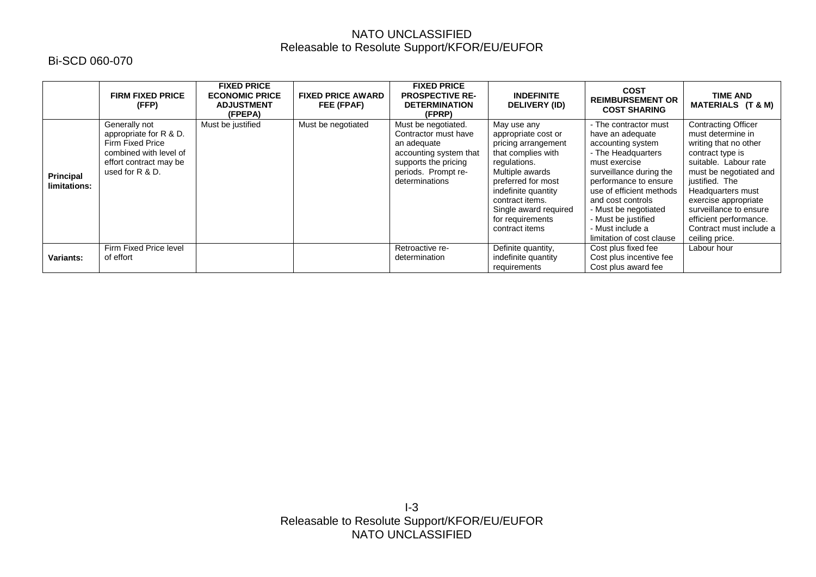# Bi-SCD 060-070

|                                  | <b>FIRM FIXED PRICE</b><br>(FFP)                                                                                                          | <b>FIXED PRICE</b><br><b>ECONOMIC PRICE</b><br><b>ADJUSTMENT</b><br>(FPEPA) | <b>FIXED PRICE AWARD</b><br>FEE (FPAF) | <b>FIXED PRICE</b><br><b>PROSPECTIVE RE-</b><br><b>DETERMINATION</b><br>(FPRP)                                                                        | <b>INDEFINITE</b><br><b>DELIVERY (ID)</b>                                                                                                                                                                                                         | <b>COST</b><br><b>REIMBURSEMENT OR</b><br><b>COST SHARING</b>                                                                                                                                                                                                                                              | <b>TIME AND</b><br><b>MATERIALS (T &amp; M)</b>                                                                                                                                                                                                                                                                 |
|----------------------------------|-------------------------------------------------------------------------------------------------------------------------------------------|-----------------------------------------------------------------------------|----------------------------------------|-------------------------------------------------------------------------------------------------------------------------------------------------------|---------------------------------------------------------------------------------------------------------------------------------------------------------------------------------------------------------------------------------------------------|------------------------------------------------------------------------------------------------------------------------------------------------------------------------------------------------------------------------------------------------------------------------------------------------------------|-----------------------------------------------------------------------------------------------------------------------------------------------------------------------------------------------------------------------------------------------------------------------------------------------------------------|
| <b>Principal</b><br>limitations: | Generally not<br>appropriate for R & D.<br><b>Firm Fixed Price</b><br>combined with level of<br>effort contract may be<br>used for R & D. | Must be justified                                                           | Must be negotiated                     | Must be negotiated.<br>Contractor must have<br>an adequate<br>accounting system that<br>supports the pricing<br>periods. Prompt re-<br>determinations | May use any<br>appropriate cost or<br>pricing arrangement<br>that complies with<br>regulations.<br>Multiple awards<br>preferred for most<br>indefinite quantity<br>contract items.<br>Single award required<br>for requirements<br>contract items | - The contractor must<br>have an adequate<br>accounting system<br>- The Headquarters<br>must exercise<br>surveillance during the<br>performance to ensure<br>use of efficient methods<br>and cost controls<br>- Must be negotiated<br>- Must be justified<br>- Must include a<br>limitation of cost clause | <b>Contracting Officer</b><br>must determine in<br>writing that no other<br>contract type is<br>suitable. Labour rate<br>must be negotiated and<br>justified. The<br>Headquarters must<br>exercise appropriate<br>surveillance to ensure<br>efficient performance.<br>Contract must include a<br>ceiling price. |
| <b>Variants:</b>                 | Firm Fixed Price level<br>of effort                                                                                                       |                                                                             |                                        | Retroactive re-<br>determination                                                                                                                      | Definite quantity,<br>indefinite quantity<br>requirements                                                                                                                                                                                         | Cost plus fixed fee<br>Cost plus incentive fee<br>Cost plus award fee                                                                                                                                                                                                                                      | Labour hour                                                                                                                                                                                                                                                                                                     |